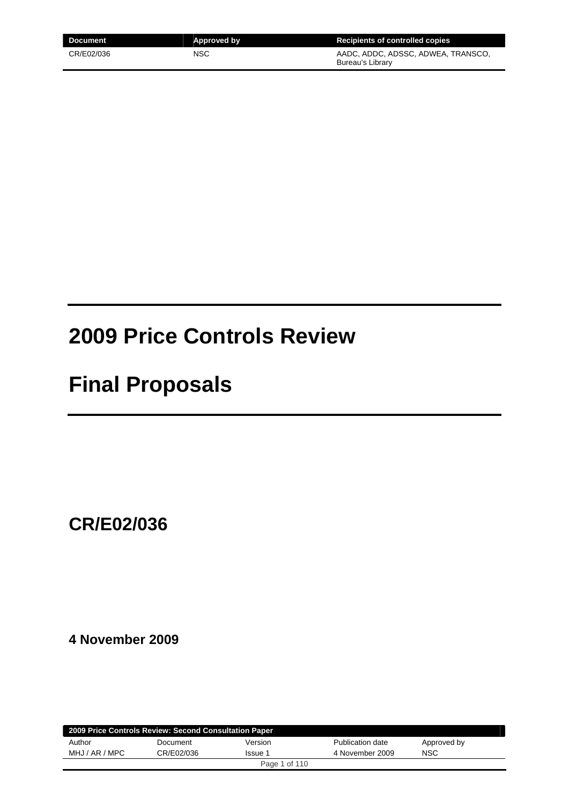| Document   | Approved by | Recipients of controlled copies                        |
|------------|-------------|--------------------------------------------------------|
| CR/E02/036 | NSC         | AADC, ADDC, ADSSC, ADWEA, TRANSCO,<br>Bureau's Library |

# **2009 Price Controls Review**

# **Final Proposals**

**CR/E02/036** 

**4 November 2009** 

| 2009 Price Controls Review: Second Consultation Paper |            |         |                  |             |  |  |
|-------------------------------------------------------|------------|---------|------------------|-------------|--|--|
| Author                                                | Document   | Version | Publication date | Approved by |  |  |
| MHJ / AR / MPC                                        | CR/E02/036 | Issue 1 | 4 November 2009  | <b>NSC</b>  |  |  |
| Page 1 of 110                                         |            |         |                  |             |  |  |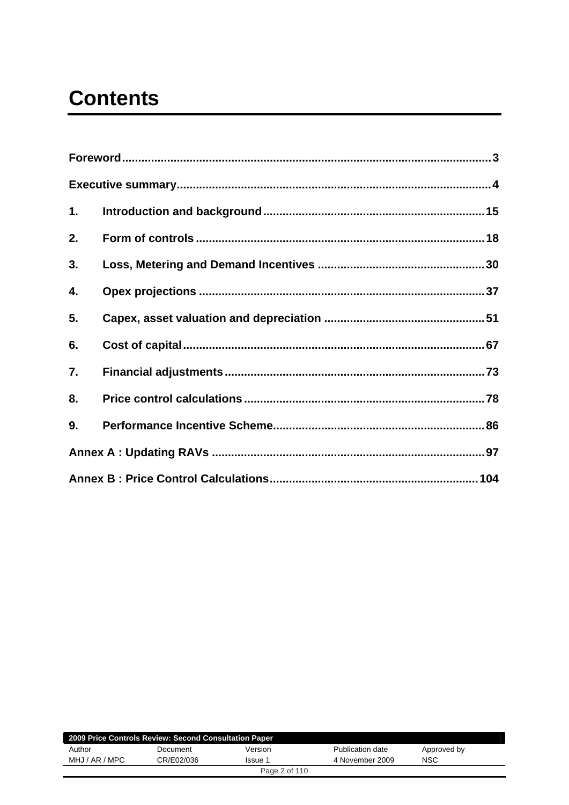# **Contents**

| 1. |  |
|----|--|
| 2. |  |
| 3. |  |
| 4. |  |
| 5. |  |
| 6. |  |
| 7. |  |
| 8. |  |
| 9. |  |
|    |  |
|    |  |

| 2009 Price Controls Review: Second Consultation Paper |            |         |                  |             |  |  |
|-------------------------------------------------------|------------|---------|------------------|-------------|--|--|
| Author                                                | Document   | Version | Publication date | Approved by |  |  |
| MHJ / AR / MPC                                        | CR/E02/036 | Issue 1 | 4 November 2009  | NSC         |  |  |
| Page 2 of 110                                         |            |         |                  |             |  |  |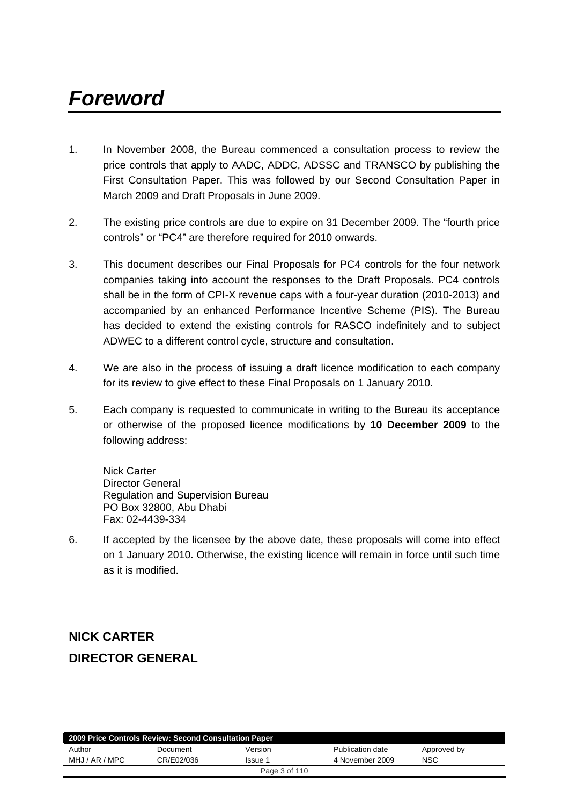# <span id="page-2-0"></span>*Foreword*

- 1. In November 2008, the Bureau commenced a consultation process to review the price controls that apply to AADC, ADDC, ADSSC and TRANSCO by publishing the First Consultation Paper. This was followed by our Second Consultation Paper in March 2009 and Draft Proposals in June 2009.
- 2. The existing price controls are due to expire on 31 December 2009. The "fourth price controls" or "PC4" are therefore required for 2010 onwards.
- 3. This document describes our Final Proposals for PC4 controls for the four network companies taking into account the responses to the Draft Proposals. PC4 controls shall be in the form of CPI-X revenue caps with a four-year duration (2010-2013) and accompanied by an enhanced Performance Incentive Scheme (PIS). The Bureau has decided to extend the existing controls for RASCO indefinitely and to subject ADWEC to a different control cycle, structure and consultation.
- 4. We are also in the process of issuing a draft licence modification to each company for its review to give effect to these Final Proposals on 1 January 2010.
- 5. Each company is requested to communicate in writing to the Bureau its acceptance or otherwise of the proposed licence modifications by **10 December 2009** to the following address:

Nick Carter Director General Regulation and Supervision Bureau PO Box 32800, Abu Dhabi Fax: 02-4439-334

6. If accepted by the licensee by the above date, these proposals will come into effect on 1 January 2010. Otherwise, the existing licence will remain in force until such time as it is modified.

# **NICK CARTER DIRECTOR GENERAL**

| 2009 Price Controls Review: Second Consultation Paper |            |         |                  |             |  |  |
|-------------------------------------------------------|------------|---------|------------------|-------------|--|--|
| Author                                                | Document   | Version | Publication date | Approved by |  |  |
| MHJ / AR / MPC                                        | CR/E02/036 | Issue 1 | 4 November 2009  | <b>NSC</b>  |  |  |
| Page 3 of 110                                         |            |         |                  |             |  |  |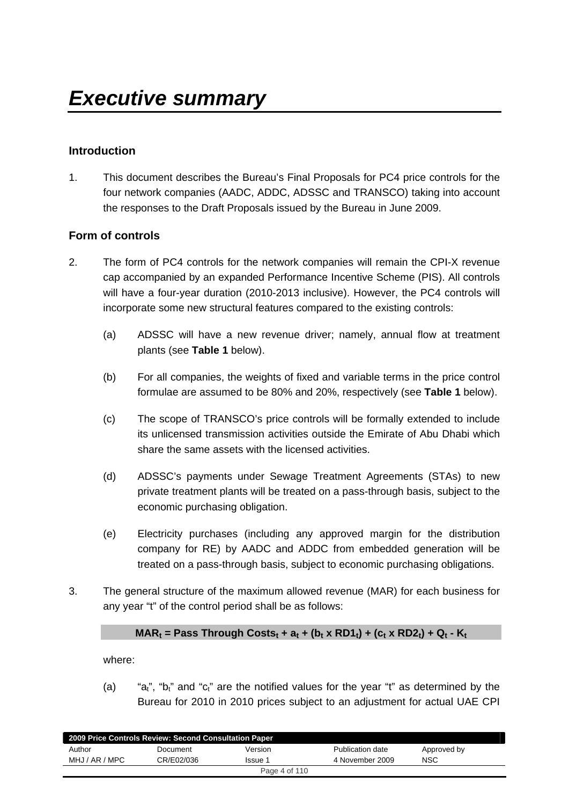## <span id="page-3-0"></span>**Introduction**

1. This document describes the Bureau's Final Proposals for PC4 price controls for the four network companies (AADC, ADDC, ADSSC and TRANSCO) taking into account the responses to the Draft Proposals issued by the Bureau in June 2009.

## **Form of controls**

- 2. The form of PC4 controls for the network companies will remain the CPI-X revenue cap accompanied by an expanded Performance Incentive Scheme (PIS). All controls will have a four-year duration (2010-2013 inclusive). However, the PC4 controls will incorporate some new structural features compared to the existing controls:
	- (a) ADSSC will have a new revenue driver; namely, annual flow at treatment plants (see **Table 1** below).
	- (b) For all companies, the weights of fixed and variable terms in the price control formulae are assumed to be 80% and 20%, respectively (see **Table 1** below).
	- (c) The scope of TRANSCO's price controls will be formally extended to include its unlicensed transmission activities outside the Emirate of Abu Dhabi which share the same assets with the licensed activities.
	- (d) ADSSC's payments under Sewage Treatment Agreements (STAs) to new private treatment plants will be treated on a pass-through basis, subject to the economic purchasing obligation.
	- (e) Electricity purchases (including any approved margin for the distribution company for RE) by AADC and ADDC from embedded generation will be treated on a pass-through basis, subject to economic purchasing obligations.
- 3. The general structure of the maximum allowed revenue (MAR) for each business for any year "t" of the control period shall be as follows:

#### $MAR_t$  = Pass Through Costs<sub>t</sub> + a<sub>t</sub> + (b<sub>t</sub> x RD1<sub>t</sub>) + (c<sub>t</sub> x RD2<sub>t</sub>) + Q<sub>t</sub> - K<sub>t</sub>

where:

(a) "a<sub>t</sub>", "b<sub>t</sub>" and "c<sub>t</sub>" are the notified values for the year "t" as determined by the Bureau for 2010 in 2010 prices subject to an adjustment for actual UAE CPI

| 2009 Price Controls Review: Second Consultation Paper |            |         |                  |             |  |  |
|-------------------------------------------------------|------------|---------|------------------|-------------|--|--|
| Author                                                | Document   | Version | Publication date | Approved by |  |  |
| MHJ / AR / MPC                                        | CR/E02/036 | Issue 1 | 4 November 2009  | <b>NSC</b>  |  |  |
| Page 4 of 110                                         |            |         |                  |             |  |  |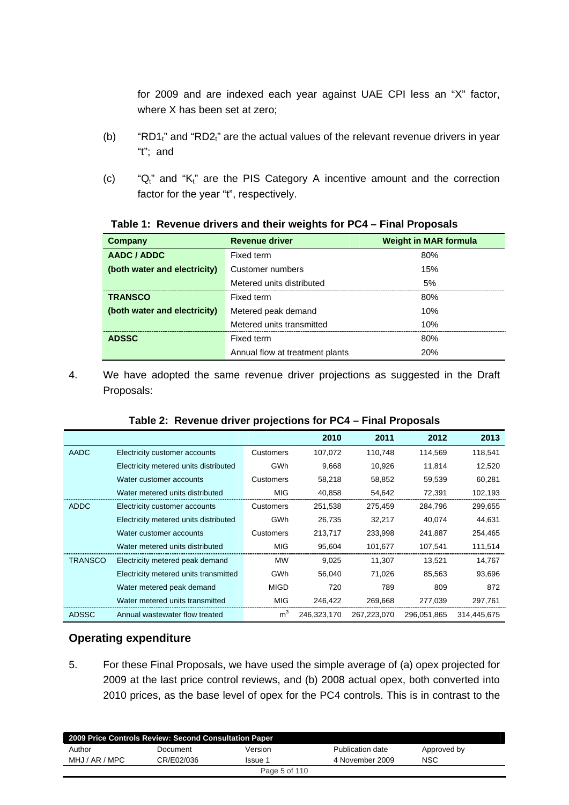for 2009 and are indexed each year against UAE CPI less an "X" factor, where X has been set at zero;

- (b) "RD1 $_1$ " and "RD2 $_1$ " are the actual values of the relevant revenue drivers in year "t"; and
- (c) " $Q_t$ " and " $K_t$ " are the PIS Category A incentive amount and the correction factor for the year "t", respectively.

| Company                      | <b>Revenue driver</b>           | <b>Weight in MAR formula</b> |
|------------------------------|---------------------------------|------------------------------|
| AADC / ADDC                  | Fixed term                      | 80%                          |
| (both water and electricity) | Customer numbers                | 15%                          |
|                              | Metered units distributed       | 5%                           |
| <b>TRANSCO</b>               | Fixed term                      | 80%                          |
| (both water and electricity) | Metered peak demand             | 10%                          |
|                              | Metered units transmitted       | 10%                          |
| <b>ADSSC</b>                 | Fixed term                      | 80%                          |
|                              | Annual flow at treatment plants | 20%                          |

#### **Table 1: Revenue drivers and their weights for PC4 – Final Proposals**

4. We have adopted the same revenue driver projections as suggested in the Draft Proposals:

|  |  |  |  |  | Table 2: Revenue driver projections for PC4 - Final Proposals |
|--|--|--|--|--|---------------------------------------------------------------|
|--|--|--|--|--|---------------------------------------------------------------|

|                |                                       |                  | 2010        | 2011        | 2012        | 2013        |
|----------------|---------------------------------------|------------------|-------------|-------------|-------------|-------------|
| <b>AADC</b>    | Electricity customer accounts         | <b>Customers</b> | 107,072     | 110,748     | 114,569     | 118,541     |
|                | Electricity metered units distributed | GWh              | 9,668       | 10,926      | 11,814      | 12,520      |
|                | Water customer accounts               | Customers        | 58,218      | 58,852      | 59,539      | 60,281      |
|                | Water metered units distributed       | MIG              | 40,858      | 54,642      | 72,391      | 102,193     |
| <b>ADDC</b>    | Electricity customer accounts         | Customers        | 251,538     | 275,459     | 284,796     | 299,655     |
|                | Electricity metered units distributed | <b>GWh</b>       | 26,735      | 32,217      | 40,074      | 44,631      |
|                | Water customer accounts               | Customers        | 213,717     | 233,998     | 241,887     | 254,465     |
|                | Water metered units distributed       | <b>MIG</b>       | 95,604      | 101,677     | 107,541     | 111,514     |
| <b>TRANSCO</b> | Electricity metered peak demand       | МW               | 9,025       | 11,307      | 13,521      | 14,767      |
|                | Electricity metered units transmitted | GWh              | 56,040      | 71,026      | 85,563      | 93,696      |
|                | Water metered peak demand             | <b>MIGD</b>      | 720         | 789         | 809         | 872         |
|                | Water metered units transmitted       | <b>MIG</b>       | 246,422     | 269,668     | 277,039     | 297,761     |
| <b>ADSSC</b>   | Annual wastewater flow treated        | m <sup>3</sup>   | 246,323,170 | 267,223,070 | 296,051,865 | 314,445,675 |

#### **Operating expenditure**

5. For these Final Proposals, we have used the simple average of (a) opex projected for 2009 at the last price control reviews, and (b) 2008 actual opex, both converted into 2010 prices, as the base level of opex for the PC4 controls. This is in contrast to the

| 2009 Price Controls Review: Second Consultation Paper |            |               |                  |             |  |  |
|-------------------------------------------------------|------------|---------------|------------------|-------------|--|--|
| Author                                                | Document   | Version       | Publication date | Approved by |  |  |
| MHJ / AR / MPC                                        | CR/E02/036 | Issue 1       | 4 November 2009  | <b>NSC</b>  |  |  |
|                                                       |            | Page 5 of 110 |                  |             |  |  |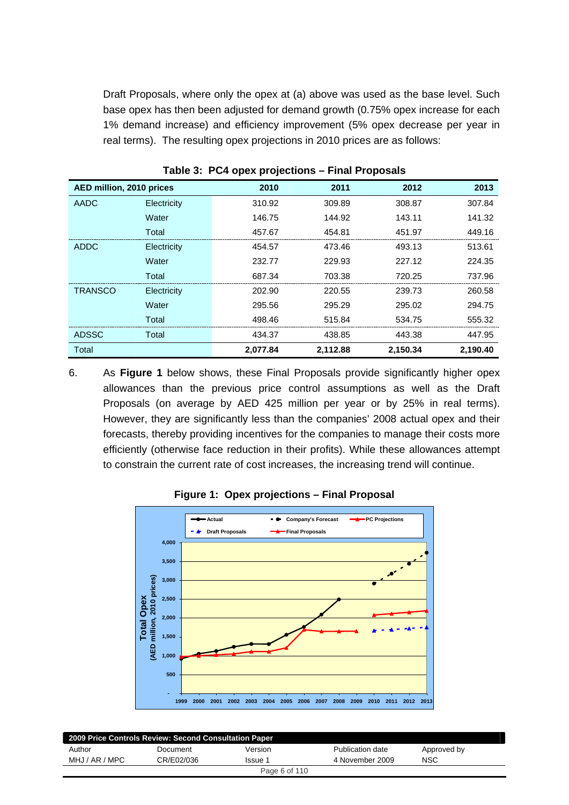Draft Proposals, where only the opex at (a) above was used as the base level. Such base opex has then been adjusted for demand growth (0.75% opex increase for each 1% demand increase) and efficiency improvement (5% opex decrease per year in real terms). The resulting opex projections in 2010 prices are as follows:

| AED million, 2010 prices |             | 2010     | 2011     | 2012     | 2013     |
|--------------------------|-------------|----------|----------|----------|----------|
| <b>AADC</b>              | Electricity | 310.92   | 309.89   | 308.87   | 307.84   |
|                          | Water       | 146.75   | 144.92   | 143.11   | 141.32   |
|                          | Total       | 457.67   | 454.81   | 451.97   | 449.16   |
| <b>ADDC</b>              | Electricity | 454.57   | 473.46   | 493.13   | 513.61   |
|                          | Water       | 232.77   | 229.93   | 227.12   | 224.35   |
|                          | Total       | 687.34   | 703.38   | 720.25   | 737.96   |
| <b>TRANSCO</b>           | Electricity | 202.90   | 220.55   | 239.73   | 260.58   |
|                          | Water       | 295.56   | 295.29   | 295.02   | 294.75   |
|                          | Total       | 498.46   | 515.84   | 534.75   | 555.32   |
| <b>ADSSC</b>             | Total       | 434.37   | 438.85   | 443.38   | 447.95   |
| Total                    |             | 2,077.84 | 2,112.88 | 2,150.34 | 2,190.40 |

**Table 3: PC4 opex projections – Final Proposals** 

6. As **Figure 1** below shows, these Final Proposals provide significantly higher opex allowances than the previous price control assumptions as well as the Draft Proposals (on average by AED 425 million per year or by 25% in real terms). However, they are significantly less than the companies' 2008 actual opex and their forecasts, thereby providing incentives for the companies to manage their costs more efficiently (otherwise face reduction in their profits). While these allowances attempt to constrain the current rate of cost increases, the increasing trend will continue.



**Figure 1: Opex projections – Final Proposal** 

| 2009 Price Controls Review: Second Consultation Paper |            |         |                  |             |  |  |
|-------------------------------------------------------|------------|---------|------------------|-------------|--|--|
| Author                                                | Document   | Version | Publication date | Approved by |  |  |
| MHJ / AR / MPC                                        | CR/E02/036 | Issue 1 | 4 November 2009  | <b>NSC</b>  |  |  |
| Page 6 of 110                                         |            |         |                  |             |  |  |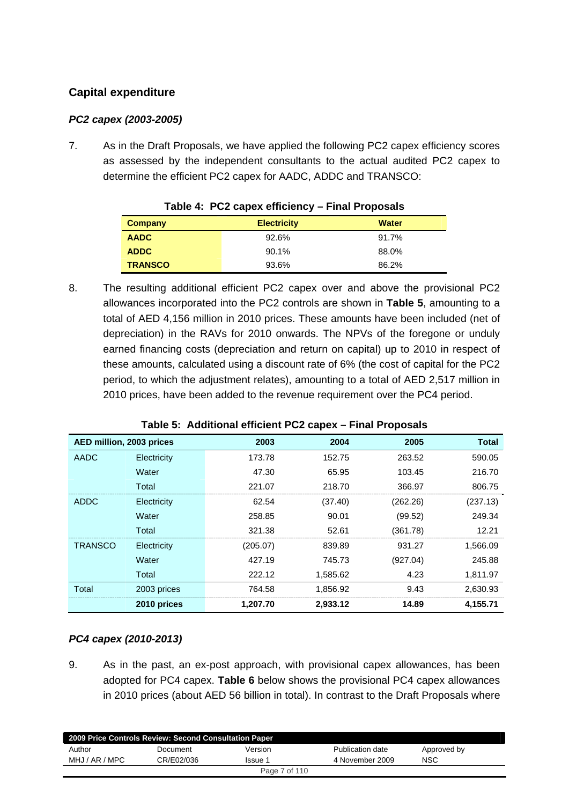## **Capital expenditure**

## *PC2 capex (2003-2005)*

7. As in the Draft Proposals, we have applied the following PC2 capex efficiency scores as assessed by the independent consultants to the actual audited PC2 capex to determine the efficient PC2 capex for AADC, ADDC and TRANSCO:

| <b>Company</b> | <b>Electricity</b> | <b>Water</b> |
|----------------|--------------------|--------------|
| <b>AADC</b>    | 92.6%              | 91.7%        |
| <b>ADDC</b>    | 90.1%              | 88.0%        |
| <b>TRANSCO</b> | 93.6%              | 86.2%        |

|  |  | Table 4: PC2 capex efficiency - Final Proposals |  |  |
|--|--|-------------------------------------------------|--|--|
|--|--|-------------------------------------------------|--|--|

8. The resulting additional efficient PC2 capex over and above the provisional PC2 allowances incorporated into the PC2 controls are shown in **Table 5**, amounting to a total of AED 4,156 million in 2010 prices. These amounts have been included (net of depreciation) in the RAVs for 2010 onwards. The NPVs of the foregone or unduly earned financing costs (depreciation and return on capital) up to 2010 in respect of these amounts, calculated using a discount rate of 6% (the cost of capital for the PC2 period, to which the adjustment relates), amounting to a total of AED 2,517 million in 2010 prices, have been added to the revenue requirement over the PC4 period.

| AED million, 2003 prices |             | 2003     | 2004     | 2005     | <b>Total</b> |
|--------------------------|-------------|----------|----------|----------|--------------|
| <b>AADC</b>              | Electricity | 173.78   | 152.75   | 263.52   | 590.05       |
|                          | Water       | 47.30    | 65.95    | 103.45   | 216.70       |
|                          | Total       | 221.07   | 218.70   | 366.97   | 806.75       |
| <b>ADDC</b>              | Electricity | 62.54    | (37.40)  | (262.26) | (237.13)     |
|                          | Water       | 258.85   | 90.01    | (99.52)  | 249.34       |
|                          | Total       | 321.38   | 52.61    | (361.78) | 12.21        |
| <b>TRANSCO</b>           | Electricity | (205.07) | 839.89   | 931.27   | 1,566.09     |
|                          | Water       | 427.19   | 745.73   | (927.04) | 245.88       |
|                          | Total       | 222.12   | 1,585.62 | 4.23     | 1,811.97     |
| Total                    | 2003 prices | 764.58   | 1,856.92 | 9.43     | 2,630.93     |
|                          | 2010 prices | 1.207.70 | 2.933.12 | 14.89    | 4.155.71     |

## *PC4 capex (2010-2013)*

9. As in the past, an ex-post approach, with provisional capex allowances, has been adopted for PC4 capex. **Table 6** below shows the provisional PC4 capex allowances in 2010 prices (about AED 56 billion in total). In contrast to the Draft Proposals where

| 2009 Price Controls Review: Second Consultation Paper |            |               |                  |             |  |  |
|-------------------------------------------------------|------------|---------------|------------------|-------------|--|--|
| Author                                                | Document   | Version       | Publication date | Approved by |  |  |
| MHJ / AR / MPC                                        | CR/E02/036 | Issue 1       | 4 November 2009  | <b>NSC</b>  |  |  |
|                                                       |            | Page 7 of 110 |                  |             |  |  |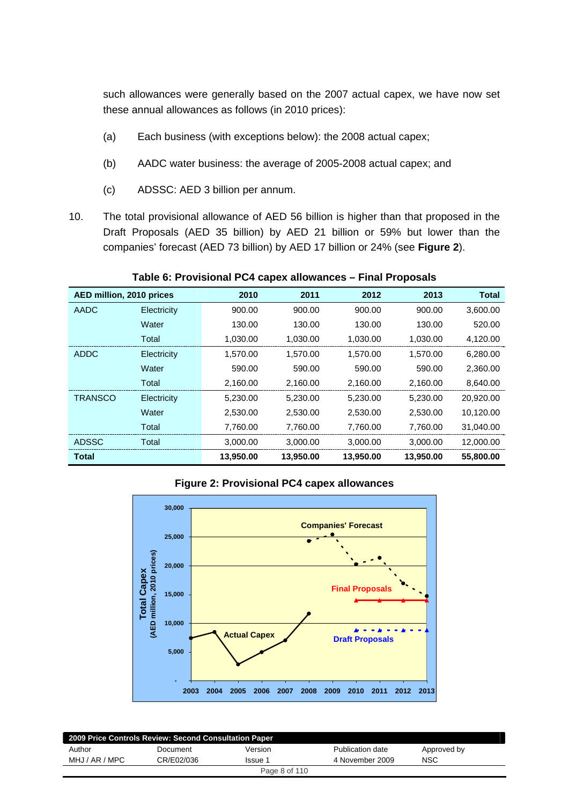such allowances were generally based on the 2007 actual capex, we have now set these annual allowances as follows (in 2010 prices):

- (a) Each business (with exceptions below): the 2008 actual capex;
- (b) AADC water business: the average of 2005-2008 actual capex; and
- (c) ADSSC: AED 3 billion per annum.
- 10. The total provisional allowance of AED 56 billion is higher than that proposed in the Draft Proposals (AED 35 billion) by AED 21 billion or 59% but lower than the companies' forecast (AED 73 billion) by AED 17 billion or 24% (see **Figure 2**).

| <b>TADIC 0. I TOYISIONAL L OT CAPCA ANOWANCES</b><br><b>HING LIPPOSUS</b> |             |           |           |           |           |              |  |
|---------------------------------------------------------------------------|-------------|-----------|-----------|-----------|-----------|--------------|--|
| AED million, 2010 prices                                                  |             | 2010      | 2011      | 2012      | 2013      | <b>Total</b> |  |
| <b>AADC</b>                                                               | Electricity | 900.00    | 900.00    | 900.00    | 900.00    | 3,600.00     |  |
|                                                                           | Water       | 130.00    | 130.00    | 130.00    | 130.00    | 520.00       |  |
|                                                                           | Total       | 1,030.00  | 1,030.00  | 1,030.00  | 1,030.00  | 4,120.00     |  |
| <b>ADDC</b>                                                               | Electricity | 1,570.00  | 1,570.00  | 1,570.00  | 1,570.00  | 6,280.00     |  |
|                                                                           | Water       | 590.00    | 590.00    | 590.00    | 590.00    | 2,360.00     |  |
|                                                                           | Total       | 2,160.00  | 2,160.00  | 2,160.00  | 2,160.00  | 8,640.00     |  |
| <b>TRANSCO</b>                                                            | Electricity | 5,230.00  | 5,230.00  | 5,230.00  | 5,230.00  | 20,920.00    |  |
|                                                                           | Water       | 2,530.00  | 2,530.00  | 2,530.00  | 2,530.00  | 10,120.00    |  |
|                                                                           | Total       | 7,760.00  | 7,760.00  | 7,760.00  | 7,760.00  | 31,040.00    |  |
| <b>ADSSC</b>                                                              | Total       | 3,000.00  | 3,000.00  | 3,000.00  | 3,000.00  | 12,000.00    |  |
| <b>Total</b>                                                              |             | 13,950.00 | 13,950.00 | 13,950.00 | 13,950.00 | 55,800.00    |  |

**Table 6: Provisional PC4 capex allowances – Final Proposals** 

#### **Figure 2: Provisional PC4 capex allowances**



| 2009 Price Controls Review: Second Consultation Paper |            |               |                  |             |  |  |
|-------------------------------------------------------|------------|---------------|------------------|-------------|--|--|
| Author                                                | Document   | Version       | Publication date | Approved by |  |  |
| MHJ / AR / MPC                                        | CR/E02/036 | Issue 1       | 4 November 2009  | <b>NSC</b>  |  |  |
|                                                       |            | Page 8 of 110 |                  |             |  |  |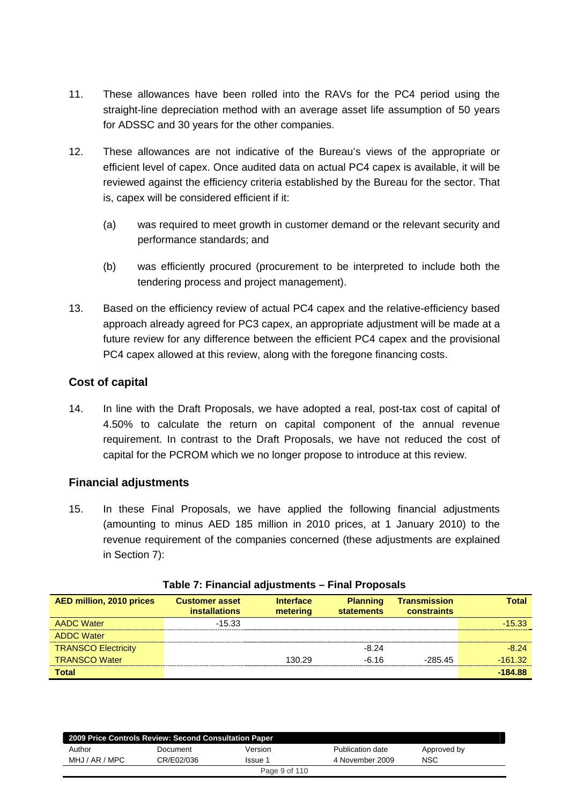- 11. These allowances have been rolled into the RAVs for the PC4 period using the straight-line depreciation method with an average asset life assumption of 50 years for ADSSC and 30 years for the other companies.
- 12. These allowances are not indicative of the Bureau's views of the appropriate or efficient level of capex. Once audited data on actual PC4 capex is available, it will be reviewed against the efficiency criteria established by the Bureau for the sector. That is, capex will be considered efficient if it:
	- (a) was required to meet growth in customer demand or the relevant security and performance standards; and
	- (b) was efficiently procured (procurement to be interpreted to include both the tendering process and project management).
- 13. Based on the efficiency review of actual PC4 capex and the relative-efficiency based approach already agreed for PC3 capex, an appropriate adjustment will be made at a future review for any difference between the efficient PC4 capex and the provisional PC4 capex allowed at this review, along with the foregone financing costs.

## **Cost of capital**

14. In line with the Draft Proposals, we have adopted a real, post-tax cost of capital of 4.50% to calculate the return on capital component of the annual revenue requirement. In contrast to the Draft Proposals, we have not reduced the cost of capital for the PCROM which we no longer propose to introduce at this review.

## **Financial adjustments**

15. In these Final Proposals, we have applied the following financial adjustments (amounting to minus AED 185 million in 2010 prices, at 1 January 2010) to the revenue requirement of the companies concerned (these adjustments are explained in Section 7):

| <b>AED million, 2010 prices</b> | <b>Customer asset</b><br><i>installations</i> | <b>Interface</b><br>metering | <b>Planning</b><br><b>statements</b> | <b>Transmission</b><br>constraints | Total     |
|---------------------------------|-----------------------------------------------|------------------------------|--------------------------------------|------------------------------------|-----------|
| <b>AADC Water</b>               | $-15.33$                                      |                              |                                      |                                    | $-15.33$  |
| <b>ADDC Water</b>               |                                               |                              |                                      |                                    |           |
| <b>TRANSCO Electricity</b>      |                                               |                              | $-8,24$                              |                                    | $-8.24$   |
| <b>TRANSCO Water</b>            |                                               | 130.29                       | $-6.16$                              | $-28545$                           | $-161.32$ |
| <b>Total</b>                    |                                               |                              |                                      |                                    | $-184.88$ |

| Table 7: Financial adjustments - Final Proposals |
|--------------------------------------------------|
|--------------------------------------------------|

| 2009 Price Controls Review: Second Consultation Paper |            |         |                  |             |  |  |  |
|-------------------------------------------------------|------------|---------|------------------|-------------|--|--|--|
| Author                                                | Document   | Version | Publication date | Approved by |  |  |  |
| MHJ / AR / MPC                                        | CR/E02/036 | Issue 1 | 4 November 2009  | <b>NSC</b>  |  |  |  |
| Page 9 of 110                                         |            |         |                  |             |  |  |  |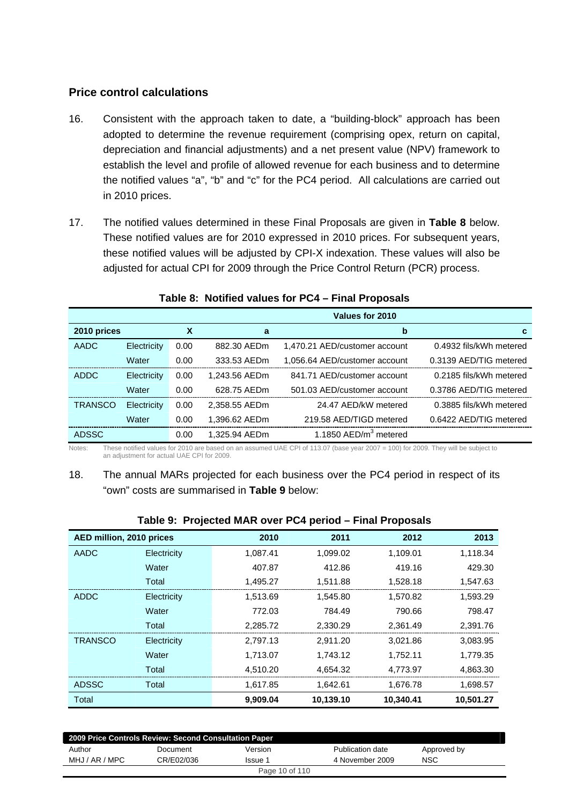## **Price control calculations**

- 16. Consistent with the approach taken to date, a "building-block" approach has been adopted to determine the revenue requirement (comprising opex, return on capital, depreciation and financial adjustments) and a net present value (NPV) framework to establish the level and profile of allowed revenue for each business and to determine the notified values "a", "b" and "c" for the PC4 period. All calculations are carried out in 2010 prices.
- 17. The notified values determined in these Final Proposals are given in **Table 8** below. These notified values are for 2010 expressed in 2010 prices. For subsequent years, these notified values will be adjusted by CPI-X indexation. These values will also be adjusted for actual CPI for 2009 through the Price Control Return (PCR) process.

|                |             |      |               | Values for 2010                   |                         |
|----------------|-------------|------|---------------|-----------------------------------|-------------------------|
| 2010 prices    |             | х    | a             | b                                 | С                       |
| <b>AADC</b>    | Electricity | 0.00 | 882.30 AEDm   | 1,470.21 AED/customer account     | 0.4932 fils/kWh metered |
|                | Water       | 0.00 | 333.53 AEDm   | 1,056.64 AED/customer account     | 0.3139 AED/TIG metered  |
| ADDC           | Electricity | 0.00 | 1.243.56 AEDm | 841.71 AED/customer account       | 0.2185 fils/kWh metered |
|                | Water       | 0.00 | 628.75 AEDm   | 501.03 AED/customer account       | 0.3786 AED/TIG metered  |
| <b>TRANSCO</b> | Electricity | 0.00 | 2.358.55 AEDm | 24.47 AFD/kW metered              | 0.3885 fils/kWh metered |
|                | Water       | 0.00 | 1,396.62 AEDm | 219.58 AED/TIGD metered           | 0.6422 AED/TIG metered  |
| <b>ADSSC</b>   |             | 0.00 | 1.325.94 AEDm | 1.1850 AED/m <sup>3</sup> metered |                         |

#### **Table 8: Notified values for PC4 – Final Proposals**

Notes: These notified values for 2010 are based on an assumed UAE CPI of 113.07 (base year 2007 = 100) for 2009. They will be subject to an adjustment for actual UAE CPI for 2009.

## 18. The annual MARs projected for each business over the PC4 period in respect of its "own" costs are summarised in **Table 9** below:

|                          | Table 9: Projected MAR Over PC4 period – Final Proposals |          |           |           |           |  |  |  |
|--------------------------|----------------------------------------------------------|----------|-----------|-----------|-----------|--|--|--|
| AED million, 2010 prices |                                                          | 2010     | 2011      | 2012      | 2013      |  |  |  |
| AADC                     | Electricity                                              | 1,087.41 | 1,099.02  | 1,109.01  | 1,118.34  |  |  |  |
|                          | Water                                                    | 407.87   | 412.86    | 419.16    | 429.30    |  |  |  |
|                          | Total                                                    | 1,495.27 | 1,511.88  | 1,528.18  | 1,547.63  |  |  |  |
| <b>ADDC</b>              | Electricity                                              | 1,513.69 | 1,545.80  | 1,570.82  | 1,593.29  |  |  |  |
|                          | Water                                                    | 772.03   | 784.49    | 790.66    | 798.47    |  |  |  |
|                          | Total                                                    | 2,285.72 | 2,330.29  | 2,361.49  | 2,391.76  |  |  |  |
| <b>TRANSCO</b>           | Electricity                                              | 2,797.13 | 2,911.20  | 3,021.86  | 3,083.95  |  |  |  |
|                          | Water                                                    | 1,713.07 | 1,743.12  | 1,752.11  | 1,779.35  |  |  |  |
|                          | Total                                                    | 4,510.20 | 4,654.32  | 4,773.97  | 4,863.30  |  |  |  |
| <b>ADSSC</b>             | Total                                                    | 1,617.85 | 1,642.61  | 1,676.78  | 1,698.57  |  |  |  |
| Total                    |                                                          | 9,909.04 | 10,139.10 | 10,340.41 | 10,501.27 |  |  |  |

## **Table 9: Projected MAR over PC4 period – Final Proposals**

| 2009 Price Controls Review: Second Consultation Paper |            |         |                  |             |  |  |
|-------------------------------------------------------|------------|---------|------------------|-------------|--|--|
| Author                                                | Document   | Version | Publication date | Approved by |  |  |
| MHJ / AR / MPC                                        | CR/E02/036 | Issue 1 | 4 November 2009  | NSC         |  |  |
| Page 10 of 110                                        |            |         |                  |             |  |  |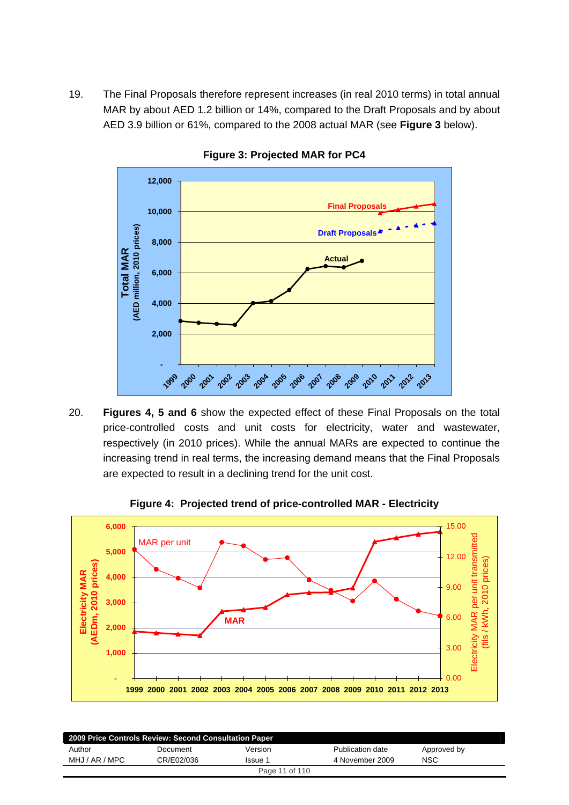19. The Final Proposals therefore represent increases (in real 2010 terms) in total annual MAR by about AED 1.2 billion or 14%, compared to the Draft Proposals and by about AED 3.9 billion or 61%, compared to the 2008 actual MAR (see **Figure 3** below).



**Figure 3: Projected MAR for PC4** 

20. **Figures 4, 5 and 6** show the expected effect of these Final Proposals on the total price-controlled costs and unit costs for electricity, water and wastewater, respectively (in 2010 prices). While the annual MARs are expected to continue the increasing trend in real terms, the increasing demand means that the Final Proposals are expected to result in a declining trend for the unit cost.



**Figure 4: Projected trend of price-controlled MAR - Electricity** 

| 2009 Price Controls Review: Second Consultation Paper |            |         |                  |             |  |  |
|-------------------------------------------------------|------------|---------|------------------|-------------|--|--|
| Author                                                | Document   | Version | Publication date | Approved by |  |  |
| MHJ / AR / MPC                                        | CR/E02/036 | Issue 1 | 4 November 2009  | <b>NSC</b>  |  |  |
| Page 11 of 110                                        |            |         |                  |             |  |  |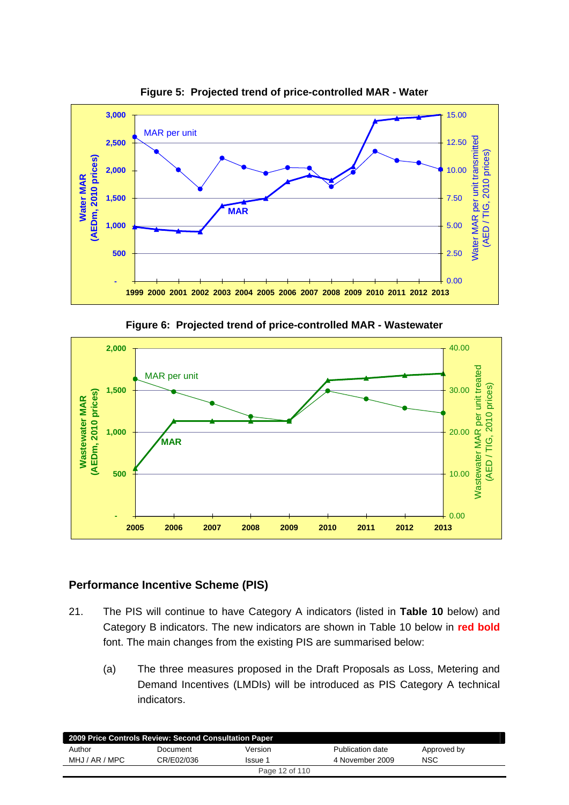

**Figure 5: Projected trend of price-controlled MAR - Water** 

**Figure 6: Projected trend of price-controlled MAR - Wastewater** 



## **Performance Incentive Scheme (PIS)**

- 21. The PIS will continue to have Category A indicators (listed in **Table 10** below) and Category B indicators. The new indicators are shown in Table 10 below in **red bold** font. The main changes from the existing PIS are summarised below:
	- (a) The three measures proposed in the Draft Proposals as Loss, Metering and Demand Incentives (LMDIs) will be introduced as PIS Category A technical indicators.

| 2009 Price Controls Review: Second Consultation Paper |            |         |                  |             |  |
|-------------------------------------------------------|------------|---------|------------------|-------------|--|
| Author                                                | Document   | Version | Publication date | Approved by |  |
| MHJ / AR / MPC                                        | CR/E02/036 | Issue 1 | 4 November 2009  | NSC         |  |
| Page 12 of 110                                        |            |         |                  |             |  |
|                                                       |            |         |                  |             |  |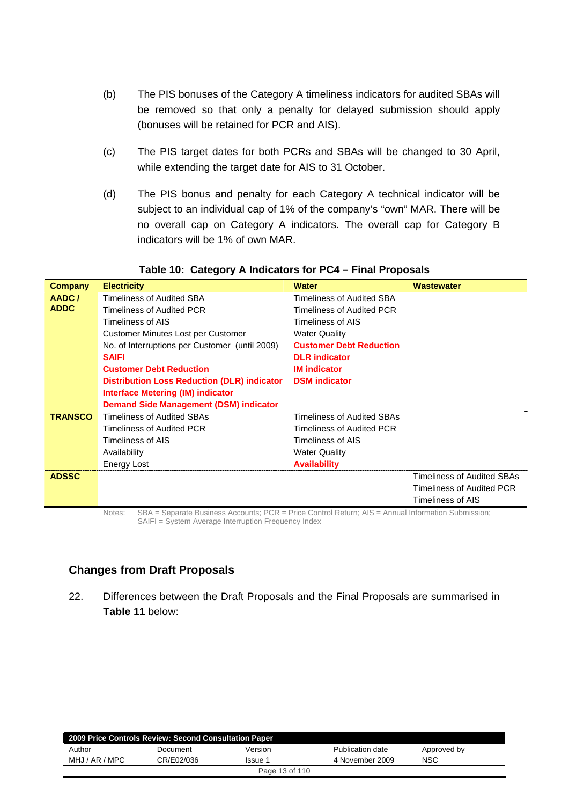- (b) The PIS bonuses of the Category A timeliness indicators for audited SBAs will be removed so that only a penalty for delayed submission should apply (bonuses will be retained for PCR and AIS).
- (c) The PIS target dates for both PCRs and SBAs will be changed to 30 April, while extending the target date for AIS to 31 October.
- (d) The PIS bonus and penalty for each Category A technical indicator will be subject to an individual cap of 1% of the company's "own" MAR. There will be no overall cap on Category A indicators. The overall cap for Category B indicators will be 1% of own MAR.

| <b>Company</b> | <b>Electricity</b>                                 | <b>Water</b>                     | <b>Wastewater</b>                 |
|----------------|----------------------------------------------------|----------------------------------|-----------------------------------|
| AADC/          | Timeliness of Audited SBA                          | <b>Timeliness of Audited SBA</b> |                                   |
| <b>ADDC</b>    | Timeliness of Audited PCR                          | Timeliness of Audited PCR        |                                   |
|                | Timeliness of AIS                                  | Timeliness of AIS                |                                   |
|                | Customer Minutes Lost per Customer                 | <b>Water Quality</b>             |                                   |
|                | No. of Interruptions per Customer (until 2009)     | <b>Customer Debt Reduction</b>   |                                   |
|                | <b>SAIFI</b>                                       | <b>DLR</b> indicator             |                                   |
|                | <b>Customer Debt Reduction</b>                     | <b>IM</b> indicator              |                                   |
|                | <b>Distribution Loss Reduction (DLR) indicator</b> | <b>DSM</b> indicator             |                                   |
|                | Interface Metering (IM) indicator                  |                                  |                                   |
|                | <b>Demand Side Management (DSM) indicator</b>      |                                  |                                   |
| <b>TRANSCO</b> | Timeliness of Audited SBAs                         | Timeliness of Audited SBAs       |                                   |
|                | Timeliness of Audited PCR                          | Timeliness of Audited PCR        |                                   |
|                | Timeliness of AIS                                  | Timeliness of AIS                |                                   |
|                | Availability                                       | <b>Water Quality</b>             |                                   |
|                | Energy Lost                                        | <b>Availability</b>              |                                   |
| <b>ADSSC</b>   |                                                    |                                  | <b>Timeliness of Audited SBAs</b> |
|                |                                                    |                                  | Timeliness of Audited PCR         |
|                |                                                    |                                  | Timeliness of AIS                 |

#### **Table 10: Category A Indicators for PC4 – Final Proposals**

Notes: SBA = Separate Business Accounts; PCR = Price Control Return; AIS = Annual Information Submission; SAIFI = System Average Interruption Frequency Index

## **Changes from Draft Proposals**

22. Differences between the Draft Proposals and the Final Proposals are summarised in **Table 11** below:

| 2009 Price Controls Review: Second Consultation Paper |            |         |                  |             |  |  |
|-------------------------------------------------------|------------|---------|------------------|-------------|--|--|
| Author                                                | Document   | Version | Publication date | Approved by |  |  |
| MHJ / AR / MPC                                        | CR/E02/036 | Issue 1 | 4 November 2009  | NSC         |  |  |
| Page 13 of 110                                        |            |         |                  |             |  |  |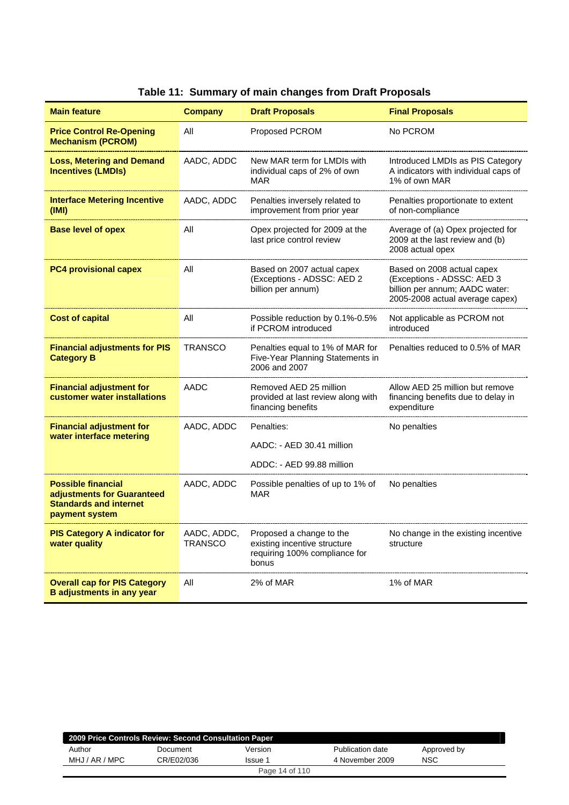| <b>Main feature</b>                                                                                        | <b>Company</b>                | <b>Draft Proposals</b>                                                                             | <b>Final Proposals</b>                                                                                                        |
|------------------------------------------------------------------------------------------------------------|-------------------------------|----------------------------------------------------------------------------------------------------|-------------------------------------------------------------------------------------------------------------------------------|
| <b>Price Control Re-Opening</b><br><b>Mechanism (PCROM)</b>                                                | All                           | <b>Proposed PCROM</b>                                                                              | No PCROM                                                                                                                      |
| <b>Loss, Metering and Demand</b><br><b>Incentives (LMDIs)</b>                                              | AADC, ADDC                    | New MAR term for LMDIs with<br>individual caps of 2% of own<br><b>MAR</b>                          | Introduced LMDIs as PIS Category<br>A indicators with individual caps of<br>1% of own MAR                                     |
| <b>Interface Metering Incentive</b><br>(IMI)                                                               | AADC, ADDC                    | Penalties inversely related to<br>improvement from prior year                                      | Penalties proportionate to extent<br>of non-compliance                                                                        |
| <b>Base level of opex</b>                                                                                  | All                           | Opex projected for 2009 at the<br>last price control review                                        | Average of (a) Opex projected for<br>2009 at the last review and (b)<br>2008 actual opex                                      |
| <b>PC4 provisional capex</b>                                                                               | All                           | Based on 2007 actual capex<br>(Exceptions - ADSSC: AED 2<br>billion per annum)                     | Based on 2008 actual capex<br>(Exceptions - ADSSC: AED 3<br>billion per annum; AADC water:<br>2005-2008 actual average capex) |
| <b>Cost of capital</b>                                                                                     | All                           | Possible reduction by 0.1%-0.5%<br>if PCROM introduced                                             | Not applicable as PCROM not<br>introduced                                                                                     |
| <b>Financial adjustments for PIS</b><br><b>Category B</b>                                                  | <b>TRANSCO</b>                | Penalties equal to 1% of MAR for<br>Five-Year Planning Statements in<br>2006 and 2007              | Penalties reduced to 0.5% of MAR                                                                                              |
| <b>Financial adjustment for</b><br>customer water installations                                            | AADC                          | Removed AED 25 million<br>provided at last review along with<br>financing benefits                 | Allow AED 25 million but remove<br>financing benefits due to delay in<br>expenditure                                          |
| <b>Financial adjustment for</b><br>water interface metering                                                | AADC, ADDC                    | Penalties:<br>AADC: - AED 30.41 million<br>ADDC: - AED 99.88 million                               | No penalties                                                                                                                  |
| <b>Possible financial</b><br>adjustments for Guaranteed<br><b>Standards and internet</b><br>payment system | AADC, ADDC                    | Possible penalties of up to 1% of<br><b>MAR</b>                                                    | No penalties                                                                                                                  |
| <b>PIS Category A indicator for</b><br>water quality                                                       | AADC, ADDC,<br><b>TRANSCO</b> | Proposed a change to the<br>existing incentive structure<br>requiring 100% compliance for<br>bonus | No change in the existing incentive<br>structure                                                                              |
| <b>Overall cap for PIS Category</b><br><b>B</b> adjustments in any year                                    | All                           | 2% of MAR                                                                                          | 1% of MAR                                                                                                                     |

# **Table 11: Summary of main changes from Draft Proposals**

| 2009 Price Controls Review: Second Consultation Paper |            |         |                  |             |  |
|-------------------------------------------------------|------------|---------|------------------|-------------|--|
| Author                                                | Document   | Version | Publication date | Approved by |  |
| MHJ / AR / MPC                                        | CR/E02/036 | Issue 1 | 4 November 2009  | NSC         |  |
| Page 14 of 110                                        |            |         |                  |             |  |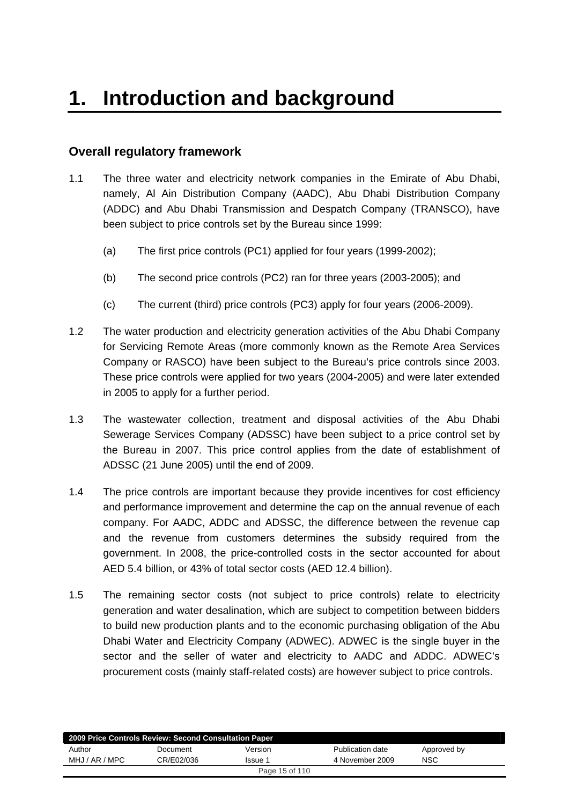# <span id="page-14-0"></span>**Overall regulatory framework**

- 1.1 The three water and electricity network companies in the Emirate of Abu Dhabi, namely, Al Ain Distribution Company (AADC), Abu Dhabi Distribution Company (ADDC) and Abu Dhabi Transmission and Despatch Company (TRANSCO), have been subject to price controls set by the Bureau since 1999:
	- (a) The first price controls (PC1) applied for four years (1999-2002);
	- (b) The second price controls (PC2) ran for three years (2003-2005); and
	- (c) The current (third) price controls (PC3) apply for four years (2006-2009).
- 1.2 The water production and electricity generation activities of the Abu Dhabi Company for Servicing Remote Areas (more commonly known as the Remote Area Services Company or RASCO) have been subject to the Bureau's price controls since 2003. These price controls were applied for two years (2004-2005) and were later extended in 2005 to apply for a further period.
- 1.3 The wastewater collection, treatment and disposal activities of the Abu Dhabi Sewerage Services Company (ADSSC) have been subject to a price control set by the Bureau in 2007. This price control applies from the date of establishment of ADSSC (21 June 2005) until the end of 2009.
- 1.4 The price controls are important because they provide incentives for cost efficiency and performance improvement and determine the cap on the annual revenue of each company. For AADC, ADDC and ADSSC, the difference between the revenue cap and the revenue from customers determines the subsidy required from the government. In 2008, the price-controlled costs in the sector accounted for about AED 5.4 billion, or 43% of total sector costs (AED 12.4 billion).
- 1.5 The remaining sector costs (not subject to price controls) relate to electricity generation and water desalination, which are subject to competition between bidders to build new production plants and to the economic purchasing obligation of the Abu Dhabi Water and Electricity Company (ADWEC). ADWEC is the single buyer in the sector and the seller of water and electricity to AADC and ADDC. ADWEC's procurement costs (mainly staff-related costs) are however subject to price controls.

| 2009 Price Controls Review: Second Consultation Paper |            |         |                  |             |  |  |
|-------------------------------------------------------|------------|---------|------------------|-------------|--|--|
| Author                                                | Document   | Version | Publication date | Approved by |  |  |
| MHJ / AR / MPC                                        | CR/E02/036 | Issue 1 | 4 November 2009  | <b>NSC</b>  |  |  |
| Page 15 of 110                                        |            |         |                  |             |  |  |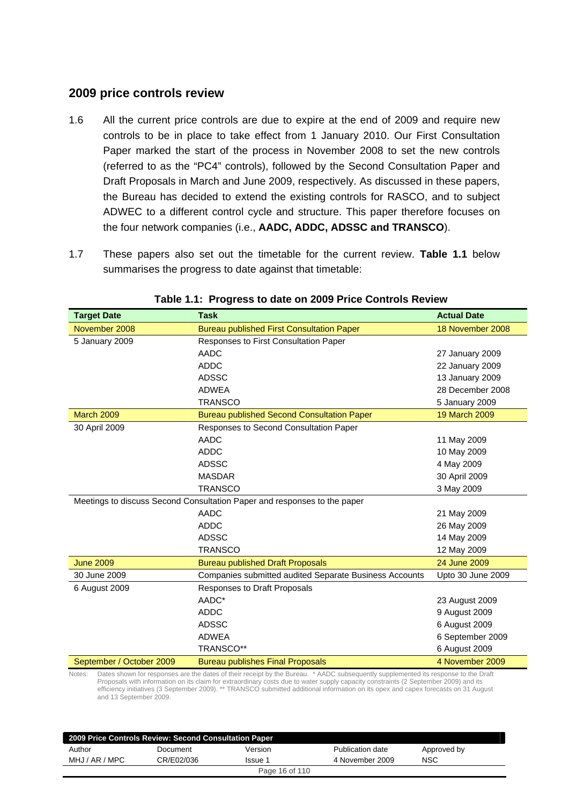## **2009 price controls review**

- 1.6 All the current price controls are due to expire at the end of 2009 and require new controls to be in place to take effect from 1 January 2010. Our First Consultation Paper marked the start of the process in November 2008 to set the new controls (referred to as the "PC4" controls), followed by the Second Consultation Paper and Draft Proposals in March and June 2009, respectively. As discussed in these papers, the Bureau has decided to extend the existing controls for RASCO, and to subject ADWEC to a different control cycle and structure. This paper therefore focuses on the four network companies (i.e., **AADC, ADDC, ADSSC and TRANSCO**).
- 1.7 These papers also set out the timetable for the current review. **Table 1.1** below summarises the progress to date against that timetable:

| <b>Target Date</b>       | <b>Task</b>                                                                                                                                                                                                                                                               | <b>Actual Date</b> |
|--------------------------|---------------------------------------------------------------------------------------------------------------------------------------------------------------------------------------------------------------------------------------------------------------------------|--------------------|
| November 2008            | <b>Bureau published First Consultation Paper</b>                                                                                                                                                                                                                          | 18 November 2008   |
| 5 January 2009           | Responses to First Consultation Paper                                                                                                                                                                                                                                     |                    |
|                          | <b>AADC</b>                                                                                                                                                                                                                                                               | 27 January 2009    |
|                          | <b>ADDC</b>                                                                                                                                                                                                                                                               | 22 January 2009    |
|                          | <b>ADSSC</b>                                                                                                                                                                                                                                                              | 13 January 2009    |
|                          | <b>ADWEA</b>                                                                                                                                                                                                                                                              | 28 December 2008   |
|                          | <b>TRANSCO</b>                                                                                                                                                                                                                                                            | 5 January 2009     |
| <b>March 2009</b>        | <b>Bureau published Second Consultation Paper</b>                                                                                                                                                                                                                         | 19 March 2009      |
| 30 April 2009            | Responses to Second Consultation Paper                                                                                                                                                                                                                                    |                    |
|                          | AADC                                                                                                                                                                                                                                                                      | 11 May 2009        |
|                          | <b>ADDC</b>                                                                                                                                                                                                                                                               | 10 May 2009        |
|                          | <b>ADSSC</b>                                                                                                                                                                                                                                                              | 4 May 2009         |
|                          | <b>MASDAR</b>                                                                                                                                                                                                                                                             | 30 April 2009      |
|                          | <b>TRANSCO</b>                                                                                                                                                                                                                                                            | 3 May 2009         |
|                          | Meetings to discuss Second Consultation Paper and responses to the paper                                                                                                                                                                                                  |                    |
|                          | <b>AADC</b>                                                                                                                                                                                                                                                               | 21 May 2009        |
|                          | <b>ADDC</b>                                                                                                                                                                                                                                                               | 26 May 2009        |
|                          | <b>ADSSC</b>                                                                                                                                                                                                                                                              | 14 May 2009        |
|                          | <b>TRANSCO</b>                                                                                                                                                                                                                                                            | 12 May 2009        |
| <b>June 2009</b>         | <b>Bureau published Draft Proposals</b>                                                                                                                                                                                                                                   | 24 June 2009       |
| 30 June 2009             | Companies submitted audited Separate Business Accounts                                                                                                                                                                                                                    | Upto 30 June 2009  |
| 6 August 2009            | Responses to Draft Proposals                                                                                                                                                                                                                                              |                    |
|                          | AADC*                                                                                                                                                                                                                                                                     | 23 August 2009     |
|                          | <b>ADDC</b>                                                                                                                                                                                                                                                               | 9 August 2009      |
|                          | <b>ADSSC</b>                                                                                                                                                                                                                                                              | 6 August 2009      |
|                          | <b>ADWEA</b>                                                                                                                                                                                                                                                              | 6 September 2009   |
|                          | TRANSCO**                                                                                                                                                                                                                                                                 | 6 August 2009      |
| September / October 2009 | <b>Bureau publishes Final Proposals</b>                                                                                                                                                                                                                                   | 4 November 2009    |
| Notes:                   | Dates shown for responses are the dates of their receipt by the Bureau. * AADC subsequently supplemented its response to the Draft<br>Proposals with information on its claim for extraordinary costs due to water supply capacity constraints (2 September 2009) and its |                    |

#### **Table 1.1: Progress to date on 2009 Price Controls Review**

Proposals with information on its claim for extraordinary costs due to water supply capacity constraints (2 September 2009) and its efficiency initiatives (3 September 2009). \*\* TRANSCO submitted additional information on its opex and capex forecasts on 31 August and 13 September 2009.

| 2009 Price Controls Review: Second Consultation Paper |            |                |                  |             |  |
|-------------------------------------------------------|------------|----------------|------------------|-------------|--|
| Author                                                | Document   | Version        | Publication date | Approved by |  |
| MHJ / AR / MPC                                        | CR/E02/036 | lssue 1        | 4 November 2009  | NSC         |  |
|                                                       |            | Page 16 of 110 |                  |             |  |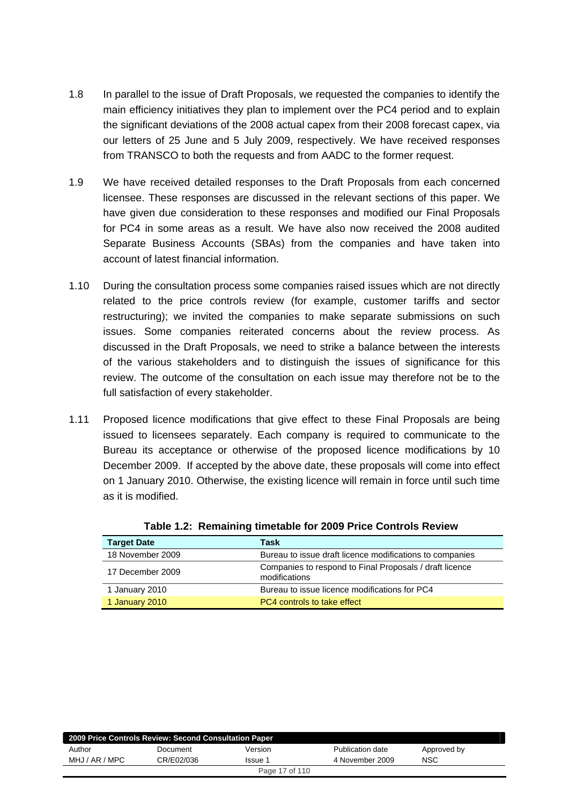- 1.8 In parallel to the issue of Draft Proposals, we requested the companies to identify the main efficiency initiatives they plan to implement over the PC4 period and to explain the significant deviations of the 2008 actual capex from their 2008 forecast capex, via our letters of 25 June and 5 July 2009, respectively. We have received responses from TRANSCO to both the requests and from AADC to the former request.
- 1.9 We have received detailed responses to the Draft Proposals from each concerned licensee. These responses are discussed in the relevant sections of this paper. We have given due consideration to these responses and modified our Final Proposals for PC4 in some areas as a result. We have also now received the 2008 audited Separate Business Accounts (SBAs) from the companies and have taken into account of latest financial information.
- 1.10 During the consultation process some companies raised issues which are not directly related to the price controls review (for example, customer tariffs and sector restructuring); we invited the companies to make separate submissions on such issues. Some companies reiterated concerns about the review process. As discussed in the Draft Proposals, we need to strike a balance between the interests of the various stakeholders and to distinguish the issues of significance for this review. The outcome of the consultation on each issue may therefore not be to the full satisfaction of every stakeholder.
- 1.11 Proposed licence modifications that give effect to these Final Proposals are being issued to licensees separately. Each company is required to communicate to the Bureau its acceptance or otherwise of the proposed licence modifications by 10 December 2009. If accepted by the above date, these proposals will come into effect on 1 January 2010. Otherwise, the existing licence will remain in force until such time as it is modified.

| <b>Target Date</b> | Task                                                                     |
|--------------------|--------------------------------------------------------------------------|
| 18 November 2009   | Bureau to issue draft licence modifications to companies                 |
| 17 December 2009   | Companies to respond to Final Proposals / draft licence<br>modifications |
| 1 January 2010     | Bureau to issue licence modifications for PC4                            |
| 1 January 2010     | PC4 controls to take effect                                              |

**Table 1.2: Remaining timetable for 2009 Price Controls Review** 

| 2009 Price Controls Review: Second Consultation Paper |            |         |                  |             |  |  |
|-------------------------------------------------------|------------|---------|------------------|-------------|--|--|
| Author                                                | Document   | Version | Publication date | Approved by |  |  |
| MHJ / AR / MPC                                        | CR/E02/036 | Issue 1 | 4 November 2009  | NSC         |  |  |
| Page 17 of 110                                        |            |         |                  |             |  |  |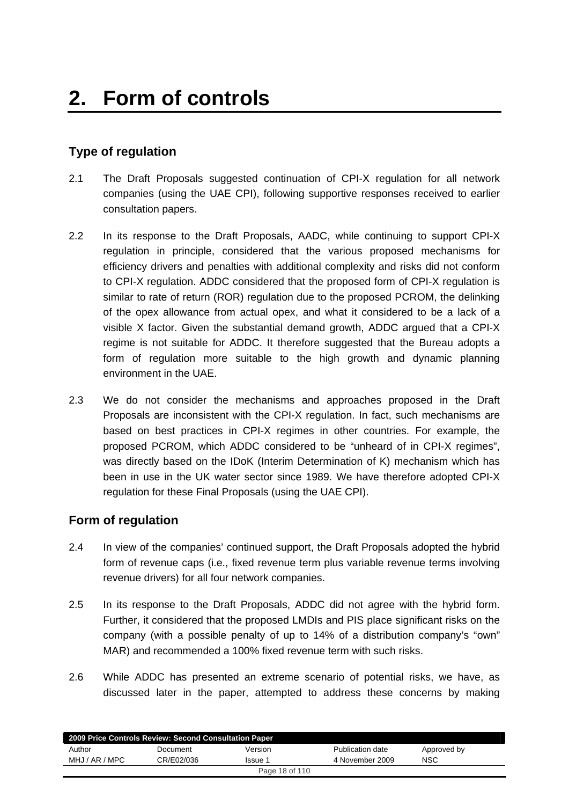# <span id="page-17-0"></span>**Type of regulation**

- 2.1 The Draft Proposals suggested continuation of CPI-X regulation for all network companies (using the UAE CPI), following supportive responses received to earlier consultation papers.
- 2.2 In its response to the Draft Proposals, AADC, while continuing to support CPI-X regulation in principle, considered that the various proposed mechanisms for efficiency drivers and penalties with additional complexity and risks did not conform to CPI-X regulation. ADDC considered that the proposed form of CPI-X regulation is similar to rate of return (ROR) regulation due to the proposed PCROM, the delinking of the opex allowance from actual opex, and what it considered to be a lack of a visible X factor. Given the substantial demand growth, ADDC argued that a CPI-X regime is not suitable for ADDC. It therefore suggested that the Bureau adopts a form of regulation more suitable to the high growth and dynamic planning environment in the UAE.
- 2.3 We do not consider the mechanisms and approaches proposed in the Draft Proposals are inconsistent with the CPI-X regulation. In fact, such mechanisms are based on best practices in CPI-X regimes in other countries. For example, the proposed PCROM, which ADDC considered to be "unheard of in CPI-X regimes", was directly based on the IDoK (Interim Determination of K) mechanism which has been in use in the UK water sector since 1989. We have therefore adopted CPI-X regulation for these Final Proposals (using the UAE CPI).

# **Form of regulation**

- 2.4 In view of the companies' continued support, the Draft Proposals adopted the hybrid form of revenue caps (i.e., fixed revenue term plus variable revenue terms involving revenue drivers) for all four network companies.
- 2.5 In its response to the Draft Proposals, ADDC did not agree with the hybrid form. Further, it considered that the proposed LMDIs and PIS place significant risks on the company (with a possible penalty of up to 14% of a distribution company's "own" MAR) and recommended a 100% fixed revenue term with such risks.
- 2.6 While ADDC has presented an extreme scenario of potential risks, we have, as discussed later in the paper, attempted to address these concerns by making

| 2009 Price Controls Review: Second Consultation Paper |            |         |                  |             |  |
|-------------------------------------------------------|------------|---------|------------------|-------------|--|
| Author                                                | Document   | Version | Publication date | Approved by |  |
| MHJ / AR / MPC                                        | CR/F02/036 | Issue 1 | 4 November 2009  | NSC         |  |
| Page 18 of 110                                        |            |         |                  |             |  |
|                                                       |            |         |                  |             |  |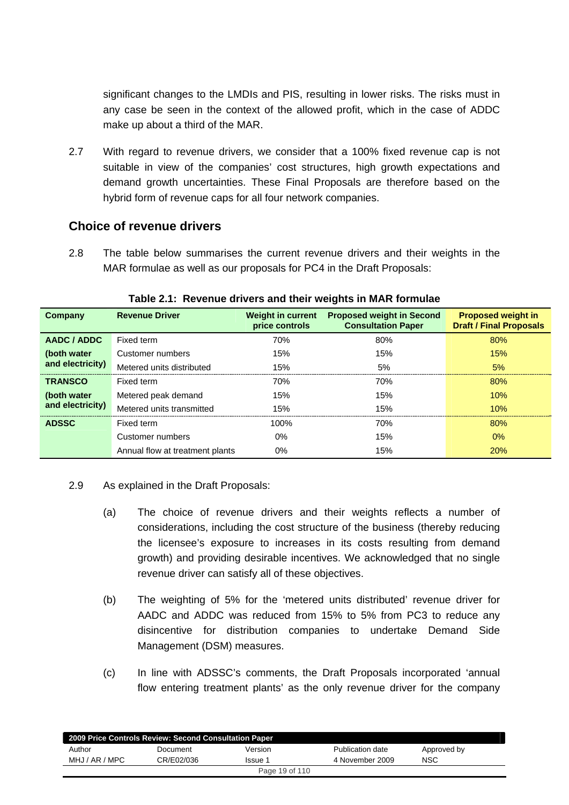significant changes to the LMDIs and PIS, resulting in lower risks. The risks must in any case be seen in the context of the allowed profit, which in the case of ADDC make up about a third of the MAR.

2.7 With regard to revenue drivers, we consider that a 100% fixed revenue cap is not suitable in view of the companies' cost structures, high growth expectations and demand growth uncertainties. These Final Proposals are therefore based on the hybrid form of revenue caps for all four network companies.

## **Choice of revenue drivers**

2.8 The table below summarises the current revenue drivers and their weights in the MAR formulae as well as our proposals for PC4 in the Draft Proposals:

| Company          | <b>Revenue Driver</b>           | <b>Weight in current</b><br>price controls | <b>Proposed weight in Second</b><br><b>Consultation Paper</b> | <b>Proposed weight in</b><br><b>Draft / Final Proposals</b> |
|------------------|---------------------------------|--------------------------------------------|---------------------------------------------------------------|-------------------------------------------------------------|
| AADC / ADDC      | Fixed term                      | 70%                                        | 80%                                                           | 80%                                                         |
| (both water      | Customer numbers                | 15%                                        | 15%                                                           | 15%                                                         |
| and electricity) | Metered units distributed       | 15%                                        | 5%                                                            | 5%                                                          |
| <b>TRANSCO</b>   | Fixed term                      | 70%                                        | 70%                                                           | 80%                                                         |
| (both water      | Metered peak demand             | 15%                                        | 15%                                                           | 10%                                                         |
| and electricity) | Metered units transmitted       | 15%                                        | 15%                                                           | 10%                                                         |
| <b>ADSSC</b>     | Fixed term                      | 100%                                       | 70%                                                           | 80%                                                         |
|                  | Customer numbers                | $0\%$                                      | 15%                                                           | $0\%$                                                       |
|                  | Annual flow at treatment plants | $0\%$                                      | 15%                                                           | 20%                                                         |

#### **Table 2.1: Revenue drivers and their weights in MAR formulae**

- 2.9 As explained in the Draft Proposals:
	- (a) The choice of revenue drivers and their weights reflects a number of considerations, including the cost structure of the business (thereby reducing the licensee's exposure to increases in its costs resulting from demand growth) and providing desirable incentives. We acknowledged that no single revenue driver can satisfy all of these objectives.
	- (b) The weighting of 5% for the 'metered units distributed' revenue driver for AADC and ADDC was reduced from 15% to 5% from PC3 to reduce any disincentive for distribution companies to undertake Demand Side Management (DSM) measures.
	- (c) In line with ADSSC's comments, the Draft Proposals incorporated 'annual flow entering treatment plants' as the only revenue driver for the company

| 2009 Price Controls Review: Second Consultation Paper |            |         |                  |             |  |
|-------------------------------------------------------|------------|---------|------------------|-------------|--|
| Author                                                | Document   | Version | Publication date | Approved by |  |
| MHJ / AR / MPC                                        | CR/E02/036 | Issue 1 | 4 November 2009  | <b>NSC</b>  |  |
| Page 19 of 110                                        |            |         |                  |             |  |
|                                                       |            |         |                  |             |  |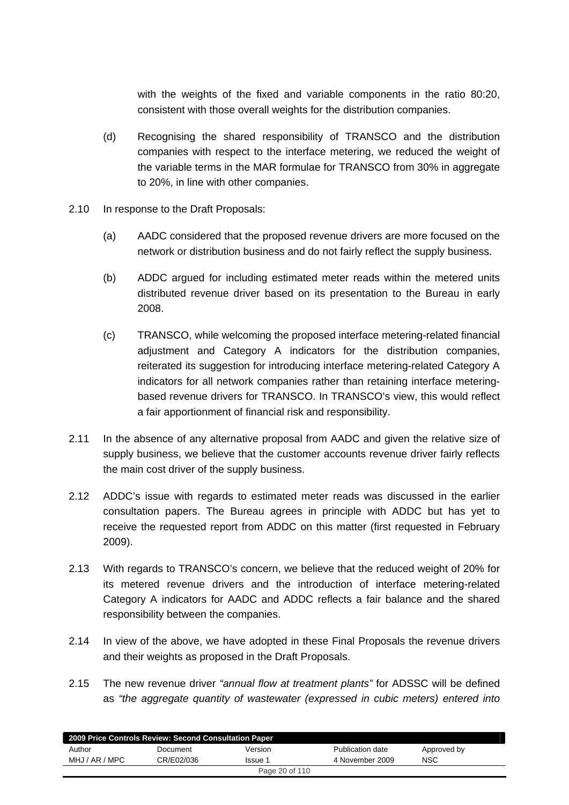with the weights of the fixed and variable components in the ratio 80:20, consistent with those overall weights for the distribution companies.

- (d) Recognising the shared responsibility of TRANSCO and the distribution companies with respect to the interface metering, we reduced the weight of the variable terms in the MAR formulae for TRANSCO from 30% in aggregate to 20%, in line with other companies.
- 2.10 In response to the Draft Proposals:
	- (a) AADC considered that the proposed revenue drivers are more focused on the network or distribution business and do not fairly reflect the supply business.
	- (b) ADDC argued for including estimated meter reads within the metered units distributed revenue driver based on its presentation to the Bureau in early 2008.
	- (c) TRANSCO, while welcoming the proposed interface metering-related financial adjustment and Category A indicators for the distribution companies, reiterated its suggestion for introducing interface metering-related Category A indicators for all network companies rather than retaining interface meteringbased revenue drivers for TRANSCO. In TRANSCO's view, this would reflect a fair apportionment of financial risk and responsibility.
- 2.11 In the absence of any alternative proposal from AADC and given the relative size of supply business, we believe that the customer accounts revenue driver fairly reflects the main cost driver of the supply business.
- 2.12 ADDC's issue with regards to estimated meter reads was discussed in the earlier consultation papers. The Bureau agrees in principle with ADDC but has yet to receive the requested report from ADDC on this matter (first requested in February 2009).
- 2.13 With regards to TRANSCO's concern, we believe that the reduced weight of 20% for its metered revenue drivers and the introduction of interface metering-related Category A indicators for AADC and ADDC reflects a fair balance and the shared responsibility between the companies.
- 2.14 In view of the above, we have adopted in these Final Proposals the revenue drivers and their weights as proposed in the Draft Proposals.
- 2.15 The new revenue driver *"annual flow at treatment plants"* for ADSSC will be defined as *"the aggregate quantity of wastewater (expressed in cubic meters) entered into*

| 2009 Price Controls Review: Second Consultation Paper |            |                |                  |             |  |
|-------------------------------------------------------|------------|----------------|------------------|-------------|--|
| Author                                                | Document   | Version        | Publication date | Approved by |  |
| MHJ / AR / MPC                                        | CR/E02/036 | Issue 1        | 4 November 2009  | <b>NSC</b>  |  |
|                                                       |            | Page 20 of 110 |                  |             |  |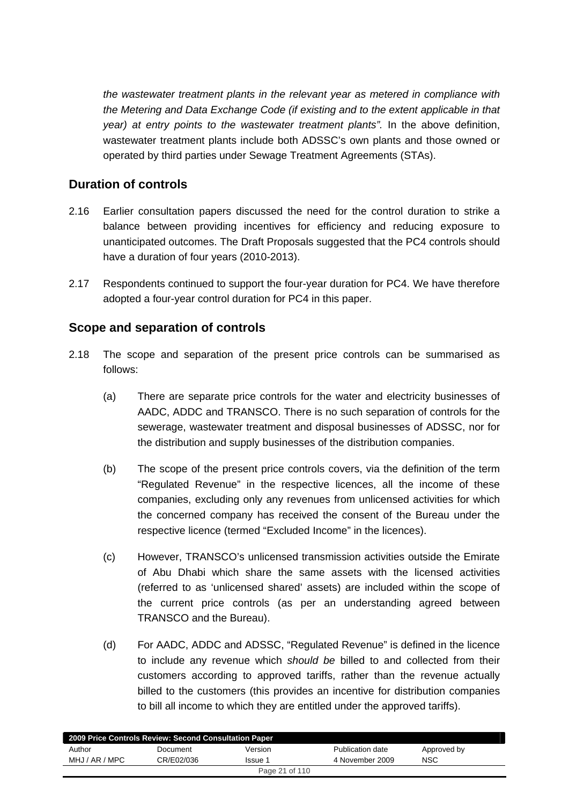*the wastewater treatment plants in the relevant year as metered in compliance with the Metering and Data Exchange Code (if existing and to the extent applicable in that year) at entry points to the wastewater treatment plants".* In the above definition, wastewater treatment plants include both ADSSC's own plants and those owned or operated by third parties under Sewage Treatment Agreements (STAs).

# **Duration of controls**

- 2.16 Earlier consultation papers discussed the need for the control duration to strike a balance between providing incentives for efficiency and reducing exposure to unanticipated outcomes. The Draft Proposals suggested that the PC4 controls should have a duration of four years (2010-2013).
- 2.17 Respondents continued to support the four-year duration for PC4. We have therefore adopted a four-year control duration for PC4 in this paper.

# **Scope and separation of controls**

- 2.18 The scope and separation of the present price controls can be summarised as follows:
	- (a) There are separate price controls for the water and electricity businesses of AADC, ADDC and TRANSCO. There is no such separation of controls for the sewerage, wastewater treatment and disposal businesses of ADSSC, nor for the distribution and supply businesses of the distribution companies.
	- (b) The scope of the present price controls covers, via the definition of the term "Regulated Revenue" in the respective licences, all the income of these companies, excluding only any revenues from unlicensed activities for which the concerned company has received the consent of the Bureau under the respective licence (termed "Excluded Income" in the licences).
	- (c) However, TRANSCO's unlicensed transmission activities outside the Emirate of Abu Dhabi which share the same assets with the licensed activities (referred to as 'unlicensed shared' assets) are included within the scope of the current price controls (as per an understanding agreed between TRANSCO and the Bureau).
	- (d) For AADC, ADDC and ADSSC, "Regulated Revenue" is defined in the licence to include any revenue which *should be* billed to and collected from their customers according to approved tariffs, rather than the revenue actually billed to the customers (this provides an incentive for distribution companies to bill all income to which they are entitled under the approved tariffs).

| 2009 Price Controls Review: Second Consultation Paper |            |                |                  |             |  |
|-------------------------------------------------------|------------|----------------|------------------|-------------|--|
| Author                                                | Document   | Version        | Publication date | Approved by |  |
| MHJ / AR / MPC                                        | CR/E02/036 | Issue 1        | 4 November 2009  | NSC         |  |
|                                                       |            | Page 21 of 110 |                  |             |  |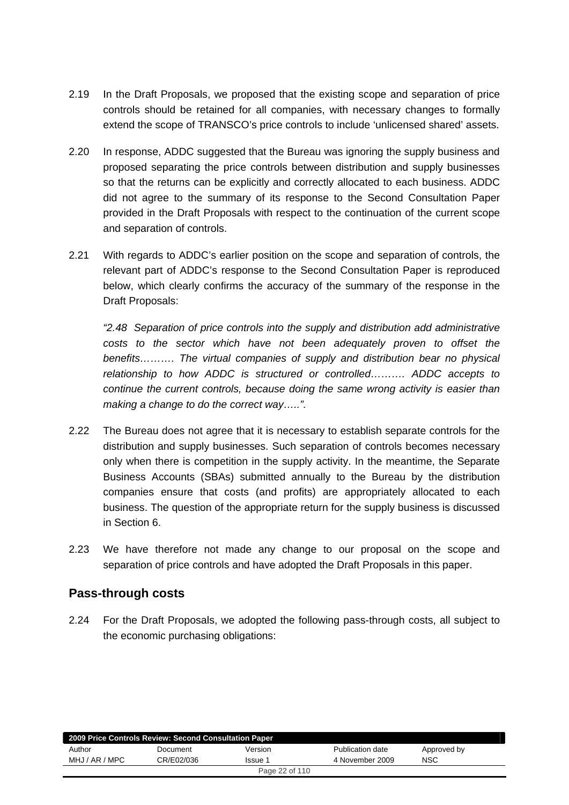- 2.19 In the Draft Proposals, we proposed that the existing scope and separation of price controls should be retained for all companies, with necessary changes to formally extend the scope of TRANSCO's price controls to include 'unlicensed shared' assets.
- 2.20 In response, ADDC suggested that the Bureau was ignoring the supply business and proposed separating the price controls between distribution and supply businesses so that the returns can be explicitly and correctly allocated to each business. ADDC did not agree to the summary of its response to the Second Consultation Paper provided in the Draft Proposals with respect to the continuation of the current scope and separation of controls.
- 2.21 With regards to ADDC's earlier position on the scope and separation of controls, the relevant part of ADDC's response to the Second Consultation Paper is reproduced below, which clearly confirms the accuracy of the summary of the response in the Draft Proposals:

*"2.48 Separation of price controls into the supply and distribution add administrative costs to the sector which have not been adequately proven to offset the benefits………. The virtual companies of supply and distribution bear no physical relationship to how ADDC is structured or controlled………. ADDC accepts to continue the current controls, because doing the same wrong activity is easier than making a change to do the correct way…..".* 

- 2.22 The Bureau does not agree that it is necessary to establish separate controls for the distribution and supply businesses. Such separation of controls becomes necessary only when there is competition in the supply activity. In the meantime, the Separate Business Accounts (SBAs) submitted annually to the Bureau by the distribution companies ensure that costs (and profits) are appropriately allocated to each business. The question of the appropriate return for the supply business is discussed in Section 6.
- 2.23 We have therefore not made any change to our proposal on the scope and separation of price controls and have adopted the Draft Proposals in this paper.

## **Pass-through costs**

2.24 For the Draft Proposals, we adopted the following pass-through costs, all subject to the economic purchasing obligations:

| 2009 Price Controls Review: Second Consultation Paper |            |         |                  |             |  |
|-------------------------------------------------------|------------|---------|------------------|-------------|--|
| Author                                                | Document   | Version | Publication date | Approved by |  |
| MHJ / AR / MPC                                        | CR/E02/036 | Issue 1 | 4 November 2009  | <b>NSC</b>  |  |
| Page 22 of 110                                        |            |         |                  |             |  |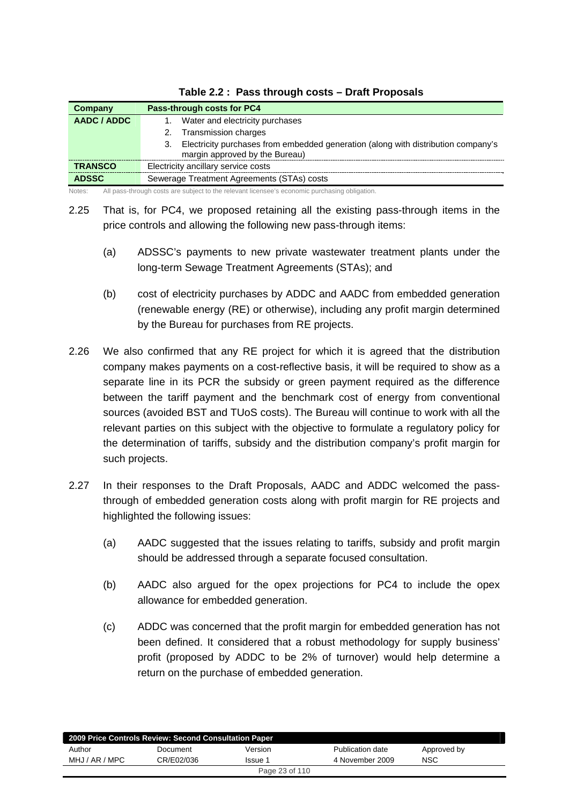| <b>Company</b> | Pass-through costs for PC4                                                                                                |
|----------------|---------------------------------------------------------------------------------------------------------------------------|
| AADC / ADDC    | Water and electricity purchases                                                                                           |
|                | Transmission charges<br>2.                                                                                                |
|                | Electricity purchases from embedded generation (along with distribution company's<br>З.<br>margin approved by the Bureau) |
| <b>TRANSCO</b> | Electricity ancillary service costs                                                                                       |
| <b>ADSSC</b>   | Sewerage Treatment Agreements (STAs) costs                                                                                |
| Notes:         | All pass-through costs are subject to the relevant licensee's economic purchasing obligation.                             |

|  | Table 2.2: Pass through costs - Draft Proposals |  |
|--|-------------------------------------------------|--|
|--|-------------------------------------------------|--|

2.25 That is, for PC4, we proposed retaining all the existing pass-through items in the price controls and allowing the following new pass-through items:

- (a) ADSSC's payments to new private wastewater treatment plants under the long-term Sewage Treatment Agreements (STAs); and
- (b) cost of electricity purchases by ADDC and AADC from embedded generation (renewable energy (RE) or otherwise), including any profit margin determined by the Bureau for purchases from RE projects.
- 2.26 We also confirmed that any RE project for which it is agreed that the distribution company makes payments on a cost-reflective basis, it will be required to show as a separate line in its PCR the subsidy or green payment required as the difference between the tariff payment and the benchmark cost of energy from conventional sources (avoided BST and TUoS costs). The Bureau will continue to work with all the relevant parties on this subject with the objective to formulate a regulatory policy for the determination of tariffs, subsidy and the distribution company's profit margin for such projects.
- 2.27 In their responses to the Draft Proposals, AADC and ADDC welcomed the passthrough of embedded generation costs along with profit margin for RE projects and highlighted the following issues:
	- (a) AADC suggested that the issues relating to tariffs, subsidy and profit margin should be addressed through a separate focused consultation.
	- (b) AADC also argued for the opex projections for PC4 to include the opex allowance for embedded generation.
	- (c) ADDC was concerned that the profit margin for embedded generation has not been defined. It considered that a robust methodology for supply business' profit (proposed by ADDC to be 2% of turnover) would help determine a return on the purchase of embedded generation.

| 2009 Price Controls Review: Second Consultation Paper |            |                |                  |             |  |
|-------------------------------------------------------|------------|----------------|------------------|-------------|--|
| Author                                                | Document   | Version        | Publication date | Approved by |  |
| MHJ / AR / MPC                                        | CR/E02/036 | Issue 1        | 4 November 2009  | NSC         |  |
|                                                       |            | Page 23 of 110 |                  |             |  |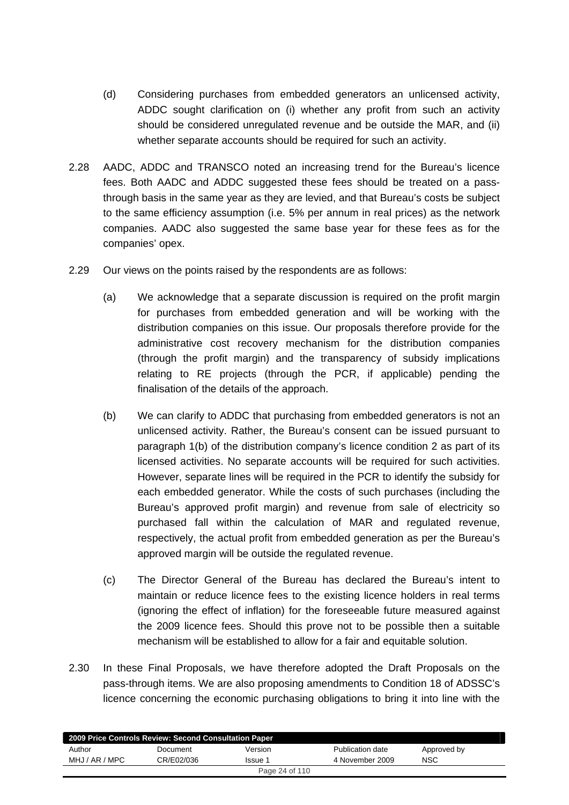- (d) Considering purchases from embedded generators an unlicensed activity, ADDC sought clarification on (i) whether any profit from such an activity should be considered unregulated revenue and be outside the MAR, and (ii) whether separate accounts should be required for such an activity.
- 2.28 AADC, ADDC and TRANSCO noted an increasing trend for the Bureau's licence fees. Both AADC and ADDC suggested these fees should be treated on a passthrough basis in the same year as they are levied, and that Bureau's costs be subject to the same efficiency assumption (i.e. 5% per annum in real prices) as the network companies. AADC also suggested the same base year for these fees as for the companies' opex.
- 2.29 Our views on the points raised by the respondents are as follows:
	- (a) We acknowledge that a separate discussion is required on the profit margin for purchases from embedded generation and will be working with the distribution companies on this issue. Our proposals therefore provide for the administrative cost recovery mechanism for the distribution companies (through the profit margin) and the transparency of subsidy implications relating to RE projects (through the PCR, if applicable) pending the finalisation of the details of the approach.
	- (b) We can clarify to ADDC that purchasing from embedded generators is not an unlicensed activity. Rather, the Bureau's consent can be issued pursuant to paragraph 1(b) of the distribution company's licence condition 2 as part of its licensed activities. No separate accounts will be required for such activities. However, separate lines will be required in the PCR to identify the subsidy for each embedded generator. While the costs of such purchases (including the Bureau's approved profit margin) and revenue from sale of electricity so purchased fall within the calculation of MAR and regulated revenue, respectively, the actual profit from embedded generation as per the Bureau's approved margin will be outside the regulated revenue.
	- (c) The Director General of the Bureau has declared the Bureau's intent to maintain or reduce licence fees to the existing licence holders in real terms (ignoring the effect of inflation) for the foreseeable future measured against the 2009 licence fees. Should this prove not to be possible then a suitable mechanism will be established to allow for a fair and equitable solution.
- 2.30 In these Final Proposals, we have therefore adopted the Draft Proposals on the pass-through items. We are also proposing amendments to Condition 18 of ADSSC's licence concerning the economic purchasing obligations to bring it into line with the

| 2009 Price Controls Review: Second Consultation Paper |            |         |                  |             |  |
|-------------------------------------------------------|------------|---------|------------------|-------------|--|
| Author                                                | Document   | Version | Publication date | Approved by |  |
| MHJ / AR / MPC                                        | CR/E02/036 | Issue 1 | 4 November 2009  | NSC         |  |
| Page 24 of 110                                        |            |         |                  |             |  |
|                                                       |            |         |                  |             |  |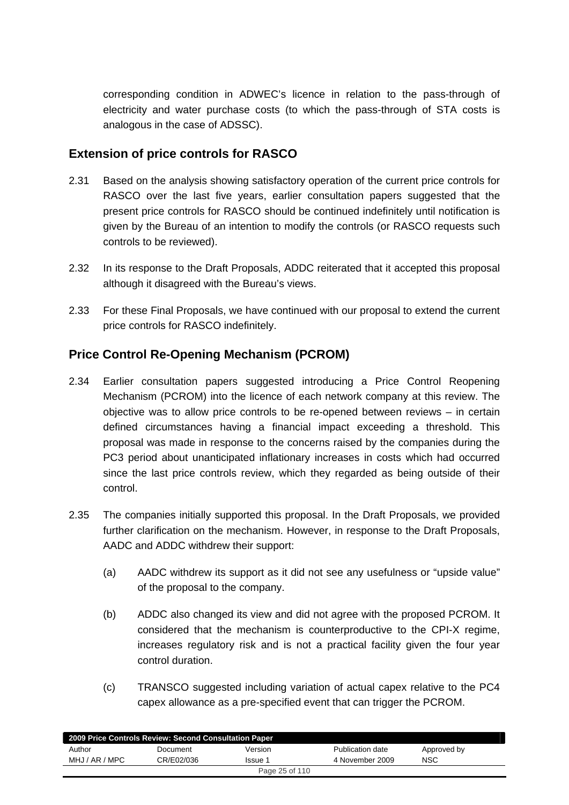corresponding condition in ADWEC's licence in relation to the pass-through of electricity and water purchase costs (to which the pass-through of STA costs is analogous in the case of ADSSC).

## **Extension of price controls for RASCO**

- 2.31 Based on the analysis showing satisfactory operation of the current price controls for RASCO over the last five years, earlier consultation papers suggested that the present price controls for RASCO should be continued indefinitely until notification is given by the Bureau of an intention to modify the controls (or RASCO requests such controls to be reviewed).
- 2.32 In its response to the Draft Proposals, ADDC reiterated that it accepted this proposal although it disagreed with the Bureau's views.
- 2.33 For these Final Proposals, we have continued with our proposal to extend the current price controls for RASCO indefinitely.

## **Price Control Re-Opening Mechanism (PCROM)**

- 2.34 Earlier consultation papers suggested introducing a Price Control Reopening Mechanism (PCROM) into the licence of each network company at this review. The objective was to allow price controls to be re-opened between reviews – in certain defined circumstances having a financial impact exceeding a threshold. This proposal was made in response to the concerns raised by the companies during the PC3 period about unanticipated inflationary increases in costs which had occurred since the last price controls review, which they regarded as being outside of their control.
- 2.35 The companies initially supported this proposal. In the Draft Proposals, we provided further clarification on the mechanism. However, in response to the Draft Proposals, AADC and ADDC withdrew their support:
	- (a) AADC withdrew its support as it did not see any usefulness or "upside value" of the proposal to the company.
	- (b) ADDC also changed its view and did not agree with the proposed PCROM. It considered that the mechanism is counterproductive to the CPI-X regime, increases regulatory risk and is not a practical facility given the four year control duration.
	- (c) TRANSCO suggested including variation of actual capex relative to the PC4 capex allowance as a pre-specified event that can trigger the PCROM.

| 2009 Price Controls Review: Second Consultation Paper |            |         |                  |             |  |
|-------------------------------------------------------|------------|---------|------------------|-------------|--|
| Author                                                | Document   | Version | Publication date | Approved by |  |
| MHJ / AR / MPC                                        | CR/E02/036 | Issue 1 | 4 November 2009  | <b>NSC</b>  |  |
| Page 25 of 110                                        |            |         |                  |             |  |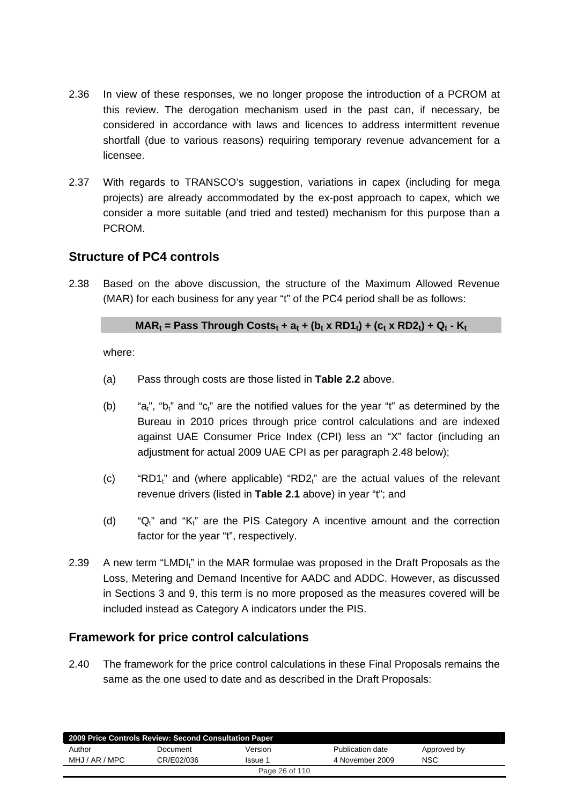- 2.36 In view of these responses, we no longer propose the introduction of a PCROM at this review. The derogation mechanism used in the past can, if necessary, be considered in accordance with laws and licences to address intermittent revenue shortfall (due to various reasons) requiring temporary revenue advancement for a licensee.
- 2.37 With regards to TRANSCO's suggestion, variations in capex (including for mega projects) are already accommodated by the ex-post approach to capex, which we consider a more suitable (and tried and tested) mechanism for this purpose than a PCROM.

## **Structure of PC4 controls**

2.38 Based on the above discussion, the structure of the Maximum Allowed Revenue (MAR) for each business for any year "t" of the PC4 period shall be as follows:

## $MAR_t$  = Pass Through Costs<sub>t</sub> + a<sub>t</sub> + (b<sub>t</sub> x RD1<sub>t</sub>) + (c<sub>t</sub> x RD2<sub>t</sub>) + Q<sub>t</sub> - K<sub>t</sub>

where:

- (a) Pass through costs are those listed in **Table 2.2** above.
- (b) "a<sub>t</sub>", "b<sub>t</sub>" and "c<sub>t</sub>" are the notified values for the year "t" as determined by the Bureau in 2010 prices through price control calculations and are indexed against UAE Consumer Price Index (CPI) less an "X" factor (including an adjustment for actual 2009 UAE CPI as per paragraph 2.48 below);
- (c) "RD1 $<sub>i</sub>$ " and (where applicable) "RD2 $<sub>i</sub>$ " are the actual values of the relevant</sub></sub> revenue drivers (listed in **Table 2.1** above) in year "t"; and
- (d) " $Q_t$ " and " $K_t$ " are the PIS Category A incentive amount and the correction factor for the year "t", respectively.
- 2.39 A new term "LMDI<sub>"</sub> in the MAR formulae was proposed in the Draft Proposals as the Loss, Metering and Demand Incentive for AADC and ADDC. However, as discussed in Sections 3 and 9, this term is no more proposed as the measures covered will be included instead as Category A indicators under the PIS.

## **Framework for price control calculations**

2.40 The framework for the price control calculations in these Final Proposals remains the same as the one used to date and as described in the Draft Proposals:

|                | 2009 Price Controls Review: Second Consultation Paper |         |                  |             |  |
|----------------|-------------------------------------------------------|---------|------------------|-------------|--|
| Author         | Document                                              | Version | Publication date | Approved by |  |
| MHJ / AR / MPC | CR/F02/036                                            | Issue 1 | 4 November 2009  | <b>NSC</b>  |  |
| Page 26 of 110 |                                                       |         |                  |             |  |
|                |                                                       |         |                  |             |  |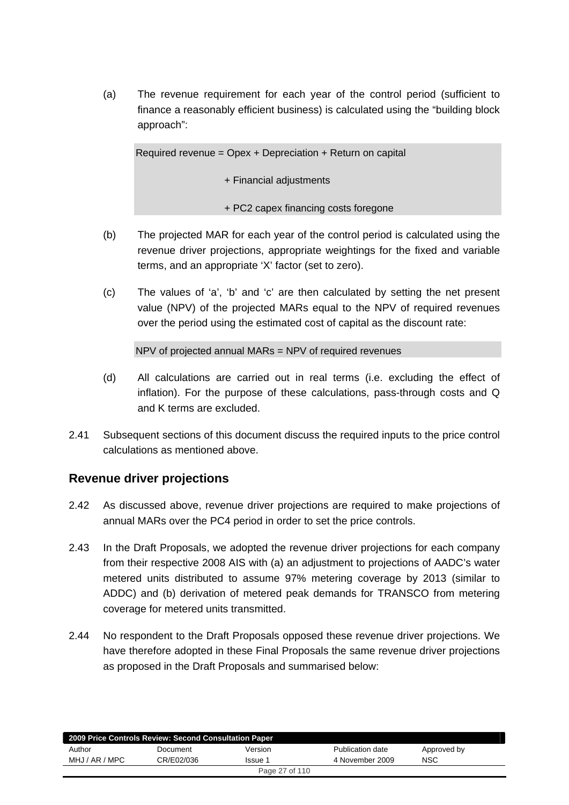(a) The revenue requirement for each year of the control period (sufficient to finance a reasonably efficient business) is calculated using the "building block approach":

Required revenue = Opex + Depreciation + Return on capital

+ Financial adjustments

+ PC2 capex financing costs foregone

- (b) The projected MAR for each year of the control period is calculated using the revenue driver projections, appropriate weightings for the fixed and variable terms, and an appropriate 'X' factor (set to zero).
- (c) The values of 'a', 'b' and 'c' are then calculated by setting the net present value (NPV) of the projected MARs equal to the NPV of required revenues over the period using the estimated cost of capital as the discount rate:

NPV of projected annual MARs = NPV of required revenues

- (d) All calculations are carried out in real terms (i.e. excluding the effect of inflation). For the purpose of these calculations, pass-through costs and Q and K terms are excluded.
- 2.41 Subsequent sections of this document discuss the required inputs to the price control calculations as mentioned above.

## **Revenue driver projections**

- 2.42 As discussed above, revenue driver projections are required to make projections of annual MARs over the PC4 period in order to set the price controls.
- 2.43 In the Draft Proposals, we adopted the revenue driver projections for each company from their respective 2008 AIS with (a) an adjustment to projections of AADC's water metered units distributed to assume 97% metering coverage by 2013 (similar to ADDC) and (b) derivation of metered peak demands for TRANSCO from metering coverage for metered units transmitted.
- 2.44 No respondent to the Draft Proposals opposed these revenue driver projections. We have therefore adopted in these Final Proposals the same revenue driver projections as proposed in the Draft Proposals and summarised below:

| 2009 Price Controls Review: Second Consultation Paper |            |                |                  |             |  |
|-------------------------------------------------------|------------|----------------|------------------|-------------|--|
| Author                                                | Document   | Version        | Publication date | Approved by |  |
| MHJ / AR / MPC                                        | CR/E02/036 | Issue 1        | 4 November 2009  | <b>NSC</b>  |  |
|                                                       |            | Page 27 of 110 |                  |             |  |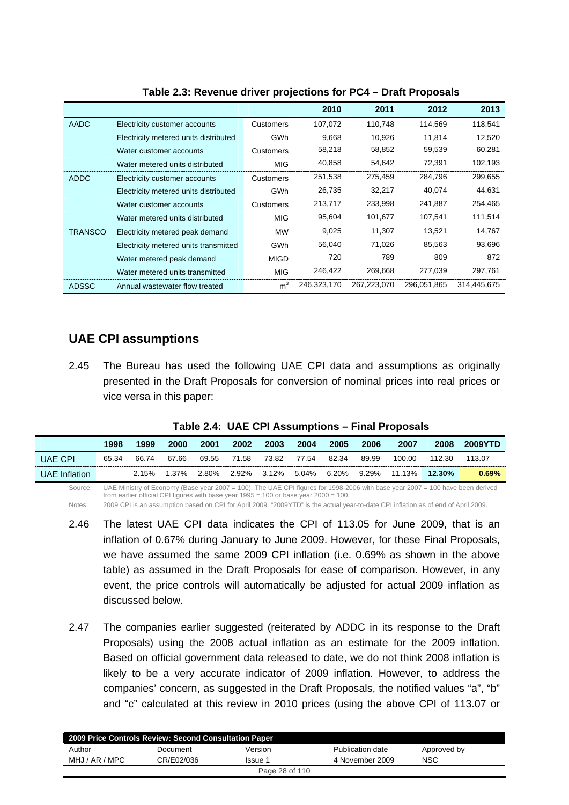|              |                                       |                | 2010        | 2011        | 2012        | 2013        |
|--------------|---------------------------------------|----------------|-------------|-------------|-------------|-------------|
| AADC         | Electricity customer accounts         | Customers      | 107,072     | 110,748     | 114,569     | 118,541     |
|              | Electricity metered units distributed | <b>GWh</b>     | 9.668       | 10,926      | 11.814      | 12,520      |
|              | Water customer accounts               | Customers      | 58,218      | 58,852      | 59,539      | 60,281      |
|              | Water metered units distributed       | <b>MIG</b>     | 40,858      | 54,642      | 72,391      | 102,193     |
| ADDC         | Electricity customer accounts         | Customers      | 251,538     | 275,459     | 284.796     | 299,655     |
|              | Electricity metered units distributed | <b>GWh</b>     | 26,735      | 32,217      | 40,074      | 44,631      |
|              | Water customer accounts               | Customers      | 213,717     | 233,998     | 241,887     | 254,465     |
|              | Water metered units distributed       | MIG            | 95,604      | 101,677     | 107,541     | 111,514     |
| TRANSCO      | Electricity metered peak demand       | <b>MW</b>      | 9,025       | 11,307      | 13.521      | 14,767      |
|              | Electricity metered units transmitted | <b>GWh</b>     | 56,040      | 71,026      | 85,563      | 93,696      |
|              | Water metered peak demand             | <b>MIGD</b>    | 720         | 789         | 809         | 872         |
|              | Water metered units transmitted       | <b>MIG</b>     | 246,422     | 269,668     | 277,039     | 297,761     |
| <b>ADSSC</b> | Annual wastewater flow treated        | m <sup>3</sup> | 246,323,170 | 267,223,070 | 296,051,865 | 314,445,675 |

#### **Table 2.3: Revenue driver projections for PC4 – Draft Proposals**

## **UAE CPI assumptions**

2.45 The Bureau has used the following UAE CPI data and assumptions as originally presented in the Draft Proposals for conversion of nominal prices into real prices or vice versa in this paper:

|                | 1998  | 1999  | 2000  | 2001  | 2002  | 2003  | 2004  | 2005  | 2006     | 2007   | 2008   | <b>2009YTD</b> |
|----------------|-------|-------|-------|-------|-------|-------|-------|-------|----------|--------|--------|----------------|
| <b>UAE CPI</b> | 65.34 | 66.74 | 67.66 | 69.55 | 71.58 | 73.82 | 77.54 | 82.34 | 89.99    | 100.00 | 112.30 | 113.07         |
| UAE Inflation  |       | 2.15% | 1.37% | 2.80% | 2.92% | 3.12% | 5.04% | 6.20% | $9.29\%$ | 11.13% | 12.30% | 0.69%          |

#### **Table 2.4: UAE CPI Assumptions – Final Proposals**

Source: UAE Ministry of Economy (Base year 2007 = 100). The UAE CPI figures for 1998-2006 with base year 2007 = 100 have been derived from earlier official CPI figures with base year 1995 = 100 or base year 2000 = 100.

Notes: 2009 CPI is an assumption based on CPI for April 2009. "2009YTD" is the actual year-to-date CPI inflation as of end of April 2009.

- 2.46 The latest UAE CPI data indicates the CPI of 113.05 for June 2009, that is an inflation of 0.67% during January to June 2009. However, for these Final Proposals, we have assumed the same 2009 CPI inflation (i.e. 0.69% as shown in the above table) as assumed in the Draft Proposals for ease of comparison. However, in any event, the price controls will automatically be adjusted for actual 2009 inflation as discussed below.
- 2.47 The companies earlier suggested (reiterated by ADDC in its response to the Draft Proposals) using the 2008 actual inflation as an estimate for the 2009 inflation. Based on official government data released to date, we do not think 2008 inflation is likely to be a very accurate indicator of 2009 inflation. However, to address the companies' concern, as suggested in the Draft Proposals, the notified values "a", "b" and "c" calculated at this review in 2010 prices (using the above CPI of 113.07 or

| 2009 Price Controls Review: Second Consultation Paper |            |                |                  |             |  |
|-------------------------------------------------------|------------|----------------|------------------|-------------|--|
| Author                                                | Document   | Version        | Publication date | Approved by |  |
| MHJ / AR / MPC                                        | CR/E02/036 | Issue 1        | 4 November 2009  | NSC         |  |
|                                                       |            | Page 28 of 110 |                  |             |  |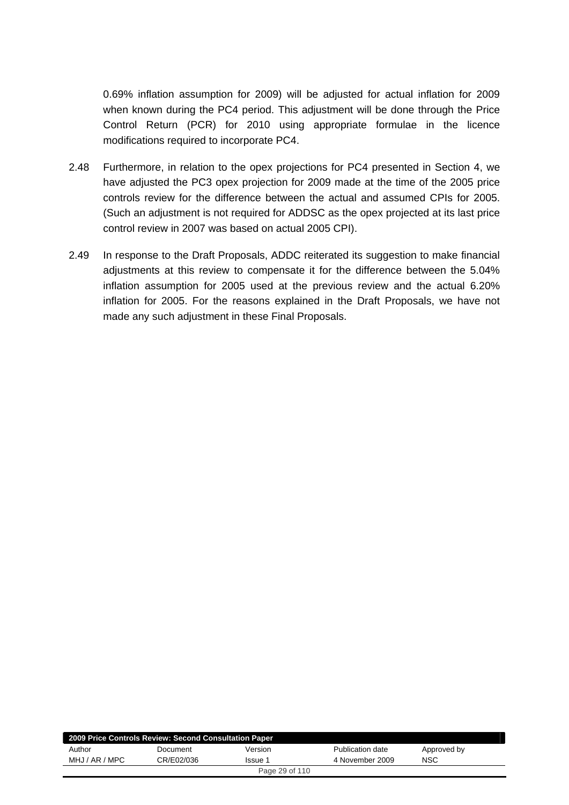0.69% inflation assumption for 2009) will be adjusted for actual inflation for 2009 when known during the PC4 period. This adjustment will be done through the Price Control Return (PCR) for 2010 using appropriate formulae in the licence modifications required to incorporate PC4.

- 2.48 Furthermore, in relation to the opex projections for PC4 presented in Section 4, we have adjusted the PC3 opex projection for 2009 made at the time of the 2005 price controls review for the difference between the actual and assumed CPIs for 2005. (Such an adjustment is not required for ADDSC as the opex projected at its last price control review in 2007 was based on actual 2005 CPI).
- 2.49 In response to the Draft Proposals, ADDC reiterated its suggestion to make financial adjustments at this review to compensate it for the difference between the 5.04% inflation assumption for 2005 used at the previous review and the actual 6.20% inflation for 2005. For the reasons explained in the Draft Proposals, we have not made any such adjustment in these Final Proposals.

| 2009 Price Controls Review: Second Consultation Paper |            |                |                  |             |  |
|-------------------------------------------------------|------------|----------------|------------------|-------------|--|
| Author                                                | Document   | Version        | Publication date | Approved by |  |
| MHJ / AR / MPC                                        | CR/E02/036 | Issue 1        | 4 November 2009  | <b>NSC</b>  |  |
|                                                       |            | Page 29 of 110 |                  |             |  |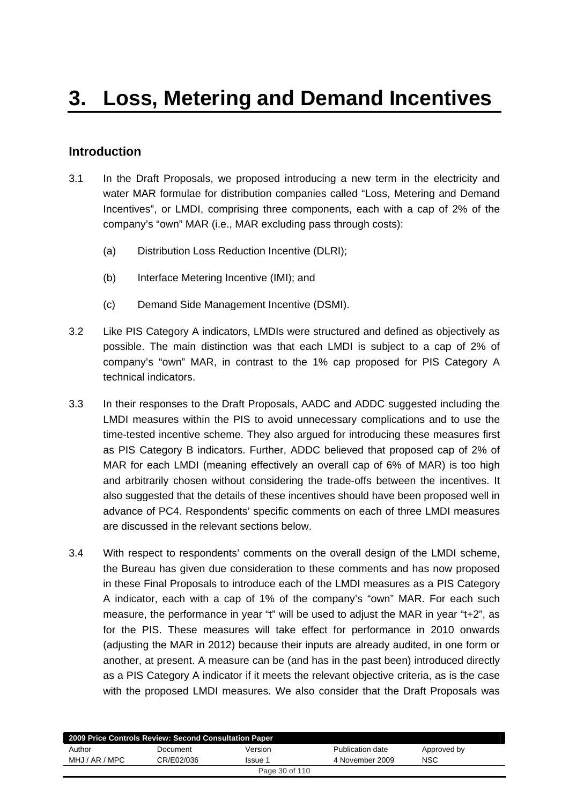## <span id="page-29-0"></span>**Introduction**

- 3.1 In the Draft Proposals, we proposed introducing a new term in the electricity and water MAR formulae for distribution companies called "Loss, Metering and Demand Incentives", or LMDI, comprising three components, each with a cap of 2% of the company's "own" MAR (i.e., MAR excluding pass through costs):
	- (a) Distribution Loss Reduction Incentive (DLRI);
	- (b) Interface Metering Incentive (IMI); and
	- (c) Demand Side Management Incentive (DSMI).
- 3.2 Like PIS Category A indicators, LMDIs were structured and defined as objectively as possible. The main distinction was that each LMDI is subject to a cap of 2% of company's "own" MAR, in contrast to the 1% cap proposed for PIS Category A technical indicators.
- 3.3 In their responses to the Draft Proposals, AADC and ADDC suggested including the LMDI measures within the PIS to avoid unnecessary complications and to use the time-tested incentive scheme. They also argued for introducing these measures first as PIS Category B indicators. Further, ADDC believed that proposed cap of 2% of MAR for each LMDI (meaning effectively an overall cap of 6% of MAR) is too high and arbitrarily chosen without considering the trade-offs between the incentives. It also suggested that the details of these incentives should have been proposed well in advance of PC4. Respondents' specific comments on each of three LMDI measures are discussed in the relevant sections below.
- 3.4 With respect to respondents' comments on the overall design of the LMDI scheme, the Bureau has given due consideration to these comments and has now proposed in these Final Proposals to introduce each of the LMDI measures as a PIS Category A indicator, each with a cap of 1% of the company's "own" MAR. For each such measure, the performance in year "t" will be used to adjust the MAR in year "t+2", as for the PIS. These measures will take effect for performance in 2010 onwards (adjusting the MAR in 2012) because their inputs are already audited, in one form or another, at present. A measure can be (and has in the past been) introduced directly as a PIS Category A indicator if it meets the relevant objective criteria, as is the case with the proposed LMDI measures. We also consider that the Draft Proposals was

| 2009 Price Controls Review: Second Consultation Paper |            |                |                  |             |  |  |
|-------------------------------------------------------|------------|----------------|------------------|-------------|--|--|
| Author                                                | Document   | Version        | Publication date | Approved by |  |  |
| MHJ / AR / MPC                                        | CR/E02/036 | Issue 1        | 4 November 2009  | <b>NSC</b>  |  |  |
|                                                       |            | Page 30 of 110 |                  |             |  |  |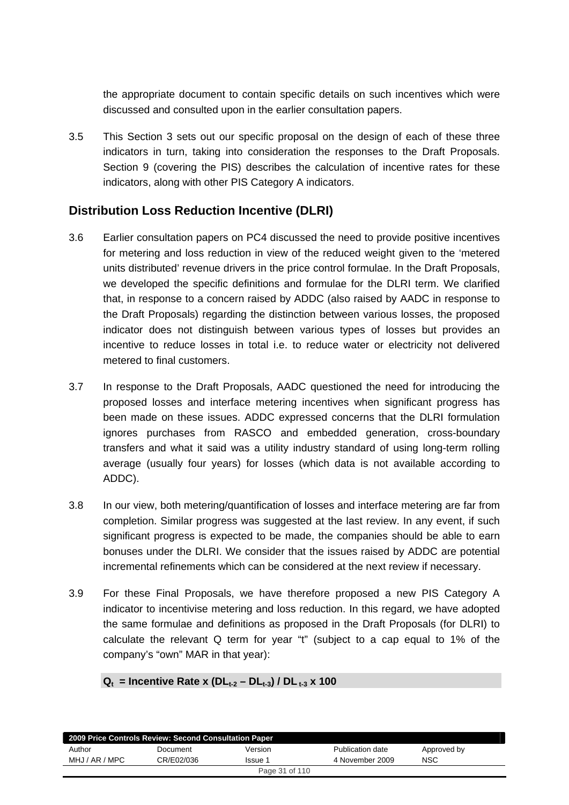the appropriate document to contain specific details on such incentives which were discussed and consulted upon in the earlier consultation papers.

3.5 This Section 3 sets out our specific proposal on the design of each of these three indicators in turn, taking into consideration the responses to the Draft Proposals. Section 9 (covering the PIS) describes the calculation of incentive rates for these indicators, along with other PIS Category A indicators.

## **Distribution Loss Reduction Incentive (DLRI)**

- 3.6 Earlier consultation papers on PC4 discussed the need to provide positive incentives for metering and loss reduction in view of the reduced weight given to the 'metered units distributed' revenue drivers in the price control formulae. In the Draft Proposals, we developed the specific definitions and formulae for the DLRI term. We clarified that, in response to a concern raised by ADDC (also raised by AADC in response to the Draft Proposals) regarding the distinction between various losses, the proposed indicator does not distinguish between various types of losses but provides an incentive to reduce losses in total i.e. to reduce water or electricity not delivered metered to final customers.
- 3.7 In response to the Draft Proposals, AADC questioned the need for introducing the proposed losses and interface metering incentives when significant progress has been made on these issues. ADDC expressed concerns that the DLRI formulation ignores purchases from RASCO and embedded generation, cross-boundary transfers and what it said was a utility industry standard of using long-term rolling average (usually four years) for losses (which data is not available according to ADDC).
- 3.8 In our view, both metering/quantification of losses and interface metering are far from completion. Similar progress was suggested at the last review. In any event, if such significant progress is expected to be made, the companies should be able to earn bonuses under the DLRI. We consider that the issues raised by ADDC are potential incremental refinements which can be considered at the next review if necessary.
- 3.9 For these Final Proposals, we have therefore proposed a new PIS Category A indicator to incentivise metering and loss reduction. In this regard, we have adopted the same formulae and definitions as proposed in the Draft Proposals (for DLRI) to calculate the relevant Q term for year "t" (subject to a cap equal to 1% of the company's "own" MAR in that year):

## $Q_t$  = Incentive Rate x (DL<sub>t-2</sub> – DL<sub>t-3</sub>) / DL<sub>t-3</sub> x 100

|                | 2009 Price Controls Review: Second Consultation Paper |                |                  |             |
|----------------|-------------------------------------------------------|----------------|------------------|-------------|
| Author         | Document                                              | Version        | Publication date | Approved by |
| MHJ / AR / MPC | CR/E02/036                                            | Issue 1        | 4 November 2009  | <b>NSC</b>  |
|                |                                                       | Page 31 of 110 |                  |             |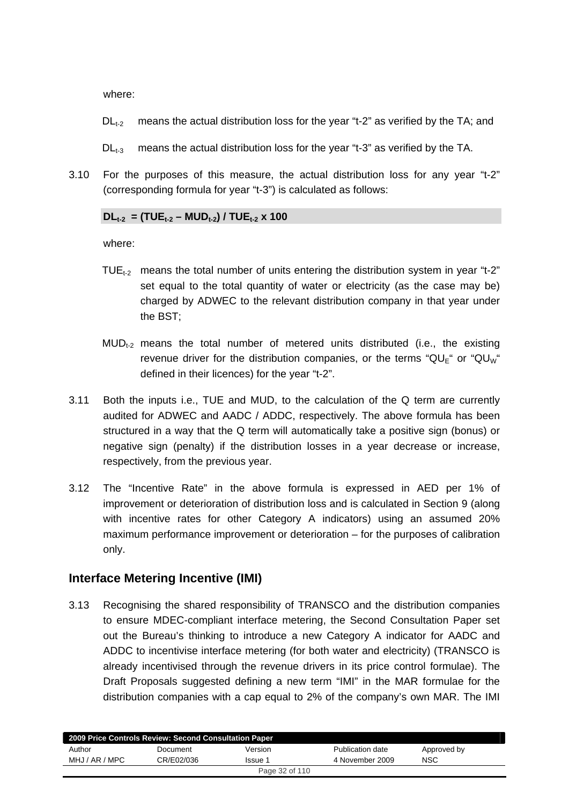where:

- $DL<sub>t-2</sub>$  means the actual distribution loss for the year "t-2" as verified by the TA; and
- $DL_{t-3}$  means the actual distribution loss for the year "t-3" as verified by the TA.
- 3.10 For the purposes of this measure, the actual distribution loss for any year "t-2" (corresponding formula for year "t-3") is calculated as follows:

#### $DL_{t-2}$  = (TUE<sub>t-2</sub> – MUD<sub>t-2</sub>) / TUE<sub>t-2</sub> x 100

where:

- TUE<sub>t2</sub> means the total number of units entering the distribution system in year "t-2" set equal to the total quantity of water or electricity (as the case may be) charged by ADWEC to the relevant distribution company in that year under the BST;
- $MUD_{t-2}$  means the total number of metered units distributed (i.e., the existing revenue driver for the distribution companies, or the terms " $QU_E$ " or " $QU_W$ " defined in their licences) for the year "t-2".
- 3.11 Both the inputs i.e., TUE and MUD, to the calculation of the Q term are currently audited for ADWEC and AADC / ADDC, respectively. The above formula has been structured in a way that the Q term will automatically take a positive sign (bonus) or negative sign (penalty) if the distribution losses in a year decrease or increase, respectively, from the previous year.
- 3.12 The "Incentive Rate" in the above formula is expressed in AED per 1% of improvement or deterioration of distribution loss and is calculated in Section 9 (along with incentive rates for other Category A indicators) using an assumed 20% maximum performance improvement or deterioration – for the purposes of calibration only.

## **Interface Metering Incentive (IMI)**

3.13 Recognising the shared responsibility of TRANSCO and the distribution companies to ensure MDEC-compliant interface metering, the Second Consultation Paper set out the Bureau's thinking to introduce a new Category A indicator for AADC and ADDC to incentivise interface metering (for both water and electricity) (TRANSCO is already incentivised through the revenue drivers in its price control formulae). The Draft Proposals suggested defining a new term "IMI" in the MAR formulae for the distribution companies with a cap equal to 2% of the company's own MAR. The IMI

|                | 2009 Price Controls Review: Second Consultation Paper |                |                  |             |  |
|----------------|-------------------------------------------------------|----------------|------------------|-------------|--|
| Author         | Document                                              | Version        | Publication date | Approved by |  |
| MHJ / AR / MPC | CR/E02/036                                            | Issue 1        | 4 November 2009  | <b>NSC</b>  |  |
|                |                                                       | Page 32 of 110 |                  |             |  |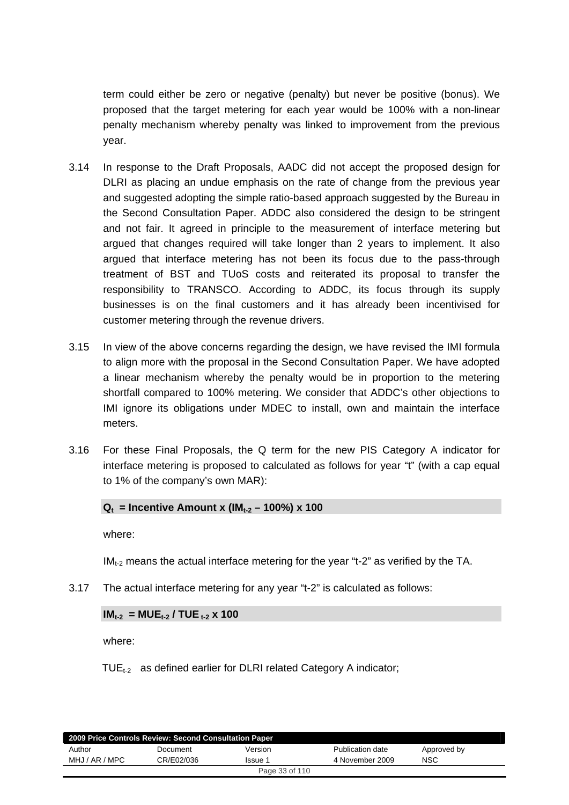term could either be zero or negative (penalty) but never be positive (bonus). We proposed that the target metering for each year would be 100% with a non-linear penalty mechanism whereby penalty was linked to improvement from the previous year.

- 3.14 In response to the Draft Proposals, AADC did not accept the proposed design for DLRI as placing an undue emphasis on the rate of change from the previous year and suggested adopting the simple ratio-based approach suggested by the Bureau in the Second Consultation Paper. ADDC also considered the design to be stringent and not fair. It agreed in principle to the measurement of interface metering but argued that changes required will take longer than 2 years to implement. It also argued that interface metering has not been its focus due to the pass-through treatment of BST and TUoS costs and reiterated its proposal to transfer the responsibility to TRANSCO. According to ADDC, its focus through its supply businesses is on the final customers and it has already been incentivised for customer metering through the revenue drivers.
- 3.15 In view of the above concerns regarding the design, we have revised the IMI formula to align more with the proposal in the Second Consultation Paper. We have adopted a linear mechanism whereby the penalty would be in proportion to the metering shortfall compared to 100% metering. We consider that ADDC's other objections to IMI ignore its obligations under MDEC to install, own and maintain the interface meters.
- 3.16 For these Final Proposals, the Q term for the new PIS Category A indicator for interface metering is proposed to calculated as follows for year "t" (with a cap equal to 1% of the company's own MAR):

#### $Q_t$  = Incentive Amount x (IM<sub>t-2</sub> – 100%) x 100

where:

 $IM<sub>t-2</sub>$  means the actual interface metering for the year "t-2" as verified by the TA.

3.17 The actual interface metering for any year "t-2" is calculated as follows:

## $IM_{t-2} = MUE_{t-2} / TUE_{t-2} \times 100$

where:

 $\mathsf{TUE}_{t-2}$  as defined earlier for DLRI related Category A indicator;

|                | 2009 Price Controls Review: Second Consultation Paper |                |                  |             |  |
|----------------|-------------------------------------------------------|----------------|------------------|-------------|--|
| Author         | Document                                              | Version        | Publication date | Approved by |  |
| MHJ / AR / MPC | CR/E02/036                                            | Issue 1        | 4 November 2009  | NSC         |  |
|                |                                                       | Page 33 of 110 |                  |             |  |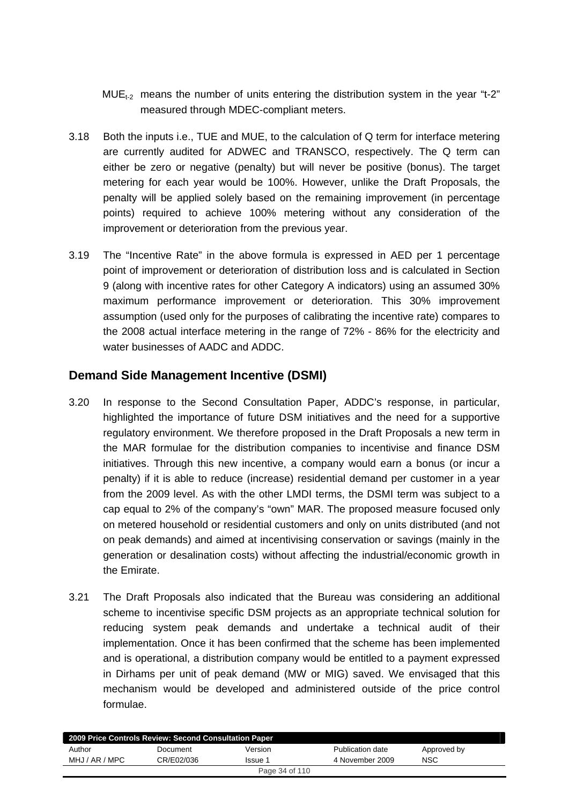- $MUE_{t-2}$  means the number of units entering the distribution system in the year "t-2" measured through MDEC-compliant meters.
- 3.18 Both the inputs i.e., TUE and MUE, to the calculation of Q term for interface metering are currently audited for ADWEC and TRANSCO, respectively. The Q term can either be zero or negative (penalty) but will never be positive (bonus). The target metering for each year would be 100%. However, unlike the Draft Proposals, the penalty will be applied solely based on the remaining improvement (in percentage points) required to achieve 100% metering without any consideration of the improvement or deterioration from the previous year.
- 3.19 The "Incentive Rate" in the above formula is expressed in AED per 1 percentage point of improvement or deterioration of distribution loss and is calculated in Section 9 (along with incentive rates for other Category A indicators) using an assumed 30% maximum performance improvement or deterioration. This 30% improvement assumption (used only for the purposes of calibrating the incentive rate) compares to the 2008 actual interface metering in the range of 72% - 86% for the electricity and water businesses of AADC and ADDC.

## **Demand Side Management Incentive (DSMI)**

- 3.20 In response to the Second Consultation Paper, ADDC's response, in particular, highlighted the importance of future DSM initiatives and the need for a supportive regulatory environment. We therefore proposed in the Draft Proposals a new term in the MAR formulae for the distribution companies to incentivise and finance DSM initiatives. Through this new incentive, a company would earn a bonus (or incur a penalty) if it is able to reduce (increase) residential demand per customer in a year from the 2009 level. As with the other LMDI terms, the DSMI term was subject to a cap equal to 2% of the company's "own" MAR. The proposed measure focused only on metered household or residential customers and only on units distributed (and not on peak demands) and aimed at incentivising conservation or savings (mainly in the generation or desalination costs) without affecting the industrial/economic growth in the Emirate.
- 3.21 The Draft Proposals also indicated that the Bureau was considering an additional scheme to incentivise specific DSM projects as an appropriate technical solution for reducing system peak demands and undertake a technical audit of their implementation. Once it has been confirmed that the scheme has been implemented and is operational, a distribution company would be entitled to a payment expressed in Dirhams per unit of peak demand (MW or MIG) saved. We envisaged that this mechanism would be developed and administered outside of the price control formulae.

| 2009 Price Controls Review: Second Consultation Paper |            |                |                  |             |  |
|-------------------------------------------------------|------------|----------------|------------------|-------------|--|
| Author                                                | Document   | Version        | Publication date | Approved by |  |
| MHJ / AR / MPC                                        | CR/E02/036 | Issue 1        | 4 November 2009  | <b>NSC</b>  |  |
|                                                       |            | Page 34 of 110 |                  |             |  |
|                                                       |            |                |                  |             |  |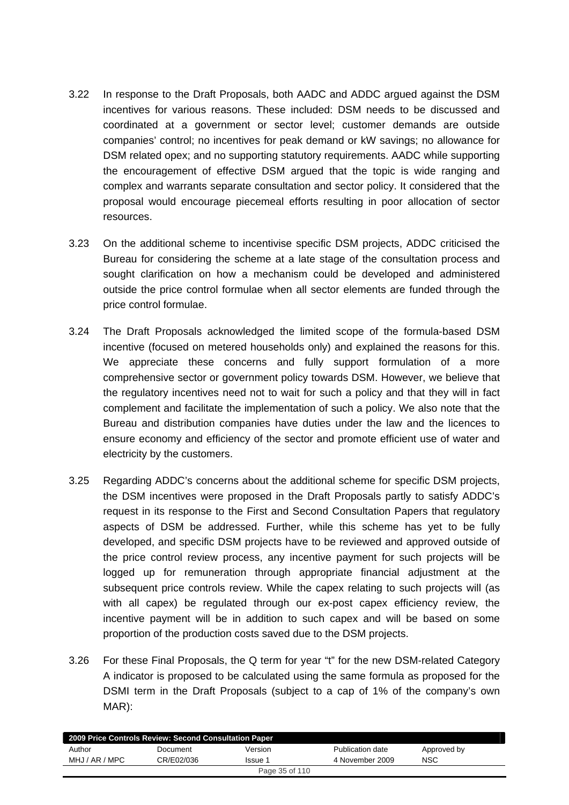- 3.22 In response to the Draft Proposals, both AADC and ADDC argued against the DSM incentives for various reasons. These included: DSM needs to be discussed and coordinated at a government or sector level; customer demands are outside companies' control; no incentives for peak demand or kW savings; no allowance for DSM related opex; and no supporting statutory requirements. AADC while supporting the encouragement of effective DSM argued that the topic is wide ranging and complex and warrants separate consultation and sector policy. It considered that the proposal would encourage piecemeal efforts resulting in poor allocation of sector resources.
- 3.23 On the additional scheme to incentivise specific DSM projects, ADDC criticised the Bureau for considering the scheme at a late stage of the consultation process and sought clarification on how a mechanism could be developed and administered outside the price control formulae when all sector elements are funded through the price control formulae.
- 3.24 The Draft Proposals acknowledged the limited scope of the formula-based DSM incentive (focused on metered households only) and explained the reasons for this. We appreciate these concerns and fully support formulation of a more comprehensive sector or government policy towards DSM. However, we believe that the regulatory incentives need not to wait for such a policy and that they will in fact complement and facilitate the implementation of such a policy. We also note that the Bureau and distribution companies have duties under the law and the licences to ensure economy and efficiency of the sector and promote efficient use of water and electricity by the customers.
- 3.25 Regarding ADDC's concerns about the additional scheme for specific DSM projects, the DSM incentives were proposed in the Draft Proposals partly to satisfy ADDC's request in its response to the First and Second Consultation Papers that regulatory aspects of DSM be addressed. Further, while this scheme has yet to be fully developed, and specific DSM projects have to be reviewed and approved outside of the price control review process, any incentive payment for such projects will be logged up for remuneration through appropriate financial adjustment at the subsequent price controls review. While the capex relating to such projects will (as with all capex) be regulated through our ex-post capex efficiency review, the incentive payment will be in addition to such capex and will be based on some proportion of the production costs saved due to the DSM projects.
- 3.26 For these Final Proposals, the Q term for year "t" for the new DSM-related Category A indicator is proposed to be calculated using the same formula as proposed for the DSMI term in the Draft Proposals (subject to a cap of 1% of the company's own MAR):

|                | 2009 Price Controls Review: Second Consultation Paper |                |                  |             |  |
|----------------|-------------------------------------------------------|----------------|------------------|-------------|--|
| Author         | Document                                              | Version        | Publication date | Approved by |  |
| MHJ / AR / MPC | CR/E02/036                                            | Issue 1        | 4 November 2009  | <b>NSC</b>  |  |
|                |                                                       | Page 35 of 110 |                  |             |  |
|                |                                                       |                |                  |             |  |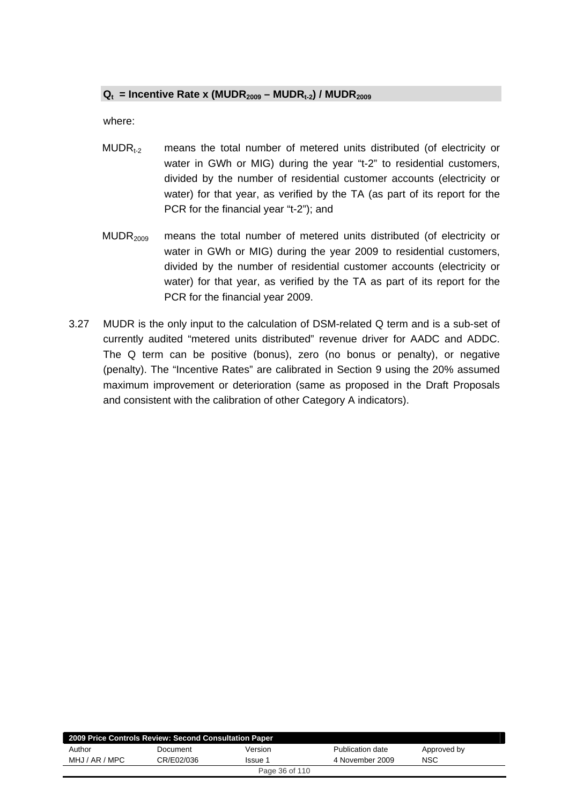#### $Q_t$  = Incentive Rate x (MUDR<sub>2009</sub> – MUDR<sub>t-2</sub>) / MUDR<sub>2009</sub>

where:

- $MUDR<sub>t-2</sub>$  means the total number of metered units distributed (of electricity or water in GWh or MIG) during the year "t-2" to residential customers, divided by the number of residential customer accounts (electricity or water) for that year, as verified by the TA (as part of its report for the PCR for the financial year "t-2"); and
- MUDR<sub>2009</sub> means the total number of metered units distributed (of electricity or water in GWh or MIG) during the year 2009 to residential customers, divided by the number of residential customer accounts (electricity or water) for that year, as verified by the TA as part of its report for the PCR for the financial year 2009.
- 3.27 MUDR is the only input to the calculation of DSM-related Q term and is a sub-set of currently audited "metered units distributed" revenue driver for AADC and ADDC. The Q term can be positive (bonus), zero (no bonus or penalty), or negative (penalty). The "Incentive Rates" are calibrated in Section 9 using the 20% assumed maximum improvement or deterioration (same as proposed in the Draft Proposals and consistent with the calibration of other Category A indicators).

| 2009 Price Controls Review: Second Consultation Paper |            |                |                  |             |  |
|-------------------------------------------------------|------------|----------------|------------------|-------------|--|
| Author                                                | Document   | Version        | Publication date | Approved by |  |
| MHJ / AR / MPC                                        | CR/E02/036 | Issue 1        | 4 November 2009  | NSC         |  |
|                                                       |            | Page 36 of 110 |                  |             |  |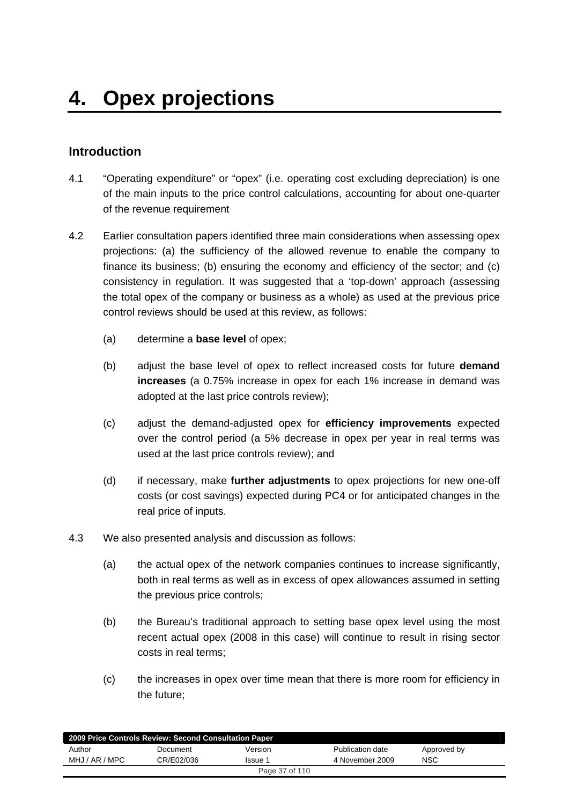# **Introduction**

- 4.1 "Operating expenditure" or "opex" (i.e. operating cost excluding depreciation) is one of the main inputs to the price control calculations, accounting for about one-quarter of the revenue requirement
- 4.2 Earlier consultation papers identified three main considerations when assessing opex projections: (a) the sufficiency of the allowed revenue to enable the company to finance its business; (b) ensuring the economy and efficiency of the sector; and (c) consistency in regulation. It was suggested that a 'top-down' approach (assessing the total opex of the company or business as a whole) as used at the previous price control reviews should be used at this review, as follows:
	- (a) determine a **base level** of opex;
	- (b) adjust the base level of opex to reflect increased costs for future **demand increases** (a 0.75% increase in opex for each 1% increase in demand was adopted at the last price controls review);
	- (c) adjust the demand-adjusted opex for **efficiency improvements** expected over the control period (a 5% decrease in opex per year in real terms was used at the last price controls review); and
	- (d) if necessary, make **further adjustments** to opex projections for new one-off costs (or cost savings) expected during PC4 or for anticipated changes in the real price of inputs.
- 4.3 We also presented analysis and discussion as follows:
	- (a) the actual opex of the network companies continues to increase significantly, both in real terms as well as in excess of opex allowances assumed in setting the previous price controls;
	- (b) the Bureau's traditional approach to setting base opex level using the most recent actual opex (2008 in this case) will continue to result in rising sector costs in real terms;
	- (c) the increases in opex over time mean that there is more room for efficiency in the future;

| 2009 Price Controls Review: Second Consultation Paper |            |         |                  |             |  |
|-------------------------------------------------------|------------|---------|------------------|-------------|--|
| Author                                                | Document   | Version | Publication date | Approved by |  |
| MHJ / AR / MPC                                        | CR/E02/036 | Issue 1 | 4 November 2009  | <b>NSC</b>  |  |
| Page 37 of 110                                        |            |         |                  |             |  |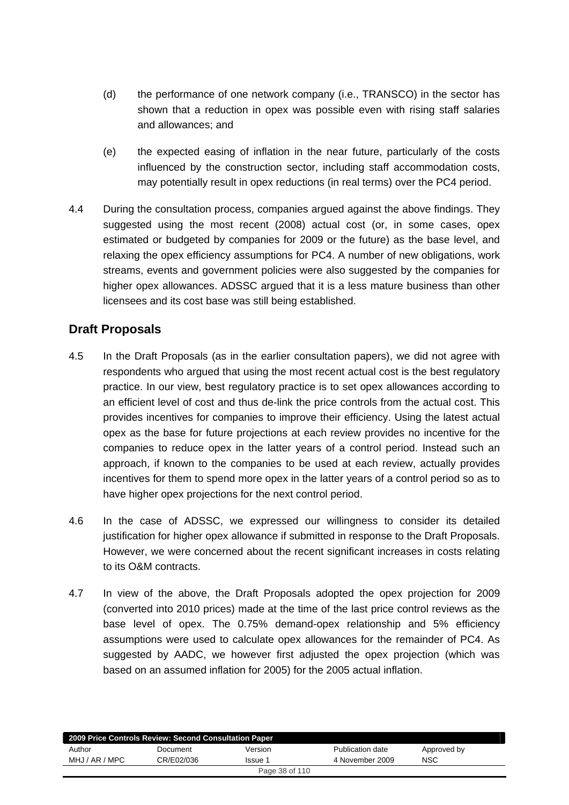- (d) the performance of one network company (i.e., TRANSCO) in the sector has shown that a reduction in opex was possible even with rising staff salaries and allowances; and
- (e) the expected easing of inflation in the near future, particularly of the costs influenced by the construction sector, including staff accommodation costs, may potentially result in opex reductions (in real terms) over the PC4 period.
- 4.4 During the consultation process, companies argued against the above findings. They suggested using the most recent (2008) actual cost (or, in some cases, opex estimated or budgeted by companies for 2009 or the future) as the base level, and relaxing the opex efficiency assumptions for PC4. A number of new obligations, work streams, events and government policies were also suggested by the companies for higher opex allowances. ADSSC argued that it is a less mature business than other licensees and its cost base was still being established.

# **Draft Proposals**

- 4.5 In the Draft Proposals (as in the earlier consultation papers), we did not agree with respondents who argued that using the most recent actual cost is the best regulatory practice. In our view, best regulatory practice is to set opex allowances according to an efficient level of cost and thus de-link the price controls from the actual cost. This provides incentives for companies to improve their efficiency. Using the latest actual opex as the base for future projections at each review provides no incentive for the companies to reduce opex in the latter years of a control period. Instead such an approach, if known to the companies to be used at each review, actually provides incentives for them to spend more opex in the latter years of a control period so as to have higher opex projections for the next control period.
- 4.6 In the case of ADSSC, we expressed our willingness to consider its detailed justification for higher opex allowance if submitted in response to the Draft Proposals. However, we were concerned about the recent significant increases in costs relating to its O&M contracts.
- 4.7 In view of the above, the Draft Proposals adopted the opex projection for 2009 (converted into 2010 prices) made at the time of the last price control reviews as the base level of opex. The 0.75% demand-opex relationship and 5% efficiency assumptions were used to calculate opex allowances for the remainder of PC4. As suggested by AADC, we however first adjusted the opex projection (which was based on an assumed inflation for 2005) for the 2005 actual inflation.

| 2009 Price Controls Review: Second Consultation Paper |            |         |                  |             |  |  |
|-------------------------------------------------------|------------|---------|------------------|-------------|--|--|
| Author                                                | Document   | Version | Publication date | Approved by |  |  |
| MHJ / AR / MPC                                        | CR/E02/036 | Issue 1 | 4 November 2009  | <b>NSC</b>  |  |  |
| Page 38 of 110                                        |            |         |                  |             |  |  |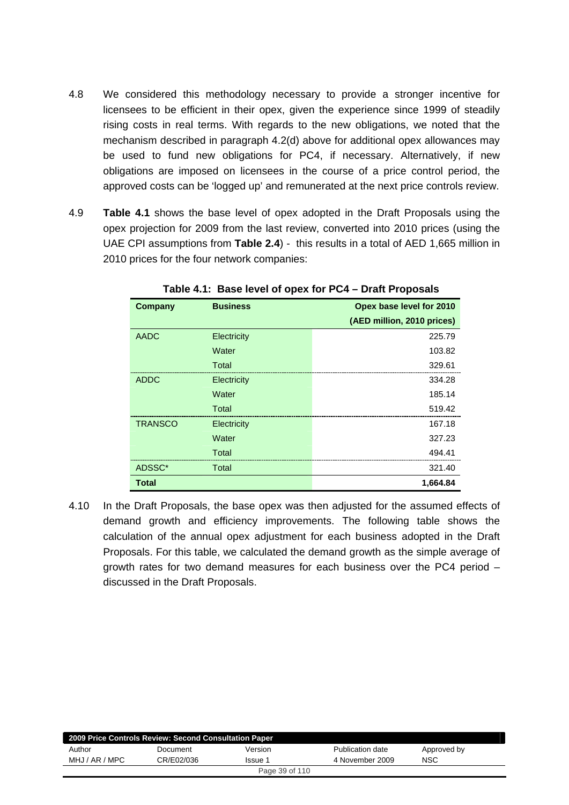- 4.8 We considered this methodology necessary to provide a stronger incentive for licensees to be efficient in their opex, given the experience since 1999 of steadily rising costs in real terms. With regards to the new obligations, we noted that the mechanism described in paragraph 4.2(d) above for additional opex allowances may be used to fund new obligations for PC4, if necessary. Alternatively, if new obligations are imposed on licensees in the course of a price control period, the approved costs can be 'logged up' and remunerated at the next price controls review.
- 4.9 **Table 4.1** shows the base level of opex adopted in the Draft Proposals using the opex projection for 2009 from the last review, converted into 2010 prices (using the UAE CPI assumptions from **Table 2.4**) - this results in a total of AED 1,665 million in 2010 prices for the four network companies:

| <b>Company</b> | <b>Business</b> | Opex base level for 2010   |
|----------------|-----------------|----------------------------|
|                |                 | (AED million, 2010 prices) |
| <b>AADC</b>    | Electricity     | 225.79                     |
|                | Water           | 103.82                     |
|                | Total           | 329.61                     |
| <b>ADDC</b>    | Electricity     | 334.28                     |
|                | Water           | 185.14                     |
|                | Total           | 519.42                     |
| <b>TRANSCO</b> | Electricity     | 167.18                     |
|                | Water           | 327.23                     |
|                | Total           | 494.41                     |
| ADSSC*         | Total           | 321.40                     |
| <b>Total</b>   |                 | 1,664.84                   |

**Table 4.1: Base level of opex for PC4 – Draft Proposals** 

4.10 In the Draft Proposals, the base opex was then adjusted for the assumed effects of demand growth and efficiency improvements. The following table shows the calculation of the annual opex adjustment for each business adopted in the Draft Proposals. For this table, we calculated the demand growth as the simple average of growth rates for two demand measures for each business over the PC4 period – discussed in the Draft Proposals.

| 2009 Price Controls Review: Second Consultation Paper |            |         |                  |             |  |  |
|-------------------------------------------------------|------------|---------|------------------|-------------|--|--|
| Author                                                | Document   | Version | Publication date | Approved by |  |  |
| MHJ / AR / MPC                                        | CR/E02/036 | Issue 1 | 4 November 2009  | <b>NSC</b>  |  |  |
| Page 39 of 110                                        |            |         |                  |             |  |  |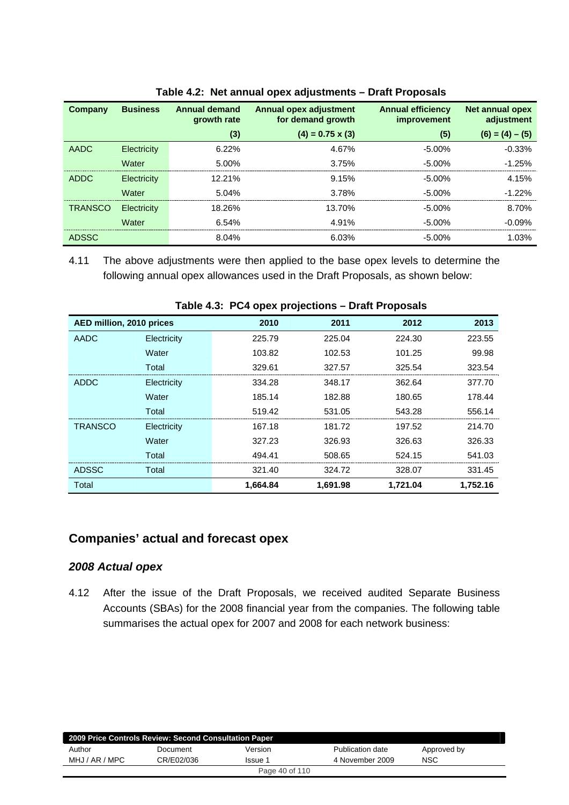| Company        | <b>Business</b>    | <b>Annual demand</b><br>growth rate | Annual opex adjustment<br>for demand growth | <b>Annual efficiency</b><br>improvement | Net annual opex<br>adjustment |
|----------------|--------------------|-------------------------------------|---------------------------------------------|-----------------------------------------|-------------------------------|
|                |                    | (3)                                 | $(4) = 0.75 \times (3)$                     | (5)                                     | $(6) = (4) - (5)$             |
| AADC           | Electricity        | 6.22%                               | 4.67%                                       | $-5.00\%$                               | $-0.33%$                      |
|                | Water              | 5.00%                               | 3.75%                                       | $-5.00\%$                               | $-1.25%$                      |
| <b>ADDC</b>    | <b>Electricity</b> | $12.21\%$                           | 9.15%                                       | $-5.00\%$                               | 4.15%                         |
|                | Water              | 5.04%                               | 3.78%                                       | $-5.00\%$                               | $-1.22%$                      |
| <b>TRANSCO</b> | Electricity        | 18.26%                              | 13.70%                                      | $-5.00\%$                               | 8.70%                         |
|                | Water              | 6.54%                               | 4.91%                                       | $-5.00\%$                               | $-0.09%$                      |
| <b>ADSSC</b>   |                    | 8.04%                               | 6.03%                                       | $-5.00\%$                               | 1.03%                         |

|  |  |  | Table 4.2: Net annual opex adjustments - Draft Proposals |
|--|--|--|----------------------------------------------------------|
|--|--|--|----------------------------------------------------------|

4.11 The above adjustments were then applied to the base opex levels to determine the following annual opex allowances used in the Draft Proposals, as shown below:

|                          | $1000 - 101$ $1000 - 1000$ projections branch reposals |          |          |          |          |  |  |  |
|--------------------------|--------------------------------------------------------|----------|----------|----------|----------|--|--|--|
| AED million, 2010 prices |                                                        | 2010     | 2011     | 2012     | 2013     |  |  |  |
| AADC                     | Electricity                                            | 225.79   | 225.04   | 224.30   | 223.55   |  |  |  |
|                          | Water                                                  | 103.82   | 102.53   | 101.25   | 99.98    |  |  |  |
|                          | Total                                                  | 329.61   | 327.57   | 325.54   | 323.54   |  |  |  |
| <b>ADDC</b>              | Electricity                                            | 334.28   | 348.17   | 362.64   | 377.70   |  |  |  |
|                          | Water                                                  | 185.14   | 182.88   | 180.65   | 178.44   |  |  |  |
|                          | Total                                                  | 519.42   | 531.05   | 543.28   | 556.14   |  |  |  |
| <b>TRANSCO</b>           | Electricity                                            | 167.18   | 181.72   | 197.52   | 214.70   |  |  |  |
|                          | Water                                                  | 327.23   | 326.93   | 326.63   | 326.33   |  |  |  |
|                          | Total                                                  | 494.41   | 508.65   | 524.15   | 541.03   |  |  |  |
| <b>ADSSC</b>             | Total                                                  | 321.40   | 324.72   | 328.07   | 331.45   |  |  |  |
| Total                    |                                                        | 1.664.84 | 1,691.98 | 1,721.04 | 1,752.16 |  |  |  |

**Table 4.3: PC4 opex projections – Draft Proposals** 

## **Companies' actual and forecast opex**

#### *2008 Actual opex*

4.12 After the issue of the Draft Proposals, we received audited Separate Business Accounts (SBAs) for the 2008 financial year from the companies. The following table summarises the actual opex for 2007 and 2008 for each network business:

| 2009 Price Controls Review: Second Consultation Paper |            |         |                  |             |  |
|-------------------------------------------------------|------------|---------|------------------|-------------|--|
| Author                                                | Document   | Version | Publication date | Approved by |  |
| MHJ / AR / MPC                                        | CR/E02/036 | Issue 1 | 4 November 2009  | <b>NSC</b>  |  |
| Page 40 of 110                                        |            |         |                  |             |  |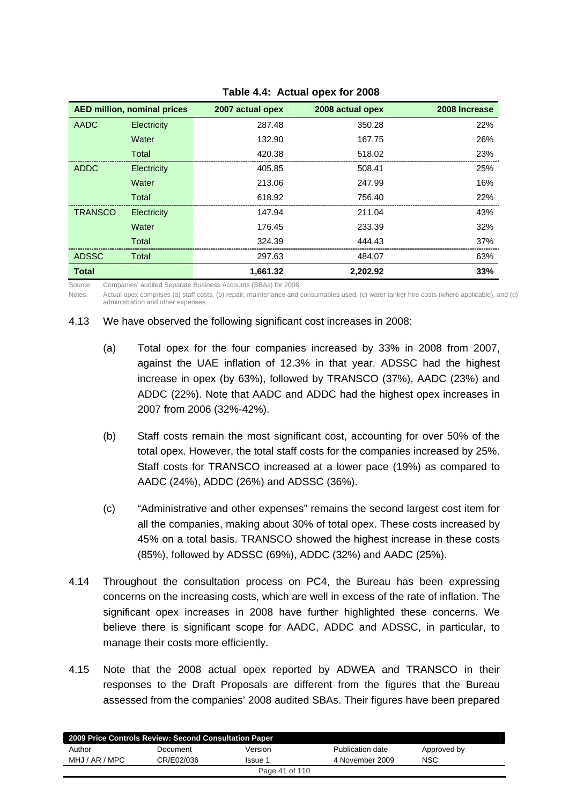| <b>AED million, nominal prices</b> |             | 2007 actual opex | 2008 actual opex | 2008 Increase |
|------------------------------------|-------------|------------------|------------------|---------------|
| AADC                               | Electricity | 287.48           | 350.28           | 22%           |
|                                    | Water       | 132.90           | 167.75           | 26%           |
|                                    | Total       | 420.38           | 518.02           | 23%           |
| <b>ADDC</b>                        | Electricity | 405.85           | 508.41           | 25%           |
|                                    | Water       | 213.06           | 247.99           | 16%           |
|                                    | Total       | 618.92           | 756.40           | 22%           |
| <b>TRANSCO</b>                     | Electricity | 147.94           | 211.04           | 43%           |
|                                    | Water       | 176.45           | 233.39           | 32%           |
|                                    | Total       | 324.39           | 444.43           | 37%           |
| <b>ADSSC</b>                       | Total       | 297.63           | 484.07           | 63%           |
| <b>Total</b>                       |             | 1.661.32         | 2.202.92         | 33%           |

#### **Table 4.4: Actual opex for 2008**

Source: Companies' audited Separate Business Accounts (SBAs) for 2008.

Notes: Actual opex comprises (a) staff costs, (b) repair, maintenance and consumables used, (c) water tanker hire costs (where applicable), and (d) administration and other expenses.

#### 4.13 We have observed the following significant cost increases in 2008:

- (a) Total opex for the four companies increased by 33% in 2008 from 2007, against the UAE inflation of 12.3% in that year. ADSSC had the highest increase in opex (by 63%), followed by TRANSCO (37%), AADC (23%) and ADDC (22%). Note that AADC and ADDC had the highest opex increases in 2007 from 2006 (32%-42%).
- (b) Staff costs remain the most significant cost, accounting for over 50% of the total opex. However, the total staff costs for the companies increased by 25%. Staff costs for TRANSCO increased at a lower pace (19%) as compared to AADC (24%), ADDC (26%) and ADSSC (36%).
- (c) "Administrative and other expenses" remains the second largest cost item for all the companies, making about 30% of total opex. These costs increased by 45% on a total basis. TRANSCO showed the highest increase in these costs (85%), followed by ADSSC (69%), ADDC (32%) and AADC (25%).
- 4.14 Throughout the consultation process on PC4, the Bureau has been expressing concerns on the increasing costs, which are well in excess of the rate of inflation. The significant opex increases in 2008 have further highlighted these concerns. We believe there is significant scope for AADC, ADDC and ADSSC, in particular, to manage their costs more efficiently.
- 4.15 Note that the 2008 actual opex reported by ADWEA and TRANSCO in their responses to the Draft Proposals are different from the figures that the Bureau assessed from the companies' 2008 audited SBAs. Their figures have been prepared

| 2009 Price Controls Review: Second Consultation Paper |            |         |                  |             |  |
|-------------------------------------------------------|------------|---------|------------------|-------------|--|
| Author                                                | Document   | Version | Publication date | Approved by |  |
| MHJ / AR / MPC                                        | CR/E02/036 | Issue 1 | 4 November 2009  | NSC         |  |
| Page 41 of 110                                        |            |         |                  |             |  |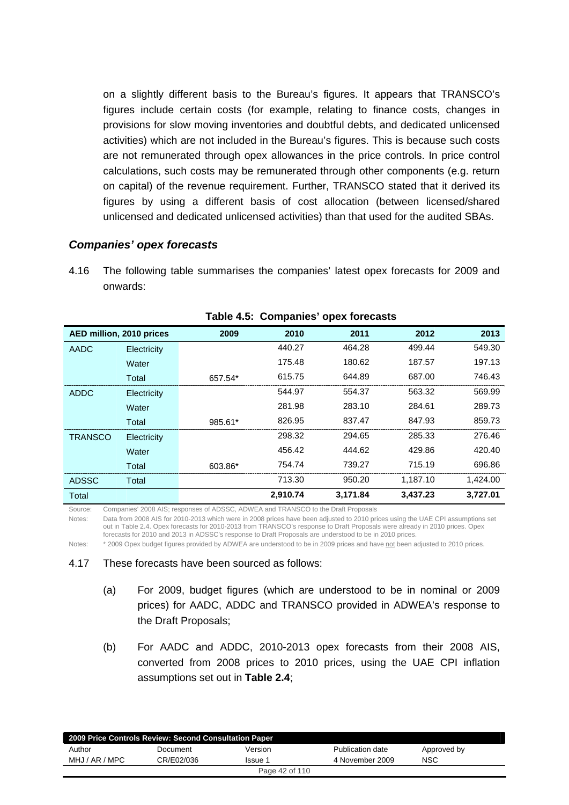on a slightly different basis to the Bureau's figures. It appears that TRANSCO's figures include certain costs (for example, relating to finance costs, changes in provisions for slow moving inventories and doubtful debts, and dedicated unlicensed activities) which are not included in the Bureau's figures. This is because such costs are not remunerated through opex allowances in the price controls. In price control calculations, such costs may be remunerated through other components (e.g. return on capital) of the revenue requirement. Further, TRANSCO stated that it derived its figures by using a different basis of cost allocation (between licensed/shared unlicensed and dedicated unlicensed activities) than that used for the audited SBAs.

### *Companies' opex forecasts*

4.16 The following table summarises the companies' latest opex forecasts for 2009 and onwards:

| AED million, 2010 prices |             | 2009    | 2010     | 2011     | 2012     | 2013     |
|--------------------------|-------------|---------|----------|----------|----------|----------|
| AADC                     | Electricity |         | 440.27   | 464.28   | 499.44   | 549.30   |
|                          | Water       |         | 175.48   | 180.62   | 187.57   | 197.13   |
|                          | Total       | 657.54* | 615.75   | 644.89   | 687.00   | 746.43   |
| <b>ADDC</b>              | Electricity |         | 544.97   | 554.37   | 563.32   | 569.99   |
|                          | Water       |         | 281.98   | 283.10   | 284.61   | 289.73   |
|                          | Total       | 985.61* | 826.95   | 837.47   | 847.93   | 859.73   |
| <b>TRANSCO</b>           | Electricity |         | 298.32   | 294.65   | 285.33   | 276.46   |
|                          | Water       |         | 456.42   | 444.62   | 429.86   | 420.40   |
|                          | Total       | 603.86* | 754.74   | 739.27   | 715.19   | 696.86   |
| <b>ADSSC</b>             | Total       |         | 713.30   | 950.20   | 1.187.10 | 1,424.00 |
| Total                    |             |         | 2,910.74 | 3,171.84 | 3,437.23 | 3,727.01 |

**Table 4.5: Companies' opex forecasts** 

Source: Companies' 2008 AIS; responses of ADSSC, ADWEA and TRANSCO to the Draft Proposals

Notes: Data from 2008 AIS for 2010-2013 which were in 2008 prices have been adjusted to 2010 prices using the UAE CPI assumptions set out in Table 2.4. Opex forecasts for 2010-2013 from TRANSCO's response to Draft Proposals were already in 2010 prices. Opex forecasts for 2010 and 2013 in ADSSC's response to Draft Proposals are understood to be in 2010 prices.

Notes: \* 2009 Opex budget figures provided by ADWEA are understood to be in 2009 prices and have not been adjusted to 2010 prices.

#### 4.17 These forecasts have been sourced as follows:

- (a) For 2009, budget figures (which are understood to be in nominal or 2009 prices) for AADC, ADDC and TRANSCO provided in ADWEA's response to the Draft Proposals;
- (b) For AADC and ADDC, 2010-2013 opex forecasts from their 2008 AIS, converted from 2008 prices to 2010 prices, using the UAE CPI inflation assumptions set out in **Table 2.4**;

| 2009 Price Controls Review: Second Consultation Paper |            |         |                  |             |  |  |
|-------------------------------------------------------|------------|---------|------------------|-------------|--|--|
| Author                                                | Document   | Version | Publication date | Approved by |  |  |
| MHJ / AR / MPC                                        | CR/E02/036 | Issue 1 | 4 November 2009  | NSC         |  |  |
| Page 42 of 110                                        |            |         |                  |             |  |  |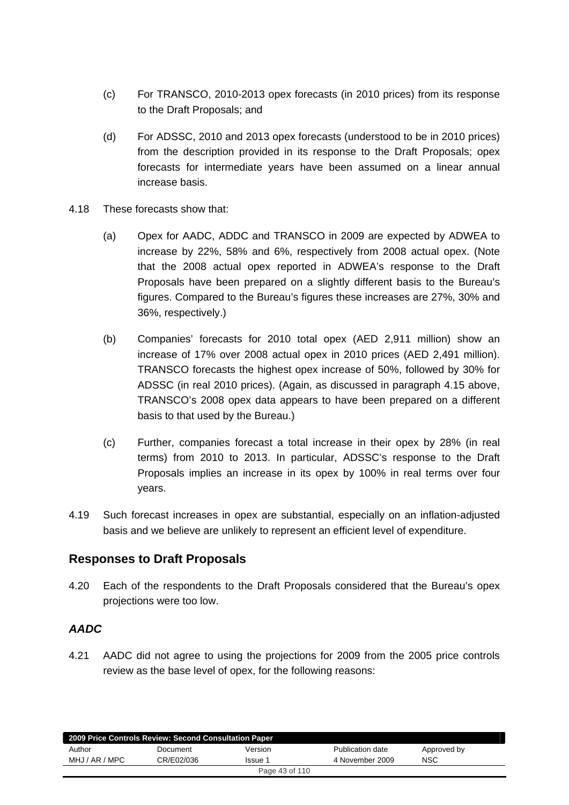- (c) For TRANSCO, 2010-2013 opex forecasts (in 2010 prices) from its response to the Draft Proposals; and
- (d) For ADSSC, 2010 and 2013 opex forecasts (understood to be in 2010 prices) from the description provided in its response to the Draft Proposals; opex forecasts for intermediate years have been assumed on a linear annual increase basis.
- 4.18 These forecasts show that:
	- (a) Opex for AADC, ADDC and TRANSCO in 2009 are expected by ADWEA to increase by 22%, 58% and 6%, respectively from 2008 actual opex. (Note that the 2008 actual opex reported in ADWEA's response to the Draft Proposals have been prepared on a slightly different basis to the Bureau's figures. Compared to the Bureau's figures these increases are 27%, 30% and 36%, respectively.)
	- (b) Companies' forecasts for 2010 total opex (AED 2,911 million) show an increase of 17% over 2008 actual opex in 2010 prices (AED 2,491 million). TRANSCO forecasts the highest opex increase of 50%, followed by 30% for ADSSC (in real 2010 prices). (Again, as discussed in paragraph 4.15 above, TRANSCO's 2008 opex data appears to have been prepared on a different basis to that used by the Bureau.)
	- (c) Further, companies forecast a total increase in their opex by 28% (in real terms) from 2010 to 2013. In particular, ADSSC's response to the Draft Proposals implies an increase in its opex by 100% in real terms over four years.
- 4.19 Such forecast increases in opex are substantial, especially on an inflation-adjusted basis and we believe are unlikely to represent an efficient level of expenditure.

# **Responses to Draft Proposals**

4.20 Each of the respondents to the Draft Proposals considered that the Bureau's opex projections were too low.

## *AADC*

4.21 AADC did not agree to using the projections for 2009 from the 2005 price controls review as the base level of opex, for the following reasons:

| 2009 Price Controls Review: Second Consultation Paper |            |         |                  |             |  |  |
|-------------------------------------------------------|------------|---------|------------------|-------------|--|--|
| Author                                                | Document   | Version | Publication date | Approved by |  |  |
| MHJ / AR / MPC                                        | CR/E02/036 | Issue 1 | 4 November 2009  | <b>NSC</b>  |  |  |
| Page 43 of 110                                        |            |         |                  |             |  |  |
|                                                       |            |         |                  |             |  |  |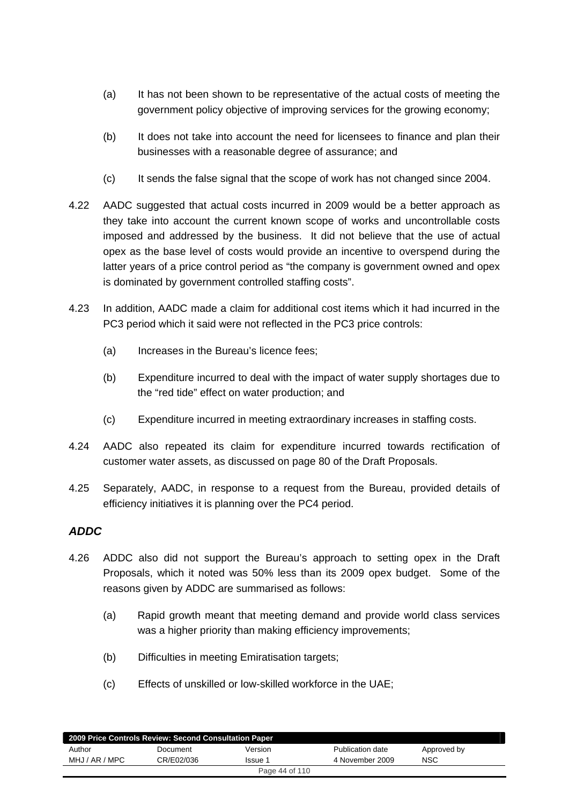- (a) It has not been shown to be representative of the actual costs of meeting the government policy objective of improving services for the growing economy;
- (b) It does not take into account the need for licensees to finance and plan their businesses with a reasonable degree of assurance; and
- (c) It sends the false signal that the scope of work has not changed since 2004.
- 4.22 AADC suggested that actual costs incurred in 2009 would be a better approach as they take into account the current known scope of works and uncontrollable costs imposed and addressed by the business. It did not believe that the use of actual opex as the base level of costs would provide an incentive to overspend during the latter years of a price control period as "the company is government owned and opex is dominated by government controlled staffing costs".
- 4.23 In addition, AADC made a claim for additional cost items which it had incurred in the PC3 period which it said were not reflected in the PC3 price controls:
	- (a) Increases in the Bureau's licence fees:
	- (b) Expenditure incurred to deal with the impact of water supply shortages due to the "red tide" effect on water production; and
	- (c) Expenditure incurred in meeting extraordinary increases in staffing costs.
- 4.24 AADC also repeated its claim for expenditure incurred towards rectification of customer water assets, as discussed on page 80 of the Draft Proposals.
- 4.25 Separately, AADC, in response to a request from the Bureau, provided details of efficiency initiatives it is planning over the PC4 period.

### *ADDC*

- 4.26 ADDC also did not support the Bureau's approach to setting opex in the Draft Proposals, which it noted was 50% less than its 2009 opex budget. Some of the reasons given by ADDC are summarised as follows:
	- (a) Rapid growth meant that meeting demand and provide world class services was a higher priority than making efficiency improvements;
	- (b) Difficulties in meeting Emiratisation targets;
	- (c) Effects of unskilled or low-skilled workforce in the UAE;

| 2009 Price Controls Review: Second Consultation Paper |            |         |                  |             |  |  |
|-------------------------------------------------------|------------|---------|------------------|-------------|--|--|
| Author                                                | Document   | Version | Publication date | Approved by |  |  |
| MHJ / AR / MPC                                        | CR/E02/036 | Issue 1 | 4 November 2009  | <b>NSC</b>  |  |  |
| Page 44 of 110                                        |            |         |                  |             |  |  |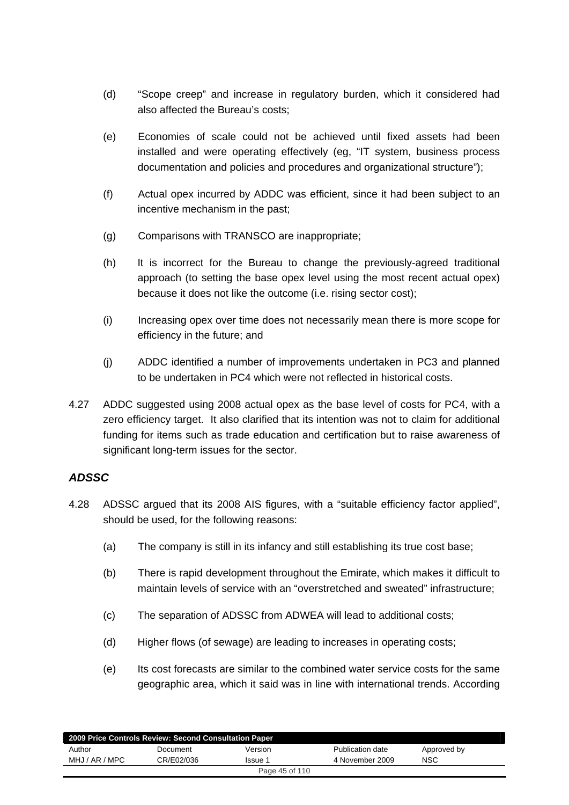- (d) "Scope creep" and increase in regulatory burden, which it considered had also affected the Bureau's costs;
- (e) Economies of scale could not be achieved until fixed assets had been installed and were operating effectively (eg, "IT system, business process documentation and policies and procedures and organizational structure");
- (f) Actual opex incurred by ADDC was efficient, since it had been subject to an incentive mechanism in the past;
- (g) Comparisons with TRANSCO are inappropriate;
- (h) It is incorrect for the Bureau to change the previously-agreed traditional approach (to setting the base opex level using the most recent actual opex) because it does not like the outcome (i.e. rising sector cost);
- (i) Increasing opex over time does not necessarily mean there is more scope for efficiency in the future; and
- (j) ADDC identified a number of improvements undertaken in PC3 and planned to be undertaken in PC4 which were not reflected in historical costs.
- 4.27 ADDC suggested using 2008 actual opex as the base level of costs for PC4, with a zero efficiency target. It also clarified that its intention was not to claim for additional funding for items such as trade education and certification but to raise awareness of significant long-term issues for the sector.

## *ADSSC*

- 4.28 ADSSC argued that its 2008 AIS figures, with a "suitable efficiency factor applied", should be used, for the following reasons:
	- (a) The company is still in its infancy and still establishing its true cost base;
	- (b) There is rapid development throughout the Emirate, which makes it difficult to maintain levels of service with an "overstretched and sweated" infrastructure;
	- (c) The separation of ADSSC from ADWEA will lead to additional costs;
	- (d) Higher flows (of sewage) are leading to increases in operating costs;
	- (e) Its cost forecasts are similar to the combined water service costs for the same geographic area, which it said was in line with international trends. According

| 2009 Price Controls Review: Second Consultation Paper |            |         |                  |             |  |  |
|-------------------------------------------------------|------------|---------|------------------|-------------|--|--|
| Author                                                | Document   | Version | Publication date | Approved by |  |  |
| MHJ / AR / MPC                                        | CR/E02/036 | Issue 1 | 4 November 2009  | <b>NSC</b>  |  |  |
| Page 45 of 110                                        |            |         |                  |             |  |  |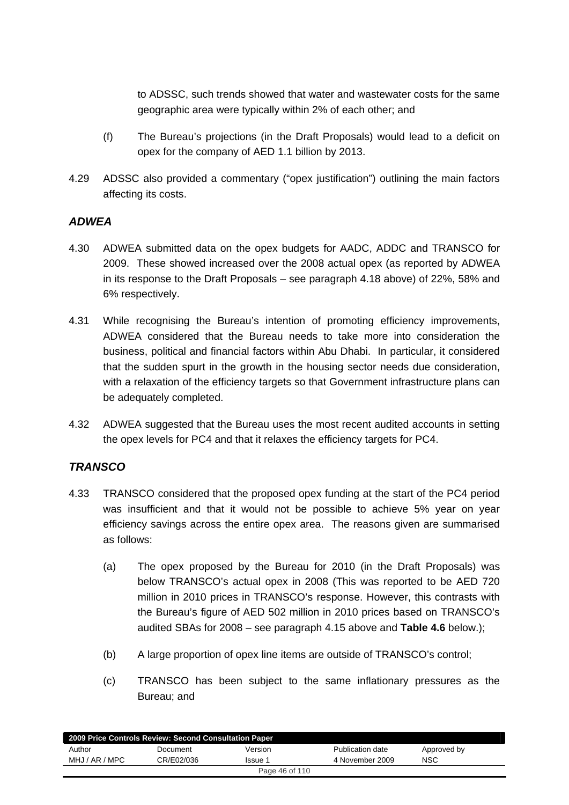to ADSSC, such trends showed that water and wastewater costs for the same geographic area were typically within 2% of each other; and

- (f) The Bureau's projections (in the Draft Proposals) would lead to a deficit on opex for the company of AED 1.1 billion by 2013.
- 4.29 ADSSC also provided a commentary ("opex justification") outlining the main factors affecting its costs.

### *ADWEA*

- 4.30 ADWEA submitted data on the opex budgets for AADC, ADDC and TRANSCO for 2009. These showed increased over the 2008 actual opex (as reported by ADWEA in its response to the Draft Proposals – see paragraph 4.18 above) of 22%, 58% and 6% respectively.
- 4.31 While recognising the Bureau's intention of promoting efficiency improvements, ADWEA considered that the Bureau needs to take more into consideration the business, political and financial factors within Abu Dhabi. In particular, it considered that the sudden spurt in the growth in the housing sector needs due consideration, with a relaxation of the efficiency targets so that Government infrastructure plans can be adequately completed.
- 4.32 ADWEA suggested that the Bureau uses the most recent audited accounts in setting the opex levels for PC4 and that it relaxes the efficiency targets for PC4.

## *TRANSCO*

- 4.33 TRANSCO considered that the proposed opex funding at the start of the PC4 period was insufficient and that it would not be possible to achieve 5% year on year efficiency savings across the entire opex area. The reasons given are summarised as follows:
	- (a) The opex proposed by the Bureau for 2010 (in the Draft Proposals) was below TRANSCO's actual opex in 2008 (This was reported to be AED 720 million in 2010 prices in TRANSCO's response. However, this contrasts with the Bureau's figure of AED 502 million in 2010 prices based on TRANSCO's audited SBAs for 2008 – see paragraph 4.15 above and **Table 4.6** below.);
	- (b) A large proportion of opex line items are outside of TRANSCO's control;
	- (c) TRANSCO has been subject to the same inflationary pressures as the Bureau; and

| 2009 Price Controls Review: Second Consultation Paper |            |         |                  |             |  |  |  |
|-------------------------------------------------------|------------|---------|------------------|-------------|--|--|--|
| Author                                                | Document   | Version | Publication date | Approved by |  |  |  |
| MHJ / AR / MPC                                        | CR/E02/036 | Issue 1 | 4 November 2009  | <b>NSC</b>  |  |  |  |
| Page 46 of 110                                        |            |         |                  |             |  |  |  |
|                                                       |            |         |                  |             |  |  |  |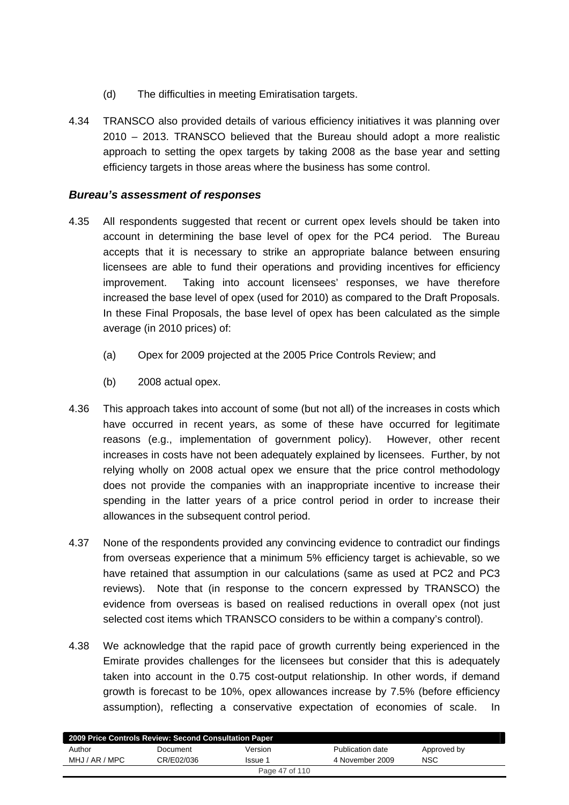- (d) The difficulties in meeting Emiratisation targets.
- 4.34 TRANSCO also provided details of various efficiency initiatives it was planning over 2010 – 2013. TRANSCO believed that the Bureau should adopt a more realistic approach to setting the opex targets by taking 2008 as the base year and setting efficiency targets in those areas where the business has some control.

### *Bureau's assessment of responses*

- 4.35 All respondents suggested that recent or current opex levels should be taken into account in determining the base level of opex for the PC4 period. The Bureau accepts that it is necessary to strike an appropriate balance between ensuring licensees are able to fund their operations and providing incentives for efficiency improvement. Taking into account licensees' responses, we have therefore increased the base level of opex (used for 2010) as compared to the Draft Proposals. In these Final Proposals, the base level of opex has been calculated as the simple average (in 2010 prices) of:
	- (a) Opex for 2009 projected at the 2005 Price Controls Review; and
	- (b) 2008 actual opex.
- 4.36 This approach takes into account of some (but not all) of the increases in costs which have occurred in recent years, as some of these have occurred for legitimate reasons (e.g., implementation of government policy). However, other recent increases in costs have not been adequately explained by licensees. Further, by not relying wholly on 2008 actual opex we ensure that the price control methodology does not provide the companies with an inappropriate incentive to increase their spending in the latter years of a price control period in order to increase their allowances in the subsequent control period.
- 4.37 None of the respondents provided any convincing evidence to contradict our findings from overseas experience that a minimum 5% efficiency target is achievable, so we have retained that assumption in our calculations (same as used at PC2 and PC3 reviews). Note that (in response to the concern expressed by TRANSCO) the evidence from overseas is based on realised reductions in overall opex (not just selected cost items which TRANSCO considers to be within a company's control).
- 4.38 We acknowledge that the rapid pace of growth currently being experienced in the Emirate provides challenges for the licensees but consider that this is adequately taken into account in the 0.75 cost-output relationship. In other words, if demand growth is forecast to be 10%, opex allowances increase by 7.5% (before efficiency assumption), reflecting a conservative expectation of economies of scale. In

| 2009 Price Controls Review: Second Consultation Paper |            |         |                  |             |  |  |
|-------------------------------------------------------|------------|---------|------------------|-------------|--|--|
| Author                                                | Document   | Version | Publication date | Approved by |  |  |
| MHJ / AR / MPC                                        | CR/E02/036 | Issue 1 | 4 November 2009  | NSC         |  |  |
| Page 47 of 110                                        |            |         |                  |             |  |  |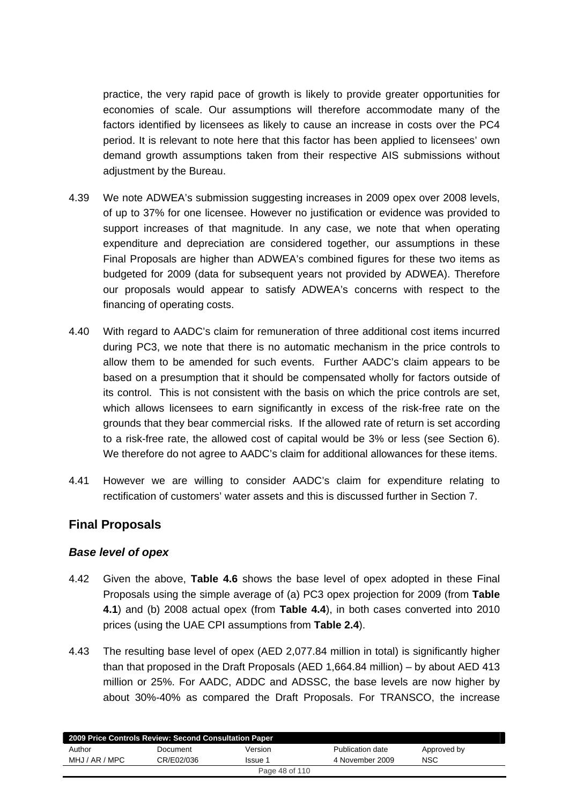practice, the very rapid pace of growth is likely to provide greater opportunities for economies of scale. Our assumptions will therefore accommodate many of the factors identified by licensees as likely to cause an increase in costs over the PC4 period. It is relevant to note here that this factor has been applied to licensees' own demand growth assumptions taken from their respective AIS submissions without adjustment by the Bureau.

- 4.39 We note ADWEA's submission suggesting increases in 2009 opex over 2008 levels, of up to 37% for one licensee. However no justification or evidence was provided to support increases of that magnitude. In any case, we note that when operating expenditure and depreciation are considered together, our assumptions in these Final Proposals are higher than ADWEA's combined figures for these two items as budgeted for 2009 (data for subsequent years not provided by ADWEA). Therefore our proposals would appear to satisfy ADWEA's concerns with respect to the financing of operating costs.
- 4.40 With regard to AADC's claim for remuneration of three additional cost items incurred during PC3, we note that there is no automatic mechanism in the price controls to allow them to be amended for such events. Further AADC's claim appears to be based on a presumption that it should be compensated wholly for factors outside of its control. This is not consistent with the basis on which the price controls are set, which allows licensees to earn significantly in excess of the risk-free rate on the grounds that they bear commercial risks. If the allowed rate of return is set according to a risk-free rate, the allowed cost of capital would be 3% or less (see Section 6). We therefore do not agree to AADC's claim for additional allowances for these items.
- 4.41 However we are willing to consider AADC's claim for expenditure relating to rectification of customers' water assets and this is discussed further in Section 7.

## **Final Proposals**

### *Base level of opex*

- 4.42 Given the above, **Table 4.6** shows the base level of opex adopted in these Final Proposals using the simple average of (a) PC3 opex projection for 2009 (from **Table 4.1**) and (b) 2008 actual opex (from **Table 4.4**), in both cases converted into 2010 prices (using the UAE CPI assumptions from **Table 2.4**).
- 4.43 The resulting base level of opex (AED 2,077.84 million in total) is significantly higher than that proposed in the Draft Proposals (AED 1,664.84 million) – by about AED 413 million or 25%. For AADC, ADDC and ADSSC, the base levels are now higher by about 30%-40% as compared the Draft Proposals. For TRANSCO, the increase

| 2009 Price Controls Review: Second Consultation Paper |            |         |                  |             |  |  |
|-------------------------------------------------------|------------|---------|------------------|-------------|--|--|
| Author                                                | Document   | Version | Publication date | Approved by |  |  |
| MHJ / AR / MPC                                        | CR/E02/036 | Issue 1 | 4 November 2009  | <b>NSC</b>  |  |  |
| Page 48 of 110                                        |            |         |                  |             |  |  |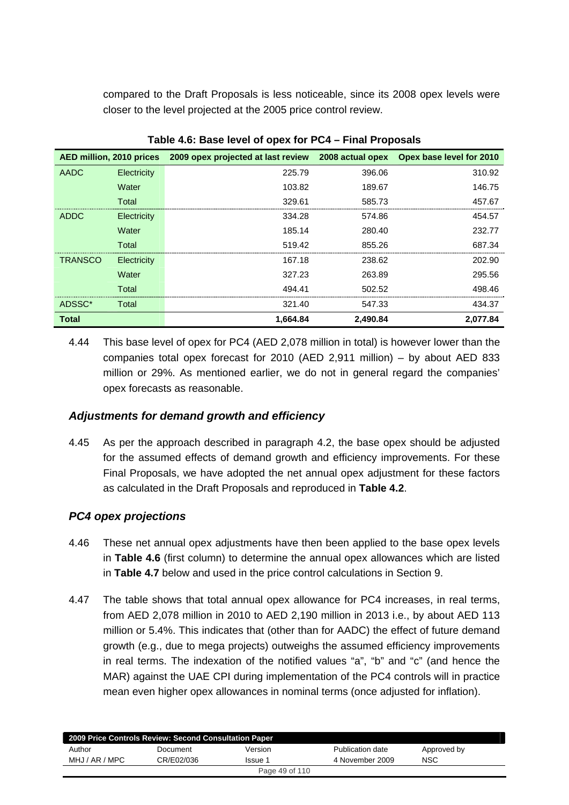compared to the Draft Proposals is less noticeable, since its 2008 opex levels were closer to the level projected at the 2005 price control review.

| AED million, 2010 prices |             | 2009 opex projected at last review | 2008 actual opex | Opex base level for 2010 |
|--------------------------|-------------|------------------------------------|------------------|--------------------------|
| AADC                     | Electricity | 225.79                             | 396.06           | 310.92                   |
|                          | Water       | 103.82                             | 189.67           | 146.75                   |
|                          | Total       | 329.61                             | 585.73           | 457.67                   |
| <b>ADDC</b>              | Electricity | 334.28                             | 574.86           | 454.57                   |
|                          | Water       | 185.14                             | 280.40           | 232.77                   |
|                          | Total       | 519.42                             | 855.26           | 687.34                   |
| <b>TRANSCO</b>           | Electricity | 167.18                             | 238.62           | 202.90                   |
|                          | Water       | 327.23                             | 263.89           | 295.56                   |
|                          | Total       | 494.41                             | 502.52           | 498.46                   |
| ADSSC*                   | Total       | 321.40                             | 547.33           | 434.37                   |
| <b>Total</b>             |             | 1.664.84                           | 2.490.84         | 2.077.84                 |

**Table 4.6: Base level of opex for PC4 – Final Proposals** 

4.44 This base level of opex for PC4 (AED 2,078 million in total) is however lower than the companies total opex forecast for 2010 (AED 2,911 million) – by about AED 833 million or 29%. As mentioned earlier, we do not in general regard the companies' opex forecasts as reasonable.

## *Adjustments for demand growth and efficiency*

4.45 As per the approach described in paragraph 4.2, the base opex should be adjusted for the assumed effects of demand growth and efficiency improvements. For these Final Proposals, we have adopted the net annual opex adjustment for these factors as calculated in the Draft Proposals and reproduced in **Table 4.2**.

## *PC4 opex projections*

- 4.46 These net annual opex adjustments have then been applied to the base opex levels in **Table 4.6** (first column) to determine the annual opex allowances which are listed in **Table 4.7** below and used in the price control calculations in Section 9.
- 4.47 The table shows that total annual opex allowance for PC4 increases, in real terms, from AED 2,078 million in 2010 to AED 2,190 million in 2013 i.e., by about AED 113 million or 5.4%. This indicates that (other than for AADC) the effect of future demand growth (e.g., due to mega projects) outweighs the assumed efficiency improvements in real terms. The indexation of the notified values "a", "b" and "c" (and hence the MAR) against the UAE CPI during implementation of the PC4 controls will in practice mean even higher opex allowances in nominal terms (once adjusted for inflation).

| 2009 Price Controls Review: Second Consultation Paper |            |                |                  |             |  |  |  |
|-------------------------------------------------------|------------|----------------|------------------|-------------|--|--|--|
| Author                                                | Document   | Version        | Publication date | Approved by |  |  |  |
| MHJ / AR / MPC                                        | CR/E02/036 | Issue 1        | 4 November 2009  | <b>NSC</b>  |  |  |  |
|                                                       |            | Page 49 of 110 |                  |             |  |  |  |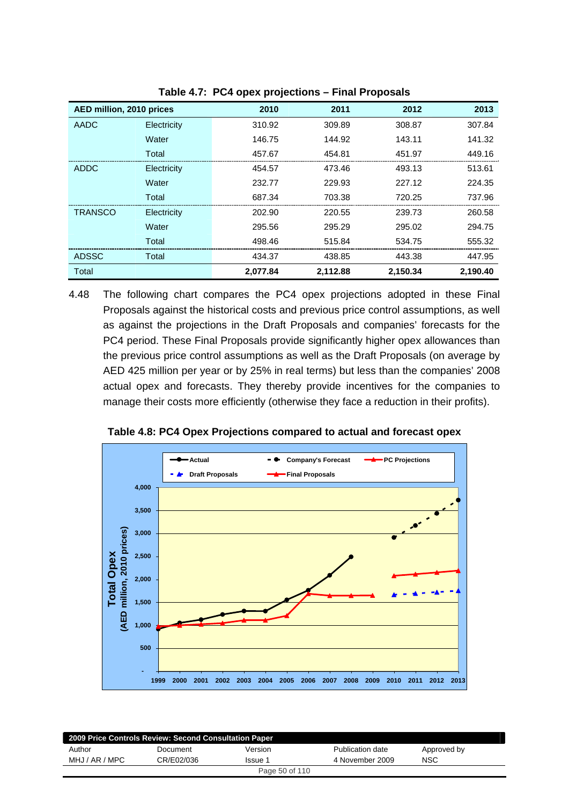| AED million, 2010 prices |             | 2010     | 2011     | 2012     | 2013     |
|--------------------------|-------------|----------|----------|----------|----------|
|                          |             |          |          |          |          |
| <b>AADC</b>              | Electricity | 310.92   | 309.89   | 308.87   | 307.84   |
|                          | Water       | 146.75   | 144.92   | 143.11   | 141.32   |
|                          | Total       | 457.67   | 454.81   | 451.97   | 449.16   |
| <b>ADDC</b>              | Electricity | 454.57   | 473.46   | 493.13   | 513.61   |
|                          | Water       | 232.77   | 229.93   | 227.12   | 224.35   |
|                          | Total       | 687.34   | 703.38   | 720.25   | 737.96   |
| <b>TRANSCO</b>           | Electricity | 202.90   | 220.55   | 239.73   | 260.58   |
|                          | Water       | 295.56   | 295.29   | 295.02   | 294.75   |
|                          | Total       | 498.46   | 515.84   | 534.75   | 555.32   |
| <b>ADSSC</b>             | Total       | 434.37   | 438.85   | 443.38   | 447.95   |
| Total                    |             | 2.077.84 | 2.112.88 | 2.150.34 | 2.190.40 |

**Table 4.7: PC4 opex projections – Final Proposals** 

4.48 The following chart compares the PC4 opex projections adopted in these Final Proposals against the historical costs and previous price control assumptions, as well as against the projections in the Draft Proposals and companies' forecasts for the PC4 period. These Final Proposals provide significantly higher opex allowances than the previous price control assumptions as well as the Draft Proposals (on average by AED 425 million per year or by 25% in real terms) but less than the companies' 2008 actual opex and forecasts. They thereby provide incentives for the companies to manage their costs more efficiently (otherwise they face a reduction in their profits).



**Table 4.8: PC4 Opex Projections compared to actual and forecast opex** 

| 2009 Price Controls Review: Second Consultation Paper |            |                |                  |             |  |  |  |
|-------------------------------------------------------|------------|----------------|------------------|-------------|--|--|--|
| Author                                                | Document   | Version        | Publication date | Approved by |  |  |  |
| MHJ / AR / MPC                                        | CR/E02/036 | Issue 1        | 4 November 2009  | NSC         |  |  |  |
|                                                       |            | Page 50 of 110 |                  |             |  |  |  |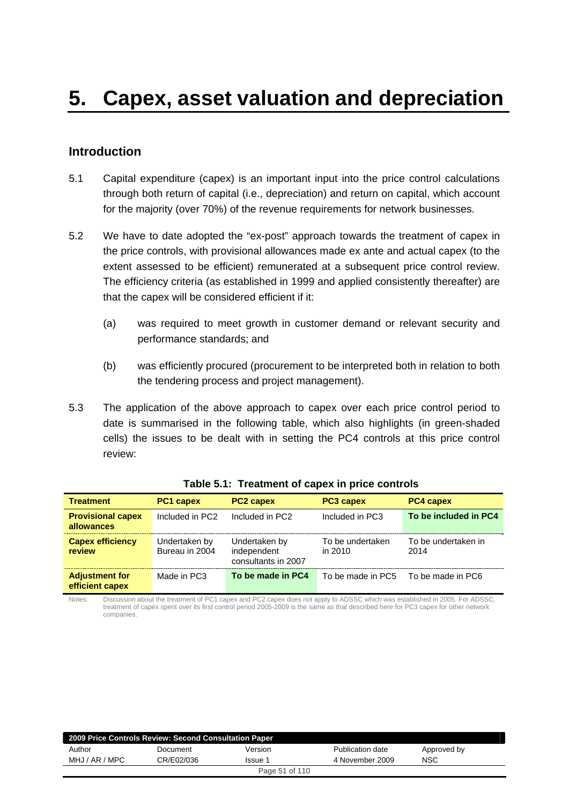## **Introduction**

- 5.1 Capital expenditure (capex) is an important input into the price control calculations through both return of capital (i.e., depreciation) and return on capital, which account for the majority (over 70%) of the revenue requirements for network businesses.
- 5.2 We have to date adopted the "ex-post" approach towards the treatment of capex in the price controls, with provisional allowances made ex ante and actual capex (to the extent assessed to be efficient) remunerated at a subsequent price control review. The efficiency criteria (as established in 1999 and applied consistently thereafter) are that the capex will be considered efficient if it:
	- (a) was required to meet growth in customer demand or relevant security and performance standards; and
	- (b) was efficiently procured (procurement to be interpreted both in relation to both the tendering process and project management).
- 5.3 The application of the above approach to capex over each price control period to date is summarised in the following table, which also highlights (in green-shaded cells) the issues to be dealt with in setting the PC4 controls at this price control review:

| <b>Treatment</b>                         | <b>PC1 capex</b>                | <b>PC2 capex</b>                                    | <b>PC3 capex</b>            | <b>PC4 capex</b>            |
|------------------------------------------|---------------------------------|-----------------------------------------------------|-----------------------------|-----------------------------|
| <b>Provisional capex</b><br>allowances   | Included in PC2                 | Included in PC2                                     | Included in PC3             | To be included in PC4       |
| <b>Capex efficiency</b><br>review        | Undertaken by<br>Bureau in 2004 | Undertaken by<br>independent<br>consultants in 2007 | To be undertaken<br>in 2010 | To be undertaken in<br>2014 |
| <b>Adjustment for</b><br>efficient capex | Made in PC3                     | To be made in PC4                                   | To be made in PC5           | To be made in PC6           |

#### **Table 5.1: Treatment of capex in price controls**

Notes: Discussion about the treatment of PC1 capex and PC2 capex does not apply to ADSSC which was established in 2005. For ADSSC, treatment of capex spent over its first control period 2005-2009 is the same as that described here for PC3 capex for other network companies.

| 2009 Price Controls Review: Second Consultation Paper |            |                |                         |             |  |  |
|-------------------------------------------------------|------------|----------------|-------------------------|-------------|--|--|
| Author                                                | Document   | Version        | <b>Publication date</b> | Approved by |  |  |
| MHJ / AR / MPC                                        | CR/E02/036 | Issue 1        | 4 November 2009         | <b>NSC</b>  |  |  |
|                                                       |            | Page 51 of 110 |                         |             |  |  |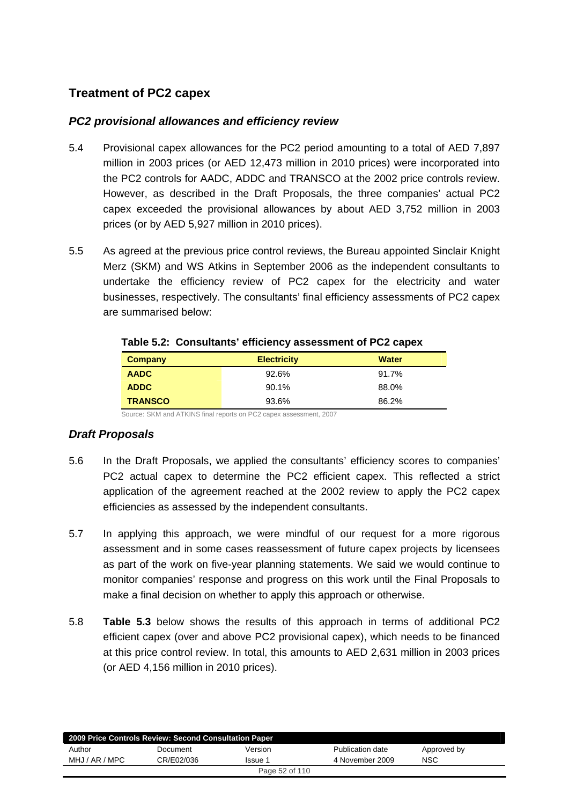# **Treatment of PC2 capex**

### *PC2 provisional allowances and efficiency review*

- 5.4 Provisional capex allowances for the PC2 period amounting to a total of AED 7,897 million in 2003 prices (or AED 12,473 million in 2010 prices) were incorporated into the PC2 controls for AADC, ADDC and TRANSCO at the 2002 price controls review. However, as described in the Draft Proposals, the three companies' actual PC2 capex exceeded the provisional allowances by about AED 3,752 million in 2003 prices (or by AED 5,927 million in 2010 prices).
- 5.5 As agreed at the previous price control reviews, the Bureau appointed Sinclair Knight Merz (SKM) and WS Atkins in September 2006 as the independent consultants to undertake the efficiency review of PC2 capex for the electricity and water businesses, respectively. The consultants' final efficiency assessments of PC2 capex are summarised below:

| Company        | <b>Electricity</b> | <b>Water</b> |
|----------------|--------------------|--------------|
| <b>AADC</b>    | 92.6%              | 91.7%        |
| <b>ADDC</b>    | 90.1%              | 88.0%        |
| <b>TRANSCO</b> | 93.6%              | 86.2%        |

#### **Table 5.2: Consultants' efficiency assessment of PC2 capex**

Source: SKM and ATKINS final reports on PC2 capex assessment, 2007

## *Draft Proposals*

- 5.6 In the Draft Proposals, we applied the consultants' efficiency scores to companies' PC2 actual capex to determine the PC2 efficient capex. This reflected a strict application of the agreement reached at the 2002 review to apply the PC2 capex efficiencies as assessed by the independent consultants.
- 5.7 In applying this approach, we were mindful of our request for a more rigorous assessment and in some cases reassessment of future capex projects by licensees as part of the work on five-year planning statements. We said we would continue to monitor companies' response and progress on this work until the Final Proposals to make a final decision on whether to apply this approach or otherwise.
- 5.8 **Table 5.3** below shows the results of this approach in terms of additional PC2 efficient capex (over and above PC2 provisional capex), which needs to be financed at this price control review. In total, this amounts to AED 2,631 million in 2003 prices (or AED 4,156 million in 2010 prices).

| 2009 Price Controls Review: Second Consultation Paper |            |                |                  |             |  |  |
|-------------------------------------------------------|------------|----------------|------------------|-------------|--|--|
| Author                                                | Document   | Version        | Publication date | Approved by |  |  |
| MHJ / AR / MPC                                        | CR/E02/036 | Issue 1        | 4 November 2009  | <b>NSC</b>  |  |  |
|                                                       |            | Page 52 of 110 |                  |             |  |  |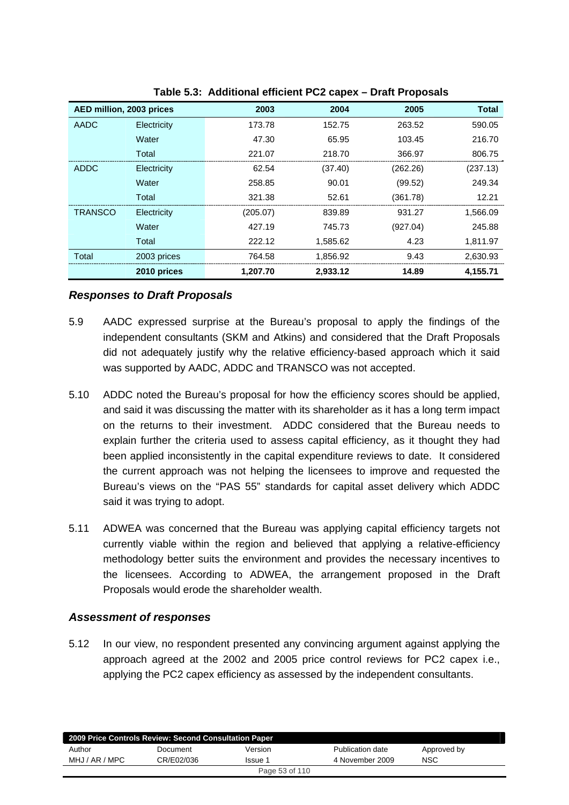| AED million, 2003 prices |             | 2003     | 2004     | 2005     | <b>Total</b> |
|--------------------------|-------------|----------|----------|----------|--------------|
| AADC                     | Electricity | 173.78   | 152.75   | 263.52   | 590.05       |
|                          | Water       | 47.30    | 65.95    | 103.45   | 216.70       |
|                          | Total       | 221.07   | 218.70   | 366.97   | 806.75       |
| ADDC                     | Electricity | 62.54    | (37.40)  | (262.26) | (237.13)     |
|                          | Water       | 258.85   | 90.01    | (99.52)  | 249.34       |
|                          | Total       | 321.38   | 52.61    | (361.78) | 12.21        |
| <b>TRANSCO</b>           | Electricity | (205.07) | 839.89   | 931.27   | 1,566.09     |
|                          | Water       | 427.19   | 745.73   | (927.04) | 245.88       |
|                          | Total       | 222.12   | 1,585.62 | 4.23     | 1,811.97     |
| Total                    | 2003 prices | 764.58   | 1,856.92 | 9.43     | 2,630.93     |
|                          | 2010 prices | 1,207.70 | 2,933.12 | 14.89    | 4,155.71     |

**Table 5.3: Additional efficient PC2 capex – Draft Proposals** 

### *Responses to Draft Proposals*

- 5.9 AADC expressed surprise at the Bureau's proposal to apply the findings of the independent consultants (SKM and Atkins) and considered that the Draft Proposals did not adequately justify why the relative efficiency-based approach which it said was supported by AADC, ADDC and TRANSCO was not accepted.
- 5.10 ADDC noted the Bureau's proposal for how the efficiency scores should be applied, and said it was discussing the matter with its shareholder as it has a long term impact on the returns to their investment. ADDC considered that the Bureau needs to explain further the criteria used to assess capital efficiency, as it thought they had been applied inconsistently in the capital expenditure reviews to date. It considered the current approach was not helping the licensees to improve and requested the Bureau's views on the "PAS 55" standards for capital asset delivery which ADDC said it was trying to adopt.
- 5.11 ADWEA was concerned that the Bureau was applying capital efficiency targets not currently viable within the region and believed that applying a relative-efficiency methodology better suits the environment and provides the necessary incentives to the licensees. According to ADWEA, the arrangement proposed in the Draft Proposals would erode the shareholder wealth.

### *Assessment of responses*

5.12 In our view, no respondent presented any convincing argument against applying the approach agreed at the 2002 and 2005 price control reviews for PC2 capex i.e., applying the PC2 capex efficiency as assessed by the independent consultants.

| 2009 Price Controls Review: Second Consultation Paper |            |                |                  |             |  |  |
|-------------------------------------------------------|------------|----------------|------------------|-------------|--|--|
| Author                                                | Document   | Version        | Publication date | Approved by |  |  |
| MHJ / AR / MPC                                        | CR/E02/036 | Issue 1        | 4 November 2009  | <b>NSC</b>  |  |  |
|                                                       |            | Page 53 of 110 |                  |             |  |  |
|                                                       |            |                |                  |             |  |  |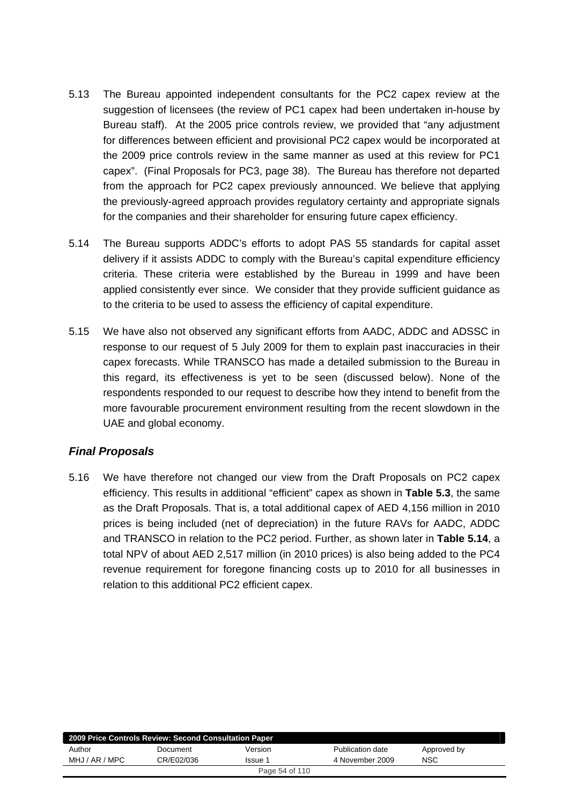- 5.13 The Bureau appointed independent consultants for the PC2 capex review at the suggestion of licensees (the review of PC1 capex had been undertaken in-house by Bureau staff). At the 2005 price controls review, we provided that "any adjustment for differences between efficient and provisional PC2 capex would be incorporated at the 2009 price controls review in the same manner as used at this review for PC1 capex". (Final Proposals for PC3, page 38). The Bureau has therefore not departed from the approach for PC2 capex previously announced. We believe that applying the previously-agreed approach provides regulatory certainty and appropriate signals for the companies and their shareholder for ensuring future capex efficiency.
- 5.14 The Bureau supports ADDC's efforts to adopt PAS 55 standards for capital asset delivery if it assists ADDC to comply with the Bureau's capital expenditure efficiency criteria. These criteria were established by the Bureau in 1999 and have been applied consistently ever since. We consider that they provide sufficient guidance as to the criteria to be used to assess the efficiency of capital expenditure.
- 5.15 We have also not observed any significant efforts from AADC, ADDC and ADSSC in response to our request of 5 July 2009 for them to explain past inaccuracies in their capex forecasts. While TRANSCO has made a detailed submission to the Bureau in this regard, its effectiveness is yet to be seen (discussed below). None of the respondents responded to our request to describe how they intend to benefit from the more favourable procurement environment resulting from the recent slowdown in the UAE and global economy.

### *Final Proposals*

5.16 We have therefore not changed our view from the Draft Proposals on PC2 capex efficiency. This results in additional "efficient" capex as shown in **Table 5.3**, the same as the Draft Proposals. That is, a total additional capex of AED 4,156 million in 2010 prices is being included (net of depreciation) in the future RAVs for AADC, ADDC and TRANSCO in relation to the PC2 period. Further, as shown later in **Table 5.14**, a total NPV of about AED 2,517 million (in 2010 prices) is also being added to the PC4 revenue requirement for foregone financing costs up to 2010 for all businesses in relation to this additional PC2 efficient capex.

| 2009 Price Controls Review: Second Consultation Paper |            |         |                  |             |  |  |
|-------------------------------------------------------|------------|---------|------------------|-------------|--|--|
| Author                                                | Document   | Version | Publication date | Approved by |  |  |
| MHJ / AR / MPC                                        | CR/E02/036 | Issue 1 | 4 November 2009  | <b>NSC</b>  |  |  |
| Page 54 of 110                                        |            |         |                  |             |  |  |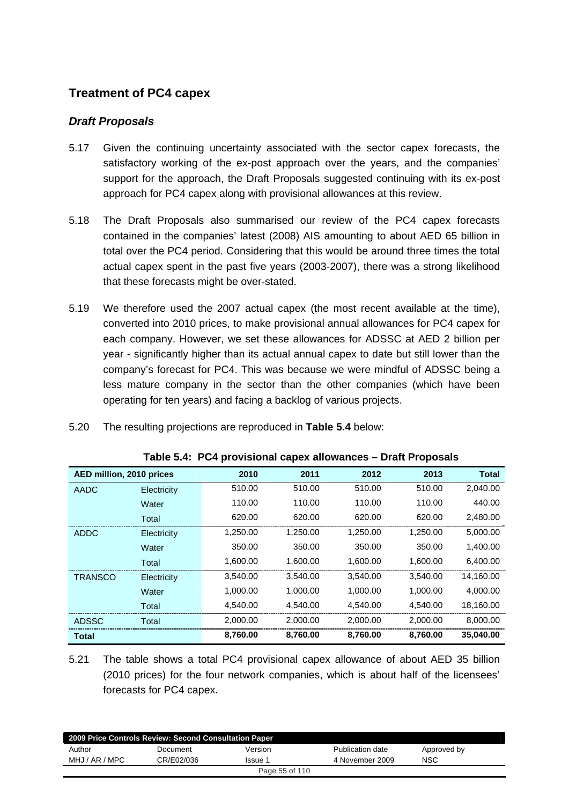# **Treatment of PC4 capex**

### *Draft Proposals*

- 5.17 Given the continuing uncertainty associated with the sector capex forecasts, the satisfactory working of the ex-post approach over the years, and the companies' support for the approach, the Draft Proposals suggested continuing with its ex-post approach for PC4 capex along with provisional allowances at this review.
- 5.18 The Draft Proposals also summarised our review of the PC4 capex forecasts contained in the companies' latest (2008) AIS amounting to about AED 65 billion in total over the PC4 period. Considering that this would be around three times the total actual capex spent in the past five years (2003-2007), there was a strong likelihood that these forecasts might be over-stated.
- 5.19 We therefore used the 2007 actual capex (the most recent available at the time), converted into 2010 prices, to make provisional annual allowances for PC4 capex for each company. However, we set these allowances for ADSSC at AED 2 billion per year - significantly higher than its actual annual capex to date but still lower than the company's forecast for PC4. This was because we were mindful of ADSSC being a less mature company in the sector than the other companies (which have been operating for ten years) and facing a backlog of various projects.

| 5.20 |  | The resulting projections are reproduced in Table 5.4 below: |
|------|--|--------------------------------------------------------------|
|------|--|--------------------------------------------------------------|

| AED million, 2010 prices |             | 2010     | 2011     | 2012     | 2013     | <b>Total</b> |
|--------------------------|-------------|----------|----------|----------|----------|--------------|
| AADC                     | Electricity | 510.00   | 510.00   | 510.00   | 510.00   | 2,040.00     |
|                          | Water       | 110.00   | 110.00   | 110.00   | 110.00   | 440.00       |
|                          | Total       | 620.00   | 620.00   | 620.00   | 620.00   | 2,480.00     |
| <b>ADDC</b>              | Electricity | 1,250.00 | 1.250.00 | 1.250.00 | 1.250.00 | 5,000.00     |
|                          | Water       | 350.00   | 350.00   | 350.00   | 350.00   | 1,400.00     |
|                          | Total       | 1,600.00 | 1,600.00 | 1,600.00 | 1,600.00 | 6,400.00     |
| <b>TRANSCO</b>           | Electricity | 3,540.00 | 3,540.00 | 3,540.00 | 3,540.00 | 14,160.00    |
|                          | Water       | 1,000.00 | 1,000.00 | 1,000.00 | 1,000.00 | 4,000.00     |
|                          | Total       | 4,540.00 | 4,540.00 | 4,540.00 | 4,540.00 | 18,160.00    |
| <b>ADSSC</b>             | Total       | 2,000.00 | 2,000.00 | 2,000.00 | 2,000.00 | 8,000.00     |
| <b>Total</b>             |             | 8,760.00 | 8,760.00 | 8,760.00 | 8,760.00 | 35,040.00    |

**Table 5.4: PC4 provisional capex allowances – Draft Proposals** 

5.21 The table shows a total PC4 provisional capex allowance of about AED 35 billion (2010 prices) for the four network companies, which is about half of the licensees' forecasts for PC4 capex.

| 2009 Price Controls Review: Second Consultation Paper |            |         |                  |             |  |  |
|-------------------------------------------------------|------------|---------|------------------|-------------|--|--|
| Author                                                | Document   | Version | Publication date | Approved by |  |  |
| MHJ / AR / MPC                                        | CR/E02/036 | Issue 1 | 4 November 2009  | NSC         |  |  |
| Page 55 of 110                                        |            |         |                  |             |  |  |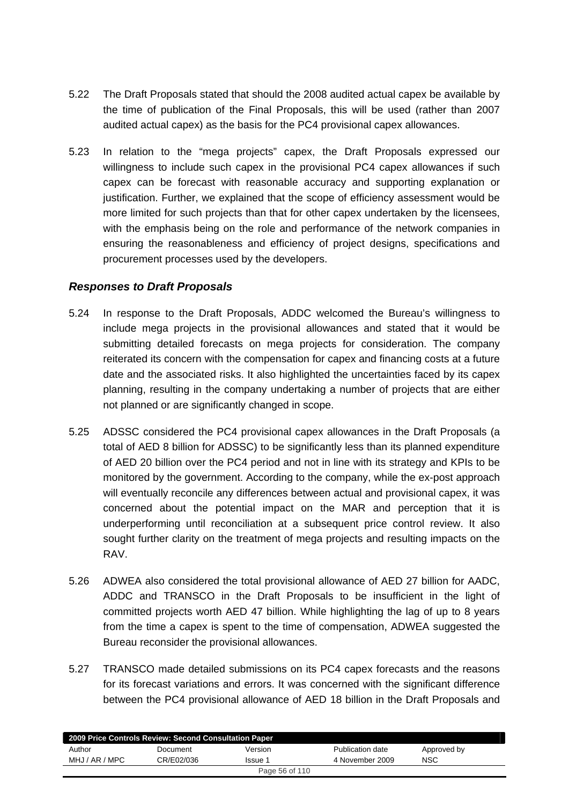- 5.22 The Draft Proposals stated that should the 2008 audited actual capex be available by the time of publication of the Final Proposals, this will be used (rather than 2007 audited actual capex) as the basis for the PC4 provisional capex allowances.
- 5.23 In relation to the "mega projects" capex, the Draft Proposals expressed our willingness to include such capex in the provisional PC4 capex allowances if such capex can be forecast with reasonable accuracy and supporting explanation or justification. Further, we explained that the scope of efficiency assessment would be more limited for such projects than that for other capex undertaken by the licensees, with the emphasis being on the role and performance of the network companies in ensuring the reasonableness and efficiency of project designs, specifications and procurement processes used by the developers.

### *Responses to Draft Proposals*

- 5.24 In response to the Draft Proposals, ADDC welcomed the Bureau's willingness to include mega projects in the provisional allowances and stated that it would be submitting detailed forecasts on mega projects for consideration. The company reiterated its concern with the compensation for capex and financing costs at a future date and the associated risks. It also highlighted the uncertainties faced by its capex planning, resulting in the company undertaking a number of projects that are either not planned or are significantly changed in scope.
- 5.25 ADSSC considered the PC4 provisional capex allowances in the Draft Proposals (a total of AED 8 billion for ADSSC) to be significantly less than its planned expenditure of AED 20 billion over the PC4 period and not in line with its strategy and KPIs to be monitored by the government. According to the company, while the ex-post approach will eventually reconcile any differences between actual and provisional capex, it was concerned about the potential impact on the MAR and perception that it is underperforming until reconciliation at a subsequent price control review. It also sought further clarity on the treatment of mega projects and resulting impacts on the RAV.
- 5.26 ADWEA also considered the total provisional allowance of AED 27 billion for AADC, ADDC and TRANSCO in the Draft Proposals to be insufficient in the light of committed projects worth AED 47 billion. While highlighting the lag of up to 8 years from the time a capex is spent to the time of compensation, ADWEA suggested the Bureau reconsider the provisional allowances.
- 5.27 TRANSCO made detailed submissions on its PC4 capex forecasts and the reasons for its forecast variations and errors. It was concerned with the significant difference between the PC4 provisional allowance of AED 18 billion in the Draft Proposals and

| 2009 Price Controls Review: Second Consultation Paper |            |                |                  |             |  |  |
|-------------------------------------------------------|------------|----------------|------------------|-------------|--|--|
| Author                                                | Document   | Version        | Publication date | Approved by |  |  |
| MHJ / AR / MPC                                        | CR/E02/036 | Issue 1        | 4 November 2009  | <b>NSC</b>  |  |  |
|                                                       |            | Page 56 of 110 |                  |             |  |  |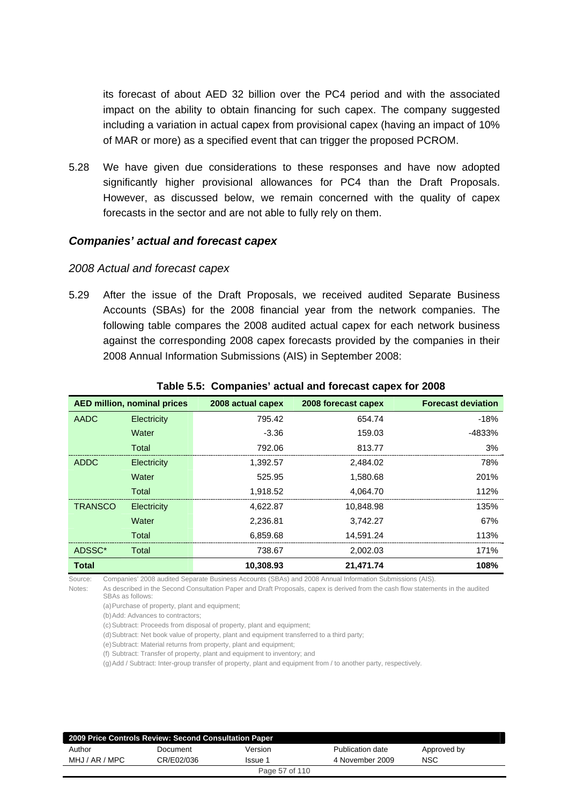its forecast of about AED 32 billion over the PC4 period and with the associated impact on the ability to obtain financing for such capex. The company suggested including a variation in actual capex from provisional capex (having an impact of 10% of MAR or more) as a specified event that can trigger the proposed PCROM.

5.28 We have given due considerations to these responses and have now adopted significantly higher provisional allowances for PC4 than the Draft Proposals. However, as discussed below, we remain concerned with the quality of capex forecasts in the sector and are not able to fully rely on them.

#### *Companies' actual and forecast capex*

#### *2008 Actual and forecast capex*

5.29 After the issue of the Draft Proposals, we received audited Separate Business Accounts (SBAs) for the 2008 financial year from the network companies. The following table compares the 2008 audited actual capex for each network business against the corresponding 2008 capex forecasts provided by the companies in their 2008 Annual Information Submissions (AIS) in September 2008:

|                | <b>AED million, nominal prices</b> | 2008 actual capex | 2008 forecast capex | <b>Forecast deviation</b> |
|----------------|------------------------------------|-------------------|---------------------|---------------------------|
| AADC           | Electricity                        | 795.42            | 654.74              | $-18%$                    |
|                | Water                              | $-3.36$           | 159.03              | $-4833%$                  |
|                | Total                              | 792.06            | 813.77              | 3%                        |
| <b>ADDC</b>    | Electricity                        | 1.392.57          | 2.484.02            | 78%                       |
|                | Water                              | 525.95            | 1.580.68            | 201%                      |
|                | Total                              | 1.918.52          | 4,064.70            | 112%                      |
| <b>TRANSCO</b> | Electricity                        | 4.622.87          | 10.848.98           | 135%                      |
|                | Water                              | 2.236.81          | 3.742.27            | 67%                       |
|                | Total                              | 6.859.68          | 14.591.24           | 113%                      |
| ADSSC*         | Total                              | 738.67            | 2,002.03            | 171%                      |
| <b>Total</b>   |                                    | 10.308.93         | 21,471.74           | 108%                      |

#### **Table 5.5: Companies' actual and forecast capex for 2008**

Source: Companies' 2008 audited Separate Business Accounts (SBAs) and 2008 Annual Information Submissions (AIS).

Notes: As described in the Second Consultation Paper and Draft Proposals, capex is derived from the cash flow statements in the audited SBAs as follows:

(a) Purchase of property, plant and equipment;

(b) Add: Advances to contractors;

(c) Subtract: Proceeds from disposal of property, plant and equipment;

(d) Subtract: Net book value of property, plant and equipment transferred to a third party;

(e) Subtract: Material returns from property, plant and equipment;

(f) Subtract: Transfer of property, plant and equipment to inventory; and

(g) Add / Subtract: Inter-group transfer of property, plant and equipment from / to another party, respectively.

| 2009 Price Controls Review: Second Consultation Paper |            |                |                  |             |  |  |
|-------------------------------------------------------|------------|----------------|------------------|-------------|--|--|
| Author                                                | Document   | Version        | Publication date | Approved by |  |  |
| MHJ / AR / MPC                                        | CR/E02/036 | Issue 1        | 4 November 2009  | <b>NSC</b>  |  |  |
|                                                       |            | Page 57 of 110 |                  |             |  |  |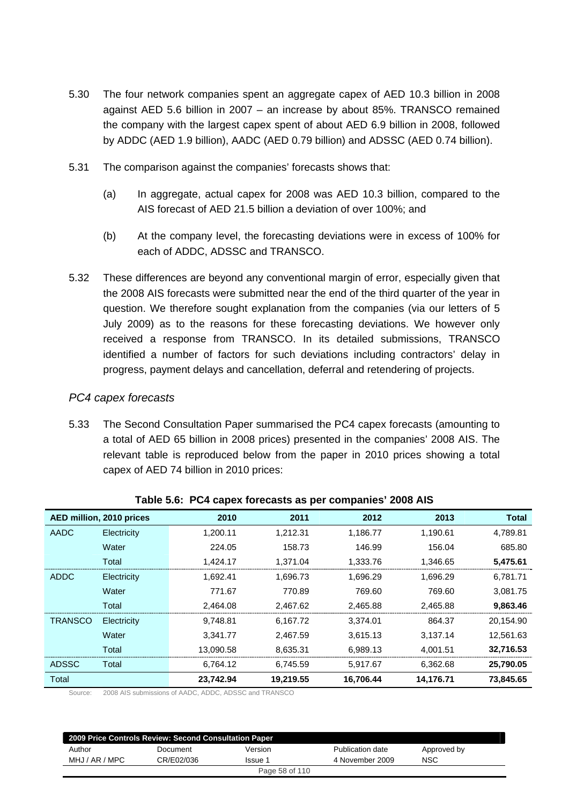- 5.30 The four network companies spent an aggregate capex of AED 10.3 billion in 2008 against AED 5.6 billion in 2007 – an increase by about 85%. TRANSCO remained the company with the largest capex spent of about AED 6.9 billion in 2008, followed by ADDC (AED 1.9 billion), AADC (AED 0.79 billion) and ADSSC (AED 0.74 billion).
- 5.31 The comparison against the companies' forecasts shows that:
	- (a) In aggregate, actual capex for 2008 was AED 10.3 billion, compared to the AIS forecast of AED 21.5 billion a deviation of over 100%; and
	- (b) At the company level, the forecasting deviations were in excess of 100% for each of ADDC, ADSSC and TRANSCO.
- 5.32 These differences are beyond any conventional margin of error, especially given that the 2008 AIS forecasts were submitted near the end of the third quarter of the year in question. We therefore sought explanation from the companies (via our letters of 5 July 2009) as to the reasons for these forecasting deviations. We however only received a response from TRANSCO. In its detailed submissions, TRANSCO identified a number of factors for such deviations including contractors' delay in progress, payment delays and cancellation, deferral and retendering of projects.

#### *PC4 capex forecasts*

5.33 The Second Consultation Paper summarised the PC4 capex forecasts (amounting to a total of AED 65 billion in 2008 prices) presented in the companies' 2008 AIS. The relevant table is reproduced below from the paper in 2010 prices showing a total capex of AED 74 billion in 2010 prices:

|                | AED million, 2010 prices | 2010      | 2011      | 2012      | 2013      | <b>Total</b> |
|----------------|--------------------------|-----------|-----------|-----------|-----------|--------------|
| AADC           | Electricity              | 1.200.11  | 1,212.31  | 1,186.77  | 1,190.61  | 4,789.81     |
|                | Water                    | 224.05    | 158.73    | 146.99    | 156.04    | 685.80       |
|                | Total                    | 1,424.17  | 1,371.04  | 1,333.76  | 1,346.65  | 5,475.61     |
| <b>ADDC</b>    | Electricity              | 1,692.41  | 1,696.73  | 1,696.29  | 1,696.29  | 6,781.71     |
|                | Water                    | 771.67    | 770.89    | 769.60    | 769.60    | 3,081.75     |
|                | Total                    | 2,464.08  | 2,467.62  | 2,465.88  | 2,465.88  | 9,863.46     |
| <b>TRANSCO</b> | Electricity              | 9,748.81  | 6.167.72  | 3.374.01  | 864.37    | 20,154.90    |
|                | Water                    | 3.341.77  | 2.467.59  | 3.615.13  | 3.137.14  | 12,561.63    |
|                | Total                    | 13,090.58 | 8,635.31  | 6,989.13  | 4,001.51  | 32,716.53    |
| <b>ADSSC</b>   | Total                    | 6,764.12  | 6,745.59  | 5,917.67  | 6,362.68  | 25,790.05    |
| Total          |                          | 23,742.94 | 19,219.55 | 16,706.44 | 14,176.71 | 73,845.65    |

#### **Table 5.6: PC4 capex forecasts as per companies' 2008 AIS**

Source: 2008 AIS submissions of AADC, ADDC, ADSSC and TRANSCO

| 2009 Price Controls Review: Second Consultation Paper |            |         |                  |             |  |  |  |
|-------------------------------------------------------|------------|---------|------------------|-------------|--|--|--|
| Author                                                | Document   | Version | Publication date | Approved by |  |  |  |
| MHJ / AR / MPC                                        | CR/E02/036 | Issue 1 | 4 November 2009  | <b>NSC</b>  |  |  |  |
| Page 58 of 110                                        |            |         |                  |             |  |  |  |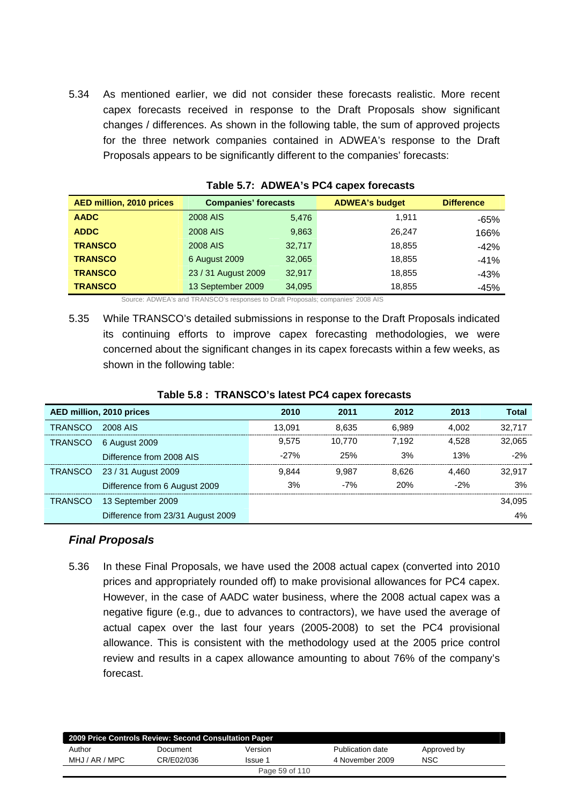5.34 As mentioned earlier, we did not consider these forecasts realistic. More recent capex forecasts received in response to the Draft Proposals show significant changes / differences. As shown in the following table, the sum of approved projects for the three network companies contained in ADWEA's response to the Draft Proposals appears to be significantly different to the companies' forecasts:

| <b>AED million, 2010 prices</b> | <b>Companies' forecasts</b> |        | <b>ADWEA's budget</b> | <b>Difference</b> |
|---------------------------------|-----------------------------|--------|-----------------------|-------------------|
| <b>AADC</b>                     | 2008 AIS                    | 5,476  | 1.911                 | $-65%$            |
| <b>ADDC</b>                     | 2008 AIS                    | 9,863  | 26.247                | 166%              |
| <b>TRANSCO</b>                  | 2008 AIS                    | 32,717 | 18,855                | $-42%$            |
| <b>TRANSCO</b>                  | 6 August 2009               | 32,065 | 18,855                | $-41%$            |
| <b>TRANSCO</b>                  | 23 / 31 August 2009         | 32,917 | 18,855                | -43%              |
| <b>TRANSCO</b>                  | 13 September 2009           | 34,095 | 18,855                | $-45%$            |

| Table 5.7: ADWEA's PC4 capex forecasts |  |  |  |
|----------------------------------------|--|--|--|
|----------------------------------------|--|--|--|

Source: ADWEA's and TRANSCO's responses to Draft Proposals; companies' 2008 AIS

5.35 While TRANSCO's detailed submissions in response to the Draft Proposals indicated its continuing efforts to improve capex forecasting methodologies, we were concerned about the significant changes in its capex forecasts within a few weeks, as shown in the following table:

|                | AED million, 2010 prices          | 2010   | 2011   | 2012  | 2013  | Total  |
|----------------|-----------------------------------|--------|--------|-------|-------|--------|
| TRANSCO        | 2008 AIS                          | 13.091 | 8.635  | 6.989 | 4.002 | 32.717 |
| <b>TRANSCO</b> | 6 August 2009                     | 9.575  | 10.770 | 7.192 | 4.528 | 32.065 |
|                | Difference from 2008 AIS          | $-27%$ | 25%    | 3%    | 13%   | $-2%$  |
|                | TRANSCO 23 / 31 August 2009       | 9.844  | 9.987  | 8.626 | 4.460 | 32.917 |
|                | Difference from 6 August 2009     | 3%     | $-7%$  | 20%   | $-2%$ | 3%     |
| TRANSCO        | 13 September 2009                 |        |        |       |       | 34.095 |
|                | Difference from 23/31 August 2009 |        |        |       |       | 4%     |

#### **Table 5.8 : TRANSCO's latest PC4 capex forecasts**

#### *Final Proposals*

5.36 In these Final Proposals, we have used the 2008 actual capex (converted into 2010 prices and appropriately rounded off) to make provisional allowances for PC4 capex. However, in the case of AADC water business, where the 2008 actual capex was a negative figure (e.g., due to advances to contractors), we have used the average of actual capex over the last four years (2005-2008) to set the PC4 provisional allowance. This is consistent with the methodology used at the 2005 price control review and results in a capex allowance amounting to about 76% of the company's forecast.

| 2009 Price Controls Review: Second Consultation Paper |            |                |                  |             |  |  |
|-------------------------------------------------------|------------|----------------|------------------|-------------|--|--|
| Author                                                | Document   | Version        | Publication date | Approved by |  |  |
| MHJ / AR / MPC                                        | CR/E02/036 | Issue 1        | 4 November 2009  | NSC         |  |  |
|                                                       |            | Page 59 of 110 |                  |             |  |  |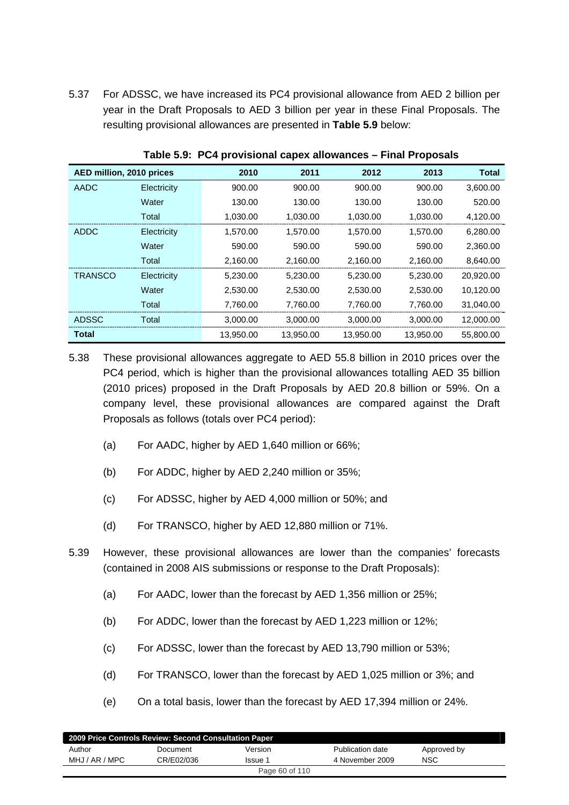5.37 For ADSSC, we have increased its PC4 provisional allowance from AED 2 billion per year in the Draft Proposals to AED 3 billion per year in these Final Proposals. The resulting provisional allowances are presented in **Table 5.9** below:

| AED million, 2010 prices |             | 2010      | 2011      | 2012      | 2013      | <b>Total</b> |
|--------------------------|-------------|-----------|-----------|-----------|-----------|--------------|
| AADC                     | Electricity | 900.00    | 900.00    | 900.00    | 900.00    | 3,600.00     |
|                          | Water       | 130.00    | 130.00    | 130.00    | 130.00    | 520.00       |
|                          | Total       | 1,030.00  | 1,030.00  | 1,030.00  | 1,030.00  | 4,120.00     |
| <b>ADDC</b>              | Electricity | 1,570.00  | 1,570.00  | 1.570.00  | 1.570.00  | 6,280.00     |
|                          | Water       | 590.00    | 590.00    | 590.00    | 590.00    | 2,360.00     |
|                          | Total       | 2,160.00  | 2,160.00  | 2,160.00  | 2,160.00  | 8,640.00     |
| <b>TRANSCO</b>           | Electricity | 5,230.00  | 5,230.00  | 5,230.00  | 5,230.00  | 20,920.00    |
|                          | Water       | 2,530.00  | 2,530.00  | 2,530.00  | 2,530.00  | 10,120.00    |
|                          | Total       | 7,760.00  | 7,760.00  | 7,760.00  | 7,760.00  | 31,040.00    |
| <b>ADSSC</b>             | Total       | 3,000.00  | 3,000.00  | 3,000.00  | 3,000.00  | 12,000.00    |
| <b>Total</b>             |             | 13,950.00 | 13,950.00 | 13,950.00 | 13,950.00 | 55,800.00    |

**Table 5.9: PC4 provisional capex allowances – Final Proposals** 

5.38 These provisional allowances aggregate to AED 55.8 billion in 2010 prices over the PC4 period, which is higher than the provisional allowances totalling AED 35 billion (2010 prices) proposed in the Draft Proposals by AED 20.8 billion or 59%. On a company level, these provisional allowances are compared against the Draft Proposals as follows (totals over PC4 period):

- (a) For AADC, higher by AED 1,640 million or 66%;
- (b) For ADDC, higher by AED 2,240 million or 35%;
- (c) For ADSSC, higher by AED 4,000 million or 50%; and
- (d) For TRANSCO, higher by AED 12,880 million or 71%.
- 5.39 However, these provisional allowances are lower than the companies' forecasts (contained in 2008 AIS submissions or response to the Draft Proposals):
	- (a) For AADC, lower than the forecast by AED 1,356 million or 25%;
	- (b) For ADDC, lower than the forecast by AED 1,223 million or 12%;
	- (c) For ADSSC, lower than the forecast by AED 13,790 million or 53%;
	- (d) For TRANSCO, lower than the forecast by AED 1,025 million or 3%; and
	- (e) On a total basis, lower than the forecast by AED 17,394 million or 24%.

| 2009 Price Controls Review: Second Consultation Paper |            |                |                  |             |  |  |
|-------------------------------------------------------|------------|----------------|------------------|-------------|--|--|
| Author                                                | Document   | Version        | Publication date | Approved by |  |  |
| MHJ / AR / MPC                                        | CR/E02/036 | Issue 1        | 4 November 2009  | <b>NSC</b>  |  |  |
|                                                       |            | Page 60 of 110 |                  |             |  |  |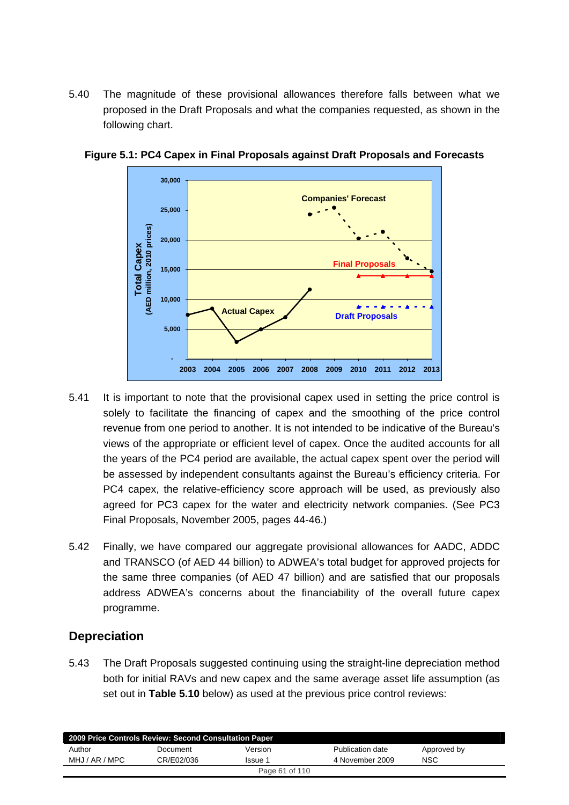5.40 The magnitude of these provisional allowances therefore falls between what we proposed in the Draft Proposals and what the companies requested, as shown in the following chart.



**Figure 5.1: PC4 Capex in Final Proposals against Draft Proposals and Forecasts** 

- 5.41 It is important to note that the provisional capex used in setting the price control is solely to facilitate the financing of capex and the smoothing of the price control revenue from one period to another. It is not intended to be indicative of the Bureau's views of the appropriate or efficient level of capex. Once the audited accounts for all the years of the PC4 period are available, the actual capex spent over the period will be assessed by independent consultants against the Bureau's efficiency criteria. For PC4 capex, the relative-efficiency score approach will be used, as previously also agreed for PC3 capex for the water and electricity network companies. (See PC3 Final Proposals, November 2005, pages 44-46.)
- 5.42 Finally, we have compared our aggregate provisional allowances for AADC, ADDC and TRANSCO (of AED 44 billion) to ADWEA's total budget for approved projects for the same three companies (of AED 47 billion) and are satisfied that our proposals address ADWEA's concerns about the financiability of the overall future capex programme.

## **Depreciation**

5.43 The Draft Proposals suggested continuing using the straight-line depreciation method both for initial RAVs and new capex and the same average asset life assumption (as set out in **Table 5.10** below) as used at the previous price control reviews:

| 2009 Price Controls Review: Second Consultation Paper |            |         |                  |             |  |  |  |
|-------------------------------------------------------|------------|---------|------------------|-------------|--|--|--|
| Author                                                | Document   | Version | Publication date | Approved by |  |  |  |
| MHJ / AR / MPC                                        | CR/E02/036 | Issue 1 | 4 November 2009  | <b>NSC</b>  |  |  |  |
| Page 61 of 110                                        |            |         |                  |             |  |  |  |
|                                                       |            |         |                  |             |  |  |  |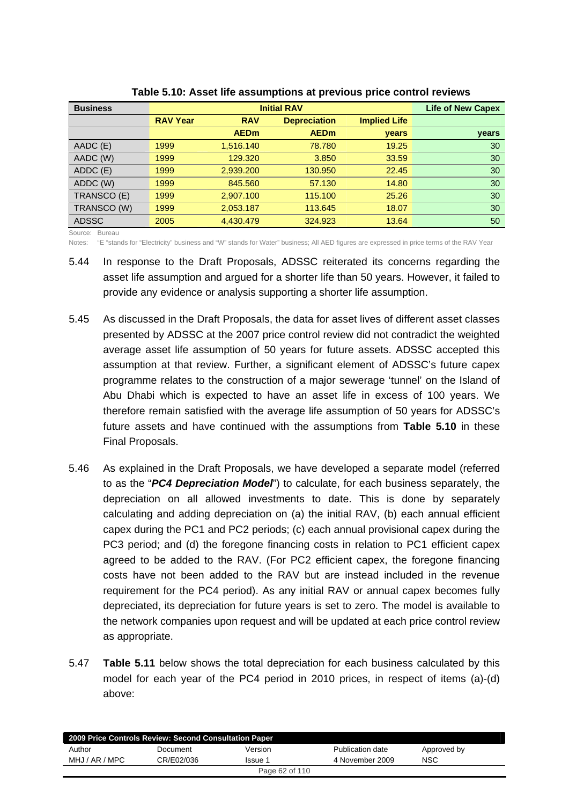| <b>Business</b> |                 | <b>Life of New Capex</b> |                     |                     |       |
|-----------------|-----------------|--------------------------|---------------------|---------------------|-------|
|                 | <b>RAV Year</b> | <b>RAV</b>               | <b>Depreciation</b> | <b>Implied Life</b> |       |
|                 |                 | <b>AEDm</b>              | <b>AEDm</b>         | <b>vears</b>        | years |
| AADC (E)        | 1999            | 1,516.140                | 78.780              | 19.25               | 30    |
| AADC (W)        | 1999            | 129,320                  | 3.850               | 33.59               | 30    |
| ADDC (E)        | 1999            | 2,939.200                | 130.950             | 22.45               | 30    |
| ADDC (W)        | 1999            | 845,560                  | 57.130              | 14.80               | 30    |
| TRANSCO (E)     | 1999            | 2,907.100                | 115.100             | 25.26               | 30    |
| TRANSCO (W)     | 1999            | 2,053.187                | 113.645             | 18.07               | 30    |
| <b>ADSSC</b>    | 2005            | 4,430.479                | 324.923             | 13.64               | 50    |

**Table 5.10: Asset life assumptions at previous price control reviews** 

Source: Bureau

Notes: "E "stands for "Electricity" business and "W" stands for Water" business; All AED figures are expressed in price terms of the RAV Year

- 5.44 In response to the Draft Proposals, ADSSC reiterated its concerns regarding the asset life assumption and argued for a shorter life than 50 years. However, it failed to provide any evidence or analysis supporting a shorter life assumption.
- 5.45 As discussed in the Draft Proposals, the data for asset lives of different asset classes presented by ADSSC at the 2007 price control review did not contradict the weighted average asset life assumption of 50 years for future assets. ADSSC accepted this assumption at that review. Further, a significant element of ADSSC's future capex programme relates to the construction of a major sewerage 'tunnel' on the Island of Abu Dhabi which is expected to have an asset life in excess of 100 years. We therefore remain satisfied with the average life assumption of 50 years for ADSSC's future assets and have continued with the assumptions from **Table 5.10** in these Final Proposals.
- 5.46 As explained in the Draft Proposals, we have developed a separate model (referred to as the "*PC4 Depreciation Model*") to calculate, for each business separately, the depreciation on all allowed investments to date. This is done by separately calculating and adding depreciation on (a) the initial RAV, (b) each annual efficient capex during the PC1 and PC2 periods; (c) each annual provisional capex during the PC3 period; and (d) the foregone financing costs in relation to PC1 efficient capex agreed to be added to the RAV. (For PC2 efficient capex, the foregone financing costs have not been added to the RAV but are instead included in the revenue requirement for the PC4 period). As any initial RAV or annual capex becomes fully depreciated, its depreciation for future years is set to zero. The model is available to the network companies upon request and will be updated at each price control review as appropriate.
- 5.47 **Table 5.11** below shows the total depreciation for each business calculated by this model for each year of the PC4 period in 2010 prices, in respect of items (a)-(d) above:

| 2009 Price Controls Review: Second Consultation Paper |            |                |                  |             |  |  |  |
|-------------------------------------------------------|------------|----------------|------------------|-------------|--|--|--|
| Author                                                | Document   | Version        | Publication date | Approved by |  |  |  |
| MHJ / AR / MPC                                        | CR/E02/036 | Issue 1        | 4 November 2009  | <b>NSC</b>  |  |  |  |
|                                                       |            | Page 62 of 110 |                  |             |  |  |  |
|                                                       |            |                |                  |             |  |  |  |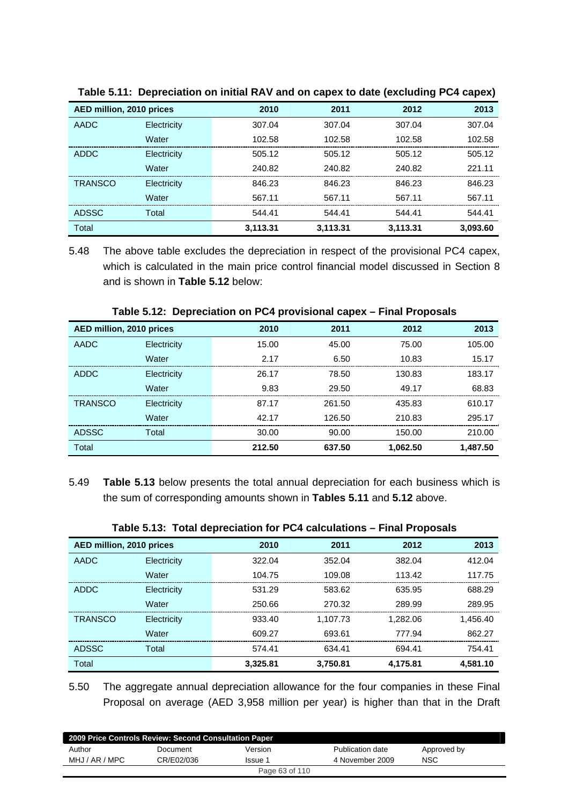| AED million, 2010 prices |             | 2010     | 2011     | 2012     | 2013     |
|--------------------------|-------------|----------|----------|----------|----------|
| AADC                     | Electricity | 307.04   | 307.04   | 307.04   | 307.04   |
|                          | Water       | 102.58   | 102.58   | 102.58   | 102.58   |
| <b>ADDC</b>              | Electricity | 505.12   | 505.12   | 505.12   | 505.12   |
|                          | Water       | 240.82   | 240.82   | 240.82   | 221.11   |
| <b>TRANSCO</b>           | Electricity | 846.23   | 846.23   | 846.23   | 846.23   |
|                          | Water       | 567.11   | 567.11   | 567.11   | 567.11   |
| <b>ADSSC</b>             | Total       | 544.41   | 544.41   | 544.41   | 544.41   |
| Total                    |             | 3,113.31 | 3,113.31 | 3,113.31 | 3,093.60 |

**Table 5.11: Depreciation on initial RAV and on capex to date (excluding PC4 capex)** 

5.48 The above table excludes the depreciation in respect of the provisional PC4 capex, which is calculated in the main price control financial model discussed in Section 8 and is shown in **Table 5.12** below:

| AED million, 2010 prices |             | 2010   | 2011   | 2012     | 2013     |
|--------------------------|-------------|--------|--------|----------|----------|
| <b>AADC</b>              | Electricity | 15.00  | 45.00  | 75.00    | 105.00   |
|                          | Water       | 2.17   | 6.50   | 10.83    | 15.17    |
| ADDC                     | Electricity | 26.17  | 78.50  | 130.83   | 183.17   |
|                          | Water       | 9.83   | 29.50  | 49.17    | 68.83    |
| <b>TRANSCO</b>           | Electricity | 87.17  | 261.50 | 435.83   | 610.17   |
|                          | Water       | 42.17  | 126.50 | 210.83   | 295.17   |
| <b>ADSSC</b>             | Total       | 30.00  | 90.00  | 150.00   | 210.00   |
| Total                    |             | 212.50 | 637.50 | 1,062.50 | 1,487.50 |

**Table 5.12: Depreciation on PC4 provisional capex – Final Proposals** 

5.49 **Table 5.13** below presents the total annual depreciation for each business which is the sum of corresponding amounts shown in **Tables 5.11** and **5.12** above.

|                          |             | $14000$ vitet total dopt octation for the caloumations. |          |          |          |
|--------------------------|-------------|---------------------------------------------------------|----------|----------|----------|
| AED million, 2010 prices |             | 2010                                                    | 2011     | 2012     | 2013     |
| <b>AADC</b>              | Electricity | 322.04                                                  | 352.04   | 382.04   | 412.04   |
|                          | Water       | 104.75                                                  | 109.08   | 113.42   | 117.75   |
| <b>ADDC</b>              | Electricity | 531.29                                                  | 583.62   | 635.95   | 688.29   |
|                          | Water       | 250.66                                                  | 270.32   | 289.99   | 289.95   |
| <b>TRANSCO</b>           | Electricity | 933.40                                                  | 1.107.73 | 1.282.06 | 1.456.40 |
|                          | Water       | 609.27                                                  | 693.61   | 777.94   | 862.27   |
| <b>ADSSC</b>             | Total       | 574.41                                                  | 634.41   | 694.41   | 754.41   |
| Total                    |             | 3,325.81                                                | 3,750.81 | 4,175.81 | 4,581.10 |

|  |  | Table 5.13: Total depreciation for PC4 calculations – Final Proposals |  |
|--|--|-----------------------------------------------------------------------|--|
|--|--|-----------------------------------------------------------------------|--|

5.50 The aggregate annual depreciation allowance for the four companies in these Final Proposal on average (AED 3,958 million per year) is higher than that in the Draft

| 2009 Price Controls Review: Second Consultation Paper |            |                |                  |             |  |  |  |
|-------------------------------------------------------|------------|----------------|------------------|-------------|--|--|--|
| Author                                                | Document   | Version        | Publication date | Approved by |  |  |  |
| MHJ / AR / MPC                                        | CR/E02/036 | Issue 1        | 4 November 2009  | <b>NSC</b>  |  |  |  |
|                                                       |            | Page 63 of 110 |                  |             |  |  |  |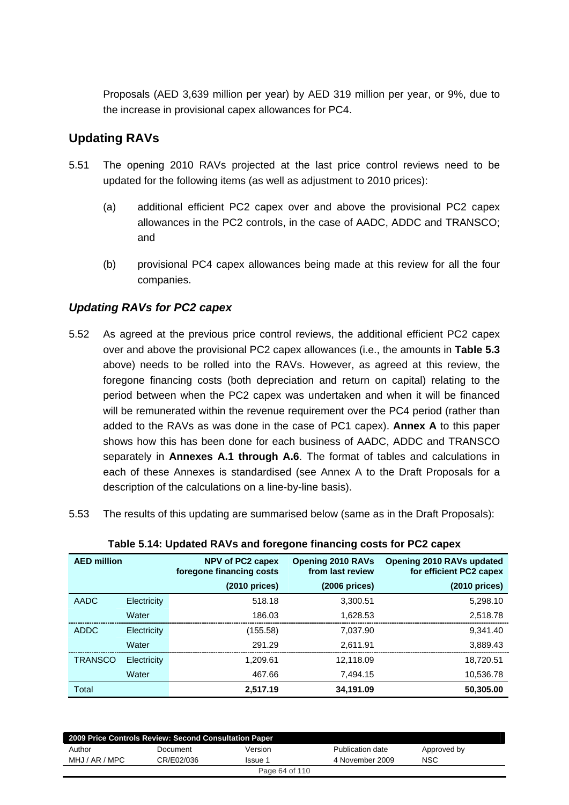Proposals (AED 3,639 million per year) by AED 319 million per year, or 9%, due to the increase in provisional capex allowances for PC4.

# **Updating RAVs**

- 5.51 The opening 2010 RAVs projected at the last price control reviews need to be updated for the following items (as well as adjustment to 2010 prices):
	- (a) additional efficient PC2 capex over and above the provisional PC2 capex allowances in the PC2 controls, in the case of AADC, ADDC and TRANSCO; and
	- (b) provisional PC4 capex allowances being made at this review for all the four companies.

## *Updating RAVs for PC2 capex*

- 5.52 As agreed at the previous price control reviews, the additional efficient PC2 capex over and above the provisional PC2 capex allowances (i.e., the amounts in **Table 5.3** above) needs to be rolled into the RAVs. However, as agreed at this review, the foregone financing costs (both depreciation and return on capital) relating to the period between when the PC2 capex was undertaken and when it will be financed will be remunerated within the revenue requirement over the PC4 period (rather than added to the RAVs as was done in the case of PC1 capex). **Annex A** to this paper shows how this has been done for each business of AADC, ADDC and TRANSCO separately in **Annexes A.1 through A.6**. The format of tables and calculations in each of these Annexes is standardised (see Annex A to the Draft Proposals for a description of the calculations on a line-by-line basis).
- 5.53 The results of this updating are summarised below (same as in the Draft Proposals):

| <b>AED million</b> |             | NPV of PC2 capex<br>foregone financing costs | <b>Opening 2010 RAVs</b><br>from last review | Opening 2010 RAVs updated<br>for efficient PC2 capex |
|--------------------|-------------|----------------------------------------------|----------------------------------------------|------------------------------------------------------|
|                    |             | $(2010)$ prices)                             | $(2006)$ prices)                             | $(2010)$ prices)                                     |
| <b>AADC</b>        | Electricity | 518.18                                       | 3.300.51                                     | 5,298.10                                             |
|                    | Water       | 186.03                                       | 1.628.53                                     | 2,518.78                                             |
| <b>ADDC</b>        | Electricity | (155.58)                                     | 7.037.90                                     | 9.341.40                                             |
|                    | Water       | 291.29                                       | 2.611.91                                     | 3.889.43                                             |
| <b>TRANSCO</b>     | Electricity | 1.209.61                                     | 12.118.09                                    | 18.720.51                                            |
|                    | Water       | 467.66                                       | 7.494.15                                     | 10.536.78                                            |
| Total              |             | 2.517.19                                     | 34,191.09                                    | 50,305.00                                            |

| Table 5.14: Updated RAVs and foregone financing costs for PC2 capex |  |  |
|---------------------------------------------------------------------|--|--|
|                                                                     |  |  |

| 2009 Price Controls Review: Second Consultation Paper |            |         |                  |             |  |  |
|-------------------------------------------------------|------------|---------|------------------|-------------|--|--|
| Author                                                | Document   | Version | Publication date | Approved by |  |  |
| MHJ / AR / MPC                                        | CR/E02/036 | Issue 1 | 4 November 2009  | NSC         |  |  |
| Page 64 of 110                                        |            |         |                  |             |  |  |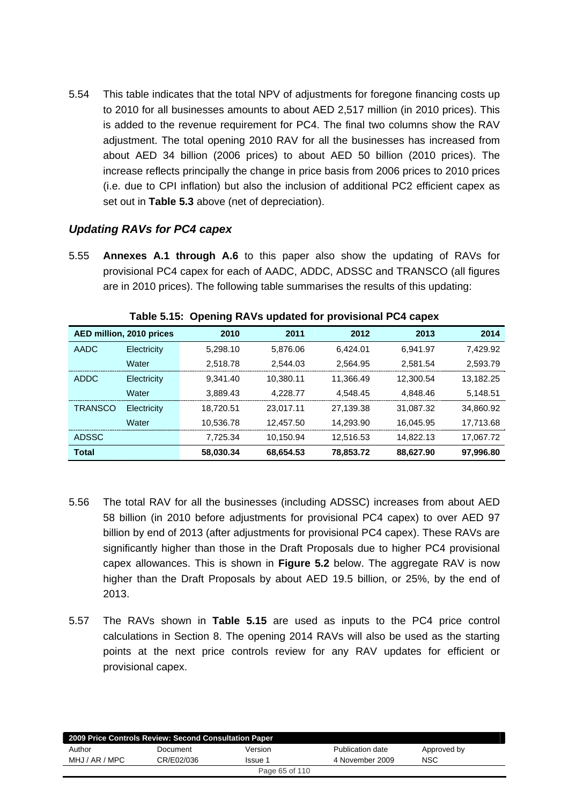5.54 This table indicates that the total NPV of adjustments for foregone financing costs up to 2010 for all businesses amounts to about AED 2,517 million (in 2010 prices). This is added to the revenue requirement for PC4. The final two columns show the RAV adjustment. The total opening 2010 RAV for all the businesses has increased from about AED 34 billion (2006 prices) to about AED 50 billion (2010 prices). The increase reflects principally the change in price basis from 2006 prices to 2010 prices (i.e. due to CPI inflation) but also the inclusion of additional PC2 efficient capex as set out in **Table 5.3** above (net of depreciation).

### *Updating RAVs for PC4 capex*

5.55 **Annexes A.1 through A.6** to this paper also show the updating of RAVs for provisional PC4 capex for each of AADC, ADDC, ADSSC and TRANSCO (all figures are in 2010 prices). The following table summarises the results of this updating:

|                | AED million, 2010 prices | 2010      | 2011      | 2012      | 2013      | 2014      |
|----------------|--------------------------|-----------|-----------|-----------|-----------|-----------|
| <b>AADC</b>    | Electricity              | 5.298.10  | 5.876.06  | 6.424.01  | 6.941.97  | 7.429.92  |
|                | Water                    | 2.518.78  | 2.544.03  | 2.564.95  | 2.581.54  | 2,593.79  |
| <b>ADDC</b>    | Electricity              | 9.341.40  | 10,380.11 | 11.366.49 | 12.300.54 | 13.182.25 |
|                | Water                    | 3.889.43  | 4.228.77  | 4.548.45  | 4.848.46  | 5.148.51  |
| <b>TRANSCO</b> | Electricity              | 18.720.51 | 23.017.11 | 27,139.38 | 31.087.32 | 34,860.92 |
|                | Water                    | 10.536.78 | 12.457.50 | 14.293.90 | 16.045.95 | 17.713.68 |
| <b>ADSSC</b>   |                          | 7.725.34  | 10.150.94 | 12.516.53 | 14.822.13 | 17,067.72 |
| <b>Total</b>   |                          | 58,030.34 | 68.654.53 | 78,853.72 | 88,627.90 | 97.996.80 |

**Table 5.15: Opening RAVs updated for provisional PC4 capex** 

- 5.56 The total RAV for all the businesses (including ADSSC) increases from about AED 58 billion (in 2010 before adjustments for provisional PC4 capex) to over AED 97 billion by end of 2013 (after adjustments for provisional PC4 capex). These RAVs are significantly higher than those in the Draft Proposals due to higher PC4 provisional capex allowances. This is shown in **Figure 5.2** below. The aggregate RAV is now higher than the Draft Proposals by about AED 19.5 billion, or 25%, by the end of 2013.
- 5.57 The RAVs shown in **Table 5.15** are used as inputs to the PC4 price control calculations in Section 8. The opening 2014 RAVs will also be used as the starting points at the next price controls review for any RAV updates for efficient or provisional capex.

| 2009 Price Controls Review: Second Consultation Paper |            |         |                  |             |  |  |  |
|-------------------------------------------------------|------------|---------|------------------|-------------|--|--|--|
| Author                                                | Document   | Version | Publication date | Approved by |  |  |  |
| MHJ / AR / MPC                                        | CR/E02/036 | Issue 1 | 4 November 2009  | <b>NSC</b>  |  |  |  |
| Page 65 of 110                                        |            |         |                  |             |  |  |  |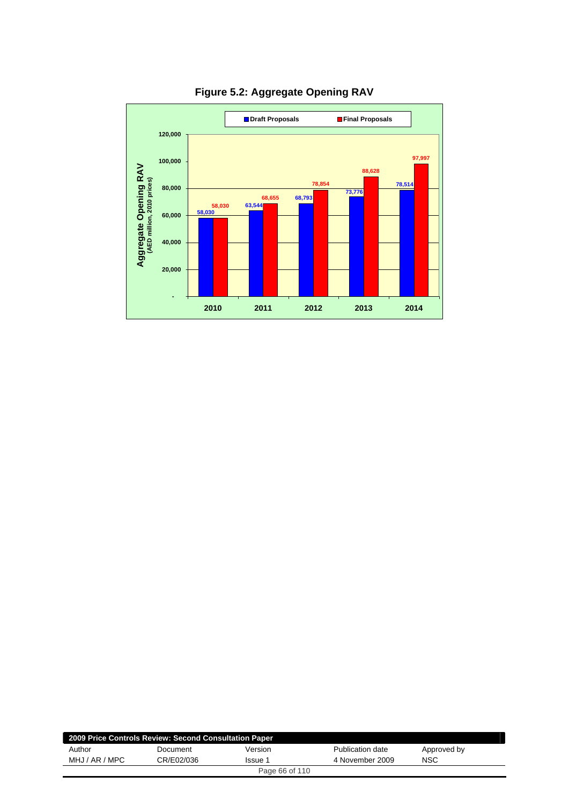

**Figure 5.2: Aggregate Opening RAV** 

| 2009 Price Controls Review: Second Consultation Paper |            |                |                  |             |
|-------------------------------------------------------|------------|----------------|------------------|-------------|
| Author                                                | Document   | Version        | Publication date | Approved by |
| MHJ / AR / MPC                                        | CR/E02/036 | Issue 1        | 4 November 2009  | <b>NSC</b>  |
|                                                       |            | Page 66 of 110 |                  |             |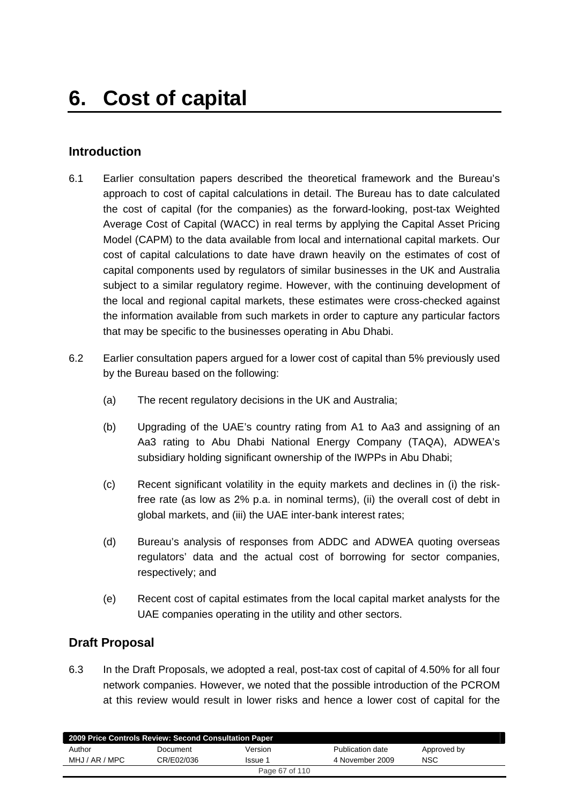# **Introduction**

- 6.1 Earlier consultation papers described the theoretical framework and the Bureau's approach to cost of capital calculations in detail. The Bureau has to date calculated the cost of capital (for the companies) as the forward-looking, post-tax Weighted Average Cost of Capital (WACC) in real terms by applying the Capital Asset Pricing Model (CAPM) to the data available from local and international capital markets. Our cost of capital calculations to date have drawn heavily on the estimates of cost of capital components used by regulators of similar businesses in the UK and Australia subject to a similar regulatory regime. However, with the continuing development of the local and regional capital markets, these estimates were cross-checked against the information available from such markets in order to capture any particular factors that may be specific to the businesses operating in Abu Dhabi.
- 6.2 Earlier consultation papers argued for a lower cost of capital than 5% previously used by the Bureau based on the following:
	- (a) The recent regulatory decisions in the UK and Australia;
	- (b) Upgrading of the UAE's country rating from A1 to Aa3 and assigning of an Aa3 rating to Abu Dhabi National Energy Company (TAQA), ADWEA's subsidiary holding significant ownership of the IWPPs in Abu Dhabi;
	- (c) Recent significant volatility in the equity markets and declines in (i) the riskfree rate (as low as 2% p.a. in nominal terms), (ii) the overall cost of debt in global markets, and (iii) the UAE inter-bank interest rates;
	- (d) Bureau's analysis of responses from ADDC and ADWEA quoting overseas regulators' data and the actual cost of borrowing for sector companies, respectively; and
	- (e) Recent cost of capital estimates from the local capital market analysts for the UAE companies operating in the utility and other sectors.

## **Draft Proposal**

6.3 In the Draft Proposals, we adopted a real, post-tax cost of capital of 4.50% for all four network companies. However, we noted that the possible introduction of the PCROM at this review would result in lower risks and hence a lower cost of capital for the

| 2009 Price Controls Review: Second Consultation Paper |            |         |                  |             |  |  |  |
|-------------------------------------------------------|------------|---------|------------------|-------------|--|--|--|
| Author                                                | Document   | Version | Publication date | Approved by |  |  |  |
| MHJ / AR / MPC                                        | CR/E02/036 | Issue 1 | 4 November 2009  | <b>NSC</b>  |  |  |  |
| Page 67 of 110                                        |            |         |                  |             |  |  |  |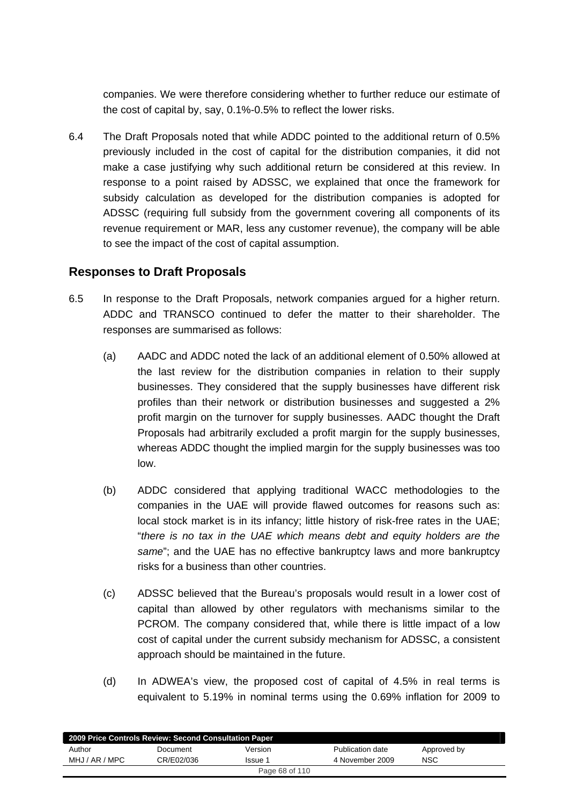companies. We were therefore considering whether to further reduce our estimate of the cost of capital by, say, 0.1%-0.5% to reflect the lower risks.

6.4 The Draft Proposals noted that while ADDC pointed to the additional return of 0.5% previously included in the cost of capital for the distribution companies, it did not make a case justifying why such additional return be considered at this review. In response to a point raised by ADSSC, we explained that once the framework for subsidy calculation as developed for the distribution companies is adopted for ADSSC (requiring full subsidy from the government covering all components of its revenue requirement or MAR, less any customer revenue), the company will be able to see the impact of the cost of capital assumption.

## **Responses to Draft Proposals**

- 6.5 In response to the Draft Proposals, network companies argued for a higher return. ADDC and TRANSCO continued to defer the matter to their shareholder. The responses are summarised as follows:
	- (a) AADC and ADDC noted the lack of an additional element of 0.50% allowed at the last review for the distribution companies in relation to their supply businesses. They considered that the supply businesses have different risk profiles than their network or distribution businesses and suggested a 2% profit margin on the turnover for supply businesses. AADC thought the Draft Proposals had arbitrarily excluded a profit margin for the supply businesses, whereas ADDC thought the implied margin for the supply businesses was too low.
	- (b) ADDC considered that applying traditional WACC methodologies to the companies in the UAE will provide flawed outcomes for reasons such as: local stock market is in its infancy; little history of risk-free rates in the UAE; "*there is no tax in the UAE which means debt and equity holders are the same*"; and the UAE has no effective bankruptcy laws and more bankruptcy risks for a business than other countries.
	- (c) ADSSC believed that the Bureau's proposals would result in a lower cost of capital than allowed by other regulators with mechanisms similar to the PCROM. The company considered that, while there is little impact of a low cost of capital under the current subsidy mechanism for ADSSC, a consistent approach should be maintained in the future.
	- (d) In ADWEA's view, the proposed cost of capital of 4.5% in real terms is equivalent to 5.19% in nominal terms using the 0.69% inflation for 2009 to

| 2009 Price Controls Review: Second Consultation Paper |            |         |                  |             |  |  |
|-------------------------------------------------------|------------|---------|------------------|-------------|--|--|
| Author                                                | Document   | Version | Publication date | Approved by |  |  |
| MHJ / AR / MPC                                        | CR/E02/036 | Issue 1 | 4 November 2009  | NSC         |  |  |
| Page 68 of 110                                        |            |         |                  |             |  |  |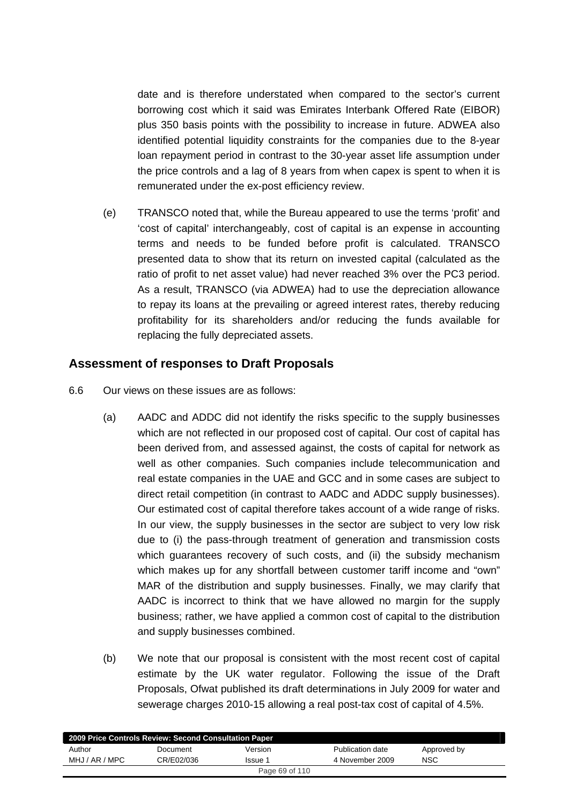date and is therefore understated when compared to the sector's current borrowing cost which it said was Emirates Interbank Offered Rate (EIBOR) plus 350 basis points with the possibility to increase in future. ADWEA also identified potential liquidity constraints for the companies due to the 8-year loan repayment period in contrast to the 30-year asset life assumption under the price controls and a lag of 8 years from when capex is spent to when it is remunerated under the ex-post efficiency review.

(e) TRANSCO noted that, while the Bureau appeared to use the terms 'profit' and 'cost of capital' interchangeably, cost of capital is an expense in accounting terms and needs to be funded before profit is calculated. TRANSCO presented data to show that its return on invested capital (calculated as the ratio of profit to net asset value) had never reached 3% over the PC3 period. As a result, TRANSCO (via ADWEA) had to use the depreciation allowance to repay its loans at the prevailing or agreed interest rates, thereby reducing profitability for its shareholders and/or reducing the funds available for replacing the fully depreciated assets.

## **Assessment of responses to Draft Proposals**

- 6.6 Our views on these issues are as follows:
	- (a) AADC and ADDC did not identify the risks specific to the supply businesses which are not reflected in our proposed cost of capital. Our cost of capital has been derived from, and assessed against, the costs of capital for network as well as other companies. Such companies include telecommunication and real estate companies in the UAE and GCC and in some cases are subject to direct retail competition (in contrast to AADC and ADDC supply businesses). Our estimated cost of capital therefore takes account of a wide range of risks. In our view, the supply businesses in the sector are subject to very low risk due to (i) the pass-through treatment of generation and transmission costs which guarantees recovery of such costs, and (ii) the subsidy mechanism which makes up for any shortfall between customer tariff income and "own" MAR of the distribution and supply businesses. Finally, we may clarify that AADC is incorrect to think that we have allowed no margin for the supply business; rather, we have applied a common cost of capital to the distribution and supply businesses combined.
	- (b) We note that our proposal is consistent with the most recent cost of capital estimate by the UK water regulator. Following the issue of the Draft Proposals, Ofwat published its draft determinations in July 2009 for water and sewerage charges 2010-15 allowing a real post-tax cost of capital of 4.5%.

| 2009 Price Controls Review: Second Consultation Paper |            |         |                  |             |  |  |
|-------------------------------------------------------|------------|---------|------------------|-------------|--|--|
| Author                                                | Document   | Version | Publication date | Approved by |  |  |
| MHJ / AR / MPC                                        | CR/E02/036 | Issue 1 | 4 November 2009  | <b>NSC</b>  |  |  |
| Page 69 of 110                                        |            |         |                  |             |  |  |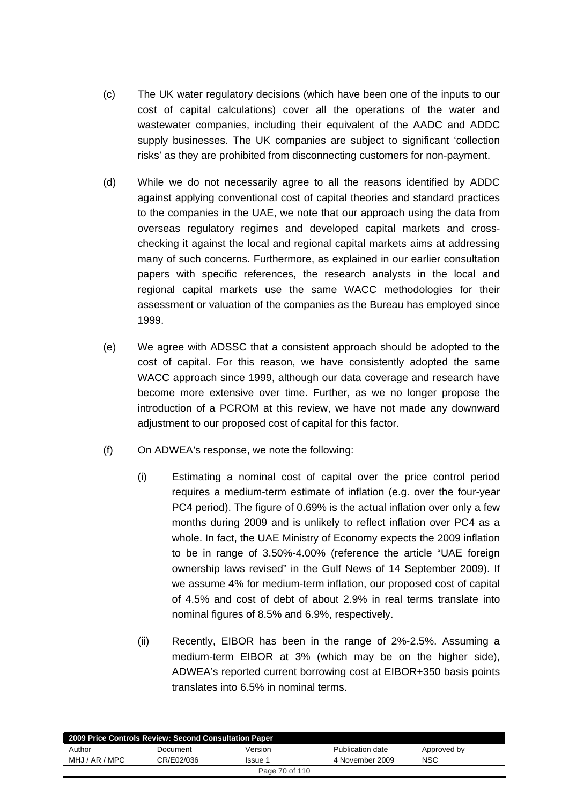- (c) The UK water regulatory decisions (which have been one of the inputs to our cost of capital calculations) cover all the operations of the water and wastewater companies, including their equivalent of the AADC and ADDC supply businesses. The UK companies are subject to significant 'collection risks' as they are prohibited from disconnecting customers for non-payment.
- (d) While we do not necessarily agree to all the reasons identified by ADDC against applying conventional cost of capital theories and standard practices to the companies in the UAE, we note that our approach using the data from overseas regulatory regimes and developed capital markets and crosschecking it against the local and regional capital markets aims at addressing many of such concerns. Furthermore, as explained in our earlier consultation papers with specific references, the research analysts in the local and regional capital markets use the same WACC methodologies for their assessment or valuation of the companies as the Bureau has employed since 1999.
- (e) We agree with ADSSC that a consistent approach should be adopted to the cost of capital. For this reason, we have consistently adopted the same WACC approach since 1999, although our data coverage and research have become more extensive over time. Further, as we no longer propose the introduction of a PCROM at this review, we have not made any downward adjustment to our proposed cost of capital for this factor.
- (f) On ADWEA's response, we note the following:
	- (i) Estimating a nominal cost of capital over the price control period requires a medium-term estimate of inflation (e.g. over the four-year PC4 period). The figure of 0.69% is the actual inflation over only a few months during 2009 and is unlikely to reflect inflation over PC4 as a whole. In fact, the UAE Ministry of Economy expects the 2009 inflation to be in range of 3.50%-4.00% (reference the article "UAE foreign ownership laws revised" in the Gulf News of 14 September 2009). If we assume 4% for medium-term inflation, our proposed cost of capital of 4.5% and cost of debt of about 2.9% in real terms translate into nominal figures of 8.5% and 6.9%, respectively.
	- (ii) Recently, EIBOR has been in the range of 2%-2.5%. Assuming a medium-term EIBOR at 3% (which may be on the higher side), ADWEA's reported current borrowing cost at EIBOR+350 basis points translates into 6.5% in nominal terms.

| 2009 Price Controls Review: Second Consultation Paper |            |                |                  |             |  |  |  |
|-------------------------------------------------------|------------|----------------|------------------|-------------|--|--|--|
| Author                                                | Document   | Version        | Publication date | Approved by |  |  |  |
| MHJ / AR / MPC                                        | CR/E02/036 | <b>Issue 1</b> | 4 November 2009  | NSC         |  |  |  |
|                                                       |            | Page 70 of 110 |                  |             |  |  |  |
|                                                       |            |                |                  |             |  |  |  |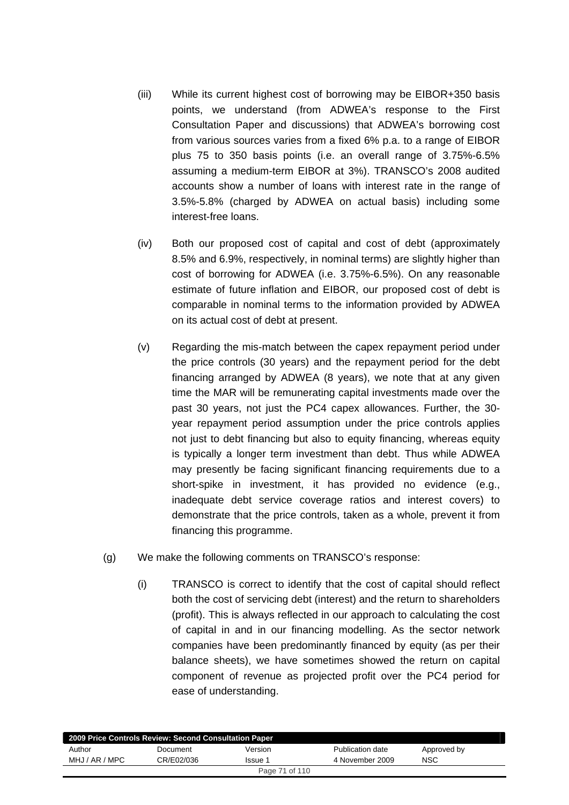- (iii) While its current highest cost of borrowing may be EIBOR+350 basis points, we understand (from ADWEA's response to the First Consultation Paper and discussions) that ADWEA's borrowing cost from various sources varies from a fixed 6% p.a. to a range of EIBOR plus 75 to 350 basis points (i.e. an overall range of 3.75%-6.5% assuming a medium-term EIBOR at 3%). TRANSCO's 2008 audited accounts show a number of loans with interest rate in the range of 3.5%-5.8% (charged by ADWEA on actual basis) including some interest-free loans.
- (iv) Both our proposed cost of capital and cost of debt (approximately 8.5% and 6.9%, respectively, in nominal terms) are slightly higher than cost of borrowing for ADWEA (i.e. 3.75%-6.5%). On any reasonable estimate of future inflation and EIBOR, our proposed cost of debt is comparable in nominal terms to the information provided by ADWEA on its actual cost of debt at present.
- (v) Regarding the mis-match between the capex repayment period under the price controls (30 years) and the repayment period for the debt financing arranged by ADWEA (8 years), we note that at any given time the MAR will be remunerating capital investments made over the past 30 years, not just the PC4 capex allowances. Further, the 30 year repayment period assumption under the price controls applies not just to debt financing but also to equity financing, whereas equity is typically a longer term investment than debt. Thus while ADWEA may presently be facing significant financing requirements due to a short-spike in investment, it has provided no evidence (e.g., inadequate debt service coverage ratios and interest covers) to demonstrate that the price controls, taken as a whole, prevent it from financing this programme.
- (g) We make the following comments on TRANSCO's response:
	- (i) TRANSCO is correct to identify that the cost of capital should reflect both the cost of servicing debt (interest) and the return to shareholders (profit). This is always reflected in our approach to calculating the cost of capital in and in our financing modelling. As the sector network companies have been predominantly financed by equity (as per their balance sheets), we have sometimes showed the return on capital component of revenue as projected profit over the PC4 period for ease of understanding.

|                | 2009 Price Controls Review: Second Consultation Paper |                |                  |             |  |
|----------------|-------------------------------------------------------|----------------|------------------|-------------|--|
| Author         | Document                                              | Version        | Publication date | Approved by |  |
| MHJ / AR / MPC | CR/E02/036                                            | Issue 1        | 4 November 2009  | <b>NSC</b>  |  |
|                |                                                       | Page 71 of 110 |                  |             |  |
|                |                                                       |                |                  |             |  |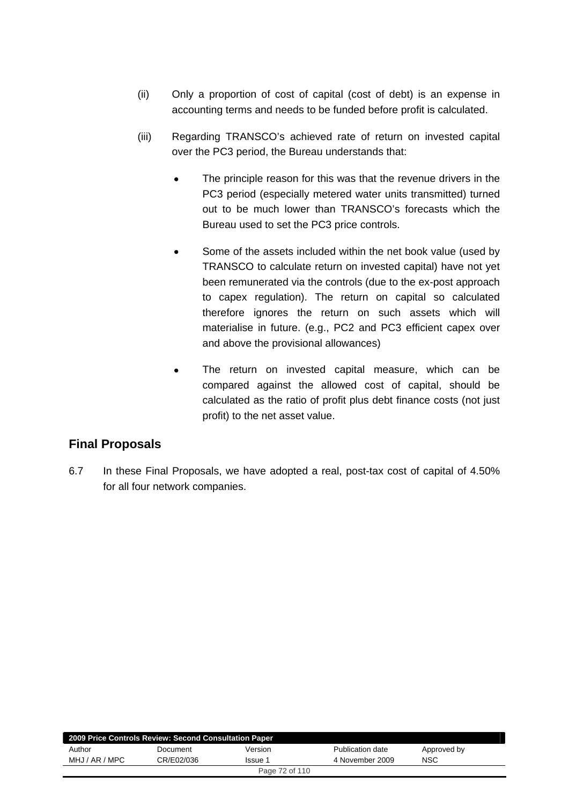- (ii) Only a proportion of cost of capital (cost of debt) is an expense in accounting terms and needs to be funded before profit is calculated.
- (iii) Regarding TRANSCO's achieved rate of return on invested capital over the PC3 period, the Bureau understands that:
	- The principle reason for this was that the revenue drivers in the PC3 period (especially metered water units transmitted) turned out to be much lower than TRANSCO's forecasts which the Bureau used to set the PC3 price controls.
	- Some of the assets included within the net book value (used by TRANSCO to calculate return on invested capital) have not yet been remunerated via the controls (due to the ex-post approach to capex regulation). The return on capital so calculated therefore ignores the return on such assets which will materialise in future. (e.g., PC2 and PC3 efficient capex over and above the provisional allowances)
	- The return on invested capital measure, which can be compared against the allowed cost of capital, should be calculated as the ratio of profit plus debt finance costs (not just profit) to the net asset value.

# **Final Proposals**

6.7 In these Final Proposals, we have adopted a real, post-tax cost of capital of 4.50% for all four network companies.

| 2009 Price Controls Review: Second Consultation Paper |            |                |                  |             |  |  |  |
|-------------------------------------------------------|------------|----------------|------------------|-------------|--|--|--|
| Author                                                | Document   | Version        | Publication date | Approved by |  |  |  |
| MHJ / AR / MPC                                        | CR/E02/036 | Issue 1        | 4 November 2009  | <b>NSC</b>  |  |  |  |
|                                                       |            | Page 72 of 110 |                  |             |  |  |  |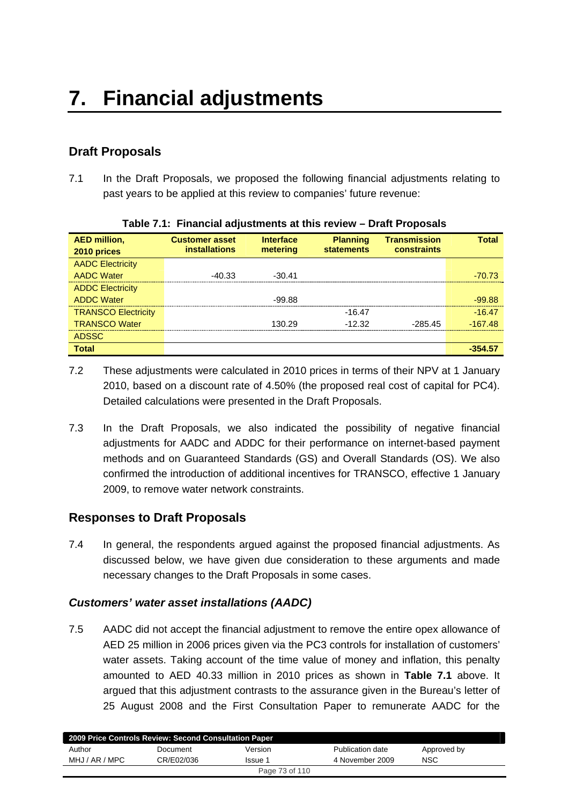## **Draft Proposals**

7.1 In the Draft Proposals, we proposed the following financial adjustments relating to past years to be applied at this review to companies' future revenue:

| <b>AED million,</b><br>2010 prices | <b>Customer asset</b><br><b>installations</b> | <b>Interface</b><br>metering | <b>Planning</b><br><b>statements</b> | <b>Transmission</b><br><b>constraints</b> | <b>Total</b> |
|------------------------------------|-----------------------------------------------|------------------------------|--------------------------------------|-------------------------------------------|--------------|
| <b>AADC Electricity</b>            |                                               |                              |                                      |                                           |              |
| <b>AADC Water</b>                  | $-40.33$                                      | $-30.41$                     |                                      |                                           | -70.73       |
| <b>ADDC Electricity</b>            |                                               |                              |                                      |                                           |              |
| <b>ADDC Water</b>                  |                                               | $-99.88$                     |                                      |                                           | $-99.88$     |
| <b>TRANSCO Electricity</b>         |                                               |                              | $-16.47$                             |                                           | $-16.47$     |
| <b>TRANSCO Water</b>               |                                               | 130.29                       | $-12.32$                             | $-285.45$                                 | $-167.48$    |
| <b>ADSSC</b>                       |                                               |                              |                                      |                                           |              |
| <b>Total</b>                       |                                               |                              |                                      |                                           | -354.57      |

|  |  | Table 7.1: Financial adjustments at this review - Draft Proposals |
|--|--|-------------------------------------------------------------------|

- 7.2 These adjustments were calculated in 2010 prices in terms of their NPV at 1 January 2010, based on a discount rate of 4.50% (the proposed real cost of capital for PC4). Detailed calculations were presented in the Draft Proposals.
- 7.3 In the Draft Proposals, we also indicated the possibility of negative financial adjustments for AADC and ADDC for their performance on internet-based payment methods and on Guaranteed Standards (GS) and Overall Standards (OS). We also confirmed the introduction of additional incentives for TRANSCO, effective 1 January 2009, to remove water network constraints.

## **Responses to Draft Proposals**

7.4 In general, the respondents argued against the proposed financial adjustments. As discussed below, we have given due consideration to these arguments and made necessary changes to the Draft Proposals in some cases.

### *Customers' water asset installations (AADC)*

7.5 AADC did not accept the financial adjustment to remove the entire opex allowance of AED 25 million in 2006 prices given via the PC3 controls for installation of customers' water assets. Taking account of the time value of money and inflation, this penalty amounted to AED 40.33 million in 2010 prices as shown in **Table 7.1** above. It argued that this adjustment contrasts to the assurance given in the Bureau's letter of 25 August 2008 and the First Consultation Paper to remunerate AADC for the

| 2009 Price Controls Review: Second Consultation Paper |            |         |                  |             |  |  |
|-------------------------------------------------------|------------|---------|------------------|-------------|--|--|
| Author                                                | Document   | Version | Publication date | Approved by |  |  |
| MHJ / AR / MPC                                        | CR/E02/036 | Issue 1 | 4 November 2009  | <b>NSC</b>  |  |  |
| Page 73 of 110                                        |            |         |                  |             |  |  |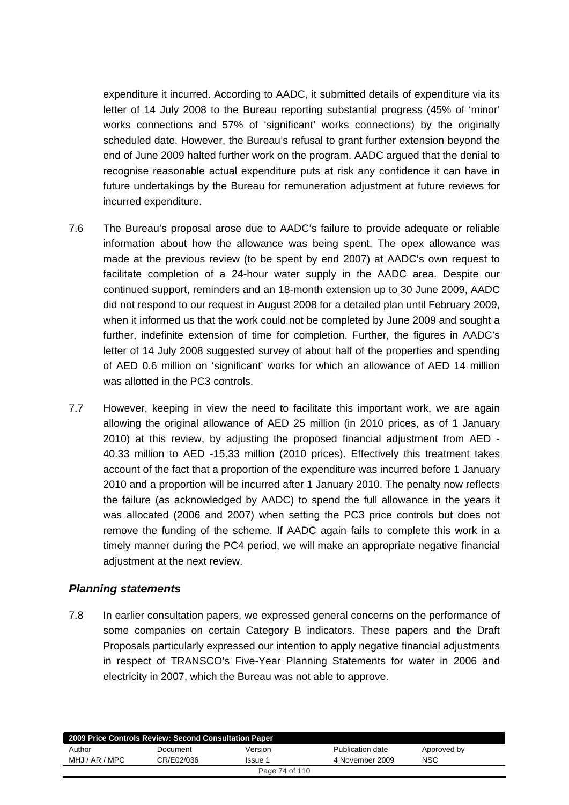expenditure it incurred. According to AADC, it submitted details of expenditure via its letter of 14 July 2008 to the Bureau reporting substantial progress (45% of 'minor' works connections and 57% of 'significant' works connections) by the originally scheduled date. However, the Bureau's refusal to grant further extension beyond the end of June 2009 halted further work on the program. AADC argued that the denial to recognise reasonable actual expenditure puts at risk any confidence it can have in future undertakings by the Bureau for remuneration adjustment at future reviews for incurred expenditure.

- 7.6 The Bureau's proposal arose due to AADC's failure to provide adequate or reliable information about how the allowance was being spent. The opex allowance was made at the previous review (to be spent by end 2007) at AADC's own request to facilitate completion of a 24-hour water supply in the AADC area. Despite our continued support, reminders and an 18-month extension up to 30 June 2009, AADC did not respond to our request in August 2008 for a detailed plan until February 2009, when it informed us that the work could not be completed by June 2009 and sought a further, indefinite extension of time for completion. Further, the figures in AADC's letter of 14 July 2008 suggested survey of about half of the properties and spending of AED 0.6 million on 'significant' works for which an allowance of AED 14 million was allotted in the PC3 controls.
- 7.7 However, keeping in view the need to facilitate this important work, we are again allowing the original allowance of AED 25 million (in 2010 prices, as of 1 January 2010) at this review, by adjusting the proposed financial adjustment from AED - 40.33 million to AED -15.33 million (2010 prices). Effectively this treatment takes account of the fact that a proportion of the expenditure was incurred before 1 January 2010 and a proportion will be incurred after 1 January 2010. The penalty now reflects the failure (as acknowledged by AADC) to spend the full allowance in the years it was allocated (2006 and 2007) when setting the PC3 price controls but does not remove the funding of the scheme. If AADC again fails to complete this work in a timely manner during the PC4 period, we will make an appropriate negative financial adiustment at the next review.

### *Planning statements*

7.8 In earlier consultation papers, we expressed general concerns on the performance of some companies on certain Category B indicators. These papers and the Draft Proposals particularly expressed our intention to apply negative financial adjustments in respect of TRANSCO's Five-Year Planning Statements for water in 2006 and electricity in 2007, which the Bureau was not able to approve.

| 2009 Price Controls Review: Second Consultation Paper |            |         |                  |             |  |  |
|-------------------------------------------------------|------------|---------|------------------|-------------|--|--|
| Author                                                | Document   | Version | Publication date | Approved by |  |  |
| MHJ / AR / MPC                                        | CR/E02/036 | Issue 1 | 4 November 2009  | <b>NSC</b>  |  |  |
| Page 74 of 110                                        |            |         |                  |             |  |  |
|                                                       |            |         |                  |             |  |  |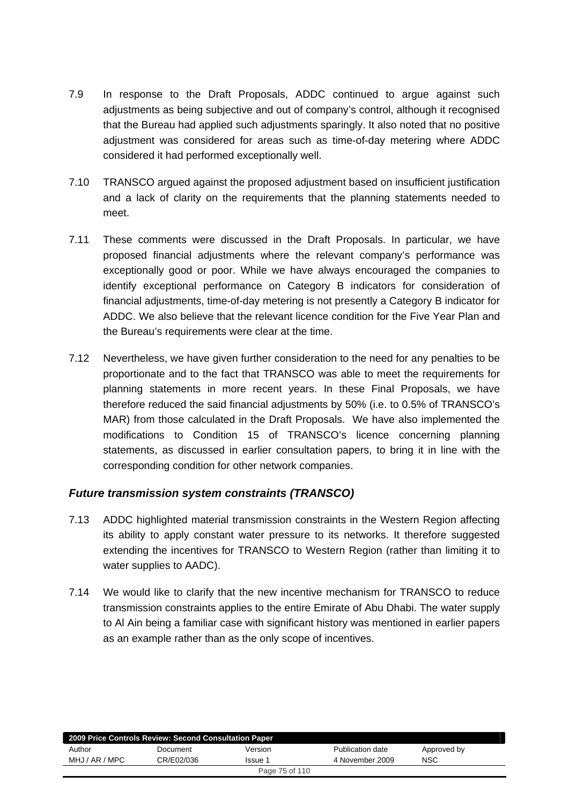- 7.9 In response to the Draft Proposals, ADDC continued to argue against such adjustments as being subjective and out of company's control, although it recognised that the Bureau had applied such adjustments sparingly. It also noted that no positive adjustment was considered for areas such as time-of-day metering where ADDC considered it had performed exceptionally well.
- 7.10 TRANSCO argued against the proposed adjustment based on insufficient justification and a lack of clarity on the requirements that the planning statements needed to meet.
- 7.11 These comments were discussed in the Draft Proposals. In particular, we have proposed financial adjustments where the relevant company's performance was exceptionally good or poor. While we have always encouraged the companies to identify exceptional performance on Category B indicators for consideration of financial adjustments, time-of-day metering is not presently a Category B indicator for ADDC. We also believe that the relevant licence condition for the Five Year Plan and the Bureau's requirements were clear at the time.
- 7.12 Nevertheless, we have given further consideration to the need for any penalties to be proportionate and to the fact that TRANSCO was able to meet the requirements for planning statements in more recent years. In these Final Proposals, we have therefore reduced the said financial adjustments by 50% (i.e. to 0.5% of TRANSCO's MAR) from those calculated in the Draft Proposals. We have also implemented the modifications to Condition 15 of TRANSCO's licence concerning planning statements, as discussed in earlier consultation papers, to bring it in line with the corresponding condition for other network companies.

### *Future transmission system constraints (TRANSCO)*

- 7.13 ADDC highlighted material transmission constraints in the Western Region affecting its ability to apply constant water pressure to its networks. It therefore suggested extending the incentives for TRANSCO to Western Region (rather than limiting it to water supplies to AADC).
- 7.14 We would like to clarify that the new incentive mechanism for TRANSCO to reduce transmission constraints applies to the entire Emirate of Abu Dhabi. The water supply to Al Ain being a familiar case with significant history was mentioned in earlier papers as an example rather than as the only scope of incentives.

| 2009 Price Controls Review: Second Consultation Paper |            |         |                  |             |  |  |
|-------------------------------------------------------|------------|---------|------------------|-------------|--|--|
| Author                                                | Document   | Version | Publication date | Approved by |  |  |
| MHJ / AR / MPC                                        | CR/E02/036 | Issue 1 | 4 November 2009  | NSC         |  |  |
| Page 75 of 110                                        |            |         |                  |             |  |  |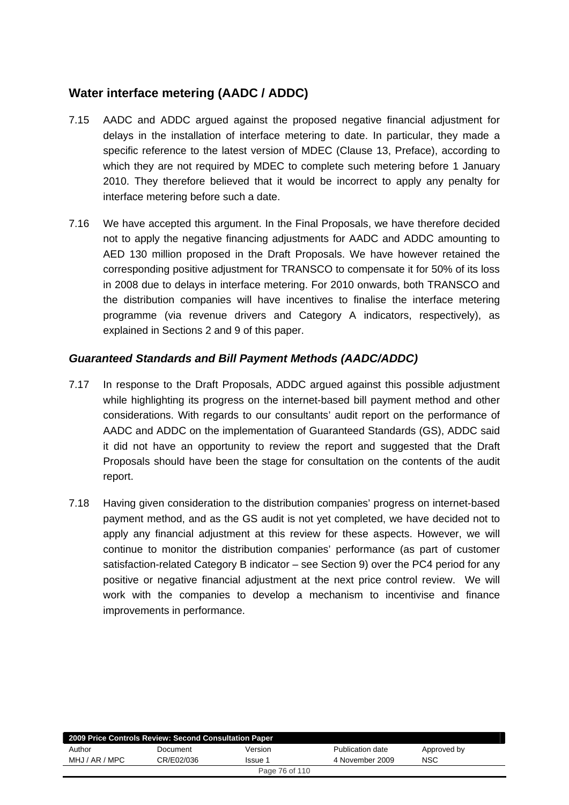## **Water interface metering (AADC / ADDC)**

- 7.15 AADC and ADDC argued against the proposed negative financial adjustment for delays in the installation of interface metering to date. In particular, they made a specific reference to the latest version of MDEC (Clause 13, Preface), according to which they are not required by MDEC to complete such metering before 1 January 2010. They therefore believed that it would be incorrect to apply any penalty for interface metering before such a date.
- 7.16 We have accepted this argument. In the Final Proposals, we have therefore decided not to apply the negative financing adjustments for AADC and ADDC amounting to AED 130 million proposed in the Draft Proposals. We have however retained the corresponding positive adjustment for TRANSCO to compensate it for 50% of its loss in 2008 due to delays in interface metering. For 2010 onwards, both TRANSCO and the distribution companies will have incentives to finalise the interface metering programme (via revenue drivers and Category A indicators, respectively), as explained in Sections 2 and 9 of this paper.

### *Guaranteed Standards and Bill Payment Methods (AADC/ADDC)*

- 7.17 In response to the Draft Proposals, ADDC argued against this possible adjustment while highlighting its progress on the internet-based bill payment method and other considerations. With regards to our consultants' audit report on the performance of AADC and ADDC on the implementation of Guaranteed Standards (GS), ADDC said it did not have an opportunity to review the report and suggested that the Draft Proposals should have been the stage for consultation on the contents of the audit report.
- 7.18 Having given consideration to the distribution companies' progress on internet-based payment method, and as the GS audit is not yet completed, we have decided not to apply any financial adjustment at this review for these aspects. However, we will continue to monitor the distribution companies' performance (as part of customer satisfaction-related Category B indicator – see Section 9) over the PC4 period for any positive or negative financial adjustment at the next price control review. We will work with the companies to develop a mechanism to incentivise and finance improvements in performance.

| 2009 Price Controls Review: Second Consultation Paper |            |         |                  |             |  |  |  |
|-------------------------------------------------------|------------|---------|------------------|-------------|--|--|--|
| Author                                                | Document   | Version | Publication date | Approved by |  |  |  |
| MHJ / AR / MPC                                        | CR/E02/036 | Issue 1 | 4 November 2009  | <b>NSC</b>  |  |  |  |
| Page 76 of 110                                        |            |         |                  |             |  |  |  |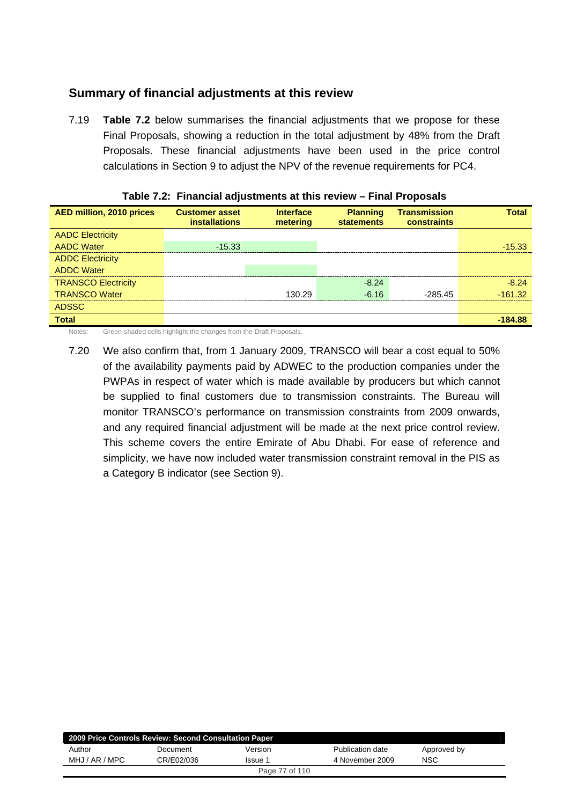## **Summary of financial adjustments at this review**

7.19 **Table 7.2** below summarises the financial adjustments that we propose for these Final Proposals, showing a reduction in the total adjustment by 48% from the Draft Proposals. These financial adjustments have been used in the price control calculations in Section 9 to adjust the NPV of the revenue requirements for PC4.

| <b>AED million, 2010 prices</b> | <b>Customer asset</b><br><b>installations</b> | <b>Interface</b><br>metering | <b>Planning</b><br><b>statements</b> | <b>Transmission</b><br><b>constraints</b> | <b>Total</b> |
|---------------------------------|-----------------------------------------------|------------------------------|--------------------------------------|-------------------------------------------|--------------|
| <b>AADC Electricity</b>         |                                               |                              |                                      |                                           |              |
| <b>AADC Water</b>               | $-15.33$                                      |                              |                                      |                                           | $-15.33$     |
| <b>ADDC Electricity</b>         |                                               |                              |                                      |                                           |              |
| <b>ADDC Water</b>               |                                               |                              |                                      |                                           |              |
| <b>TRANSCO Electricity</b>      |                                               |                              | $-8.24$                              |                                           | $-8,24$      |
| <b>TRANSCO Water</b>            |                                               | 130.29                       | $-6, 16$                             | $-28545$                                  | $-161.32$    |
| <b>ADSSC</b>                    |                                               |                              |                                      |                                           |              |
| <b>Total</b>                    |                                               |                              |                                      |                                           | -184.88      |

|  | Table 7.2: Financial adjustments at this review - Final Proposals |  |  |
|--|-------------------------------------------------------------------|--|--|
|--|-------------------------------------------------------------------|--|--|

Notes: Green-shaded cells highlight the changes from the Draft Proposals.

7.20 We also confirm that, from 1 January 2009, TRANSCO will bear a cost equal to 50% of the availability payments paid by ADWEC to the production companies under the PWPAs in respect of water which is made available by producers but which cannot be supplied to final customers due to transmission constraints. The Bureau will monitor TRANSCO's performance on transmission constraints from 2009 onwards, and any required financial adjustment will be made at the next price control review. This scheme covers the entire Emirate of Abu Dhabi. For ease of reference and simplicity, we have now included water transmission constraint removal in the PIS as a Category B indicator (see Section 9).

| 2009 Price Controls Review: Second Consultation Paper |            |         |                  |             |  |  |  |
|-------------------------------------------------------|------------|---------|------------------|-------------|--|--|--|
| Author                                                | Document   | Version | Publication date | Approved by |  |  |  |
| MHJ / AR / MPC                                        | CR/E02/036 | Issue 1 | 4 November 2009  | <b>NSC</b>  |  |  |  |
| Page 77 of 110                                        |            |         |                  |             |  |  |  |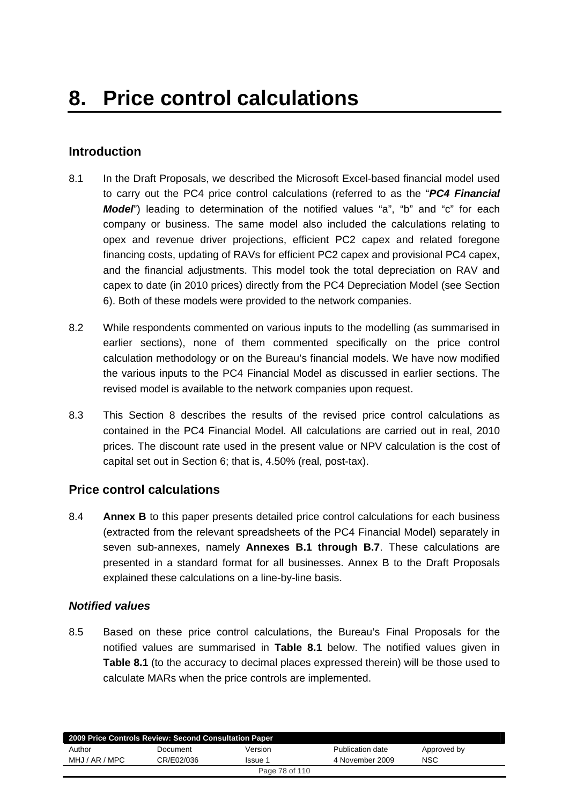## **Introduction**

- 8.1 In the Draft Proposals, we described the Microsoft Excel-based financial model used to carry out the PC4 price control calculations (referred to as the "*PC4 Financial Model*") leading to determination of the notified values "a", "b" and "c" for each company or business. The same model also included the calculations relating to opex and revenue driver projections, efficient PC2 capex and related foregone financing costs, updating of RAVs for efficient PC2 capex and provisional PC4 capex, and the financial adjustments. This model took the total depreciation on RAV and capex to date (in 2010 prices) directly from the PC4 Depreciation Model (see Section 6). Both of these models were provided to the network companies.
- 8.2 While respondents commented on various inputs to the modelling (as summarised in earlier sections), none of them commented specifically on the price control calculation methodology or on the Bureau's financial models. We have now modified the various inputs to the PC4 Financial Model as discussed in earlier sections. The revised model is available to the network companies upon request.
- 8.3 This Section 8 describes the results of the revised price control calculations as contained in the PC4 Financial Model. All calculations are carried out in real, 2010 prices. The discount rate used in the present value or NPV calculation is the cost of capital set out in Section 6; that is, 4.50% (real, post-tax).

### **Price control calculations**

8.4 **Annex B** to this paper presents detailed price control calculations for each business (extracted from the relevant spreadsheets of the PC4 Financial Model) separately in seven sub-annexes, namely **Annexes B.1 through B.7**. These calculations are presented in a standard format for all businesses. Annex B to the Draft Proposals explained these calculations on a line-by-line basis.

### *Notified values*

8.5 Based on these price control calculations, the Bureau's Final Proposals for the notified values are summarised in **Table 8.1** below. The notified values given in **Table 8.1** (to the accuracy to decimal places expressed therein) will be those used to calculate MARs when the price controls are implemented.

| 2009 Price Controls Review: Second Consultation Paper |            |         |                  |             |  |  |  |
|-------------------------------------------------------|------------|---------|------------------|-------------|--|--|--|
| Author                                                | Document   | Version | Publication date | Approved by |  |  |  |
| MHJ / AR / MPC                                        | CR/F02/036 | Issue 1 | 4 November 2009  | <b>NSC</b>  |  |  |  |
| Page 78 of 110                                        |            |         |                  |             |  |  |  |
|                                                       |            |         |                  |             |  |  |  |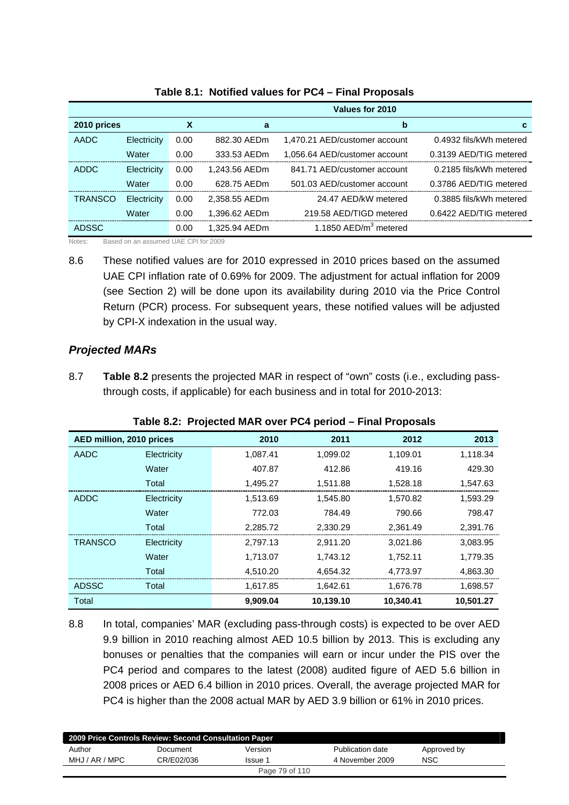|                |             |      |               | Values for 2010                   |                         |
|----------------|-------------|------|---------------|-----------------------------------|-------------------------|
| 2010 prices    |             | х    | a             | b                                 | С                       |
| <b>AADC</b>    | Electricity | 0.00 | 882.30 AEDm   | 1,470.21 AED/customer account     | 0.4932 fils/kWh metered |
|                | Water       | 0.00 | 333.53 AEDm   | 1,056.64 AED/customer account     | 0.3139 AED/TIG metered  |
| ADDC           | Electricity | 0.00 | 1.243.56 AEDm | 841.71 AED/customer account       | 0.2185 fils/kWh metered |
|                | Water       | 0.00 | 628.75 AEDm   | 501.03 AED/customer account       | 0.3786 AED/TIG metered  |
| <b>TRANSCO</b> | Electricity | 0.00 | 2.358.55 AEDm | 24.47 AFD/kW metered              | 0.3885 fils/kWh metered |
|                | Water       | 0.00 | 1.396.62 AEDm | 219.58 AED/TIGD metered           | 0.6422 AED/TIG metered  |
| <b>ADSSC</b>   |             | 0.00 | 1.325.94 AEDm | 1.1850 AED/m <sup>3</sup> metered |                         |

### **Table 8.1: Notified values for PC4 – Final Proposals**

Notes: Based on an assumed UAE CPI for 2009

8.6 These notified values are for 2010 expressed in 2010 prices based on the assumed UAE CPI inflation rate of 0.69% for 2009. The adjustment for actual inflation for 2009 (see Section 2) will be done upon its availability during 2010 via the Price Control Return (PCR) process. For subsequent years, these notified values will be adjusted by CPI-X indexation in the usual way.

### *Projected MARs*

8.7 **Table 8.2** presents the projected MAR in respect of "own" costs (i.e., excluding passthrough costs, if applicable) for each business and in total for 2010-2013:

| AED million, 2010 prices |             | 2010     | 2011      | 2012      | 2013      |
|--------------------------|-------------|----------|-----------|-----------|-----------|
| <b>AADC</b>              | Electricity | 1,087.41 | 1,099.02  | 1,109.01  | 1,118.34  |
|                          | Water       | 407.87   | 412.86    | 419.16    | 429.30    |
|                          | Total       | 1,495.27 | 1,511.88  | 1,528.18  | 1,547.63  |
| <b>ADDC</b>              | Electricity | 1,513.69 | 1,545.80  | 1,570.82  | 1,593.29  |
|                          | Water       | 772.03   | 784.49    | 790.66    | 798.47    |
|                          | Total       | 2,285.72 | 2,330.29  | 2,361.49  | 2,391.76  |
| <b>TRANSCO</b>           | Electricity | 2,797.13 | 2,911.20  | 3,021.86  | 3,083.95  |
|                          | Water       | 1,713.07 | 1,743.12  | 1,752.11  | 1,779.35  |
|                          | Total       | 4,510.20 | 4,654.32  | 4,773.97  | 4,863.30  |
| <b>ADSSC</b>             | Total       | 1,617.85 | 1,642.61  | 1,676.78  | 1,698.57  |
| Total                    |             | 9,909.04 | 10,139.10 | 10,340.41 | 10,501.27 |

### **Table 8.2: Projected MAR over PC4 period – Final Proposals**

8.8 In total, companies' MAR (excluding pass-through costs) is expected to be over AED 9.9 billion in 2010 reaching almost AED 10.5 billion by 2013. This is excluding any bonuses or penalties that the companies will earn or incur under the PIS over the PC4 period and compares to the latest (2008) audited figure of AED 5.6 billion in 2008 prices or AED 6.4 billion in 2010 prices. Overall, the average projected MAR for PC4 is higher than the 2008 actual MAR by AED 3.9 billion or 61% in 2010 prices.

| 2009 Price Controls Review: Second Consultation Paper |            |         |                  |             |
|-------------------------------------------------------|------------|---------|------------------|-------------|
| Author                                                | Document   | Version | Publication date | Approved by |
| MHJ / AR / MPC                                        | CR/E02/036 | Issue 1 | 4 November 2009  | NSC         |
| Page 79 of 110                                        |            |         |                  |             |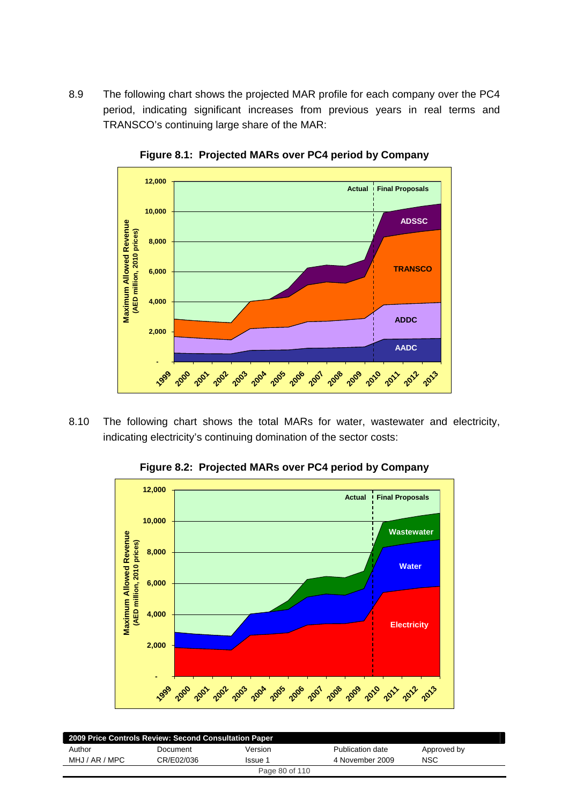8.9 The following chart shows the projected MAR profile for each company over the PC4 period, indicating significant increases from previous years in real terms and TRANSCO's continuing large share of the MAR:



**Figure 8.1: Projected MARs over PC4 period by Company** 

8.10 The following chart shows the total MARs for water, wastewater and electricity, indicating electricity's continuing domination of the sector costs:

**Figure 8.2: Projected MARs over PC4 period by Company** 



| 2009 Price Controls Review: Second Consultation Paper |            |         |                  |             |
|-------------------------------------------------------|------------|---------|------------------|-------------|
| Author                                                | Document   | Version | Publication date | Approved by |
| MHJ / AR / MPC                                        | CR/E02/036 | Issue 1 | 4 November 2009  | NSC         |
| Page 80 of 110                                        |            |         |                  |             |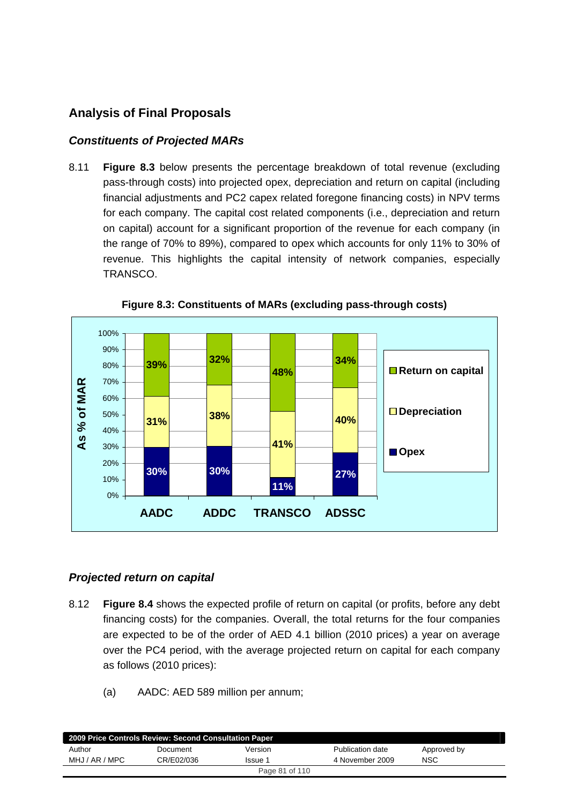## **Analysis of Final Proposals**

### *Constituents of Projected MARs*

8.11 **Figure 8.3** below presents the percentage breakdown of total revenue (excluding pass-through costs) into projected opex, depreciation and return on capital (including financial adjustments and PC2 capex related foregone financing costs) in NPV terms for each company. The capital cost related components (i.e., depreciation and return on capital) account for a significant proportion of the revenue for each company (in the range of 70% to 89%), compared to opex which accounts for only 11% to 30% of revenue. This highlights the capital intensity of network companies, especially TRANSCO.



**Figure 8.3: Constituents of MARs (excluding pass-through costs)** 

### *Projected return on capital*

- 8.12 **Figure 8.4** shows the expected profile of return on capital (or profits, before any debt financing costs) for the companies. Overall, the total returns for the four companies are expected to be of the order of AED 4.1 billion (2010 prices) a year on average over the PC4 period, with the average projected return on capital for each company as follows (2010 prices):
	- (a) AADC: AED 589 million per annum;

| 2009 Price Controls Review: Second Consultation Paper |            |         |                  |             |
|-------------------------------------------------------|------------|---------|------------------|-------------|
| Author                                                | Document   | Version | Publication date | Approved by |
| MHJ / AR / MPC                                        | CR/E02/036 | Issue 1 | 4 November 2009  | NSC         |
| Page 81 of 110                                        |            |         |                  |             |
|                                                       |            |         |                  |             |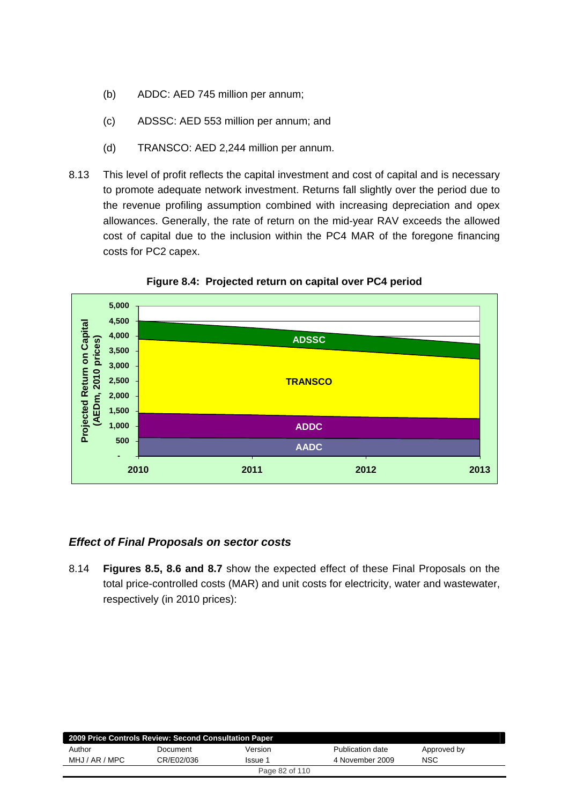- (b) ADDC: AED 745 million per annum;
- (c) ADSSC: AED 553 million per annum; and
- (d) TRANSCO: AED 2,244 million per annum.
- 8.13 This level of profit reflects the capital investment and cost of capital and is necessary to promote adequate network investment. Returns fall slightly over the period due to the revenue profiling assumption combined with increasing depreciation and opex allowances. Generally, the rate of return on the mid-year RAV exceeds the allowed cost of capital due to the inclusion within the PC4 MAR of the foregone financing costs for PC2 capex.



**Figure 8.4: Projected return on capital over PC4 period** 

### *Effect of Final Proposals on sector costs*

8.14 **Figures 8.5, 8.6 and 8.7** show the expected effect of these Final Proposals on the total price-controlled costs (MAR) and unit costs for electricity, water and wastewater, respectively (in 2010 prices):

| 2009 Price Controls Review: Second Consultation Paper |            |         |                  |             |
|-------------------------------------------------------|------------|---------|------------------|-------------|
| Author                                                | Document   | Version | Publication date | Approved by |
| MHJ / AR / MPC                                        | CR/E02/036 | Issue 1 | 4 November 2009  | NSC         |
| Page 82 of 110                                        |            |         |                  |             |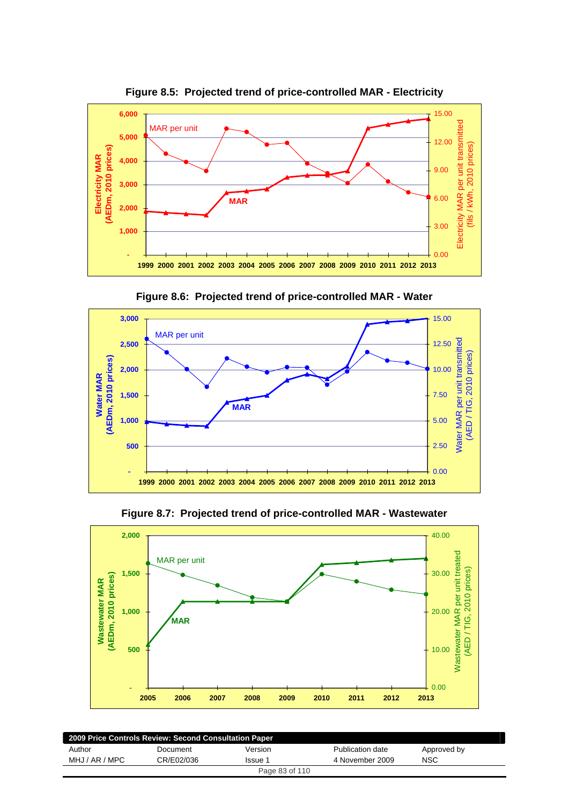

**Figure 8.5: Projected trend of price-controlled MAR - Electricity** 



**Figure 8.6: Projected trend of price-controlled MAR - Water** 



**Figure 8.7: Projected trend of price-controlled MAR - Wastewater** 

| 2009 Price Controls Review: Second Consultation Paper |            |                |                  |             |
|-------------------------------------------------------|------------|----------------|------------------|-------------|
| Author                                                | Document   | Version        | Publication date | Approved by |
| MHJ / AR / MPC                                        | CR/E02/036 | Issue 1        | 4 November 2009  | <b>NSC</b>  |
|                                                       |            | Page 83 of 110 |                  |             |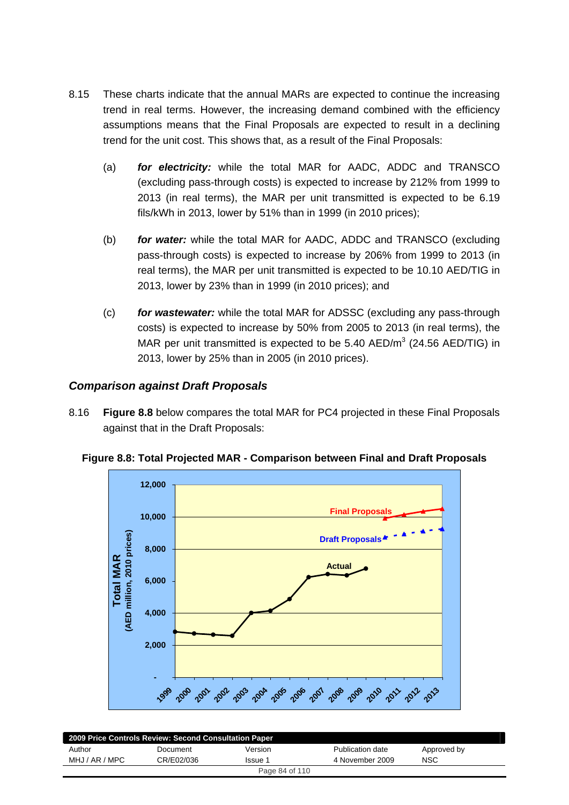- 8.15 These charts indicate that the annual MARs are expected to continue the increasing trend in real terms. However, the increasing demand combined with the efficiency assumptions means that the Final Proposals are expected to result in a declining trend for the unit cost. This shows that, as a result of the Final Proposals:
	- (a) *for electricity:* while the total MAR for AADC, ADDC and TRANSCO (excluding pass-through costs) is expected to increase by 212% from 1999 to 2013 (in real terms), the MAR per unit transmitted is expected to be 6.19 fils/kWh in 2013, lower by 51% than in 1999 (in 2010 prices);
	- (b) *for water:* while the total MAR for AADC, ADDC and TRANSCO (excluding pass-through costs) is expected to increase by 206% from 1999 to 2013 (in real terms), the MAR per unit transmitted is expected to be 10.10 AED/TIG in 2013, lower by 23% than in 1999 (in 2010 prices); and
	- (c) *for wastewater:* while the total MAR for ADSSC (excluding any pass-through costs) is expected to increase by 50% from 2005 to 2013 (in real terms), the MAR per unit transmitted is expected to be 5.40 AED/ $m^3$  (24.56 AED/TIG) in 2013, lower by 25% than in 2005 (in 2010 prices).

### *Comparison against Draft Proposals*

8.16 **Figure 8.8** below compares the total MAR for PC4 projected in these Final Proposals against that in the Draft Proposals:



**Figure 8.8: Total Projected MAR - Comparison between Final and Draft Proposals** 

| 2009 Price Controls Review: Second Consultation Paper |            |         |                  |             |
|-------------------------------------------------------|------------|---------|------------------|-------------|
| Author                                                | Document   | Version | Publication date | Approved by |
| MHJ / AR / MPC                                        | CR/E02/036 | Issue 1 | 4 November 2009  | NSC         |
| Page 84 of 110                                        |            |         |                  |             |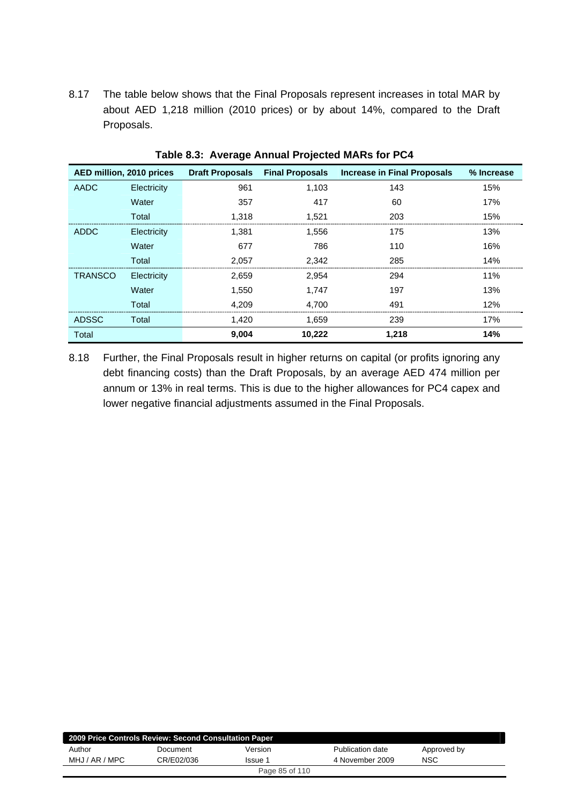8.17 The table below shows that the Final Proposals represent increases in total MAR by about AED 1,218 million (2010 prices) or by about 14%, compared to the Draft Proposals.

| AED million, 2010 prices |             | <b>Draft Proposals</b> | <b>Final Proposals</b> | <b>Increase in Final Proposals</b> | % Increase |
|--------------------------|-------------|------------------------|------------------------|------------------------------------|------------|
| AADC                     | Electricity | 961                    | 1,103                  | 143                                | 15%        |
|                          | Water       | 357                    | 417                    | 60                                 | 17%        |
|                          | Total       | 1.318                  | 1.521                  | 203                                | 15%        |
| <b>ADDC</b>              | Electricity | 1,381                  | 1,556                  | 175                                | 13%        |
|                          | Water       | 677                    | 786                    | 110                                | 16%        |
|                          | Total       | 2,057                  | 2,342                  | 285                                | 14%        |
| <b>TRANSCO</b>           | Electricity | 2,659                  | 2,954                  | 294                                | 11%        |
|                          | Water       | 1,550                  | 1,747                  | 197                                | 13%        |
|                          | Total       | 4,209                  | 4,700                  | 491                                | 12%        |
| <b>ADSSC</b>             | Total       | 1,420                  | 1,659                  | 239                                | 17%        |
| Total                    |             | 9,004                  | 10,222                 | 1,218                              | 14%        |

**Table 8.3: Average Annual Projected MARs for PC4** 

8.18 Further, the Final Proposals result in higher returns on capital (or profits ignoring any debt financing costs) than the Draft Proposals, by an average AED 474 million per annum or 13% in real terms. This is due to the higher allowances for PC4 capex and lower negative financial adjustments assumed in the Final Proposals.

| 2009 Price Controls Review: Second Consultation Paper |            |         |                  |             |
|-------------------------------------------------------|------------|---------|------------------|-------------|
| Author                                                | Document   | Version | Publication date | Approved by |
| MHJ / AR / MPC                                        | CR/E02/036 | lssue 1 | 4 November 2009  | NSC         |
| Page 85 of 110                                        |            |         |                  |             |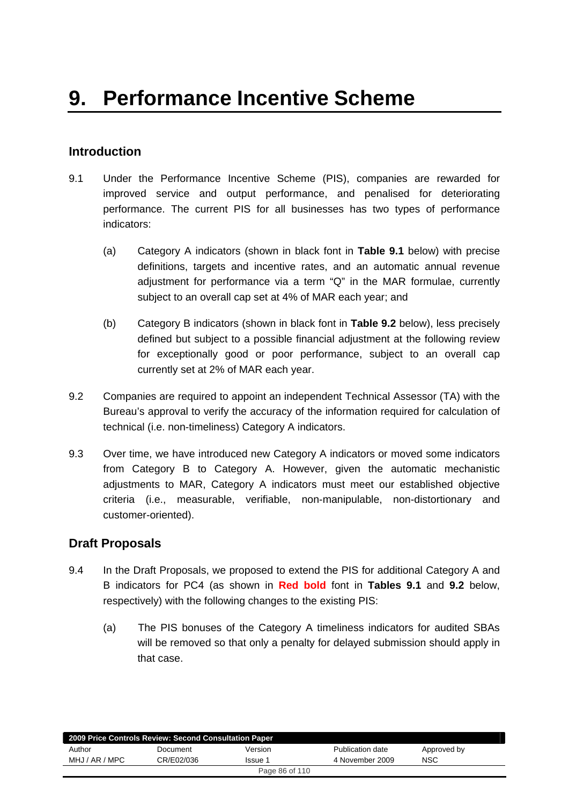## **Introduction**

- 9.1 Under the Performance Incentive Scheme (PIS), companies are rewarded for improved service and output performance, and penalised for deteriorating performance. The current PIS for all businesses has two types of performance indicators:
	- (a) Category A indicators (shown in black font in **Table 9.1** below) with precise definitions, targets and incentive rates, and an automatic annual revenue adjustment for performance via a term "Q" in the MAR formulae, currently subject to an overall cap set at 4% of MAR each year; and
	- (b) Category B indicators (shown in black font in **Table 9.2** below), less precisely defined but subject to a possible financial adjustment at the following review for exceptionally good or poor performance, subject to an overall cap currently set at 2% of MAR each year.
- 9.2 Companies are required to appoint an independent Technical Assessor (TA) with the Bureau's approval to verify the accuracy of the information required for calculation of technical (i.e. non-timeliness) Category A indicators.
- 9.3 Over time, we have introduced new Category A indicators or moved some indicators from Category B to Category A. However, given the automatic mechanistic adjustments to MAR, Category A indicators must meet our established objective criteria (i.e., measurable, verifiable, non-manipulable, non-distortionary and customer-oriented).

## **Draft Proposals**

- 9.4 In the Draft Proposals, we proposed to extend the PIS for additional Category A and B indicators for PC4 (as shown in **Red bold** font in **Tables 9.1** and **9.2** below, respectively) with the following changes to the existing PIS:
	- (a) The PIS bonuses of the Category A timeliness indicators for audited SBAs will be removed so that only a penalty for delayed submission should apply in that case.

| 2009 Price Controls Review: Second Consultation Paper |            |         |                  |             |
|-------------------------------------------------------|------------|---------|------------------|-------------|
| Author                                                | Document   | Version | Publication date | Approved by |
| MHJ / AR / MPC                                        | CR/E02/036 | Issue 1 | 4 November 2009  | <b>NSC</b>  |
| Page 86 of 110                                        |            |         |                  |             |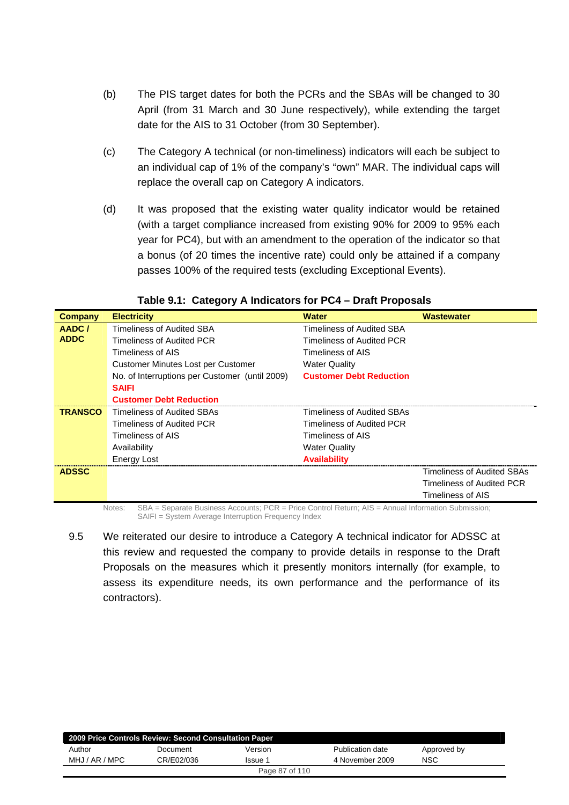- (b) The PIS target dates for both the PCRs and the SBAs will be changed to 30 April (from 31 March and 30 June respectively), while extending the target date for the AIS to 31 October (from 30 September).
- (c) The Category A technical (or non-timeliness) indicators will each be subject to an individual cap of 1% of the company's "own" MAR. The individual caps will replace the overall cap on Category A indicators.
- (d) It was proposed that the existing water quality indicator would be retained (with a target compliance increased from existing 90% for 2009 to 95% each year for PC4), but with an amendment to the operation of the indicator so that a bonus (of 20 times the incentive rate) could only be attained if a company passes 100% of the required tests (excluding Exceptional Events).

| <b>Company</b> | <b>Electricity</b>                             | <b>Water</b>                   | <b>Wastewater</b>                 |
|----------------|------------------------------------------------|--------------------------------|-----------------------------------|
| AADC/          | Timeliness of Audited SBA                      | Timeliness of Audited SBA      |                                   |
| <b>ADDC</b>    | Timeliness of Audited PCR                      | Timeliness of Audited PCR      |                                   |
|                | Timeliness of AIS                              | Timeliness of AIS              |                                   |
|                | Customer Minutes Lost per Customer             | <b>Water Quality</b>           |                                   |
|                | No. of Interruptions per Customer (until 2009) | <b>Customer Debt Reduction</b> |                                   |
|                | <b>SAIFI</b>                                   |                                |                                   |
|                | <b>Customer Debt Reduction</b>                 |                                |                                   |
| <b>TRANSCO</b> | Timeliness of Audited SBAs                     | Timeliness of Audited SBAs     |                                   |
|                | Timeliness of Audited PCR                      | Timeliness of Audited PCR      |                                   |
|                | Timeliness of AIS                              | Timeliness of AIS              |                                   |
|                | Availability                                   | <b>Water Quality</b>           |                                   |
|                | <b>Energy Lost</b>                             | <b>Availability</b>            |                                   |
| <b>ADSSC</b>   |                                                |                                | <b>Timeliness of Audited SBAs</b> |
|                |                                                |                                | Timeliness of Audited PCR         |
|                |                                                |                                | Timeliness of AIS                 |

**Table 9.1: Category A Indicators for PC4 – Draft Proposals** 

Notes: SBA = Separate Business Accounts; PCR = Price Control Return; AIS = Annual Information Submission; SAIFI = System Average Interruption Frequency Index

9.5 We reiterated our desire to introduce a Category A technical indicator for ADSSC at this review and requested the company to provide details in response to the Draft Proposals on the measures which it presently monitors internally (for example, to assess its expenditure needs, its own performance and the performance of its contractors).

| 2009 Price Controls Review: Second Consultation Paper |            |                |                  |             |  |
|-------------------------------------------------------|------------|----------------|------------------|-------------|--|
| Author                                                | Document   | Version        | Publication date | Approved by |  |
| MHJ / AR / MPC                                        | CR/E02/036 | Issue 1        | 4 November 2009  | <b>NSC</b>  |  |
|                                                       |            | Page 87 of 110 |                  |             |  |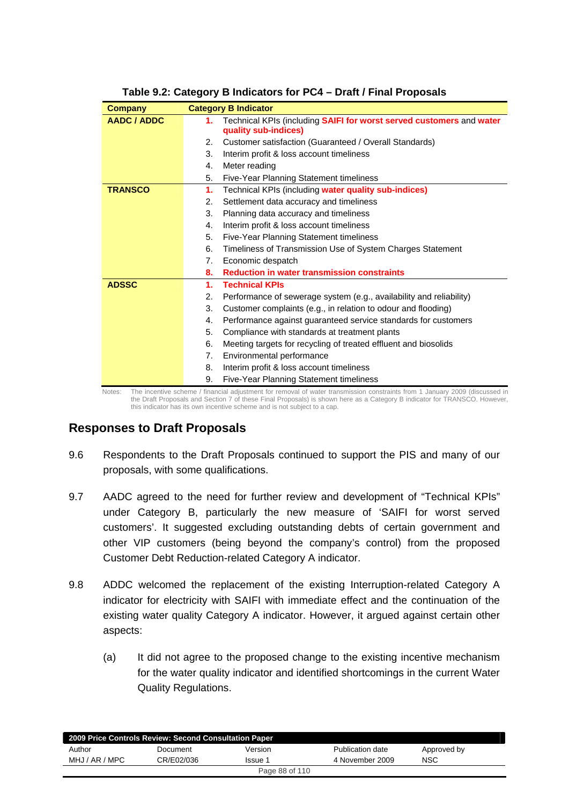| <b>Company</b>     |    | <b>Category B Indicator</b>                                                                                                 |
|--------------------|----|-----------------------------------------------------------------------------------------------------------------------------|
| <b>AADC / ADDC</b> | 1. | Technical KPIs (including SAIFI for worst served customers and water<br>quality sub-indices)                                |
|                    | 2. | Customer satisfaction (Guaranteed / Overall Standards)                                                                      |
|                    | 3. | Interim profit & loss account timeliness                                                                                    |
|                    | 4. | Meter reading                                                                                                               |
|                    | 5. | <b>Five-Year Planning Statement timeliness</b>                                                                              |
| <b>TRANSCO</b>     | 1. | Technical KPIs (including water quality sub-indices)                                                                        |
|                    | 2. | Settlement data accuracy and timeliness                                                                                     |
|                    | 3. | Planning data accuracy and timeliness                                                                                       |
|                    | 4. | Interim profit & loss account timeliness                                                                                    |
|                    | 5. | Five-Year Planning Statement timeliness                                                                                     |
|                    | 6. | Timeliness of Transmission Use of System Charges Statement                                                                  |
|                    | 7. | Economic despatch                                                                                                           |
|                    | 8. | <b>Reduction in water transmission constraints</b>                                                                          |
| <b>ADSSC</b>       | 1. | <b>Technical KPIs</b>                                                                                                       |
|                    | 2. | Performance of sewerage system (e.g., availability and reliability)                                                         |
|                    | 3. | Customer complaints (e.g., in relation to odour and flooding)                                                               |
|                    | 4. | Performance against guaranteed service standards for customers                                                              |
|                    | 5. | Compliance with standards at treatment plants                                                                               |
|                    | 6. | Meeting targets for recycling of treated effluent and biosolids                                                             |
|                    | 7. | Environmental performance                                                                                                   |
|                    | 8. | Interim profit & loss account timeliness                                                                                    |
|                    | 9. | Five-Year Planning Statement timeliness                                                                                     |
| Notes:             |    | The incentive scheme / financial adjustment for removal of water transmission constraints from 1 January 2009 (discussed in |

## **Table 9.2: Category B Indicators for PC4 – Draft / Final Proposals**

the Draft Proposals and Section 7 of these Final Proposals) is shown here as a Category B indicator for TRANSCO. However, this indicator has its own incentive scheme and is not subject to a cap.

## **Responses to Draft Proposals**

- 9.6 Respondents to the Draft Proposals continued to support the PIS and many of our proposals, with some qualifications.
- 9.7 AADC agreed to the need for further review and development of "Technical KPIs" under Category B, particularly the new measure of 'SAIFI for worst served customers'. It suggested excluding outstanding debts of certain government and other VIP customers (being beyond the company's control) from the proposed Customer Debt Reduction-related Category A indicator.
- 9.8 ADDC welcomed the replacement of the existing Interruption-related Category A indicator for electricity with SAIFI with immediate effect and the continuation of the existing water quality Category A indicator. However, it argued against certain other aspects:
	- (a) It did not agree to the proposed change to the existing incentive mechanism for the water quality indicator and identified shortcomings in the current Water Quality Regulations.

|                | 2009 Price Controls Review: Second Consultation Paper |         |                  |             |  |
|----------------|-------------------------------------------------------|---------|------------------|-------------|--|
| Author         | Document                                              | Version | Publication date | Approved by |  |
| MHJ / AR / MPC | CR/E02/036                                            | Issue 1 | 4 November 2009  | <b>NSC</b>  |  |
| Page 88 of 110 |                                                       |         |                  |             |  |
|                |                                                       |         |                  |             |  |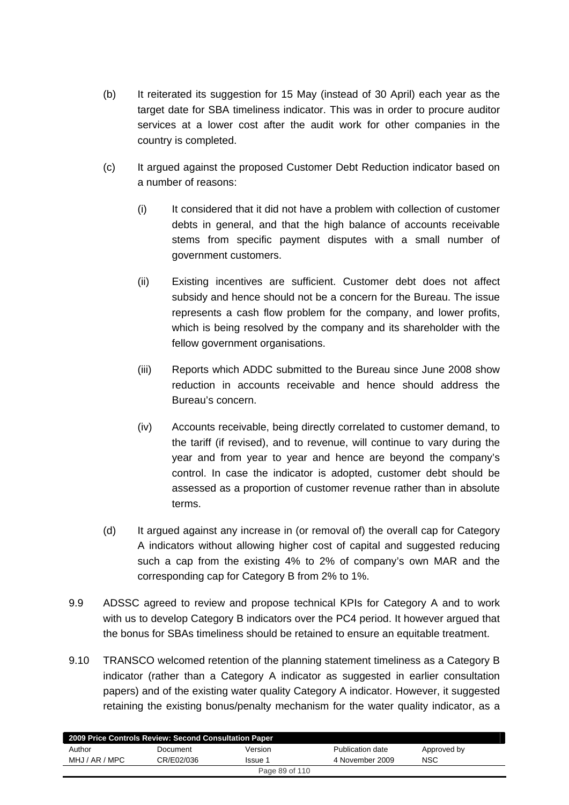- (b) It reiterated its suggestion for 15 May (instead of 30 April) each year as the target date for SBA timeliness indicator. This was in order to procure auditor services at a lower cost after the audit work for other companies in the country is completed.
- (c) It argued against the proposed Customer Debt Reduction indicator based on a number of reasons:
	- (i) It considered that it did not have a problem with collection of customer debts in general, and that the high balance of accounts receivable stems from specific payment disputes with a small number of government customers.
	- (ii) Existing incentives are sufficient. Customer debt does not affect subsidy and hence should not be a concern for the Bureau. The issue represents a cash flow problem for the company, and lower profits, which is being resolved by the company and its shareholder with the fellow government organisations.
	- (iii) Reports which ADDC submitted to the Bureau since June 2008 show reduction in accounts receivable and hence should address the Bureau's concern.
	- (iv) Accounts receivable, being directly correlated to customer demand, to the tariff (if revised), and to revenue, will continue to vary during the year and from year to year and hence are beyond the company's control. In case the indicator is adopted, customer debt should be assessed as a proportion of customer revenue rather than in absolute terms.
- (d) It argued against any increase in (or removal of) the overall cap for Category A indicators without allowing higher cost of capital and suggested reducing such a cap from the existing 4% to 2% of company's own MAR and the corresponding cap for Category B from 2% to 1%.
- 9.9 ADSSC agreed to review and propose technical KPIs for Category A and to work with us to develop Category B indicators over the PC4 period. It however argued that the bonus for SBAs timeliness should be retained to ensure an equitable treatment.
- 9.10 TRANSCO welcomed retention of the planning statement timeliness as a Category B indicator (rather than a Category A indicator as suggested in earlier consultation papers) and of the existing water quality Category A indicator. However, it suggested retaining the existing bonus/penalty mechanism for the water quality indicator, as a

| 2009 Price Controls Review: Second Consultation Paper |            |         |                  |             |  |
|-------------------------------------------------------|------------|---------|------------------|-------------|--|
| Author                                                | Document   | Version | Publication date | Approved by |  |
| MHJ / AR / MPC                                        | CR/E02/036 | Issue 1 | 4 November 2009  | <b>NSC</b>  |  |
| Page 89 of 110                                        |            |         |                  |             |  |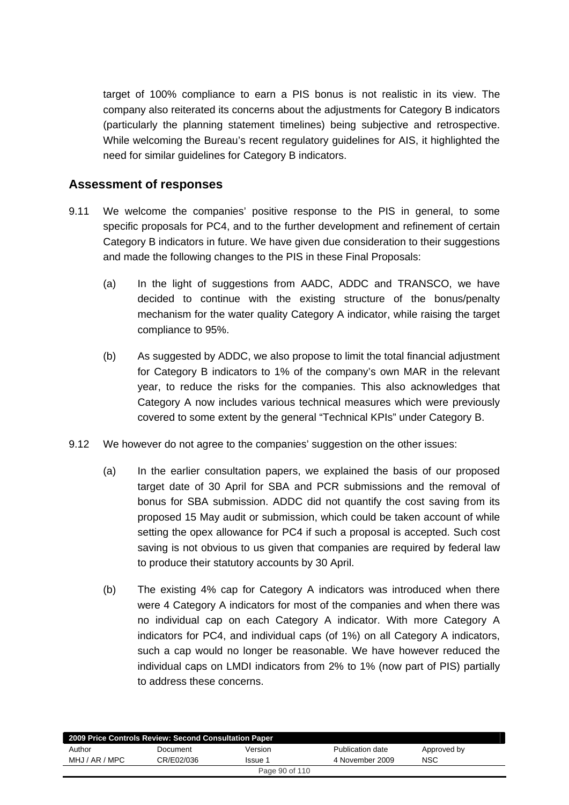target of 100% compliance to earn a PIS bonus is not realistic in its view. The company also reiterated its concerns about the adjustments for Category B indicators (particularly the planning statement timelines) being subjective and retrospective. While welcoming the Bureau's recent regulatory guidelines for AIS, it highlighted the need for similar guidelines for Category B indicators.

## **Assessment of responses**

- 9.11 We welcome the companies' positive response to the PIS in general, to some specific proposals for PC4, and to the further development and refinement of certain Category B indicators in future. We have given due consideration to their suggestions and made the following changes to the PIS in these Final Proposals:
	- (a) In the light of suggestions from AADC, ADDC and TRANSCO, we have decided to continue with the existing structure of the bonus/penalty mechanism for the water quality Category A indicator, while raising the target compliance to 95%.
	- (b) As suggested by ADDC, we also propose to limit the total financial adjustment for Category B indicators to 1% of the company's own MAR in the relevant year, to reduce the risks for the companies. This also acknowledges that Category A now includes various technical measures which were previously covered to some extent by the general "Technical KPIs" under Category B.
- 9.12 We however do not agree to the companies' suggestion on the other issues:
	- (a) In the earlier consultation papers, we explained the basis of our proposed target date of 30 April for SBA and PCR submissions and the removal of bonus for SBA submission. ADDC did not quantify the cost saving from its proposed 15 May audit or submission, which could be taken account of while setting the opex allowance for PC4 if such a proposal is accepted. Such cost saving is not obvious to us given that companies are required by federal law to produce their statutory accounts by 30 April.
	- (b) The existing 4% cap for Category A indicators was introduced when there were 4 Category A indicators for most of the companies and when there was no individual cap on each Category A indicator. With more Category A indicators for PC4, and individual caps (of 1%) on all Category A indicators, such a cap would no longer be reasonable. We have however reduced the individual caps on LMDI indicators from 2% to 1% (now part of PIS) partially to address these concerns.

| 2009 Price Controls Review: Second Consultation Paper |            |                |                  |             |  |
|-------------------------------------------------------|------------|----------------|------------------|-------------|--|
| Author                                                | Document   | Version        | Publication date | Approved by |  |
| MHJ / AR / MPC                                        | CR/E02/036 | Issue 1        | 4 November 2009  | <b>NSC</b>  |  |
|                                                       |            | Page 90 of 110 |                  |             |  |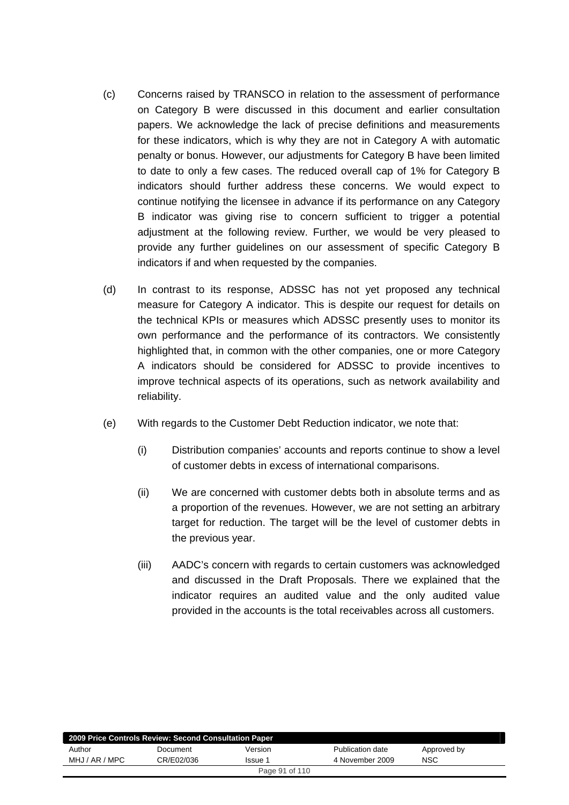- (c) Concerns raised by TRANSCO in relation to the assessment of performance on Category B were discussed in this document and earlier consultation papers. We acknowledge the lack of precise definitions and measurements for these indicators, which is why they are not in Category A with automatic penalty or bonus. However, our adjustments for Category B have been limited to date to only a few cases. The reduced overall cap of 1% for Category B indicators should further address these concerns. We would expect to continue notifying the licensee in advance if its performance on any Category B indicator was giving rise to concern sufficient to trigger a potential adjustment at the following review. Further, we would be very pleased to provide any further guidelines on our assessment of specific Category B indicators if and when requested by the companies.
- (d) In contrast to its response, ADSSC has not yet proposed any technical measure for Category A indicator. This is despite our request for details on the technical KPIs or measures which ADSSC presently uses to monitor its own performance and the performance of its contractors. We consistently highlighted that, in common with the other companies, one or more Category A indicators should be considered for ADSSC to provide incentives to improve technical aspects of its operations, such as network availability and reliability.
- (e) With regards to the Customer Debt Reduction indicator, we note that:
	- (i) Distribution companies' accounts and reports continue to show a level of customer debts in excess of international comparisons.
	- (ii) We are concerned with customer debts both in absolute terms and as a proportion of the revenues. However, we are not setting an arbitrary target for reduction. The target will be the level of customer debts in the previous year.
	- (iii) AADC's concern with regards to certain customers was acknowledged and discussed in the Draft Proposals. There we explained that the indicator requires an audited value and the only audited value provided in the accounts is the total receivables across all customers.

| 2009 Price Controls Review: Second Consultation Paper |            |         |                  |             |  |
|-------------------------------------------------------|------------|---------|------------------|-------------|--|
| Author                                                | Document   | Version | Publication date | Approved by |  |
| MHJ / AR / MPC                                        | CR/E02/036 | Issue 1 | 4 November 2009  | <b>NSC</b>  |  |
| Page 91 of 110                                        |            |         |                  |             |  |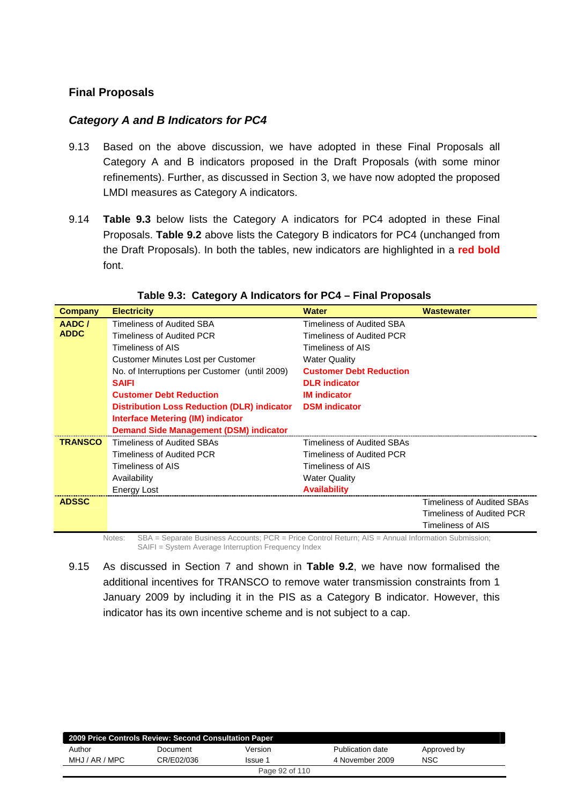### **Final Proposals**

### *Category A and B Indicators for PC4*

- 9.13 Based on the above discussion, we have adopted in these Final Proposals all Category A and B indicators proposed in the Draft Proposals (with some minor refinements). Further, as discussed in Section 3, we have now adopted the proposed LMDI measures as Category A indicators.
- 9.14 **Table 9.3** below lists the Category A indicators for PC4 adopted in these Final Proposals. **Table 9.2** above lists the Category B indicators for PC4 (unchanged from the Draft Proposals). In both the tables, new indicators are highlighted in a **red bold** font.

| <b>Company</b> | <b>Electricity</b>                                                                                           | <b>Water</b>                   | <b>Wastewater</b>                 |
|----------------|--------------------------------------------------------------------------------------------------------------|--------------------------------|-----------------------------------|
| AADC/          | Timeliness of Audited SBA                                                                                    | Timeliness of Audited SBA      |                                   |
| <b>ADDC</b>    | Timeliness of Audited PCR                                                                                    | Timeliness of Audited PCR      |                                   |
|                | Timeliness of AIS                                                                                            | Timeliness of AIS              |                                   |
|                | Customer Minutes Lost per Customer                                                                           | <b>Water Quality</b>           |                                   |
|                | No. of Interruptions per Customer (until 2009)                                                               | <b>Customer Debt Reduction</b> |                                   |
|                | <b>SAIFI</b>                                                                                                 | <b>DLR</b> indicator           |                                   |
|                | <b>Customer Debt Reduction</b>                                                                               | <b>IM</b> indicator            |                                   |
|                | <b>Distribution Loss Reduction (DLR) indicator</b>                                                           | <b>DSM</b> indicator           |                                   |
|                | Interface Metering (IM) indicator                                                                            |                                |                                   |
|                | <b>Demand Side Management (DSM) indicator</b>                                                                |                                |                                   |
| <b>TRANSCO</b> | <b>Timeliness of Audited SBAs</b>                                                                            | Timeliness of Audited SBAs     |                                   |
|                | Timeliness of Audited PCR                                                                                    | Timeliness of Audited PCR      |                                   |
|                | Timeliness of AIS                                                                                            | Timeliness of AIS              |                                   |
|                | Availability                                                                                                 | <b>Water Quality</b>           |                                   |
|                | Energy Lost                                                                                                  | <b>Availability</b>            |                                   |
| <b>ADSSC</b>   |                                                                                                              |                                | <b>Timeliness of Audited SBAs</b> |
|                |                                                                                                              |                                | Timeliness of Audited PCR         |
|                |                                                                                                              |                                | Timeliness of AIS                 |
|                | SBA = Separate Business Accounts; PCR = Price Control Return; AIS = Annual Information Submission;<br>Notes: |                                |                                   |

### **Table 9.3: Category A Indicators for PC4 – Final Proposals**

SAIFI = System Average Interruption Frequency Index

9.15 As discussed in Section 7 and shown in **Table 9.2**, we have now formalised the additional incentives for TRANSCO to remove water transmission constraints from 1 January 2009 by including it in the PIS as a Category B indicator. However, this indicator has its own incentive scheme and is not subject to a cap.

| 2009 Price Controls Review: Second Consultation Paper |            |                |                  |             |  |
|-------------------------------------------------------|------------|----------------|------------------|-------------|--|
| Author                                                | Document   | Version        | Publication date | Approved by |  |
| MHJ / AR / MPC                                        | CR/E02/036 | Issue 1        | 4 November 2009  | <b>NSC</b>  |  |
|                                                       |            | Page 92 of 110 |                  |             |  |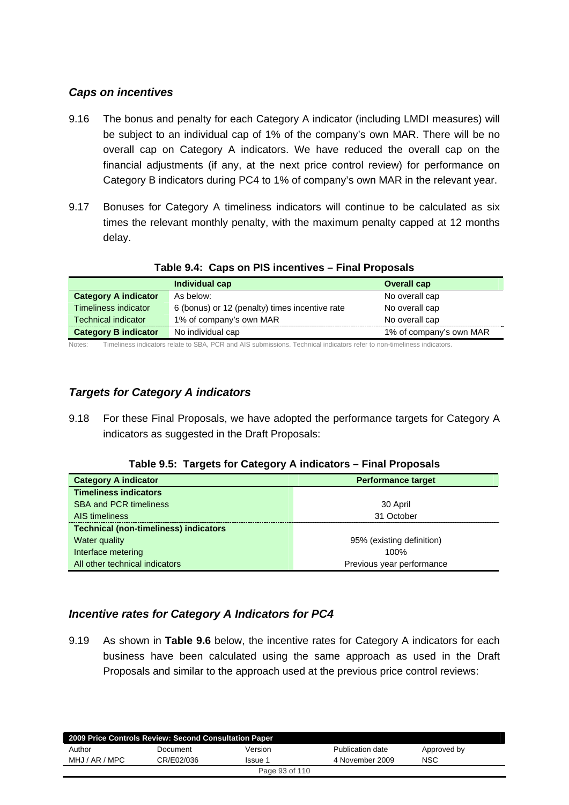### *Caps on incentives*

- 9.16 The bonus and penalty for each Category A indicator (including LMDI measures) will be subject to an individual cap of 1% of the company's own MAR. There will be no overall cap on Category A indicators. We have reduced the overall cap on the financial adjustments (if any, at the next price control review) for performance on Category B indicators during PC4 to 1% of company's own MAR in the relevant year.
- 9.17 Bonuses for Category A timeliness indicators will continue to be calculated as six times the relevant monthly penalty, with the maximum penalty capped at 12 months delay.

|                             | Individual cap                                                                                                        | <b>Overall cap</b>      |
|-----------------------------|-----------------------------------------------------------------------------------------------------------------------|-------------------------|
| <b>Category A indicator</b> | As below:                                                                                                             | No overall cap          |
| Timeliness indicator        | 6 (bonus) or 12 (penalty) times incentive rate                                                                        | No overall cap          |
| Technical indicator         | 1% of company's own MAR                                                                                               | No overall cap          |
| <b>Category B indicator</b> | No individual cap                                                                                                     | 1% of company's own MAR |
| $N$ $A+22$                  | Timolinees indicators relate to CDA, DCD and AIC submissions. Technical indicators refer to non timolinees indicators |                         |

### **Table 9.4: Caps on PIS incentives – Final Proposals**

Notes: Timeliness indicators relate to SBA, PCR and AIS submissions. Technical indicators refer to non-timeliness indicators.

### *Targets for Category A indicators*

9.18 For these Final Proposals, we have adopted the performance targets for Category A indicators as suggested in the Draft Proposals:

|  |  | Table 9.5: Targets for Category A indicators - Final Proposals |
|--|--|----------------------------------------------------------------|
|  |  |                                                                |

| <b>Category A indicator</b>                  | <b>Performance target</b> |
|----------------------------------------------|---------------------------|
| <b>Timeliness indicators</b>                 |                           |
| <b>SBA and PCR timeliness</b>                | 30 April                  |
| AIS timeliness                               | 31 October                |
| <b>Technical (non-timeliness) indicators</b> |                           |
| Water quality                                | 95% (existing definition) |
| Interface metering                           | 100%                      |
| All other technical indicators               | Previous year performance |

### *Incentive rates for Category A Indicators for PC4*

9.19 As shown in **Table 9.6** below, the incentive rates for Category A indicators for each business have been calculated using the same approach as used in the Draft Proposals and similar to the approach used at the previous price control reviews:

|                | 2009 Price Controls Review: Second Consultation Paper |                |                  |             |  |
|----------------|-------------------------------------------------------|----------------|------------------|-------------|--|
| Author         | Document                                              | Version        | Publication date | Approved by |  |
| MHJ / AR / MPC | CR/E02/036                                            | Issue 1        | 4 November 2009  | <b>NSC</b>  |  |
|                |                                                       | Page 93 of 110 |                  |             |  |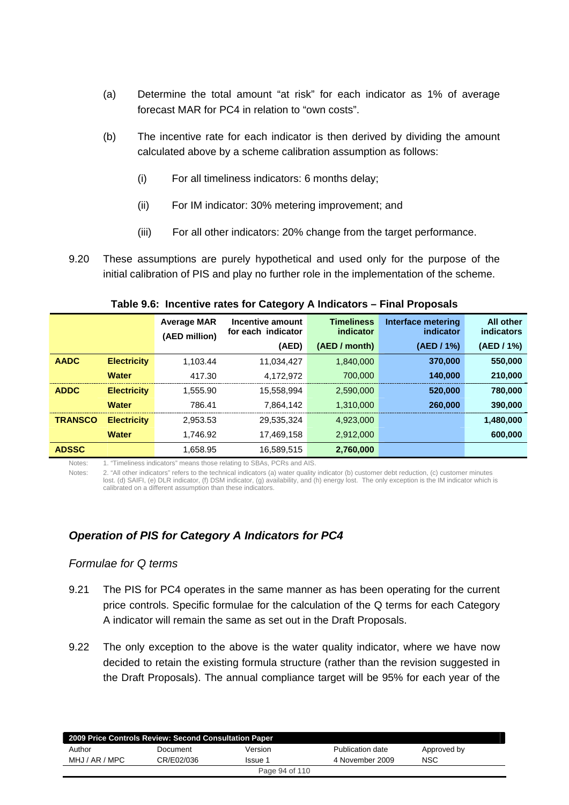- (a) Determine the total amount "at risk" for each indicator as 1% of average forecast MAR for PC4 in relation to "own costs".
- (b) The incentive rate for each indicator is then derived by dividing the amount calculated above by a scheme calibration assumption as follows:
	- (i) For all timeliness indicators: 6 months delay;
	- (ii) For IM indicator: 30% metering improvement; and
	- (iii) For all other indicators: 20% change from the target performance.
- 9.20 These assumptions are purely hypothetical and used only for the purpose of the initial calibration of PIS and play no further role in the implementation of the scheme.

|                |                    | <b>Average MAR</b><br>(AED million) | Incentive amount<br>for each indicator | <b>Timeliness</b><br>indicator | Interface metering<br>indicator | <b>All other</b><br>indicators |
|----------------|--------------------|-------------------------------------|----------------------------------------|--------------------------------|---------------------------------|--------------------------------|
|                |                    |                                     | (AED)                                  | (AED / month)                  | (AED / 1%)                      | (AED / 1%)                     |
| <b>AADC</b>    | <b>Electricity</b> | 1.103.44                            | 11,034,427                             | 1.840.000                      | 370,000                         | 550,000                        |
|                | <b>Water</b>       | 417.30                              | 4.172.972                              | 700.000                        | 140.000                         | 210,000                        |
| <b>ADDC</b>    | <b>Electricity</b> | 1.555.90                            | 15.558.994                             | 2,590,000                      | 520,000                         | 780,000                        |
|                | <b>Water</b>       | 786.41                              | 7.864.142                              | 1.310.000                      | 260,000                         | 390,000                        |
| <b>TRANSCO</b> | <b>Electricity</b> | 2.953.53                            | 29.535.324                             | 4.923.000                      |                                 | 1,480,000                      |
|                | <b>Water</b>       | 1.746.92                            | 17,469,158                             | 2,912,000                      |                                 | 600,000                        |
| <b>ADSSC</b>   |                    | 1.658.95                            | 16,589,515                             | 2,760,000                      |                                 |                                |

**Table 9.6: Incentive rates for Category A Indicators – Final Proposals** 

Notes: 1. "Timeliness indicators" means those relating to SBAs, PCRs and AIS.

Notes: 2. "All other indicators" refers to the technical indicators (a) water quality indicator (b) customer debt reduction, (c) customer minutes lost. (d) SAIFI, (e) DLR indicator, (f) DSM indicator, (g) availability, and (h) energy lost. The only exception is the IM indicator which is calibrated on a different assumption than these indicators.

### *Operation of PIS for Category A Indicators for PC4*

### *Formulae for Q terms*

- 9.21 The PIS for PC4 operates in the same manner as has been operating for the current price controls. Specific formulae for the calculation of the Q terms for each Category A indicator will remain the same as set out in the Draft Proposals.
- 9.22 The only exception to the above is the water quality indicator, where we have now decided to retain the existing formula structure (rather than the revision suggested in the Draft Proposals). The annual compliance target will be 95% for each year of the

| 2009 Price Controls Review: Second Consultation Paper |            |         |                  |             |  |
|-------------------------------------------------------|------------|---------|------------------|-------------|--|
| Author                                                | Document   | Version | Publication date | Approved by |  |
| MHJ / AR / MPC                                        | CR/E02/036 | Issue 1 | 4 November 2009  | NSC         |  |
| Page 94 of 110                                        |            |         |                  |             |  |
|                                                       |            |         |                  |             |  |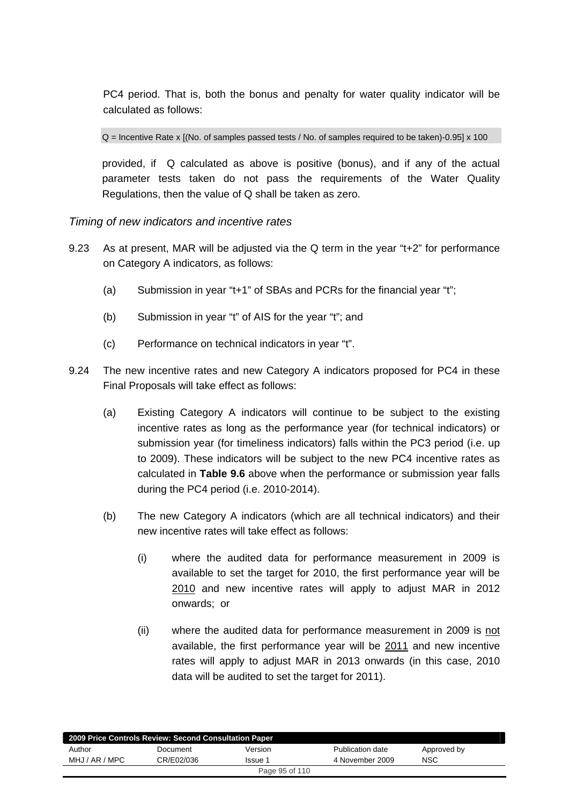PC4 period. That is, both the bonus and penalty for water quality indicator will be calculated as follows:

Q = Incentive Rate x [(No. of samples passed tests / No. of samples required to be taken)-0.95] x 100

provided, if Q calculated as above is positive (bonus), and if any of the actual parameter tests taken do not pass the requirements of the Water Quality Regulations, then the value of Q shall be taken as zero.

### *Timing of new indicators and incentive rates*

- 9.23 As at present, MAR will be adjusted via the Q term in the year "t+2" for performance on Category A indicators, as follows:
	- (a) Submission in year "t+1" of SBAs and PCRs for the financial year "t";
	- (b) Submission in year "t" of AIS for the year "t"; and
	- (c) Performance on technical indicators in year "t".
- 9.24 The new incentive rates and new Category A indicators proposed for PC4 in these Final Proposals will take effect as follows:
	- (a) Existing Category A indicators will continue to be subject to the existing incentive rates as long as the performance year (for technical indicators) or submission year (for timeliness indicators) falls within the PC3 period (i.e. up to 2009). These indicators will be subject to the new PC4 incentive rates as calculated in **Table 9.6** above when the performance or submission year falls during the PC4 period (i.e. 2010-2014).
	- (b) The new Category A indicators (which are all technical indicators) and their new incentive rates will take effect as follows:
		- (i) where the audited data for performance measurement in 2009 is available to set the target for 2010, the first performance year will be 2010 and new incentive rates will apply to adjust MAR in 2012 onwards; or
		- (ii) where the audited data for performance measurement in 2009 is not available, the first performance year will be 2011 and new incentive rates will apply to adjust MAR in 2013 onwards (in this case, 2010 data will be audited to set the target for 2011).

| 2009 Price Controls Review: Second Consultation Paper |            |                |                  |             |  |
|-------------------------------------------------------|------------|----------------|------------------|-------------|--|
| Author                                                | Document   | Version        | Publication date | Approved by |  |
| MHJ / AR / MPC                                        | CR/E02/036 | Issue 1        | 4 November 2009  | <b>NSC</b>  |  |
|                                                       |            | Page 95 of 110 |                  |             |  |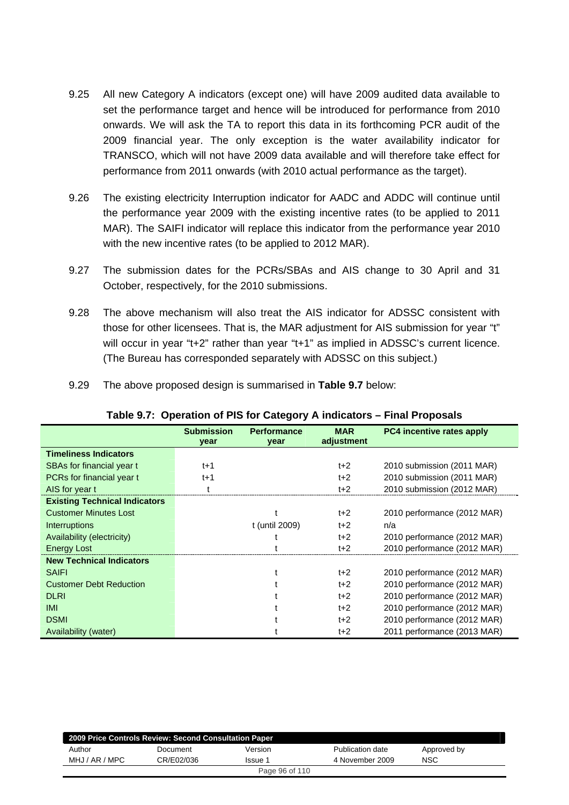- 9.25 All new Category A indicators (except one) will have 2009 audited data available to set the performance target and hence will be introduced for performance from 2010 onwards. We will ask the TA to report this data in its forthcoming PCR audit of the 2009 financial year. The only exception is the water availability indicator for TRANSCO, which will not have 2009 data available and will therefore take effect for performance from 2011 onwards (with 2010 actual performance as the target).
- 9.26 The existing electricity Interruption indicator for AADC and ADDC will continue until the performance year 2009 with the existing incentive rates (to be applied to 2011 MAR). The SAIFI indicator will replace this indicator from the performance year 2010 with the new incentive rates (to be applied to 2012 MAR).
- 9.27 The submission dates for the PCRs/SBAs and AIS change to 30 April and 31 October, respectively, for the 2010 submissions.
- 9.28 The above mechanism will also treat the AIS indicator for ADSSC consistent with those for other licensees. That is, the MAR adjustment for AIS submission for year "t" will occur in year "t+2" rather than year "t+1" as implied in ADSSC's current licence. (The Bureau has corresponded separately with ADSSC on this subject.)

| 9.29 |  | The above proposed design is summarised in Table 9.7 below: |  |  |
|------|--|-------------------------------------------------------------|--|--|
|      |  |                                                             |  |  |

|                                      | <b>Submission</b><br>year | <b>Performance</b><br>year | <b>MAR</b><br>adjustment | <b>PC4</b> incentive rates apply |
|--------------------------------------|---------------------------|----------------------------|--------------------------|----------------------------------|
| <b>Timeliness Indicators</b>         |                           |                            |                          |                                  |
| SBAs for financial year t            | $t+1$                     |                            | $t+2$                    | 2010 submission (2011 MAR)       |
| PCRs for financial year t            | $t+1$                     |                            | $t+2$                    | 2010 submission (2011 MAR)       |
| AIS for year t                       |                           |                            | $t+2$                    | 2010 submission (2012 MAR)       |
| <b>Existing Technical Indicators</b> |                           |                            |                          |                                  |
| <b>Customer Minutes Lost</b>         |                           |                            | $t+2$                    | 2010 performance (2012 MAR)      |
| Interruptions                        |                           | t (until 2009)             | $t+2$                    | n/a                              |
| Availability (electricity)           |                           |                            | $t+2$                    | 2010 performance (2012 MAR)      |
| <b>Energy Lost</b>                   |                           |                            | $t+2$                    | 2010 performance (2012 MAR)      |
| <b>New Technical Indicators</b>      |                           |                            |                          |                                  |
| <b>SAIFI</b>                         |                           |                            | $t+2$                    | 2010 performance (2012 MAR)      |
| <b>Customer Debt Reduction</b>       |                           |                            | $t+2$                    | 2010 performance (2012 MAR)      |
| <b>DLRI</b>                          |                           |                            | $t+2$                    | 2010 performance (2012 MAR)      |
| <b>IMI</b>                           |                           |                            | $t+2$                    | 2010 performance (2012 MAR)      |
| <b>DSMI</b>                          |                           |                            | $t+2$                    | 2010 performance (2012 MAR)      |
| Availability (water)                 |                           |                            | $t+2$                    | 2011 performance (2013 MAR)      |

### **Table 9.7: Operation of PIS for Category A indicators – Final Proposals**

|                | 2009 Price Controls Review: Second Consultation Paper |                |                  |             |
|----------------|-------------------------------------------------------|----------------|------------------|-------------|
| Author         | Document                                              | Version        | Publication date | Approved by |
| MHJ / AR / MPC | CR/E02/036                                            | Issue 1        | 4 November 2009  | NSC         |
|                |                                                       | Page 96 of 110 |                  |             |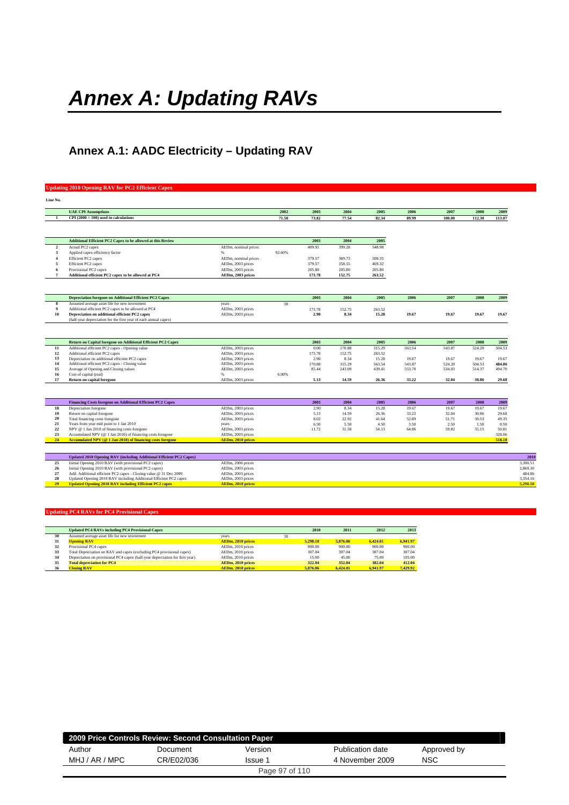# *Annex A: Updating RAVs*

## **Annex A.1: AADC Electricity – Updating RAV**

### **Updating 2010 Opening RAV for PC2 Efficient Capex**

| Line No.         |                                                                     |                          |        |        |        |        |        |        |        |        |
|------------------|---------------------------------------------------------------------|--------------------------|--------|--------|--------|--------|--------|--------|--------|--------|
|                  | <b>UAE CPI Assumptions</b>                                          |                          | 2002   | 2003   | 2004   | 2005   | 2006   | 2007   | 2008   | 2009   |
| -1               | $CPI(2000 = 100)$ used in calculations                              |                          | 71.58  | 73.82  | 77.54  | 82.34  | 89.99  | 100.00 | 112.30 | 113.07 |
|                  |                                                                     |                          |        |        |        |        |        |        |        |        |
|                  | Additional Efficient PC2 Capex to be allowed at this Review         |                          |        | 2003   | 2004   | 2005   |        |        |        |        |
| $\mathbf{2}$     | Actual PC2 capex                                                    | AEDm, nominal prices     |        | 409.91 | 399.28 | 548.98 |        |        |        |        |
| 3                | Applied capex efficiency factor                                     | %                        | 92.60% |        |        |        |        |        |        |        |
| $\overline{4}$   | Efficient PC2 capex                                                 | AEDm, nominal prices     |        | 379.57 | 369.73 | 508.35 |        |        |        |        |
| 5                | Efficient PC2 capex                                                 | AEDm, 2003 prices        |        | 379.57 | 358.55 | 469.32 |        |        |        |        |
| 6                | Provisional PC2 capex                                               | AEDm, 2003 prices        |        | 205.80 | 205.80 | 205.80 |        |        |        |        |
| $\overline{7}$   | Additional efficient PC2 capex to be allowed at PC4                 | AEDm, 2003 prices        |        | 173.78 | 152.75 | 263.52 |        |        |        |        |
|                  |                                                                     |                          |        |        |        |        |        |        |        |        |
|                  | <b>Depreciation foregone on Additional Efficient PC2 Capex</b>      |                          |        | 2003   | 2004   | 2005   | 2006   | 2007   | 2008   | 2009   |
| 8                | Assumed average asset life for new investment                       | years                    | 30     |        |        |        |        |        |        |        |
| $\boldsymbol{9}$ | Additional efficient PC2 capex to be allowed at PC4                 | AEDm, 2003 prices        |        | 173.78 | 152.75 | 263.52 |        |        |        |        |
| 10               | Depreciation on additional efficient PC2 capex                      | AEDm, 2003 prices        |        | 2.90   | 8.34   | 15.28  | 19.67  | 19.67  | 19.67  | 19.67  |
|                  | (half-year depreciation for the first year of each annual capex)    |                          |        |        |        |        |        |        |        |        |
|                  |                                                                     |                          |        |        |        |        |        |        |        |        |
|                  | Return on Capital foregone on Additional Efficient PC2 Capex        |                          |        | 2003   | 2004   | 2005   | 2006   | 2007   | 2008   | 2009   |
| 11               | Additional efficient PC2 capex - Opening value                      | AEDm, 2003 prices        |        | 0.00   | 170.88 | 315.29 | 563.54 | 543.87 | 524.20 | 504.53 |
| 12               | Additional efficient PC2 capex                                      | AEDm, 2003 prices        |        | 173.78 | 152.75 | 263.52 |        |        |        |        |
| 13               | Depreciation on additional efficient PC2 capex                      | AEDm, 2003 prices        |        | 2.90   | 8.34   | 15.28  | 19.67  | 19.67  | 19.67  | 19.67  |
| 14               | Additional efficient PC2 capex - Closing value                      | AEDm, 2003 prices        |        | 170.88 | 315.29 | 563.54 | 543.87 | 524.20 | 504.53 | 484.86 |
| 15<br>16         | Average of Opening and Closing values                               | AEDm, 2003 prices<br>%   | 6.00%  | 85.44  | 243.09 | 439.41 | 553.70 | 534.03 | 514.37 | 494.70 |
| 17               | Cost of capital (real)<br><b>Return on capital foregone</b>         | AEDm, 2003 prices        |        | 5.13   | 14.59  | 26.36  | 33.22  | 32.04  | 30.86  | 29.68  |
|                  |                                                                     |                          |        |        |        |        |        |        |        |        |
|                  | Financing Costs foregone on Additional Efficient PC2 Capex          |                          |        | 2003   | 2004   | 2005   | 2006   | 2007   | 2008   | 2009   |
| 18               | Depreciation foregone                                               | AEDm, 2003 prices        |        | 2.90   | 8.34   | 15.28  | 19.67  | 19.67  | 19.67  | 19.67  |
| 19               | Return on capital foregone                                          | AEDm, 2003 prices        |        | 5.13   | 14.59  | 26.36  | 33.22  | 32.04  | 30.86  | 29.68  |
| 20               | Total financing costs foregone                                      | AEDm, 2003 prices        |        | 8.02   | 22.92  | 41.64  | 52.89  | 51.71  | 50.53  | 49.35  |
| 21               | Years from year mid point to 1 Jan 2010                             | years                    |        | 6.50   | 5.50   | 4.50   | 3.50   | 2.50   | 1.50   | 0.50   |
| 22               | NPV @ 1 Jan 2010 of financing costs foregone                        | AEDm, 2003 prices        |        | 11.72  | 31.58  | 54.13  | 64.86  | 59.82  | 55.15  | 50.81  |
| 23               | Accumulated NPV (@ 1 Jan 2010) of financing costs foregone          | AEDm, 2003 prices        |        |        |        |        |        |        |        | 328.06 |
| 24               | Accumulated NPV (@ 1 Jan 2010) of financing costs foregone          | <b>AEDm, 2010 prices</b> |        |        |        |        |        |        |        | 518.18 |
|                  |                                                                     |                          |        |        |        |        |        |        |        |        |
|                  | Updated 2010 Opening RAV (including Additional Efficient PC2 Capex) |                          |        |        |        |        |        |        |        |        |
| 25               | Initial Opening 2010 RAV (with provisional PC2 capex)               | AEDm, 2006 prices        |        |        |        |        |        |        |        |        |
| 26               | Initial Opening 2010 RAV (with provisional PC2 capex)               | AEDm, 2003 prices        |        |        |        |        |        |        |        |        |
| 27               | Add: Additional efficient PC2 capex - Closing value @ 31 Dec 2009   | AEDm, 2003 prices        |        |        |        |        |        |        |        |        |
| 28               | Updated Opening 2010 RAV including Additional Efficient PC2 capex   | AEDm, 2003 prices        |        |        |        |        |        |        |        |        |
| 29               | <b>Updated Opening 2010 RAV including Efficient PC2 capex</b>       | <b>AEDm, 2010 prices</b> |        |        |        |        |        |        |        |        |

|    | <b>Updated PC4 RAVs including PC4 Provisional Capex</b>                       |                          |    | 2010     | 2011     | 2012     | 2013     |
|----|-------------------------------------------------------------------------------|--------------------------|----|----------|----------|----------|----------|
| 30 | Assumed average asset life for new investment                                 | vears                    | 30 |          |          |          |          |
| 31 | <b>Opening RAV</b>                                                            | <b>AEDm. 2010 prices</b> |    | 5.298.10 | 5.876.06 | 6.424.01 | 6.941.97 |
| 32 | Provisional PC4 capex                                                         | AEDm, 2010 prices        |    | 900.00   | 900.00   | 900.00   | 900.00   |
| 33 | Total Depreciation on RAV and capex (excluding PC4 provisional capex)         | AEDm, 2010 prices        |    | 307.04   | 307.04   | 307.04   | 307.04   |
| 34 | Depreciation on provisional PC4 capex (half-year depreciation for first year) | AEDm. 2010 prices        |    | 15.00    | 45.00    | 75.00    | 105.00   |
| 35 | <b>Total depreciation for PC4</b>                                             | AEDm. 2010 prices        |    | 322.04   | 352.04   | 382.04   | 412.04   |
| 36 | <b>Closing RAV</b>                                                            | <b>AEDm. 2010 prices</b> |    | 5.876.06 | 6.424.01 | 6.941.97 | 7.429.92 |

| 2009 Price Controls Review: Second Consultation Paper<br>Author<br>Publication date<br>Approved by<br>Version<br>Document<br>NSC<br>MHJ / AR / MPC<br>CR/E02/036<br>4 November 2009<br>Issue 1 |  |                |  |  |
|------------------------------------------------------------------------------------------------------------------------------------------------------------------------------------------------|--|----------------|--|--|
|                                                                                                                                                                                                |  |                |  |  |
|                                                                                                                                                                                                |  |                |  |  |
|                                                                                                                                                                                                |  | Page 97 of 110 |  |  |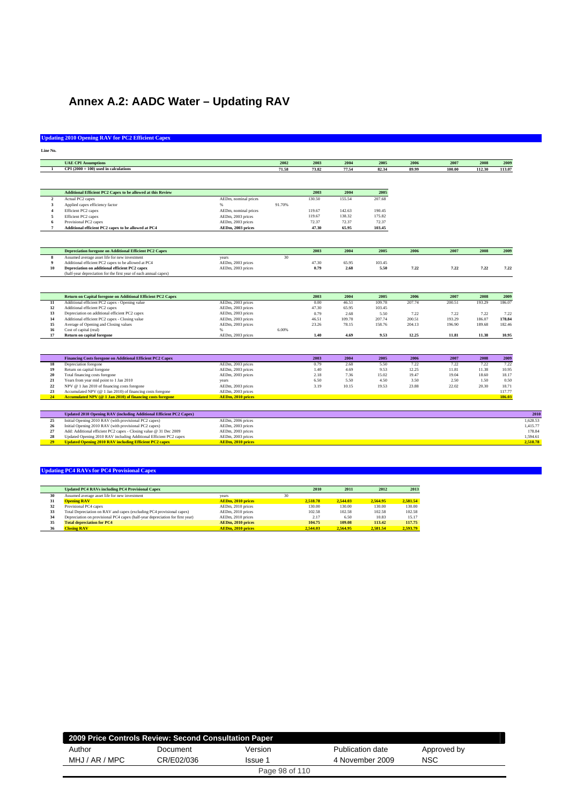## **Annex A.2: AADC Water – Updating RAV**

### **Updating 2010 Opening RAV for PC2 Efficient Capex**

| Line No<br>× |  |
|--------------|--|

|                | <b>UAE CPI Assumptions</b>                                                                                                         |                                  | 2002            | 2003   | 2004   | 2005   | 2006   | 2007   | 2008   | 2009   |
|----------------|------------------------------------------------------------------------------------------------------------------------------------|----------------------------------|-----------------|--------|--------|--------|--------|--------|--------|--------|
|                | $CPI(2000 = 100)$ used in calculations                                                                                             |                                  | 71.58           | 73.82  | 77.54  | 82.34  | 89.99  | 100.00 | 112.30 | 113.07 |
|                |                                                                                                                                    |                                  |                 |        |        |        |        |        |        |        |
|                |                                                                                                                                    |                                  |                 |        |        |        |        |        |        |        |
|                | <b>Additional Efficient PC2 Capex to be allowed at this Review</b>                                                                 |                                  |                 | 2003   | 2004   | 2005   |        |        |        |        |
| $\overline{2}$ | Actual PC2 capex                                                                                                                   | AEDm, nominal prices             |                 | 130.50 | 155.54 | 207.68 |        |        |        |        |
| 3              | Applied capex efficiency factor                                                                                                    | $\%$                             | 91.70%          |        |        |        |        |        |        |        |
|                | Efficient PC2 capex                                                                                                                | AEDm, nominal prices             |                 | 119.67 | 142.63 | 190.45 |        |        |        |        |
| 5              | Efficient PC2 capex                                                                                                                | AEDm, 2003 prices                |                 | 119.67 | 138.32 | 175.82 |        |        |        |        |
|                | Provisional PC2 capex                                                                                                              | AEDm, 2003 prices                |                 | 72.37  | 72.37  | 72.37  |        |        |        |        |
| $\overline{7}$ | Additional efficient PC2 capex to be allowed at PC4                                                                                | AEDm, 2003 prices                |                 | 47.30  | 65.95  | 103.45 |        |        |        |        |
|                |                                                                                                                                    |                                  |                 |        |        |        |        |        |        |        |
|                | <b>Depreciation foregone on Additional Efficient PC2 Capex</b>                                                                     |                                  |                 | 2003   | 2004   | 2005   | 2006   | 2007   | 2008   | 2009   |
| 8              | Assumed average asset life for new investment                                                                                      | years                            | 30 <sup>2</sup> |        |        |        |        |        |        |        |
| 9              | Additional efficient PC2 capex to be allowed at PC4                                                                                | AEDm, 2003 prices                |                 | 47.30  | 65.95  | 103.45 |        |        |        |        |
| 10             | Depreciation on additional efficient PC2 capex                                                                                     | AEDm, 2003 prices                |                 | 0.79   | 2.68   | 5.50   | 7.22   | 7.22   | 7.22   | 7.22   |
|                | (half-year depreciation for the first year of each annual capex)                                                                   |                                  |                 |        |        |        |        |        |        |        |
|                | Return on Capital foregone on Additional Efficient PC2 Capex                                                                       |                                  |                 | 2003   | 2004   | 2005   | 2006   | 2007   | 2008   | 2009   |
| $11\,$         | Additional efficient PC2 capex - Opening value                                                                                     | AEDm, 2003 prices                |                 | 0.00   | 46.51  | 109.78 | 207.74 | 200.51 | 193.29 | 186.07 |
| 12             | Additional efficient PC2 capex                                                                                                     | AEDm, 2003 prices                |                 | 47.30  | 65.95  | 103.45 |        |        |        |        |
| 13             | Depreciation on additional efficient PC2 capex                                                                                     | AEDm, 2003 prices                |                 | 0.79   | 2.68   | 5.50   | 7.22   | 7.22   | 7.22   | 7.22   |
| 14             | Additional efficient PC2 capex - Closing value                                                                                     | AEDm, 2003 prices                |                 | 46.51  | 109.78 | 207.74 | 200.51 | 193.29 | 186.07 | 178.84 |
| 15             | Average of Opening and Closing values                                                                                              | AEDm, 2003 prices<br>$Q_{\rm m}$ |                 | 23.26  | 78.15  | 158.76 | 204.13 | 196.90 | 189.68 | 182.46 |
| 16             | Cost of capital (real)                                                                                                             |                                  | 6.00%           |        |        |        |        |        |        |        |
| 17             | <b>Return on capital foregone</b>                                                                                                  | AEDm, 2003 prices                |                 | 1.40   | 4.69   | 9.53   | 12.25  | 11.81  | 11.38  | 10.95  |
|                |                                                                                                                                    |                                  |                 |        |        |        |        |        |        |        |
|                | Financing Costs foregone on Additional Efficient PC2 Capex                                                                         |                                  |                 | 2003   | 2004   | 2005   | 2006   | 2007   | 2008   | 2009   |
| 18             | Depreciation foregone                                                                                                              | AEDm, 2003 prices                |                 | 0.79   | 2.68   | 5.50   | 7.22   | 7.22   | 7.22   | 7.22   |
| 19             | Return on capital foregone                                                                                                         | AEDm, 2003 prices                |                 | 1.40   | 4.69   | 9.53   | 12.25  | 11.81  | 11.38  | 10.95  |
| 20             | Total financing costs foregone                                                                                                     | AEDm, 2003 prices                |                 | 2.18   | 7.36   | 15.02  | 19.47  | 19.04  | 18.60  | 18.17  |
| 21             | Years from year mid point to 1 Jan 2010                                                                                            | years                            |                 | 6.50   | 5.50   | 4.50   | 3.50   | 2.50   | 1.50   | 0.50   |
| $\bf{22}$      | NPV @ 1 Jan 2010 of financing costs foregone                                                                                       | AEDm, 2003 prices                |                 | 3.19   | 10.15  | 19.53  | 23.88  | 22.02  | 20.30  | 18.71  |
| 23             | Accumulated NPV (@ 1 Jan 2010) of financing costs foregone                                                                         | AEDm, 2003 prices                |                 |        |        |        |        |        |        | 117.77 |
| 24             | Accumulated NPV (@ 1 Jan 2010) of financing costs foregone                                                                         | <b>AEDm. 2010 prices</b>         |                 |        |        |        |        |        |        | 186.03 |
|                |                                                                                                                                    |                                  |                 |        |        |        |        |        |        |        |
|                | Updated 2010 Opening RAV (including Additional Efficient PC2 Capex)                                                                |                                  |                 |        |        |        |        |        |        |        |
| 25             | Initial Opening 2010 RAV (with provisional PC2 capex)                                                                              | AEDm, 2006 prices                |                 |        |        |        |        |        |        |        |
| 26             | Initial Opening 2010 RAV (with provisional PC2 capex)                                                                              | AEDm, 2003 prices                |                 |        |        |        |        |        |        |        |
| 27             | Add: Additional efficient PC2 capex - Closing value @ 31 Dec 2009                                                                  | AEDm, 2003 prices                |                 |        |        |        |        |        |        |        |
| 28<br>29       | Updated Opening 2010 RAV including Additional Efficient PC2 capex<br><b>Updated Opening 2010 RAV including Efficient PC2 capex</b> | AEDm, 2003 prices                |                 |        |        |        |        |        |        |        |
|                |                                                                                                                                    | <b>AEDm, 2010 prices</b>         |                 |        |        |        |        |        |        |        |

|    | <b>Updated PC4 RAVs including PC4 Provisional Capex</b>                       |                          |    | 2010     | 2011     | 2012     | 2013     |
|----|-------------------------------------------------------------------------------|--------------------------|----|----------|----------|----------|----------|
| 30 | Assumed average asset life for new investment                                 | vears                    | 30 |          |          |          |          |
| 31 | <b>Opening RAV</b>                                                            | <b>AEDm, 2010 prices</b> |    | 2.518.78 | 2.544.03 | 2.564.95 | 2.581.54 |
| 32 | Provisional PC4 capex                                                         | AEDm. 2010 prices        |    | 130.00   | 130.00   | 130.00   | 130.00   |
| 33 | Total Depreciation on RAV and capex (excluding PC4 provisional capex)         | AEDm. 2010 prices        |    | 102.58   | 102.58   | 102.58   | 102.58   |
| 34 | Depreciation on provisional PC4 capex (half-year depreciation for first year) | AEDm, 2010 prices        |    | 2.17     | 6.50     | 10.83    | 15.17    |
| 35 | <b>Total depreciation for PC4</b>                                             | AEDm. 2010 prices        |    | 104.75   | 109.08   | 113.42   | 117.75   |
| 36 | <b>Closing RAV</b>                                                            | <b>AEDm. 2010 prices</b> |    | 2.544.03 | 2.564.95 | 2.581.54 | 2.593.79 |

| 2009 Price Controls Review: Second Consultation Paper |            |                |                  |             |
|-------------------------------------------------------|------------|----------------|------------------|-------------|
| Author                                                | Document   | Version        | Publication date | Approved by |
| MHJ / AR / MPC                                        | CR/E02/036 | Issue 1        | 4 November 2009  | NSC         |
|                                                       |            | Page 98 of 110 |                  |             |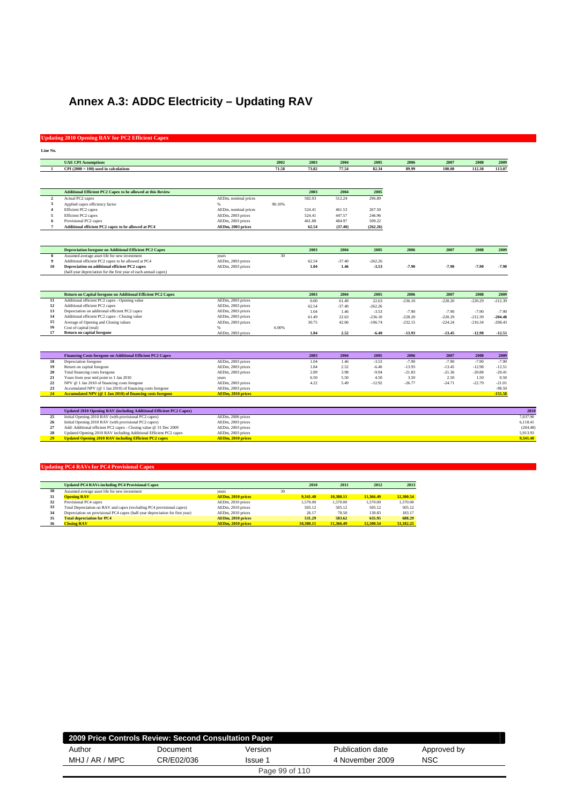## **Annex A.3: ADDC Electricity – Updating RAV**

### **Updating 2010 Opening RAV for PC2 Efficient Capex**

| Line No.        |                                                                     |                          |        |        |          |           |           |           |           |           |          |
|-----------------|---------------------------------------------------------------------|--------------------------|--------|--------|----------|-----------|-----------|-----------|-----------|-----------|----------|
|                 | <b>UAE CPI Assumptions</b>                                          |                          | 2002   | 2003   | 2004     | 2005      | 2006      | 2007      | 2008      | 2009      |          |
| -1              | $CPI(2000 = 100)$ used in calculations                              |                          | 71.58  | 73.82  | 77.54    | 82.34     | 89.99     | 100.00    | 112.30    | 113.07    |          |
|                 |                                                                     |                          |        |        |          |           |           |           |           |           |          |
|                 |                                                                     |                          |        |        |          |           |           |           |           |           |          |
|                 | <b>Additional Efficient PC2 Capex to be allowed at this Review</b>  |                          |        | 2003   | 2004     | 2005      |           |           |           |           |          |
| $\overline{2}$  | Actual PC2 capex                                                    | AEDm, nominal prices     |        | 582.03 | 512.24   | 296.89    |           |           |           |           |          |
| 3               | Applied capex efficiency factor                                     | $\%$                     | 90.10% |        |          |           |           |           |           |           |          |
| $\overline{4}$  | Efficient PC2 capex                                                 | AEDm, nominal prices     |        | 524.41 | 461.53   | 267.50    |           |           |           |           |          |
| 5               | Efficient PC2 capex                                                 | AEDm, 2003 prices        |        | 524.41 | 447.57   | 246.96    |           |           |           |           |          |
| 6               | Provisional PC2 capex                                               | AEDm, 2003 prices        |        | 461.88 | 484.97   | 509.22    |           |           |           |           |          |
| $7\phantom{.0}$ | Additional efficient PC2 capex to be allowed at PC4                 | AEDm, 2003 prices        |        | 62.54  | (37.40)  | (262.26)  |           |           |           |           |          |
|                 |                                                                     |                          |        |        |          |           |           |           |           |           |          |
|                 | <b>Depreciation foregone on Additional Efficient PC2 Capex</b>      |                          |        | 2003   | 2004     | 2005      | 2006      | 2007      | 2008      | 2009      |          |
| 8               | Assumed average asset life for new investment                       | years                    | 30     |        |          |           |           |           |           |           |          |
| $\overline{9}$  | Additional efficient PC2 capex to be allowed at PC4                 | AEDm, 2003 prices        |        | 62.54  | $-37.40$ | $-262.26$ |           |           |           |           |          |
| 10              | Depreciation on additional efficient PC2 capex                      | AEDm, 2003 prices        |        | 1.04   | 1.46     | $-3.53$   | $-7.90$   | $-7.90$   | $-7.90$   | $-7.90$   |          |
|                 | (half-year depreciation for the first year of each annual capex)    |                          |        |        |          |           |           |           |           |           |          |
|                 |                                                                     |                          |        |        |          |           |           |           |           |           |          |
|                 | Return on Capital foregone on Additional Efficient PC2 Capex        |                          |        | 2003   | 2004     | 2005      | 2006      | 2007      | 2008      | 2009      |          |
| 11              | Additional efficient PC2 capex - Opening value                      | AEDm, 2003 prices        |        | 0.00   | 61.49    | 22.63     | $-236.10$ | $-228.20$ | $-220.29$ | $-212.39$ |          |
| 12              | Additional efficient PC2 capex                                      | AEDm, 2003 prices        |        | 62.54  | $-37.40$ | $-262.26$ |           |           |           |           |          |
| 13              | Depreciation on additional efficient PC2 capex                      | AEDm, 2003 prices        |        | 1.04   | 1.46     | $-3.53$   | $-7.90$   | $-7.90$   | $-7.90$   | $-7.90$   |          |
| 14              | Additional efficient PC2 capex - Closing value                      | AEDm, 2003 prices        |        | 61.49  | 22.63    | $-236.10$ | $-228.20$ | $-220.29$ | $-212.39$ | $-204.48$ |          |
| 15              | Average of Opening and Closing values                               | AEDm, 2003 prices        |        | 30.75  | 42.06    | $-106.74$ | $-232.15$ | $-224.24$ | $-216.34$ | $-208.43$ |          |
| 16              | Cost of capital (real)                                              | $\%$                     | 6.00%  |        |          |           |           |           |           |           |          |
| 17              | <b>Return on capital foregone</b>                                   | AEDm, 2003 prices        |        | 1.84   | 2.52     | $-6.40$   | $-13.93$  | $-13.45$  | $-12.98$  | $-12.51$  |          |
|                 |                                                                     |                          |        |        |          |           |           |           |           |           |          |
|                 | <b>Financing Costs foregone on Additional Efficient PC2 Capex</b>   |                          |        | 2003   | 2004     | 2005      | 2006      | 2007      | 2008      | 2009      |          |
| 18              | Depreciation foregone                                               | AEDm, 2003 prices        |        | 1.04   | 1.46     | $-3.53$   | $-7.90$   | $-7.90$   | $-7.90$   | $-7.90$   |          |
| 19              | Return on capital foregone                                          | AEDm, 2003 prices        |        | 1.84   | 2.52     | $-6.40$   | $-13.93$  | $-13.45$  | $-12.98$  | $-12.51$  |          |
| 20              | Total financing costs foregone                                      | AEDm, 2003 prices        |        | 2.89   | 3.98     | $-9.94$   | $-21.83$  | $-21.36$  | $-20.88$  | $-20.41$  |          |
| 21              | Years from year mid point to 1 Jan 2010                             | years                    |        | 6.50   | 5.50     | 4.50      | 3.50      | 2.50      | 1.50      | 0.50      |          |
| $\bf{22}$       | NPV @ 1 Jan 2010 of financing costs foregone                        | AEDm, 2003 prices        |        | 4.22   | 5.49     | $-12.92$  | $-26.77$  | $-24.71$  | $-22.79$  | $-21.01$  |          |
| 23              | Accumulated NPV (@ 1 Jan 2010) of financing costs foregone          | AEDm, 2003 prices        |        |        |          |           |           |           |           | $-98.50$  |          |
| 24              | Accumulated NPV (@ 1 Jan 2010) of financing costs foregone          | AEDm, 2010 prices        |        |        |          |           |           |           |           | $-155.58$ |          |
|                 |                                                                     |                          |        |        |          |           |           |           |           |           |          |
|                 | Updated 2010 Opening RAV (including Additional Efficient PC2 Capex) |                          |        |        |          |           |           |           |           |           | 2010     |
| 25              | Initial Opening 2010 RAV (with provisional PC2 capex)               | AEDm, 2006 prices        |        |        |          |           |           |           |           |           | 7,037.90 |
| 26              | Initial Opening 2010 RAV (with provisional PC2 capex)               | AEDm, 2003 prices        |        |        |          |           |           |           |           |           | 6,118.41 |
| $27\,$          | Add: Additional efficient PC2 capex - Closing value @ 31 Dec 2009   | AEDm, 2003 prices        |        |        |          |           |           |           |           |           | (204.48) |
| 28              | Updated Opening 2010 RAV including Additional Efficient PC2 capex   | AEDm, 2003 prices        |        |        |          |           |           |           |           |           | 5,913.93 |
| 29              | <b>Updated Opening 2010 RAV including Efficient PC2 capex</b>       | <b>AEDm, 2010 prices</b> |        |        |          |           |           |           |           |           | 9,341.40 |

|    | <b>Updated PC4 RAVs including PC4 Provisional Capex</b>                       |                          |    | 2010      | 2011      | 2012      | 2013      |
|----|-------------------------------------------------------------------------------|--------------------------|----|-----------|-----------|-----------|-----------|
| 30 | Assumed average asset life for new investment                                 | vears                    | 30 |           |           |           |           |
| 31 | <b>Opening RAV</b>                                                            | AEDm, 2010 prices        |    | 9.341.40  | 10.380.11 | 11,366.49 | 12,300.54 |
| 32 | Provisional PC4 capex                                                         | AEDm, 2010 prices        |    | 1.570.00  | 1.570.00  | 1.570.00  | 1.570.00  |
| 33 | Total Depreciation on RAV and capex (excluding PC4 provisional capex)         | AEDm, 2010 prices        |    | 505.12    | 505.12    | 505.12    | 505.12    |
| 34 | Depreciation on provisional PC4 capex (half-year depreciation for first year) | AEDm, 2010 prices        |    | 26.17     | 78.50     | 130.83    | 183.17    |
| 35 | <b>Total depreciation for PC4</b>                                             | <b>AEDm. 2010 prices</b> |    | 531.29    | 583.62    | 635.95    | 688.29    |
| 36 | <b>Closing RAV</b>                                                            | <b>AEDm. 2010 prices</b> |    | 10.380.11 | 11,366.49 | 12,300.54 | 13.182.25 |

|                | 2009 Price Controls Review: Second Consultation Paper |                |                  |             |  |
|----------------|-------------------------------------------------------|----------------|------------------|-------------|--|
| Author         | Document                                              | Version        | Publication date | Approved by |  |
| MHJ / AR / MPC | CR/E02/036                                            | Issue 1        | 4 November 2009  | NSC         |  |
|                |                                                       | Page 99 of 110 |                  |             |  |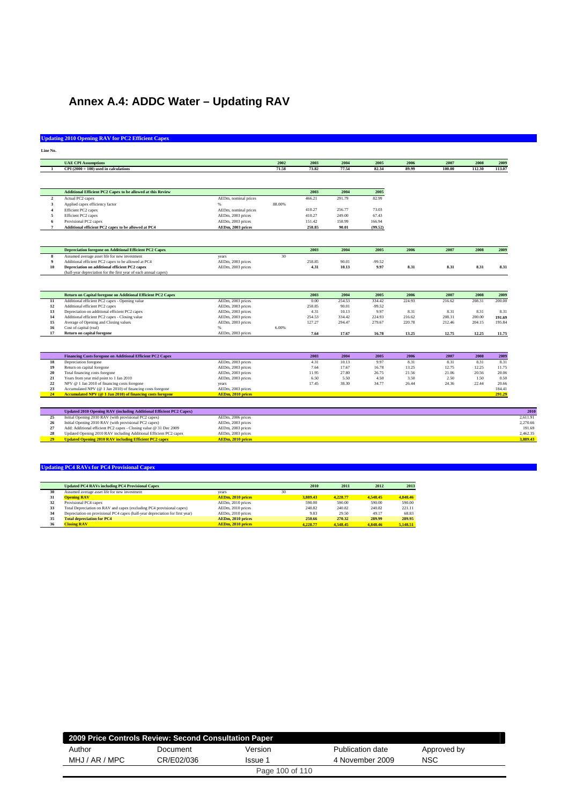## **Annex A.4: ADDC Water – Updating RAV**

### **Updating 2010 Opening RAV for PC2 Efficient Capex**

|                         | <b>UAE CPI Assumptions</b>                                          |                          | 2002   | 2003   | 2004   | 2005     | 2006   | 2007   | 2008   | 2009   |
|-------------------------|---------------------------------------------------------------------|--------------------------|--------|--------|--------|----------|--------|--------|--------|--------|
|                         | $CPI(2000 = 100)$ used in calculations                              |                          | 71.58  | 73.82  | 77.54  | 82.34    | 89.99  | 100.00 | 112.30 | 113.07 |
|                         |                                                                     |                          |        |        |        |          |        |        |        |        |
|                         |                                                                     |                          |        |        |        |          |        |        |        |        |
|                         | Additional Efficient PC2 Capex to be allowed at this Review         |                          |        | 2003   | 2004   | 2005     |        |        |        |        |
| $\overline{2}$          | Actual PC2 capex                                                    | AEDm, nominal prices     |        | 466.21 | 291.79 | 82.99    |        |        |        |        |
| $\overline{\mathbf{3}}$ | Applied capex efficiency factor                                     | %                        | 88.00% |        |        |          |        |        |        |        |
| $\overline{\mathbf{4}}$ | Efficient PC2 capex                                                 | AEDm, nominal prices     |        | 410.27 | 256.77 | 73.03    |        |        |        |        |
| 5                       | Efficient PC2 capex                                                 | AEDm, 2003 prices        |        | 410.27 | 249.00 | 67.43    |        |        |        |        |
| 6                       | Provisional PC2 capex                                               | AEDm, 2003 prices        |        | 151.42 | 158.99 | 166.94   |        |        |        |        |
| $\overline{7}$          | Additional efficient PC2 capex to be allowed at PC4                 | AEDm, 2003 prices        |        | 258.85 | 90.01  | (99.52)  |        |        |        |        |
|                         |                                                                     |                          |        |        |        |          |        |        |        |        |
|                         | <b>Depreciation foregone on Additional Efficient PC2 Capex</b>      |                          |        | 2003   | 2004   | 2005     | 2006   | 2007   | 2008   | 2009   |
| 8                       | Assumed average asset life for new investment                       | years                    | 30     |        |        |          |        |        |        |        |
| $\overline{9}$          | Additional efficient PC2 capex to be allowed at PC4                 | AEDm, 2003 prices        |        | 258.85 | 90.01  | $-99.52$ |        |        |        |        |
| 10                      | Depreciation on additional efficient PC2 capex                      | AEDm, 2003 prices        |        | 4.31   | 10.13  | 9.97     | 8.31   | 8.31   | 8.31   | 8.31   |
|                         | (half-year depreciation for the first year of each annual capex)    |                          |        |        |        |          |        |        |        |        |
|                         |                                                                     |                          |        |        |        |          |        |        |        |        |
|                         | Return on Capital foregone on Additional Efficient PC2 Capex        |                          |        | 2003   | 2004   | 2005     | 2006   | 2007   | 2008   | 2009   |
| $\overline{11}$         | Additional efficient PC2 capex - Opening value                      | AEDm, 2003 prices        |        | 0.00   | 254.53 | 334.42   | 224.93 | 216.62 | 208.31 | 200.00 |
| 12                      | Additional efficient PC2 capex                                      | AEDm, 2003 prices        |        | 258.85 | 90.01  | $-99.52$ |        |        |        |        |
| 13                      | Depreciation on additional efficient PC2 capex                      | AEDm, 2003 prices        |        | 4.31   | 10.13  | 9.97     | 8.31   | 8.31   | 8.31   | 8.31   |
| 14                      | Additional efficient PC2 capex - Closing value                      | AEDm, 2003 prices        |        | 254.53 | 334.42 | 224.93   | 216.62 | 208.31 | 200.00 | 191.69 |
| 15                      | Average of Opening and Closing values                               | AEDm, 2003 prices        |        | 127.27 | 294.47 | 279.67   | 220.78 | 212.46 | 204.15 | 195.84 |
| 16                      | Cost of capital (real)                                              |                          | 6.00%  |        |        |          |        |        |        |        |
| 17                      | Return on capital foregone                                          | AEDm, 2003 prices        |        | 7.64   | 17.67  | 16.78    | 13.25  | 12.75  | 12.25  | 11.75  |
|                         |                                                                     |                          |        |        |        |          |        |        |        |        |
|                         | Financing Costs foregone on Additional Efficient PC2 Capex          |                          |        | 2003   | 2004   | 2005     | 2006   | 2007   | 2008   | 2009   |
| 18                      | Depreciation foregone                                               | AEDm, 2003 prices        |        | 4.31   | 10.13  | 9.97     | 8.31   | 8.31   | 8.31   | 8.31   |
| 19                      | Return on capital foregone                                          | AEDm, 2003 prices        |        | 7.64   | 17.67  | 16.78    | 13.25  | 12.75  | 12.25  | 11.75  |
| 20                      | Total financing costs foregone                                      | AEDm, 2003 prices        |        | 11.95  | 27.80  | 26.75    | 21.56  | 21.06  | 20.56  | 20.06  |
| 21                      | Years from year mid point to 1 Jan 2010                             | AEDm, 2003 prices        |        | 6.50   | 5.50   | 4.50     | 3.50   | 2.50   | 1.50   | 0.50   |
| 22                      | NPV @ 1 Jan 2010 of financing costs foregone                        | years                    |        | 17.45  | 38.30  | 34.77    | 26.44  | 24.36  | 22.44  | 20.66  |
| 23                      | Accumulated NPV (@ 1 Jan 2010) of financing costs foregone          | AEDm, 2003 prices        |        |        |        |          |        |        |        | 184.41 |
| 24                      | Accumulated NPV (@ 1 Jan 2010) of financing costs foregone          | <b>AEDm, 2010 prices</b> |        |        |        |          |        |        |        | 291.29 |
|                         |                                                                     |                          |        |        |        |          |        |        |        |        |
|                         | Updated 2010 Opening RAV (including Additional Efficient PC2 Capex) |                          |        |        |        |          |        |        |        |        |
| 25                      | Initial Opening 2010 RAV (with provisional PC2 capex)               | AEDm, 2006 prices        |        |        |        |          |        |        |        |        |
| 26                      | Initial Opening 2010 RAV (with provisional PC2 capex)               | AEDm, 2003 prices        |        |        |        |          |        |        |        |        |
| 27                      | Add: Additional efficient PC2 capex - Closing value @ 31 Dec 2009   | AEDm, 2003 prices        |        |        |        |          |        |        |        |        |
| 28<br>29                | Updated Opening 2010 RAV including Additional Efficient PC2 capex   | AEDm, 2003 prices        |        |        |        |          |        |        |        |        |
|                         | <b>Updated Opening 2010 RAV including Efficient PC2 capex</b>       | <b>AEDm, 2010 prices</b> |        |        |        |          |        |        |        |        |

|    | <b>Updated PC4 RAVs including PC4 Provisional Capex</b>                       |                          |    | 2010     | 2011     | 2012     | 2013     |
|----|-------------------------------------------------------------------------------|--------------------------|----|----------|----------|----------|----------|
| 30 | Assumed average asset life for new investment                                 | vears                    | 30 |          |          |          |          |
| 31 | <b>Opening RAV</b>                                                            | AEDm, 2010 prices        |    | 3.889.43 | 4.228.77 | 4.548.45 | 4,848.46 |
| 32 | Provisional PC4 capex                                                         | AEDm, 2010 prices        |    | 590.00   | 590.00   | 590.00   | 590.00   |
| 33 | Total Depreciation on RAV and capex (excluding PC4 provisional capex)         | AEDm. 2010 prices        |    | 240.82   | 240.82   | 240.82   | 221.11   |
| 34 | Depreciation on provisional PC4 capex (half-year depreciation for first year) | AEDm. 2010 prices        |    | 9.83     | 29.50    | 49.17    | 68.83    |
| 35 | <b>Total depreciation for PC4</b>                                             | AEDm, 2010 prices        |    | 250.66   | 270.32   | 289.99   | 289.95   |
| 36 | <b>Closing RAV</b>                                                            | <b>AEDm. 2010 prices</b> |    | 4.228.77 | 4.548.45 | 4.848.46 | 5,148.51 |

| 2009 Price Controls Review: Second Consultation Paper |            |                 |                  |             |  |
|-------------------------------------------------------|------------|-----------------|------------------|-------------|--|
| Author                                                | Document   | Version         | Publication date | Approved by |  |
| MHJ / AR / MPC                                        | CR/E02/036 | Issue 1         | 4 November 2009  | NSC         |  |
|                                                       |            | Page 100 of 110 |                  |             |  |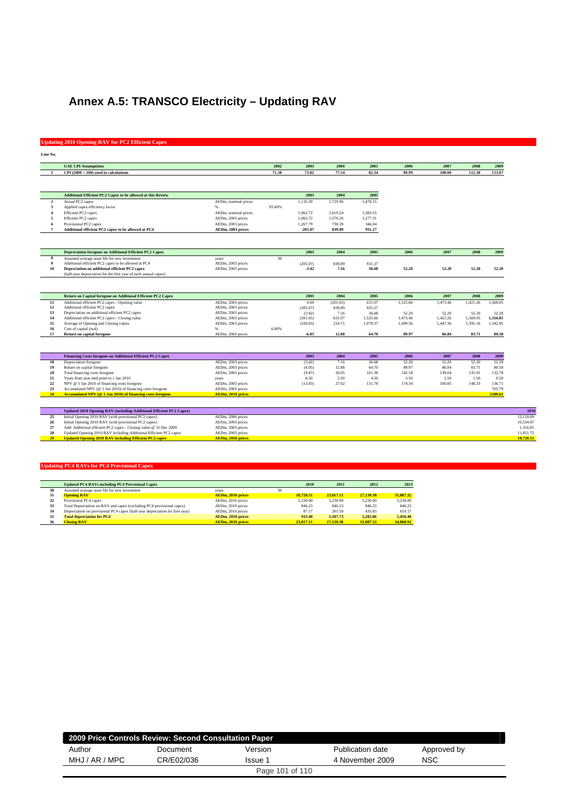## **Annex A.5: TRANSCO Electricity – Updating RAV**

### **Updating 2010 Opening RAV for PC2 Efficient Capex**

| Line No.                |                                                                                                                                        |                                        |        |           |          |          |          |          |          |          |
|-------------------------|----------------------------------------------------------------------------------------------------------------------------------------|----------------------------------------|--------|-----------|----------|----------|----------|----------|----------|----------|
|                         | <b>UAE CPI Assumptions</b>                                                                                                             |                                        | 2002   | 2003      | 2004     | 2005     | 2006     | 2007     | 2008     | 2009     |
|                         | $CPI(2000 = 100)$ used in calculations                                                                                                 |                                        | 71.58  | 73.82     | 77.54    | 82.34    | 89.99    | 100.00   | 112.30   | 113.07   |
|                         |                                                                                                                                        |                                        |        |           |          |          |          |          |          |          |
|                         | Additional Efficient PC2 Capex to be allowed at this Review                                                                            |                                        |        | 2003      | 2004     | 2005     |          |          |          |          |
| $\mathbf 2$             | Actual PC2 capex                                                                                                                       | AEDm, nominal prices                   |        | 1,135.39  | 1,729.96 | 1.478.15 |          |          |          |          |
| 3                       | Applied capex efficiency factor                                                                                                        | 96                                     | 93.60% |           |          |          |          |          |          |          |
| $\overline{4}$          | Efficient PC2 capex                                                                                                                    | AEDm, nominal prices                   |        | 1.062.72  | 1.619.24 | 1.383.55 |          |          |          |          |
| $\overline{\mathbf{5}}$ | Efficient PC2 capex                                                                                                                    | AEDm, 2003 prices                      |        | 1,062.72  | 1,570.26 | 1,277.31 |          |          |          |          |
| 6                       | Provisional PC2 capex                                                                                                                  | AEDm, 2003 prices                      |        | 1,267.79  | 730.38   | 346.04   |          |          |          |          |
| $\overline{7}$          | Additional efficient PC2 capex to be allowed at PC4                                                                                    | AEDm, 2003 prices                      |        | $-205.07$ | 839.89   | 931.27   |          |          |          |          |
|                         |                                                                                                                                        |                                        |        |           |          |          |          |          |          |          |
|                         | <b>Depreciation foregone on Additional Efficient PC2 Capex</b>                                                                         |                                        |        | 2003      | 2004     | 2005     | 2006     | 2007     | 2008     | 2009     |
|                         | Assumed average asset life for new investment                                                                                          | years                                  | 30     |           |          |          |          |          |          |          |
| $\boldsymbol{9}$        | Additional efficient PC2 capex to be allowed at PC4                                                                                    | AEDm, 2003 prices                      |        | (205.07)  | 839.89   | 931.27   |          |          |          |          |
| 10                      | Depreciation on additional efficient PC2 capex                                                                                         | AEDm, 2003 prices                      |        | $-3.42$   | 7.16     | 36.68    | 52.20    | 52.20    | 52.20    | 52.20    |
|                         | (half-year depreciation for the first year of each annual capex)                                                                       |                                        |        |           |          |          |          |          |          |          |
|                         | Return on Capital foregone on Additional Efficient PC2 Capex                                                                           |                                        |        | 2003      | 2004     | 2005     | 2006     | 2007     | 2008     | 2009     |
| 11                      | Additional efficient PC2 capex - Opening value                                                                                         | AEDm, 2003 prices                      |        | 0.00      | (201.65) | 631.07   | 1,525.66 | 1,473.46 | 1,421.26 | 1.369.05 |
| 12                      | Additional efficient PC2 capex                                                                                                         | AEDm, 2003 prices                      |        | (205.07)  | 839.89   | 931.27   |          |          |          |          |
| 13                      | Depreciation on additional efficient PC2 capex                                                                                         | AEDm, 2003 prices                      |        | (3.42)    | 7.16     | 36.68    | 52.20    | 52.20    | 52.20    | 52.20    |
| 14                      | Additional efficient PC2 capex - Closing value                                                                                         | AEDm, 2003 prices                      |        | (201.65)  | 631.07   | 1,525.66 | 1.473.46 | 1.421.26 | 1.369.05 | 1.316.85 |
| 15                      | Average of Opening and Closing values                                                                                                  | AEDm, 2003 prices                      |        | (100.83)  | 214.71   | 1,078.37 | 1,499.56 | 1,447.36 | 1.395.16 | 1.342.95 |
| 16                      | Cost of capital (real)                                                                                                                 | 96                                     | 6.00%  |           |          |          |          |          |          |          |
| 17                      | Return on capital foregone                                                                                                             | AEDm, 2003 prices                      |        | $-6.05$   | 12.88    | 64.70    | 89.97    | 86.84    | 83.71    | 80.58    |
|                         |                                                                                                                                        |                                        |        |           |          |          |          |          |          |          |
|                         | <b>Financing Costs foregone on Additional Efficient PC2 Capex</b>                                                                      |                                        |        | 2003      | 2004     | 2005     | 2006     | 2007     | 2008     | 2009     |
| 18                      | Depreciation foregone                                                                                                                  | AEDm, 2003 prices                      |        | (3.42)    | 7.16     | 36.68    | 52.20    | 52.20    | 52.20    | 52.20    |
| 19                      | Return on capital foregone                                                                                                             | AEDm, 2003 prices                      |        | (6.05)    | 12.88    | 64.70    | 89.97    | 86.84    | 83.71    | 80.58    |
| 20                      | Total financing costs foregone                                                                                                         | AEDm, 2003 prices                      |        | (9.47)    | 20.05    | 101.38   | 142.18   | 139.04   | 135.91   | 132.78   |
| 21                      | Years from year mid point to 1 Jan 2010                                                                                                | years                                  |        | 6.50      | 5.50     | 4.50     | 3.50     | 2.50     | 1.50     | 0.50     |
| $\bf 22$                | NPV @ 1 Jan 2010 of financing costs foregone                                                                                           | AEDm, 2003 prices                      |        | (13.83)   | 27.62    | 131.78   | 174.34   | 160.85   | 148.33   | 136.71   |
| 23                      | Accumulated NPV (@ 1 Jan 2010) of financing costs foregone                                                                             | AEDm, 2003 prices                      |        |           |          |          |          |          |          | 765.79   |
| 24                      | Accumulated NPV (@ 1 Jan 2010) of financing costs foregone                                                                             | <b>AEDm, 2010 prices</b>               |        |           |          |          |          |          |          | 1209.61  |
|                         |                                                                                                                                        |                                        |        |           |          |          |          |          |          |          |
|                         | Updated 2010 Opening RAV (including Additional Efficient PC2 Capex)<br>Initial Opening 2010 RAV (with provisional PC2 capex)           |                                        |        |           |          |          |          |          |          |          |
|                         |                                                                                                                                        | AEDm, 2006 prices                      |        |           |          |          |          |          |          |          |
| 25                      |                                                                                                                                        |                                        |        |           |          |          |          |          |          |          |
| 26                      | Initial Opening 2010 RAV (with provisional PC2 capex)                                                                                  | AEDm, 2003 prices                      |        |           |          |          |          |          |          |          |
| 27<br>28                | Add: Additional efficient PC2 capex - Closing value @ 31 Dec 2009<br>Updated Opening 2010 RAV including Additional Efficient PC2 capex | AEDm, 2003 prices<br>AEDm, 2003 prices |        |           |          |          |          |          |          |          |

|    | <b>Updated PC4 RAVs including PC4 Provisional Capex</b>                       |                          |    | 2010      | 2011      | 2012      | 2013      |
|----|-------------------------------------------------------------------------------|--------------------------|----|-----------|-----------|-----------|-----------|
| 30 | Assumed average asset life for new investment                                 | vears                    | 30 |           |           |           |           |
| 31 | <b>Opening RAV</b>                                                            | AEDm, 2010 prices        |    | 18.720.51 | 23,017.11 | 27,139.38 | 31,087.32 |
| 32 | Provisional PC4 capex                                                         | AEDm, 2010 prices        |    | 5.230.00  | 5.230.00  | 5.230.00  | 5.230.00  |
| 33 | Total Depreciation on RAV and capex (excluding PC4 provisional capex)         | AEDm, 2010 prices        |    | 846.23    | 846.23    | 846.23    | 846.23    |
| 34 | Depreciation on provisional PC4 capex (half-year depreciation for first year) | AEDm. 2010 prices        |    | 87.17     | 261.50    | 435.83    | 610.17    |
| 35 | <b>Total depreciation for PC4</b>                                             | AEDm. 2010 prices        |    | 933.40    | 1.107.73  | 1.282.06  | 1.456.40  |
| 36 | <b>Closing RAV</b>                                                            | <b>AEDm. 2010 prices</b> |    | 23,017.11 | 27.139.38 | 31,087.32 | 34,860.92 |

| 2009 Price Controls Review: Second Consultation Paper |            |                 |                  |             |
|-------------------------------------------------------|------------|-----------------|------------------|-------------|
| Author                                                | Document   | Version         | Publication date | Approved by |
| MHJ / AR / MPC                                        | CR/E02/036 | Issue 1         | 4 November 2009  | <b>NSC</b>  |
|                                                       |            | Page 101 of 110 |                  |             |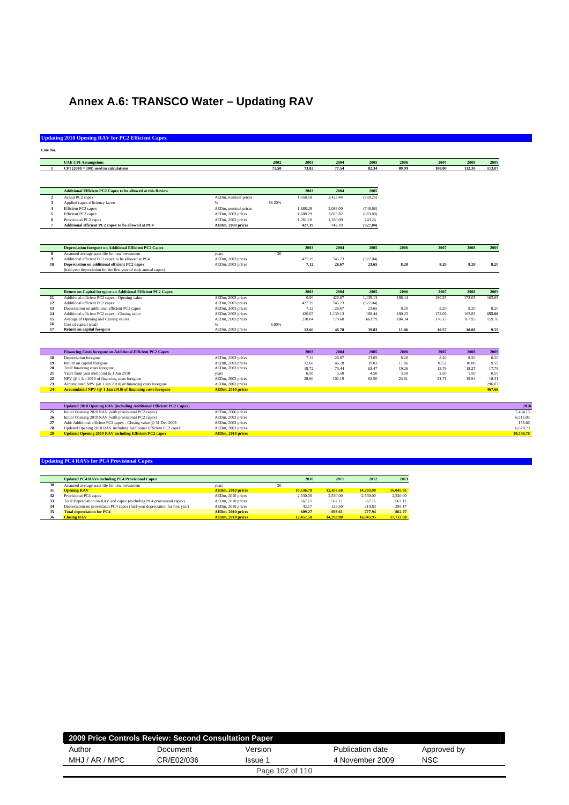## **Annex A.6: TRANSCO Water – Updating RAV**

### **Updating 2010 Opening RAV for PC2 Efficient Capex**

| Line No.         |                                                                     |                        |        |                  |                    |                  |                  |                  |                  |                  |
|------------------|---------------------------------------------------------------------|------------------------|--------|------------------|--------------------|------------------|------------------|------------------|------------------|------------------|
|                  | <b>UAE CPI Assumptions</b>                                          |                        | 2002   | 2003             | 2004               | 2005             | 2006             | 2007             | 2008             | 2009             |
|                  | $CPI(2000 = 100)$ used in calculations                              |                        | 71.58  | 73.82            | 77.54              | 82.34            | 89.99            | 100.00           | 112.30           | 113.07           |
|                  |                                                                     |                        |        |                  |                    |                  |                  |                  |                  |                  |
|                  | <b>Additional Efficient PC2 Capex to be allowed at this Review</b>  |                        |        | 2003             | 2004               | 2005             |                  |                  |                  |                  |
| $\overline{2}$   | Actual PC2 capex                                                    | AEDm, nominal prices   |        | 1.958.58         | 2.423.44           | (859.25)         |                  |                  |                  |                  |
| 3                | Applied capex efficiency factor                                     | %                      | 86.20% |                  |                    |                  |                  |                  |                  |                  |
|                  | Efficient PC2 capex                                                 | AEDm, nominal prices   |        | 1,688.29         | 2,089.00           | (740.68)         |                  |                  |                  |                  |
| 5                | Efficient PC2 capex                                                 | AEDm, 2003 prices      |        | 1,688.29         | 2.025.82           | (683.80)         |                  |                  |                  |                  |
|                  | Provisional PC2 capex                                               | AEDm, 2003 prices      |        | 1,261.10         | 1,280.09           | 243.24           |                  |                  |                  |                  |
| $\overline{7}$   | Additional efficient PC2 capex to be allowed at PC4                 | AEDm, 2003 prices      |        | 427.19           | 745.73             | (927.04)         |                  |                  |                  |                  |
|                  |                                                                     |                        |        |                  |                    |                  |                  |                  |                  |                  |
|                  | <b>Depreciation foregone on Additional Efficient PC2 Capex</b>      |                        |        | 2003             | 2004               | 2005             | 2006             | 2007             | 2008             | 2009             |
| 8                | Assumed average asset life for new investment                       | years                  | 30     |                  |                    |                  |                  |                  |                  |                  |
| $\boldsymbol{9}$ | Additional efficient PC2 capex to be allowed at PC4                 | AEDm, 2003 prices      |        | 427.19           | 745.73             | (927.04)         |                  |                  |                  |                  |
| 10               | Depreciation on additional efficient PC2 capex                      | AEDm, 2003 prices      |        | 7.12             | 26.67              | 23.65            | 8.20             | 8.20             | 8.20             | 8.20             |
|                  | (half-year depreciation for the first year of each annual capex)    |                        |        |                  |                    |                  |                  |                  |                  |                  |
|                  |                                                                     |                        |        |                  |                    |                  |                  |                  |                  |                  |
|                  | Return on Capital foregone on Additional Efficient PC2 Capex        |                        |        | 2003             | 2004               | 2005             | 2006             | 2007             | 2008             | 2009             |
| 11               | Additional efficient PC2 capex - Opening value                      | AEDm, 2003 prices      |        | 0.00             | 420.07             | 1,139.13         | 188.44           | 180.25           | 172.05           | 163.85           |
| 12               | Additional efficient PC2 capex                                      | AEDm, 2003 prices      |        | 427.19           | 745.73             | (927.04)         |                  |                  |                  |                  |
| 13               | Depreciation on additional efficient PC2 capex                      | AEDm, 2003 prices      |        | 7.12             | 26.67              | 23.65            | 8.20             | 8.20             | 8.20             | 8.20             |
| 14<br>15         | Additional efficient PC2 capex - Closing value                      | AEDm, 2003 prices      |        | 420.07<br>210.04 | 1,139.13<br>779.60 | 188.44<br>663.79 | 180.25<br>184.34 | 172.05<br>176.15 | 163.85<br>167.95 | 155.66<br>159.76 |
| 16               | Average of Opening and Closing values<br>Cost of capital (real)     | AEDm, 2003 prices<br>% | 6.00%  |                  |                    |                  |                  |                  |                  |                  |
| 17               | <b>Return on capital foregone</b>                                   | AEDm, 2003 prices      |        | 12.60            | 46.78              | 39.83            | 11.06            | 10.57            | 10.08            | 9.59             |
|                  |                                                                     |                        |        |                  |                    |                  |                  |                  |                  |                  |
|                  | Financing Costs foregone on Additional Efficient PC2 Capex          |                        |        | 2003             | 2004               | 2005             | 2006             | 2007             | 2008             | 2009             |
| 18               | Depreciation foregone                                               | AEDm, 2003 prices      |        | 7.12             | 26.67              | 23.65            | 8.20             | 8.20             | 8.20             | 8.20             |
| 19               | Return on capital foregone                                          | AEDm, 2003 prices      |        | 12.60            | 46.78              | 39.83            | 11.06            | 10.57            | 10.08            | 9.59             |
| 20               | Total financing costs foregone                                      | AEDm, 2003 prices      |        | 19.72            | 73.44              | 63.47            | 19.26            | 18.76            | 18.27            | 17.78            |
| 21               | Years from year mid point to 1 Jan 2010                             | years                  |        | 6.50             | 5.50               | 4.50             | 3.50             | 2.50             | 1.50             | 0.50             |
| 22               | NPV @ 1 Jan 2010 of financing costs foregone                        | AEDm, 2003 prices      |        | 28.80            | 101.19             | 82.50            | 23.61            | 21.71            | 19.94            | 18.31            |
| 23               | Accumulated NPV (@ 1 Jan 2010) of financing costs foregone          | AEDm, 2003 prices      |        |                  |                    |                  |                  |                  |                  | 296.07           |
| 24               | Accumulated NPV (@ 1 Jan 2010) of financing costs foregone          | AEDm, 2010 prices      |        |                  |                    |                  |                  |                  |                  | 467.66           |
|                  |                                                                     |                        |        |                  |                    |                  |                  |                  |                  |                  |
|                  | Updated 2010 Opening RAV (including Additional Efficient PC2 Capex) |                        |        |                  |                    |                  |                  |                  |                  |                  |
| 25               | Initial Opening 2010 RAV (with provisional PC2 capex)               | AEDm, 2006 prices      |        |                  |                    |                  |                  |                  |                  |                  |
| 26               | Initial Opening 2010 RAV (with provisional PC2 capex)               | AEDm, 2003 prices      |        |                  |                    |                  |                  |                  |                  |                  |
| 27               | Add: Additional efficient PC2 capex - Closing value @ 31 Dec 2009   | AEDm, 2003 prices      |        |                  |                    |                  |                  |                  |                  |                  |
| 28               | Updated Opening 2010 RAV including Additional Efficient PC2 capex   | AEDm, 2003 prices      |        |                  |                    |                  |                  |                  |                  |                  |
| 29               | <b>Updated Opening 2010 RAV including Efficient PC2 capex</b>       | AEDm, 2010 prices      |        |                  |                    |                  |                  |                  |                  |                  |

|    | <b>Updated PC4 RAVs including PC4 Provisional Capex</b>                       |                          |    | 2010      | 2011      | 2012      | 2013      |
|----|-------------------------------------------------------------------------------|--------------------------|----|-----------|-----------|-----------|-----------|
| 30 | Assumed average asset life for new investment                                 | vears                    | 30 |           |           |           |           |
| 31 | <b>Opening RAV</b>                                                            | AEDm, 2010 prices        |    | 10.536.78 | 12,457.50 | 14,293.90 | 16,045.95 |
| 32 | Provisional PC4 capex                                                         | AEDm, 2010 prices        |    | 2.530.00  | 2.530.00  | 2.530.00  | 2.530.00  |
| 33 | Total Depreciation on RAV and capex (excluding PC4 provisional capex)         | AEDm, 2010 prices        |    | 567.11    | 567.11    | 567.11    | 567.11    |
| 34 | Depreciation on provisional PC4 capex (half-year depreciation for first year) | AEDm, 2010 prices        |    | 42.17     | 126.50    | 210.83    | 295.17    |
| 35 | <b>Total depreciation for PC4</b>                                             | <b>AEDm. 2010 prices</b> |    | 609.27    | 693.61    | 777.94    | 862.27    |
| 36 | <b>Closing RAV</b>                                                            | <b>AEDm. 2010 prices</b> |    | 12,457.50 | 14,293.90 | 16,045.95 | 17,713.68 |

|                | 2009 Price Controls Review: Second Consultation Paper |                 |                  |             |  |
|----------------|-------------------------------------------------------|-----------------|------------------|-------------|--|
| Author         | Document                                              | Version         | Publication date | Approved by |  |
| MHJ / AR / MPC | CR/E02/036                                            | Issue 1         | 4 November 2009  | NSC         |  |
|                |                                                       | Page 102 of 110 |                  |             |  |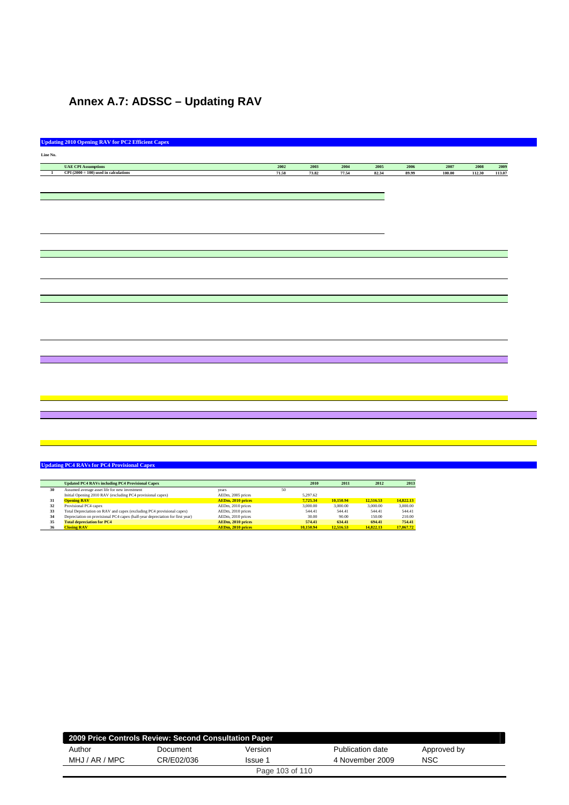## **Annex A.7: ADSSC – Updating RAV**

|                | <b>Updating 2010 Opening RAV for PC2 Efficient Capex</b> |       |       |       |       |       |        |        |        |
|----------------|----------------------------------------------------------|-------|-------|-------|-------|-------|--------|--------|--------|
| Line No.       |                                                          |       |       |       |       |       |        |        |        |
|                | <b>UAE CPI Assumptions</b>                               | 2002  | 2003  | 2004  | 2005  | 2006  | 2007   | 2008   | 2009   |
| $\overline{1}$ | $CPI(2000 = 100)$ used in calculations                   | 71.58 | 73.82 | 77.54 | 82.34 | 89.99 | 100.00 | 112.30 | 113.07 |
|                |                                                          |       |       |       |       |       |        |        |        |
|                |                                                          |       |       |       |       |       |        |        |        |
|                |                                                          |       |       |       |       |       |        |        |        |
|                |                                                          |       |       |       |       |       |        |        |        |
|                |                                                          |       |       |       |       |       |        |        |        |
|                |                                                          |       |       |       |       |       |        |        |        |
|                |                                                          |       |       |       |       |       |        |        |        |
|                |                                                          |       |       |       |       |       |        |        |        |
|                |                                                          |       |       |       |       |       |        |        |        |
|                |                                                          |       |       |       |       |       |        |        |        |
|                |                                                          |       |       |       |       |       |        |        |        |
|                |                                                          |       |       |       |       |       |        |        |        |
|                |                                                          |       |       |       |       |       |        |        |        |
|                |                                                          |       |       |       |       |       |        |        |        |
|                |                                                          |       |       |       |       |       |        |        |        |
|                |                                                          |       |       |       |       |       |        |        |        |
|                |                                                          |       |       |       |       |       |        |        |        |
|                |                                                          |       |       |       |       |       |        |        |        |
|                |                                                          |       |       |       |       |       |        |        |        |
|                |                                                          |       |       |       |       |       |        |        |        |
|                |                                                          |       |       |       |       |       |        |        |        |
|                |                                                          |       |       |       |       |       |        |        |        |
|                |                                                          |       |       |       |       |       |        |        |        |
|                |                                                          |       |       |       |       |       |        |        |        |
|                |                                                          |       |       |       |       |       |        |        |        |
|                |                                                          |       |       |       |       |       |        |        |        |
|                |                                                          |       |       |       |       |       |        |        |        |
|                |                                                          |       |       |       |       |       |        |        |        |
|                |                                                          |       |       |       |       |       |        |        |        |
|                |                                                          |       |       |       |       |       |        |        |        |
|                |                                                          |       |       |       |       |       |        |        |        |
|                |                                                          |       |       |       |       |       |        |        |        |
|                |                                                          |       |       |       |       |       |        |        |        |
|                |                                                          |       |       |       |       |       |        |        |        |
|                |                                                          |       |       |       |       |       |        |        |        |
|                |                                                          |       |       |       |       |       |        |        |        |
|                |                                                          |       |       |       |       |       |        |        |        |
|                |                                                          |       |       |       |       |       |        |        |        |
|                |                                                          |       |       |       |       |       |        |        |        |

|    | <b>Updated PC4 RAVs including PC4 Provisional Capex</b>                       |                          |    | 2010      | 2011      | 2012      | 2013      |
|----|-------------------------------------------------------------------------------|--------------------------|----|-----------|-----------|-----------|-----------|
| 30 | Assumed average asset life for new investment                                 | vears                    | 50 |           |           |           |           |
|    | Initial Opening 2010 RAV (excluding PC4 provisional capex)                    | AEDm, 2005 prices        |    | 5.297.62  |           |           |           |
| 31 | <b>Opening RAV</b>                                                            | AEDm, 2010 prices        |    | 7.725.34  | 10.150.94 | 12,516.53 | 14,822.13 |
| 32 | Provisional PC4 capex                                                         | AEDm, 2010 prices        |    | 3,000.00  | 3,000,00  | 3,000.00  | 3,000.00  |
| 33 | Total Depreciation on RAV and capex (excluding PC4 provisional capex)         | AEDm, 2010 prices        |    | 544.41    | 544.41    | 544.41    | 544.41    |
| 34 | Depreciation on provisional PC4 capex (half-year depreciation for first year) | AEDm, 2010 prices        |    | 30.00     | 90.00     | 150.00    | 210.00    |
| 35 | <b>Total depreciation for PC4</b>                                             | AEDm. 2010 prices        |    | 574.41    | 634.41    | 694.41    | 754.41    |
| 36 | <b>Closing RAV</b>                                                            | <b>AEDm. 2010 prices</b> |    | 10,150.94 | 12,516.53 | 14,822.13 | 17,067.72 |

| 2009 Price Controls Review: Second Consultation Paper |                       |                 |                  |             |  |  |  |  |  |  |
|-------------------------------------------------------|-----------------------|-----------------|------------------|-------------|--|--|--|--|--|--|
| Author                                                | Document              | Version         | Publication date | Approved by |  |  |  |  |  |  |
| MHJ / AR / MPC                                        | CR/E02/036<br>Issue 1 |                 | 4 November 2009  | NSC         |  |  |  |  |  |  |
|                                                       |                       | Page 103 of 110 |                  |             |  |  |  |  |  |  |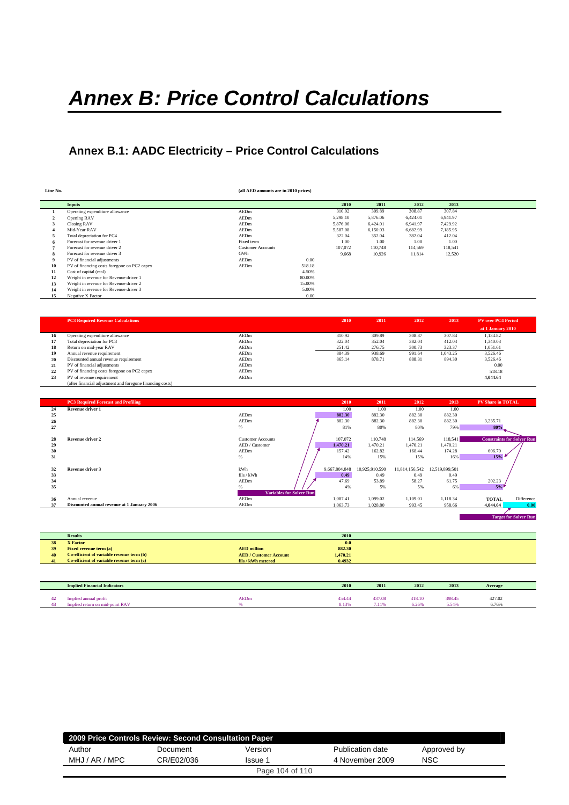# *Annex B: Price Control Calculations*

## **Annex B.1: AADC Electricity – Price Control Calculations**

| Line No. |                                             | (all AED amounts are in 2010 prices) |        |          |          |          |          |  |
|----------|---------------------------------------------|--------------------------------------|--------|----------|----------|----------|----------|--|
|          | Inputs                                      |                                      |        | 2010     | 2011     | 2012     | 2013     |  |
|          | Operating expenditure allowance             | AEDm                                 |        | 310.92   | 309.89   | 308.87   | 307.84   |  |
|          | Opening RAV                                 | AEDm                                 |        | 5,298.10 | 5,876.06 | 6,424.01 | 6.941.97 |  |
|          | Closing RAV                                 | AEDm                                 |        | 5,876.06 | 6,424.01 | 6,941.97 | 7.429.92 |  |
|          | Mid-Year RAV                                | AEDm                                 |        | 5.587.08 | 6,150.03 | 6.682.99 | 7.185.95 |  |
|          | Total depreciation for PC4                  | AEDm                                 |        | 322.04   | 352.04   | 382.04   | 412.04   |  |
|          | Forecast for revenue driver 1               | Fixed term                           |        | 1.00     | 1.00     | 1.00     | 1.00     |  |
|          | Forecast for revenue driver 2               | <b>Customer Accounts</b>             |        | 107.072  | 110,748  | 114,569  | 118,541  |  |
| 8        | Forecast for revenue driver 3               | GWh                                  |        | 9,668    | 10,926   | 11,814   | 12,520   |  |
| 9        | PV of financial adjustments                 | AEDm                                 | 0.00   |          |          |          |          |  |
| 10       | PV of financing costs foregone on PC2 capex | AEDm                                 | 518.18 |          |          |          |          |  |
| 11       | Cost of capital (real)                      |                                      | 4.50%  |          |          |          |          |  |
| 12       | Weight in revenue for Revenue driver 1      |                                      | 80,00% |          |          |          |          |  |
| 13       | Weight in revenue for Revenue driver 2      |                                      | 15.00% |          |          |          |          |  |
| 14       | Weight in revenue for Revenue driver 3      |                                      | 5.00%  |          |          |          |          |  |
| 15       | Negative X Factor                           |                                      | 0.00   |          |          |          |          |  |

|    | <b>PC3 Required Revenue Calculations</b>                  |      | 2010   | 2011   | 2012   | 2013     | <b>PV over PC4 Period</b> |  |
|----|-----------------------------------------------------------|------|--------|--------|--------|----------|---------------------------|--|
|    |                                                           |      |        |        |        |          | at 1 January 2010         |  |
| 16 | Operating expenditure allowance                           | AEDm | 310.92 | 309.89 | 308.87 | 307.84   | 1,134.82                  |  |
| 17 | Total depreciation for PC3                                | AEDm | 322.04 | 352.04 | 382.04 | 412.04   | 1,340.03                  |  |
| 18 | Return on mid-year RAV                                    | AEDm | 251.42 | 276.75 | 300.73 | 323.37   | 1,051.61                  |  |
| 19 | Annual revenue requirement                                | AEDm | 884.39 | 938.69 | 991.64 | 1.043.25 | 3.526.46                  |  |
| 20 | Discounted annual revenue requirement                     | AEDm | 865.14 | 878.71 | 888.31 | 894.30   | 3,526.46                  |  |
| 21 | PV of financial adjustments                               | AEDm |        |        |        |          | 0.00                      |  |
| 22 | PV of financing costs foregone on PC2 capex               | AEDm |        |        |        |          | 518.18                    |  |
| 23 | PV of revenue requirement                                 | AEDm |        |        |        |          | 4,044.64                  |  |
|    | (after financial adjustment and foregone financing costs) |      |        |        |        |          |                           |  |

|    | <b>PC3 Required Forecast and Profiling</b>  |                                 | 2010          | 2011           | 2012           | 2013           | <b>PV Share in TOTAL</b> |                                   |
|----|---------------------------------------------|---------------------------------|---------------|----------------|----------------|----------------|--------------------------|-----------------------------------|
| 24 | Revenue driver 1                            |                                 | 1.00          | 1.00           | 1.00           | 1.00           |                          |                                   |
| 25 |                                             | AEDm                            | 882.30        | 882.30         | 882.30         | 882.30         |                          |                                   |
| 26 |                                             | AEDm                            | 882.30        | 882.30         | 882.30         | 882.30         | 3,235.71                 |                                   |
| 27 |                                             | $\%$                            | 81%           | 80%            | 80%            | 79%            | 80%                      |                                   |
| 28 | <b>Revenue driver 2</b>                     | <b>Customer Accounts</b>        | 107,072       | 110,748        | 114,569        | 118,541        |                          | <b>Constraints for Solver Run</b> |
| 29 |                                             | AED / Customer                  | 1,470.21      | 1.470.21       | 1.470.21       | 1,470.21       |                          |                                   |
| 30 |                                             | AEDm                            | 157.42        | 162.82         | 168.44         | 174.28         | 606.70                   |                                   |
| 31 |                                             | %                               | 14%           | 15%            | 15%            | 16%            | 15%                      |                                   |
|    |                                             |                                 |               |                |                |                |                          |                                   |
| 32 | Revenue driver 3                            | kWh                             | 9,667,804,848 | 10,925,910,590 | 11,814,156,542 | 12,519,899,501 |                          |                                   |
| 33 |                                             | fils / kWh                      | 0.49          | 0.49           | 0.49           | 0.49           |                          |                                   |
| 34 |                                             | AEDm                            | 47.69         | 53.89          | 58.27          | 61.75          | 202.23                   |                                   |
| 35 |                                             | %                               | 4%            | 5%             | 5%             | 6%             | 5%                       |                                   |
|    |                                             | <b>Variables for Solver Run</b> |               |                |                |                |                          |                                   |
| 36 | Annual revenue                              | AEDm                            | 1,087.41      | 1,099.02       | 1,109.01       | 1,118.34       | <b>TOTAL</b>             | Difference                        |
| 37 | Discounted annual revenue at 1 January 2006 | AEDm                            | 1,063.73      | 1,028.80       | 993.45         | 958.66         | 4,044.64                 | 0.00                              |
|    |                                             |                                 |               |                |                |                |                          |                                   |
|    |                                             |                                 |               |                |                |                |                          | <b>Target for Solver Run</b>      |

| 2010 |  |
|------|--|
|      |  |

| 38 | <b>X</b> Factor                           |                               | 0.0      |
|----|-------------------------------------------|-------------------------------|----------|
| 39 | <b>Fixed revenue term (a)</b>             | <b>AED</b> million            | 882.30   |
| 40 | Co-efficient of variable revenue term (b) | <b>AED / Customer Account</b> | 1,470.21 |
| 41 | Co-efficient of variable revenue term (c) | fils / kWh metered            | 0.4932   |
|    |                                           |                               |          |

**Results** 

| <b>Implied Financial Indicators</b> |             | 2010            | 2011            | 2012            | 2013            | Average         |  |
|-------------------------------------|-------------|-----------------|-----------------|-----------------|-----------------|-----------------|--|
| Implied annual profit<br>31 K.A     | <b>AEDm</b> | 454.44<br>8.13% | 437.08<br>7.11% | 418.10<br>i.26% | 398.45<br>5.549 | 427.02<br>6.76% |  |

| 2009 Price Controls Review: Second Consultation Paper |                       |                 |                  |             |  |  |  |  |  |  |
|-------------------------------------------------------|-----------------------|-----------------|------------------|-------------|--|--|--|--|--|--|
| Author                                                | Document              | Version         | Publication date | Approved by |  |  |  |  |  |  |
| MHJ / AR / MPC                                        | CR/E02/036<br>Issue 1 |                 | 4 November 2009  | <b>NSC</b>  |  |  |  |  |  |  |
|                                                       |                       | Page 104 of 110 |                  |             |  |  |  |  |  |  |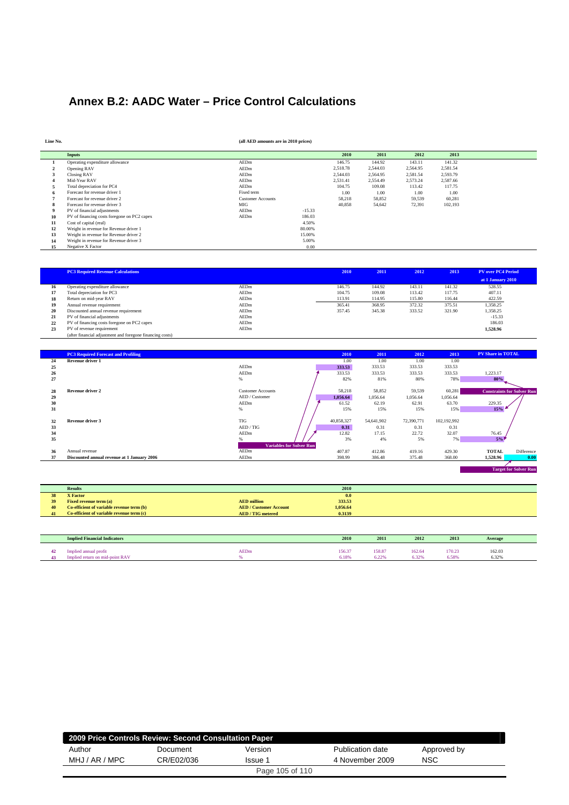## **Annex B.2: AADC Water – Price Control Calculations**

| Line No.    |                                             | (all AED amounts are in 2010 prices) |          |          |          |          |          |  |
|-------------|---------------------------------------------|--------------------------------------|----------|----------|----------|----------|----------|--|
|             | Inputs                                      |                                      |          | 2010     | 2011     | 2012     | 2013     |  |
|             | Operating expenditure allowance             | AEDm                                 |          | 146.75   | 144.92   | 143.11   | 141.32   |  |
|             | Opening RAV                                 | AEDm                                 |          | 2,518.78 | 2,544.03 | 2,564.95 | 2,581.54 |  |
|             | Closing RAV                                 | AEDm                                 |          | 2,544.03 | 2,564.95 | 2,581.54 | 2,593.79 |  |
|             | Mid-Year RAV                                | AEDm                                 |          | 2.531.41 | 2.554.49 | 2.573.24 | 2.587.66 |  |
|             | Total depreciation for PC4                  | AEDm                                 |          | 104.75   | 109.08   | 113.42   | 117.75   |  |
|             | Forecast for revenue driver 1               | Fixed term                           |          | 1.00     | 1.00     | 1.00     | 1.00     |  |
|             | Forecast for revenue driver 2               | <b>Customer Accounts</b>             |          | 58,218   | 58,852   | 59,539   | 60,281   |  |
| 8           | Forecast for revenue driver 3               | MIG                                  |          | 40,858   | 54,642   | 72,391   | 102,193  |  |
| $\mathbf Q$ | PV of financial adjustments                 | AEDm                                 | $-15.33$ |          |          |          |          |  |
| 10          | PV of financing costs foregone on PC2 capex | AEDm                                 | 186.03   |          |          |          |          |  |
| 11          | Cost of capital (real)                      |                                      | 4.50%    |          |          |          |          |  |
| 12          | Weight in revenue for Revenue driver 1      |                                      | 80.00%   |          |          |          |          |  |
| 13          | Weight in revenue for Revenue driver 2      |                                      | 15.00%   |          |          |          |          |  |
| 14          | Weight in revenue for Revenue driver 3      |                                      | 5.00%    |          |          |          |          |  |
| 15          | Negative X Factor                           |                                      | 0.00     |          |          |          |          |  |

|    | <b>PC3 Required Revenue Calculations</b>                  |      | 2010   | 2011   | 2012   | 2013   | <b>PV over PC4 Period</b> |
|----|-----------------------------------------------------------|------|--------|--------|--------|--------|---------------------------|
|    |                                                           |      |        |        |        |        | at 1 January 2010         |
| 16 | Operating expenditure allowance                           | AEDm | 146.75 | 144.92 | 143.11 | 141.32 | 528.55                    |
| 17 | Total depreciation for PC3                                | AEDm | 104.75 | 109.08 | 113.42 | 117.75 | 407.11                    |
| 18 | Return on mid-year RAV                                    | AEDm | 113.91 | 114.95 | 115.80 | 116.44 | 422.59                    |
| 19 | Annual revenue requirement                                | AEDm | 365.41 | 368.95 | 372.32 | 375.51 | 1,358.25                  |
| 20 | Discounted annual revenue requirement                     | AEDm | 357.45 | 345.38 | 333.52 | 321.90 | 1,358.25                  |
| 21 | PV of financial adjustments                               | AEDm |        |        |        |        | $-15.33$                  |
| 22 | PV of financing costs foregone on PC2 capex               | AEDm |        |        |        |        | 186.03                    |
| 23 | PV of revenue requirement                                 | AEDm |        |        |        |        | 1,528.96                  |
|    | (after financial adjustment and foregone financing costs) |      |        |        |        |        |                           |

|    | <b>PC3 Required Forecast and Profiling</b>  |                                 | 2010       | 2011       | 2012       | 2013        | <b>PV Share in TOTAL</b> |                                   |
|----|---------------------------------------------|---------------------------------|------------|------------|------------|-------------|--------------------------|-----------------------------------|
| 24 | <b>Revenue driver 1</b>                     |                                 | 1.00       | 1.00       | 1.00       | 1.00        |                          |                                   |
| 25 |                                             | AEDm                            | 333.53     | 333.53     | 333.53     | 333.53      |                          |                                   |
| 26 |                                             | AEDm                            | 333.53     | 333.53     | 333.53     | 333.53      | 1,223.17                 |                                   |
| 27 |                                             | $\%$                            | 82%        | 81%        | 80%        | 78%         | 80%                      |                                   |
|    |                                             |                                 |            |            |            |             |                          |                                   |
| 28 | <b>Revenue driver 2</b>                     | <b>Customer Accounts</b>        | 58,218     | 58,852     | 59,539     | 60,281      |                          | <b>Constraints for Solver Run</b> |
| 29 |                                             | AED / Customer                  | 1,056.64   | 1,056.64   | 1.056.64   | 1,056.64    |                          |                                   |
| 30 |                                             | AEDm                            | 61.52      | 62.19      | 62.91      | 63.70       | 229.35                   |                                   |
| 31 |                                             | $\%$                            | 15%        | 15%        | 15%        | 15%         | 15%                      |                                   |
|    |                                             |                                 |            |            |            |             |                          |                                   |
| 32 | Revenue driver 3                            | <b>TIG</b>                      | 40,858,327 | 54,641,902 | 72,390,771 | 102,192,992 |                          |                                   |
| 33 |                                             | AED / TIG                       | 0.31       | 0.31       | 0.31       | 0.31        |                          |                                   |
| 34 |                                             | AEDm                            | 12.82      | 17.15      | 22.72      | 32.07       | 76.45                    |                                   |
| 35 |                                             |                                 | 3%         | 4%         | 5%         | 7%          | 5%                       |                                   |
|    |                                             | <b>Variables for Solver Run</b> |            |            |            |             |                          |                                   |
| 36 | Annual revenue                              | AEDm                            | 407.87     | 412.86     | 419.16     | 429.30      | <b>TOTAL</b>             | Difference                        |
| 37 | Discounted annual revenue at 1 January 2006 | AEDm                            | 398.99     | 386.48     | 375.48     | 368.00      | 1.528.96                 | 0.00                              |
|    |                                             |                                 |            |            |            |             |                          |                                   |

|    | <b>Results</b>                            |                               | 2010     |
|----|-------------------------------------------|-------------------------------|----------|
| 38 | <b>X</b> Factor                           |                               | 0.0      |
| 39 | <b>Fixed revenue term (a)</b>             | <b>AED</b> million            | 333.53   |
| 40 | Co-efficient of variable revenue term (b) | <b>AED / Customer Account</b> | 1,056.64 |
| 41 | Co-efficient of variable revenue term (c) | <b>AED/TIG</b> metered        | 0.3139   |
|    |                                           |                               |          |

| <b>Implied Financial Indicators</b>                        |             | 2010            | 2011                              | 2012                       | 2013            | Average                       |
|------------------------------------------------------------|-------------|-----------------|-----------------------------------|----------------------------|-----------------|-------------------------------|
| mplied annual<br>profit<br>Implied return on mid-point RAV | <b>AEDm</b> | 156.37<br>6.18% | 158.87<br>0.000<br>$0.22^{\circ}$ | 162.64<br>200 <sub>0</sub> | 170.23<br>6.58% | 162.03<br>.<br>2.001<br>6.329 |

| 2009 Price Controls Review: Second Consultation Paper |                       |                 |                  |             |  |  |  |  |  |  |
|-------------------------------------------------------|-----------------------|-----------------|------------------|-------------|--|--|--|--|--|--|
| Author                                                | Document              | Version         | Publication date | Approved by |  |  |  |  |  |  |
| MHJ / AR / MPC                                        | CR/E02/036<br>Issue 1 |                 | 4 November 2009  | <b>NSC</b>  |  |  |  |  |  |  |
|                                                       |                       | Page 105 of 110 |                  |             |  |  |  |  |  |  |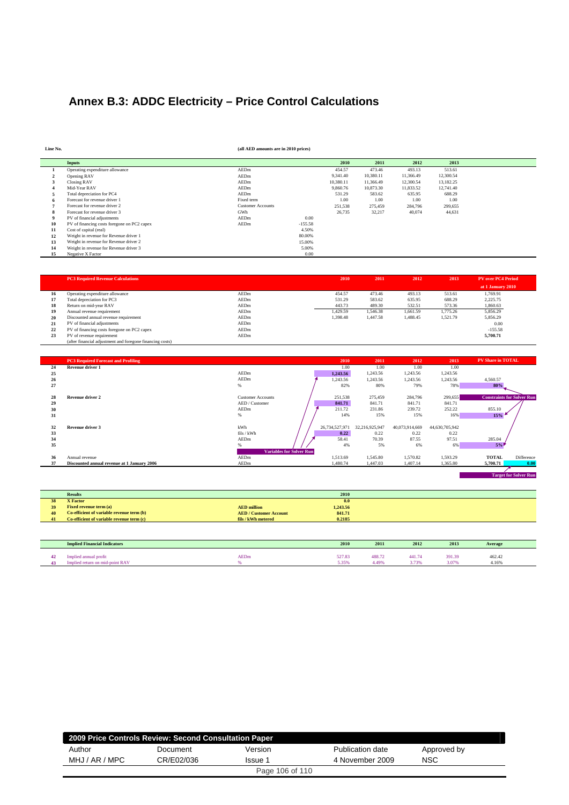## **Annex B.3: ADDC Electricity – Price Control Calculations**

**Line No. (all AED amounts are in 2010 prices)**

|    | <b>Inputs</b>                               |                          |           | 2010      | 2011      | 2012      | 2013      |
|----|---------------------------------------------|--------------------------|-----------|-----------|-----------|-----------|-----------|
|    | Operating expenditure allowance             | AEDm                     |           | 454.57    | 473.46    | 493.13    | 513.61    |
|    | Opening RAV                                 | AEDm                     |           | 9,341.40  | 10.380.11 | 11.366.49 | 12,300.54 |
|    | Closing RAV                                 | AEDm                     |           | 10.380.11 | 11.366.49 | 12,300.54 | 13,182.25 |
|    | Mid-Year RAV                                | AEDm                     |           | 9,860.76  | 10,873.30 | 11,833.52 | 12,741.40 |
|    | Total depreciation for PC4                  | AEDm                     |           | 531.29    | 583.62    | 635.95    | 688.29    |
|    | Forecast for revenue driver 1               | Fixed term               |           | 1.00      | 1.00      | 1.00      | 1.00      |
|    | Forecast for revenue driver 2               | <b>Customer Accounts</b> |           | 251,538   | 275.459   | 284,796   | 299,655   |
|    | Forecast for revenue driver 3               | GWh                      |           | 26,735    | 32,217    | 40,074    | 44,631    |
|    | PV of financial adjustments                 | AEDm                     | 0.00      |           |           |           |           |
| 10 | PV of financing costs foregone on PC2 capex | AEDm                     | $-155.58$ |           |           |           |           |
| 11 | Cost of capital (real)                      |                          | 4.50%     |           |           |           |           |
| 12 | Weight in revenue for Revenue driver 1      |                          | 80,00%    |           |           |           |           |
| 13 | Weight in revenue for Revenue driver 2      |                          | 15.00%    |           |           |           |           |
| 14 | Weight in revenue for Revenue driver 3      |                          | 5.00%     |           |           |           |           |
| 15 | Negative X Factor                           |                          | 0.00      |           |           |           |           |

|    | <b>PC3 Required Revenue Calculations</b>                  |      | 2010     | 2011     | 2012     | 2013     | <b>PV over PC4 Period</b> |
|----|-----------------------------------------------------------|------|----------|----------|----------|----------|---------------------------|
|    |                                                           |      |          |          |          |          | at 1 January 2010         |
| 16 | Operating expenditure allowance                           | AEDm | 454.57   | 473.46   | 493.13   | 513.61   | 1,769.91                  |
| 17 | Total depreciation for PC3                                | AEDm | 531.29   | 583.62   | 635.95   | 688.29   | 2.225.75                  |
| 18 | Return on mid-year RAV                                    | AEDm | 443.73   | 489.30   | 532.51   | 573.36   | 1,860.63                  |
| 19 | Annual revenue requirement                                | AEDm | 1.429.59 | 1,546.38 | 1.661.59 | 1.775.26 | 5.856.29                  |
| 20 | Discounted annual revenue requirement                     | AEDm | 1.398.48 | 1.447.58 | 1,488.45 | 1.521.79 | 5.856.29                  |
| 21 | PV of financial adjustments                               | AEDm |          |          |          |          | 0.00                      |
| 22 | PV of financing costs foregone on PC2 capex               | AEDm |          |          |          |          | $-155.58$                 |
| 23 | PV of revenue requirement                                 | AEDm |          |          |          |          | 5.700.71                  |
|    | (after financial adjustment and foregone financing costs) |      |          |          |          |          |                           |

|    | <b>PC3 Required Forecast and Profiling</b>  |                                 |                | 2010<br>2011   | 2012           | 2013           | <b>PV Share in TOTAL</b> |                                   |
|----|---------------------------------------------|---------------------------------|----------------|----------------|----------------|----------------|--------------------------|-----------------------------------|
| 24 | Revenue driver 1                            |                                 |                | 1.00<br>1.00   | 1.00           | 1.00           |                          |                                   |
| 25 |                                             | AEDm                            | 1,243.56       | 1,243.56       | 1,243.56       | 1,243.56       |                          |                                   |
| 26 |                                             | AEDm                            | 1,243.56       | 1,243.56       | 1,243.56       | 1,243.56       | 4,560.57                 |                                   |
| 27 |                                             | %                               |                | 82%<br>80%     | 79%            | 78%            | 80%                      |                                   |
| 28 | <b>Revenue driver 2</b>                     | <b>Customer Accounts</b>        | 251,538        | 275,459        | 284,796        | 299,655        |                          | <b>Constraints for Solver Run</b> |
| 29 |                                             | AED / Customer                  | 841.71         | 841.71         | 841.71         | 841.71         |                          |                                   |
| 30 |                                             | AEDm                            | 211.72         | 231.86         | 239.72         | 252.22         | 855.10                   |                                   |
| 31 |                                             | %                               |                | 15%<br>14%     | 15%            | 16%            | 15%                      |                                   |
| 32 | Revenue driver 3                            | kWh                             | 26,734,527,971 | 32,216,925,947 | 40,073,914,669 | 44,630,705,942 |                          |                                   |
| 33 |                                             | fils / kWh                      |                | 0.22<br>0.22   | 0.22           | 0.22           |                          |                                   |
| 34 |                                             | AEDm                            | 58.41          | 70.39          | 87.55          | 97.51          | 285.04                   |                                   |
| 35 |                                             | %                               |                | 5%<br>4%       | 6%             | 6%             | 5%                       |                                   |
|    |                                             | <b>Variables for Solver Run</b> |                |                |                |                |                          |                                   |
| 36 | Annual revenue                              | AEDm                            | 1,513.69       | 1,545.80       | 1,570.82       | 1,593.29       | <b>TOTAL</b>             | Difference                        |
| 37 | Discounted annual revenue at 1 January 2006 | AEDm                            | 1.480.74       | 1,447.03       | 1.407.14       | 1.365.80       | 5.700.71                 | 0.00                              |

|    | <b>Results</b>                            | 2010                                    |
|----|-------------------------------------------|-----------------------------------------|
| 38 | <b>X</b> Factor                           | 0.0                                     |
| 39 | <b>Fixed revenue term (a)</b>             | 1,243.56<br><b>AED</b> million          |
| 40 | Co-efficient of variable revenue term (b) | 841.71<br><b>AED / Customer Account</b> |
| 41 | Co-efficient of variable revenue term (c) | 0.2185<br>fils / kWh metered            |

|    | <b>Implied Financial Indicators</b> |             | 2010   | 2011   | 2012                  | 2013   | Average |
|----|-------------------------------------|-------------|--------|--------|-----------------------|--------|---------|
| 42 | Implied annual profit               | <b>AEDm</b> | 527.83 | 488.72 | 441.74                | 391.39 | 462.42  |
|    |                                     |             |        |        |                       |        |         |
| 43 | -point RAV                          |             | 5.35%  | 4.49°  | <b>COLOR</b><br>- - - | 3.07%  | 4.16%   |

| 2009 Price Controls Review: Second Consultation Paper |                       |         |                  |             |  |  |  |  |  |  |
|-------------------------------------------------------|-----------------------|---------|------------------|-------------|--|--|--|--|--|--|
| Author                                                | Document              | Version | Publication date | Approved by |  |  |  |  |  |  |
| MHJ / AR / MPC                                        | CR/E02/036<br>Issue 1 |         | 4 November 2009  | NSC         |  |  |  |  |  |  |
| Page 106 of 110                                       |                       |         |                  |             |  |  |  |  |  |  |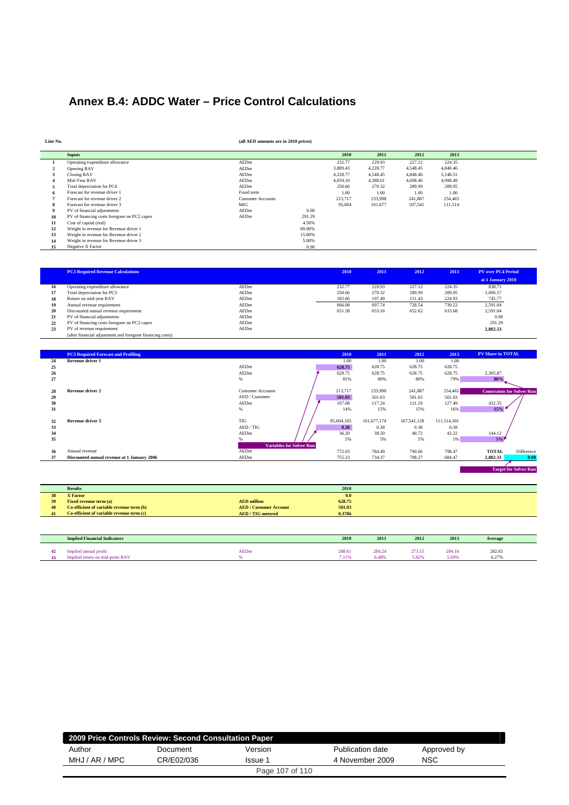## **Annex B.4: ADDC Water – Price Control Calculations**

| Line No. |                                             | (all AED amounts are in 2010 prices) |        |          |          |          |          |  |
|----------|---------------------------------------------|--------------------------------------|--------|----------|----------|----------|----------|--|
|          | <b>Inputs</b>                               |                                      |        | 2010     | 2011     | 2012     | 2013     |  |
|          | Operating expenditure allowance             | AEDm                                 |        | 232.77   | 229.93   | 227.12   | 224.35   |  |
|          | Opening RAV                                 | AEDm                                 |        | 3,889.43 | 4,228.77 | 4,548.45 | 4,848.46 |  |
|          | Closing RAV                                 | AEDm                                 |        | 4.228.77 | 4.548.45 | 4,848.46 | 5,148.51 |  |
|          | Mid-Year RAV                                | AEDm                                 |        | 4,059.10 | 4,388.61 | 4.698.46 | 4.998.49 |  |
|          | Total depreciation for PC4                  | AEDm                                 |        | 250.66   | 270.32   | 289.99   | 289.95   |  |
|          | Forecast for revenue driver 1               | Fixed term                           |        | 1.00     | 1.00     | 1.00     | 1.00     |  |
|          | Forecast for revenue driver 2               | <b>Customer Accounts</b>             |        | 213,717  | 233,998  | 241,887  | 254,465  |  |
|          | Forecast for revenue driver 3               | <b>MIG</b>                           |        | 95,604   | 101,677  | 107,541  | 111,514  |  |
|          | PV of financial adjustments                 | AEDm                                 | 0.00   |          |          |          |          |  |
| 10       | PV of financing costs foregone on PC2 capex | AEDm                                 | 291.29 |          |          |          |          |  |
| 11       | Cost of capital (real)                      |                                      | 4.50%  |          |          |          |          |  |
| 12       | Weight in revenue for Revenue driver 1      |                                      | 80,00% |          |          |          |          |  |
| 13       | Weight in revenue for Revenue driver 2      |                                      | 15.00% |          |          |          |          |  |
| 14       | Weight in revenue for Revenue driver 3      |                                      | 5.00%  |          |          |          |          |  |
| 15       | Negative X Factor                           |                                      | 0.00   |          |          |          |          |  |

|    | <b>PC3 Required Revenue Calculations</b>                  |      | 2010   | 2011   | 2012   | 2013   | <b>PV</b> over PC4 Period |
|----|-----------------------------------------------------------|------|--------|--------|--------|--------|---------------------------|
|    |                                                           |      |        |        |        |        | at 1 January 2010         |
| 16 | Operating expenditure allowance                           | AEDm | 232.77 | 229.93 | 227.12 | 224.35 | 838.71                    |
| 17 | Total depreciation for PC3                                | AEDm | 250.66 | 270.32 | 289.99 | 289.95 | 1,006.57                  |
| 18 | Return on mid-year RAV                                    | AEDm | 182.66 | 197.49 | 211.43 | 224.93 | 745.77                    |
| 19 | Annual revenue requirement                                | AEDm | 666.08 | 697.74 | 728.54 | 739.22 | 2.591.04                  |
| 20 | Discounted annual revenue requirement                     | AEDm | 651.58 | 653.16 | 652.62 | 633.68 | 2.591.04                  |
| 21 | PV of financial adjustments                               | AEDm |        |        |        |        | 0.00                      |
| 22 | PV of financing costs foregone on PC2 capex               | AEDm |        |        |        |        | 291.29                    |
| 23 | PV of revenue requirement                                 | AEDm |        |        |        |        | 2,882.33                  |
|    | (after financial adjustment and foregone financing costs) |      |        |        |        |        |                           |

|    | <b>PC3 Required Forecast and Profiling</b>  |                                 | 2010       | 2011        | 2012        | 2013        | <b>PV Share in TOTAL</b>          |            |
|----|---------------------------------------------|---------------------------------|------------|-------------|-------------|-------------|-----------------------------------|------------|
| 24 | Revenue driver 1                            |                                 | 1.00       | 1.00        | 1.00        | 1.00        |                                   |            |
| 25 |                                             | AEDm                            | 628.75     | 628.75      | 628.75      | 628.75      |                                   |            |
| 26 |                                             | AEDm                            | 628.75     | 628.75      | 628.75      | 628.75      | 2,305.87                          |            |
| 27 |                                             | $\%$                            | 81%        | 80%         | 80%         | 79%         | 80%                               |            |
|    |                                             |                                 |            |             |             |             |                                   |            |
| 28 | <b>Revenue driver 2</b>                     | <b>Customer Accounts</b>        | 213,717    | 233,998     | 241,887     | 254,465     | <b>Constraints for Solver Run</b> |            |
| 29 |                                             | AED / Customer                  | 501.03     | 501.03      | 501.03      | 501.03      |                                   |            |
| 30 |                                             | AEDm                            | 107.08     | 117.24      | 121.19      | 127.49      | 432.35                            |            |
| 31 |                                             | %                               | 14%        | 15%         | 15%         | 16%         | 15%                               |            |
|    |                                             |                                 |            |             |             |             |                                   |            |
| 32 | Revenue driver 3                            | <b>TIG</b>                      | 95,604,105 | 101,677,174 | 107,541,128 | 111,514,301 |                                   |            |
| 33 |                                             | AED / TIG                       | 0.38       | 0.38        | 0.38        | 0.38        |                                   |            |
| 34 |                                             | AEDm                            | 36.20      | 38.50       | 40.72       | 42.22       | 144.12                            |            |
| 35 |                                             |                                 | 5%         | 5%          | 5%          | 5%          | 5%                                |            |
|    |                                             | <b>Variables for Solver Run</b> |            |             |             |             |                                   |            |
| 36 | Annual revenue                              | AEDm                            | 772.03     | 784.49      | 790.66      | 798.47      | <b>TOTAL</b>                      | Difference |
| 37 | Discounted annual revenue at 1 January 2006 | AEDm                            | 755.23     | 734.37      | 708.27      | 684.47      | 2,882.33                          | 0.00       |
|    |                                             |                                 |            |             |             |             |                                   |            |

|    | <b>Results</b>                            |                               | 2010   |
|----|-------------------------------------------|-------------------------------|--------|
| 38 | <b>X</b> Factor                           |                               | 0.0    |
| 39 | <b>Fixed revenue term (a)</b>             | <b>AED</b> million            | 628.75 |
| 40 | Co-efficient of variable revenue term (b) | <b>AED / Customer Account</b> | 501.03 |
| 41 | Co-efficient of variable revenue term (c) | <b>AED/TIG</b> metered        | 0.3786 |
|    |                                           |                               |        |

| <b>Implied Financial Indicators</b>                                             |             | 2010                 | 2011                                                  | 2012                 | 2013            | Average              |  |
|---------------------------------------------------------------------------------|-------------|----------------------|-------------------------------------------------------|----------------------|-----------------|----------------------|--|
| profit<br>died annual<br>$^{\circ}$ point $R_{\Delta}$<br>iplied return on mid- | <b>AEDm</b> | 288.61<br>.<br>7.11% | 284.24<br>the contract of the contract of<br>$6.48\%$ | 273.55<br>.<br>5.82% | 284.18<br>5.69% | 282.65<br>.<br>6.27% |  |

| 2009 Price Controls Review: Second Consultation Paper |            |         |                  |             |  |  |  |  |
|-------------------------------------------------------|------------|---------|------------------|-------------|--|--|--|--|
| Author                                                | Document   | Version | Publication date | Approved by |  |  |  |  |
| MHJ / AR / MPC                                        | CR/E02/036 | Issue 1 | 4 November 2009  | <b>NSC</b>  |  |  |  |  |
| Page 107 of 110                                       |            |         |                  |             |  |  |  |  |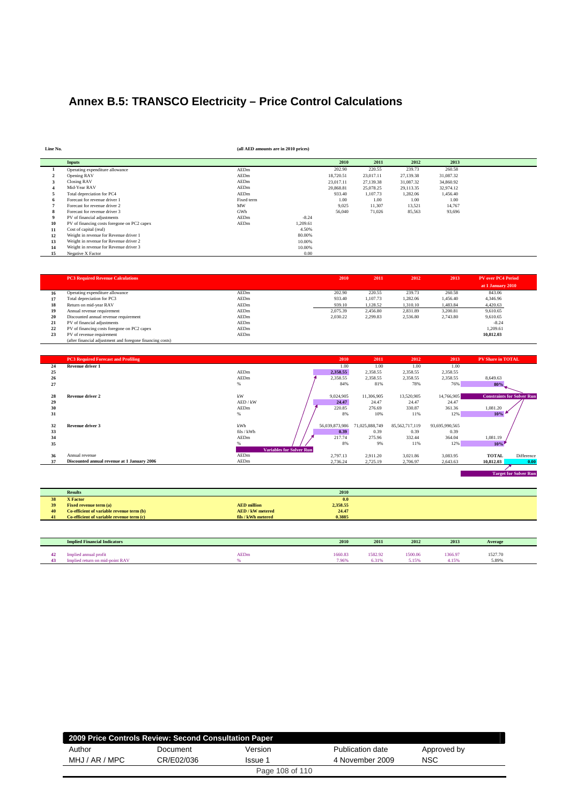## **Annex B.5: TRANSCO Electricity – Price Control Calculations**

**Line No. (all AED amounts are in 2010 prices)**

|    | <b>Inputs</b>                               |             |          | 2010      | 2011      | 2012      | 2013      |
|----|---------------------------------------------|-------------|----------|-----------|-----------|-----------|-----------|
|    | Operating expenditure allowance             | <b>AEDm</b> |          | 202.90    | 220.55    | 239.73    | 260.58    |
|    | Opening RAV                                 | AEDm        |          | 18,720.51 | 23,017.11 | 27,139.38 | 31,087.32 |
|    | Closing RAV                                 | AEDm        |          | 23,017.11 | 27.139.38 | 31,087.32 | 34,860.92 |
|    | Mid-Year RAV                                | AEDm        |          | 20,868.81 | 25.078.25 | 29,113.35 | 32,974.12 |
|    | Total depreciation for PC4                  | AEDm        |          | 933.40    | 1.107.73  | 1,282.06  | 1,456.40  |
|    | Forecast for revenue driver 1               | Fixed term  |          | 1.00      | 1.00      | 1.00      | 1.00      |
|    | Forecast for revenue driver 2               | MW          |          | 9,025     | 11,307    | 13,521    | 14,767    |
|    | Forecast for revenue driver 3               | GWh         |          | 56,040    | 71,026    | 85,563    | 93,696    |
|    | PV of financial adjustments                 | AEDm        | $-8.24$  |           |           |           |           |
| 10 | PV of financing costs foregone on PC2 capex | AEDm        | 1,209.61 |           |           |           |           |
| 11 | Cost of capital (real)                      |             | 4.50%    |           |           |           |           |
| 12 | Weight in revenue for Revenue driver 1      |             | 80,00%   |           |           |           |           |
| 13 | Weight in revenue for Revenue driver 2      |             | 10.00%   |           |           |           |           |
| 14 | Weight in revenue for Revenue driver 3      |             | 10.00%   |           |           |           |           |
| 15 | Negative X Factor                           |             | 0.00     |           |           |           |           |

|    | <b>PC3 Required Revenue Calculations</b>                  |      | 2010     | 2011     | 2012     | 2013     | <b>PV</b> over PC4 Period |
|----|-----------------------------------------------------------|------|----------|----------|----------|----------|---------------------------|
|    |                                                           |      |          |          |          |          | at 1 January 2010         |
| 16 | Operating expenditure allowance                           | AEDm | 202.90   | 220.55   | 239.73   | 260.58   | 843.06                    |
| 17 | Total depreciation for PC3                                | AEDm | 933.40   | 1,107.73 | 1,282.06 | 1.456.40 | 4.346.96                  |
| 18 | Return on mid-year RAV                                    | AEDm | 939.10   | 1,128.52 | 1.310.10 | 1.483.84 | 4,420.63                  |
| 19 | Annual revenue requirement                                | AEDm | 2.075.39 | 2.456.80 | 2.831.89 | 3.200.81 | 9.610.65                  |
| 20 | Discounted annual revenue requirement                     | AEDm | 2.030.22 | 2.299.83 | 2.536.80 | 2.743.80 | 9.610.65                  |
| 21 | PV of financial adjustments                               | AEDm |          |          |          |          | $-8.24$                   |
| 22 | PV of financing costs foregone on PC2 capex               | AEDm |          |          |          |          | 1.209.61                  |
| 23 | PV of revenue requirement                                 | AEDm |          |          |          |          | 10.812.03                 |
|    | (after financial adjustment and foregone financing costs) |      |          |          |          |          |                           |

| 24 | <b>PC3 Required Forecast and Profiling</b>  |                                 | 2010           |                |                |                |                                   |
|----|---------------------------------------------|---------------------------------|----------------|----------------|----------------|----------------|-----------------------------------|
|    |                                             |                                 |                | 2011           | 2012           | 2013           | <b>PV Share in TOTAL</b>          |
|    | <b>Revenue driver 1</b>                     |                                 | 1.00           | 1.00           | 1.00           | 1.00           |                                   |
| 25 |                                             | AEDm                            | 2,358.55       | 2,358.55       | 2,358.55       | 2,358.55       |                                   |
| 26 |                                             | AEDm                            | 2,358.55       | 2,358.55       | 2,358.55       | 2,358.55       | 8,649.63                          |
| 27 |                                             | %                               | 84%            | 81%            | 78%            | 76%            | 80%                               |
|    |                                             |                                 |                |                |                |                |                                   |
| 28 | <b>Revenue driver 2</b>                     | kW                              | 9,024,905      | 11.306.905     | 13,520,905     | 14,766,905     | <b>Constraints for Solver Run</b> |
| 29 |                                             | AED / kW                        | 24.47          | 24.47          | 24.47          | 24.47          |                                   |
| 30 |                                             | AEDm                            | 220.85         | 276.69         | 330.87         | 361.36         | 1,081.20                          |
| 31 |                                             | %                               | 8%             | 10%            | 11%            | 12%            | 10%                               |
|    |                                             |                                 |                |                |                |                |                                   |
| 32 | Revenue driver 3                            | kWh                             | 56,039,873,986 | 71,025,888,749 | 85,562,717,119 | 93,695,990,565 |                                   |
| 33 |                                             | fils / kWh                      | 0.39           | 0.39           | 0.39           | 0.39           |                                   |
| 34 |                                             | AEDm                            | 217.74         | 275.96         | 332.44         | 364.04         | 1,081.19                          |
| 35 |                                             |                                 | 8%             | 9%             | 11%            | 12%            | 10%                               |
|    |                                             | <b>Variables for Solver Run</b> |                |                |                |                |                                   |
| 36 | Annual revenue                              | AEDm                            | 2,797.13       | 2,911.20       | 3,021.86       | 3,083.95       | <b>TOTAL</b><br>Difference        |
| 37 | Discounted annual revenue at 1 January 2006 | AEDm                            | 2,736.24       | 2,725.19       | 2,706.97       | 2,643.63       | 10.812.03<br>0.00                 |

|                 | <b>Results</b>                            | 2010                           |
|-----------------|-------------------------------------------|--------------------------------|
| 29              | <b>X</b> Factor                           | 0.0                            |
| 39              | <b>Fixed revenue term (a)</b>             | 2,358.55<br><b>AED</b> million |
| 40 <sup>7</sup> | Co-efficient of variable revenue term (b) | 24.47<br><b>AED/kW</b> metered |
| 41              | Co-efficient of variable revenue term (c) | 0.3885<br>fils / kWh metered   |

| <b>Implied Financial Indicators</b> |             | 2010          | 2011        | 2012    | 2013    | Average |  |
|-------------------------------------|-------------|---------------|-------------|---------|---------|---------|--|
| Implied annual profit               | <b>AEDm</b> | 1660.83       | 1582.92     | 1500.06 | 1366.97 | 1527.70 |  |
| Implied return on mid-point RA      |             | 1060<br>,,,,, | 210<br>0.31 | 5.15%   | £15%    | 5.89%   |  |

| 2009 Price Controls Review: Second Consultation Paper |            |         |                  |             |  |  |  |  |
|-------------------------------------------------------|------------|---------|------------------|-------------|--|--|--|--|
| Author                                                | Document   | Version | Publication date | Approved by |  |  |  |  |
| MHJ / AR / MPC                                        | CR/E02/036 | Issue 1 | 4 November 2009  | <b>NSC</b>  |  |  |  |  |
| Page 108 of 110                                       |            |         |                  |             |  |  |  |  |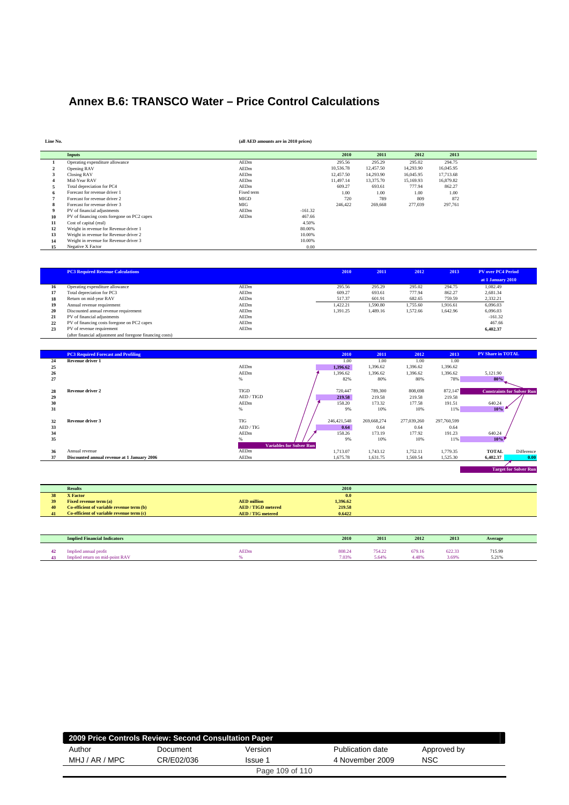## **Annex B.6: TRANSCO Water – Price Control Calculations**

| Line No. |                                             | (all AED amounts are in 2010 prices) |           |           |           |           |           |  |
|----------|---------------------------------------------|--------------------------------------|-----------|-----------|-----------|-----------|-----------|--|
|          | Inputs                                      |                                      |           | 2010      | 2011      | 2012      | 2013      |  |
|          | Operating expenditure allowance             | AEDm                                 |           | 295.56    | 295.29    | 295.02    | 294.75    |  |
|          | Opening RAV                                 | AEDm                                 |           | 10,536.78 | 12,457.50 | 14,293.90 | 16,045.95 |  |
|          | <b>Closing RAV</b>                          | AEDm                                 |           | 12,457.50 | 14,293.90 | 16,045.95 | 17,713.68 |  |
|          | Mid-Year RAV                                | AEDm                                 |           | 11.497.14 | 13,375.70 | 15,169.93 | 16,879.82 |  |
|          | Total depreciation for PC4                  | AEDm                                 |           | 609.27    | 693.61    | 777.94    | 862.27    |  |
|          | Forecast for revenue driver 1               | Fixed term                           |           | 1.00      | 1.00      | 1.00      | 1.00      |  |
|          | Forecast for revenue driver 2               | <b>MIGD</b>                          |           | 720       | 789       | 809       | 872       |  |
| 8        | Forecast for revenue driver 3               | MIG                                  |           | 246,422   | 269,668   | 277,039   | 297,761   |  |
| 9        | PV of financial adjustments                 | AEDm                                 | $-161.32$ |           |           |           |           |  |
| 10       | PV of financing costs foregone on PC2 capex | AEDm                                 | 467.66    |           |           |           |           |  |
| 11       | Cost of capital (real)                      |                                      | 4.50%     |           |           |           |           |  |
| 12       | Weight in revenue for Revenue driver 1      |                                      | 80,00%    |           |           |           |           |  |
| 13       | Weight in revenue for Revenue driver 2      |                                      | 10.00%    |           |           |           |           |  |
| 14       | Weight in revenue for Revenue driver 3      |                                      | 10.00%    |           |           |           |           |  |
| 15       | Negative X Factor                           |                                      | 0.00      |           |           |           |           |  |

|    | <b>PC3 Required Revenue Calculations</b>                  |      | 2010     | 2011     | 2012     | 2013     | <b>PV over PC4 Period</b> |  |
|----|-----------------------------------------------------------|------|----------|----------|----------|----------|---------------------------|--|
|    |                                                           |      |          |          |          |          | at 1 January 2010         |  |
| 16 | Operating expenditure allowance                           | AEDm | 295.56   | 295.29   | 295.02   | 294.75   | 1.082.49                  |  |
| 17 | Total depreciation for PC3                                | AEDm | 609.27   | 693.61   | 777.94   | 862.27   | 2.681.34                  |  |
| 18 | Return on mid-year RAV                                    | AEDm | 517.37   | 601.91   | 682.65   | 759.59   | 2,332.21                  |  |
| 19 | Annual revenue requirement                                | AEDm | 1,422.21 | 1,590.80 | 1,755.60 | 1.916.61 | 6,096.03                  |  |
| 20 | Discounted annual revenue requirement                     | AEDm | 1.391.25 | 1,489.16 | 1.572.66 | 1.642.96 | 6.096.03                  |  |
| 21 | PV of financial adjustments                               | AEDm |          |          |          |          | $-161.32$                 |  |
| 22 | PV of financing costs foregone on PC2 capex               | AEDm |          |          |          |          | 467.66                    |  |
| 23 | PV of revenue requirement                                 | AEDm |          |          |          |          | 6.402.37                  |  |
|    | (after financial adjustment and foregone financing costs) |      |          |          |          |          |                           |  |

|    | <b>PC3 Required Forecast and Profiling</b>  |                                 | 2010        | 2011        | 2012        | 2013        | <b>PV Share in TOTAL</b> |                                   |
|----|---------------------------------------------|---------------------------------|-------------|-------------|-------------|-------------|--------------------------|-----------------------------------|
| 24 | Revenue driver 1                            |                                 | 1.00        | 1.00        | 1.00        | 1.00        |                          |                                   |
| 25 |                                             | AEDm                            | 1,396.62    | 1,396.62    | 1,396.62    | 1,396.62    |                          |                                   |
| 26 |                                             | AEDm                            | 1,396.62    | 1,396.62    | 1,396.62    | 1,396.62    | 5,121.90                 |                                   |
| 27 |                                             | $\%$                            | 82%         | 80%         | 80%         | 78%         | 80%                      |                                   |
|    |                                             |                                 |             |             |             |             |                          |                                   |
| 28 | <b>Revenue driver 2</b>                     | <b>TIGD</b>                     | 720,447     | 789,300     | 808,698     | 872,147     |                          | <b>Constraints for Solver Run</b> |
| 29 |                                             | AED / TIGD                      | 219.58      | 219.58      | 219.58      | 219.58      |                          |                                   |
| 30 |                                             | AEDm                            | 158.20      | 173.32      | 177.58      | 191.51      | 640.24                   |                                   |
| 31 |                                             | %                               | 9%          | 10%         | 10%         | 11%         | 10%                      |                                   |
|    |                                             |                                 |             |             |             |             |                          |                                   |
| 32 | Revenue driver 3                            | <b>TIG</b>                      | 246,421,548 | 269,668,274 | 277,039,260 | 297,760,599 |                          |                                   |
| 33 |                                             | AED / TIG                       | 0.64        | 0.64        | 0.64        | 0.64        |                          |                                   |
| 34 |                                             | AEDm                            | 158.26      | 173.19      | 177.92      | 191.23      | 640.24                   |                                   |
| 35 |                                             |                                 | 9%          | 10%         | 10%         | 11%         | 10%                      |                                   |
|    |                                             | <b>Variables for Solver Run</b> |             |             |             |             |                          |                                   |
| 36 | Annual revenue                              | AEDm                            | 1,713.07    | 1,743.12    | 1,752.11    | 1,779.35    | <b>TOTAL</b>             | Difference                        |
| 37 | Discounted annual revenue at 1 January 2006 | AEDm                            | 1,675.78    | 1,631.75    | 1,569.54    | 1,525.30    | 6.402.37                 | 0.00                              |
|    |                                             |                                 |             |             |             |             |                          |                                   |

**Target for Solver Run** 

|    | <b>Results</b>                            |                         | 2010     |
|----|-------------------------------------------|-------------------------|----------|
| 38 | <b>X</b> Factor                           |                         | 0.0      |
| 39 | <b>Fixed revenue term (a)</b>             | <b>AED</b> million      | 1,396.62 |
| 40 | Co-efficient of variable revenue term (b) | <b>AED/TIGD metered</b> | 219.58   |
| 41 | Co-efficient of variable revenue term (c) | <b>AED/TIG</b> metered  | 0.6422   |
|    |                                           |                         |          |

| <b>Implied Financial Indicators</b>                       |                  | 2010            | 2011                     | 2012                     | 2013            | Average         |
|-----------------------------------------------------------|------------------|-----------------|--------------------------|--------------------------|-----------------|-----------------|
| profit<br>plied annual<br>Implied return on mid-point RA) | <b>AEDm</b><br>ĸ | 808.24<br>7.03% | 754.22<br>$5.64^{\circ}$ | 679.16<br>$4.48^{\circ}$ | 622.33<br>3.69% | 715.99<br>5.21% |

| 2009 Price Controls Review: Second Consultation Paper |            |         |                  |             |  |  |  |  |  |
|-------------------------------------------------------|------------|---------|------------------|-------------|--|--|--|--|--|
| Author                                                | Document   | Version | Publication date | Approved by |  |  |  |  |  |
| MHJ / AR / MPC                                        | CR/E02/036 | Issue 1 | 4 November 2009  | <b>NSC</b>  |  |  |  |  |  |
| Page 109 of 110                                       |            |         |                  |             |  |  |  |  |  |